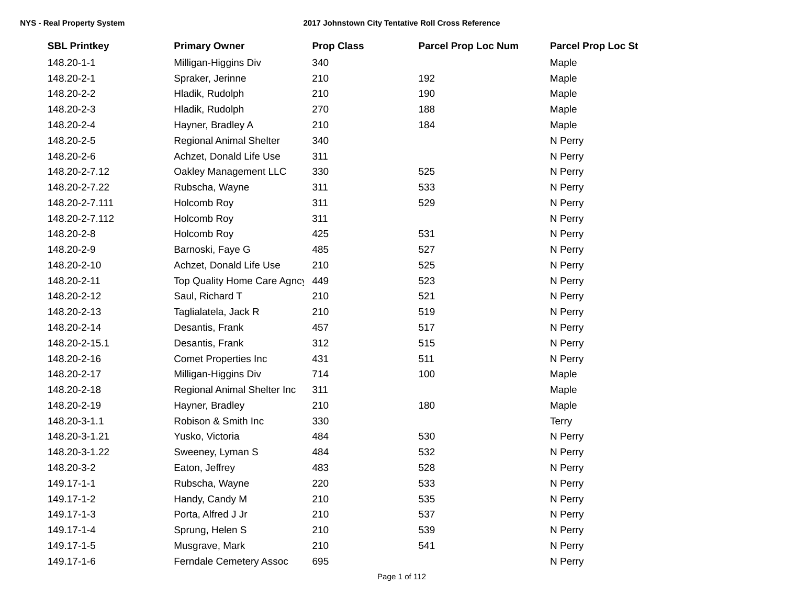| <b>SBL Printkey</b> | <b>Primary Owner</b>           | <b>Prop Class</b> | <b>Parcel Prop Loc Num</b> | <b>Parcel Prop Loc St</b> |
|---------------------|--------------------------------|-------------------|----------------------------|---------------------------|
| 148.20-1-1          | Milligan-Higgins Div           | 340               |                            | Maple                     |
| 148.20-2-1          | Spraker, Jerinne               | 210               | 192                        | Maple                     |
| 148.20-2-2          | Hladik, Rudolph                | 210               | 190                        | Maple                     |
| 148.20-2-3          | Hladik, Rudolph                | 270               | 188                        | Maple                     |
| 148.20-2-4          | Hayner, Bradley A              | 210               | 184                        | Maple                     |
| 148.20-2-5          | <b>Regional Animal Shelter</b> | 340               |                            | N Perry                   |
| 148.20-2-6          | Achzet, Donald Life Use        | 311               |                            | N Perry                   |
| 148.20-2-7.12       | Oakley Management LLC          | 330               | 525                        | N Perry                   |
| 148.20-2-7.22       | Rubscha, Wayne                 | 311               | 533                        | N Perry                   |
| 148.20-2-7.111      | Holcomb Roy                    | 311               | 529                        | N Perry                   |
| 148.20-2-7.112      | Holcomb Roy                    | 311               |                            | N Perry                   |
| 148.20-2-8          | Holcomb Roy                    | 425               | 531                        | N Perry                   |
| 148.20-2-9          | Barnoski, Faye G               | 485               | 527                        | N Perry                   |
| 148.20-2-10         | Achzet, Donald Life Use        | 210               | 525                        | N Perry                   |
| 148.20-2-11         | Top Quality Home Care Agncy    | 449               | 523                        | N Perry                   |
| 148.20-2-12         | Saul, Richard T                | 210               | 521                        | N Perry                   |
| 148.20-2-13         | Taglialatela, Jack R           | 210               | 519                        | N Perry                   |
| 148.20-2-14         | Desantis, Frank                | 457               | 517                        | N Perry                   |
| 148.20-2-15.1       | Desantis, Frank                | 312               | 515                        | N Perry                   |
| 148.20-2-16         | <b>Comet Properties Inc</b>    | 431               | 511                        | N Perry                   |
| 148.20-2-17         | Milligan-Higgins Div           | 714               | 100                        | Maple                     |
| 148.20-2-18         | Regional Animal Shelter Inc    | 311               |                            | Maple                     |
| 148.20-2-19         | Hayner, Bradley                | 210               | 180                        | Maple                     |
| 148.20-3-1.1        | Robison & Smith Inc            | 330               |                            | <b>Terry</b>              |
| 148.20-3-1.21       | Yusko, Victoria                | 484               | 530                        | N Perry                   |
| 148.20-3-1.22       | Sweeney, Lyman S               | 484               | 532                        | N Perry                   |
| 148.20-3-2          | Eaton, Jeffrey                 | 483               | 528                        | N Perry                   |
| 149.17-1-1          | Rubscha, Wayne                 | 220               | 533                        | N Perry                   |
| 149.17-1-2          | Handy, Candy M                 | 210               | 535                        | N Perry                   |
| 149.17-1-3          | Porta, Alfred J Jr             | 210               | 537                        | N Perry                   |
| 149.17-1-4          | Sprung, Helen S                | 210               | 539                        | N Perry                   |
| 149.17-1-5          | Musgrave, Mark                 | 210               | 541                        | N Perry                   |
| 149.17-1-6          | Ferndale Cemetery Assoc        | 695               |                            | N Perry                   |
|                     |                                |                   |                            |                           |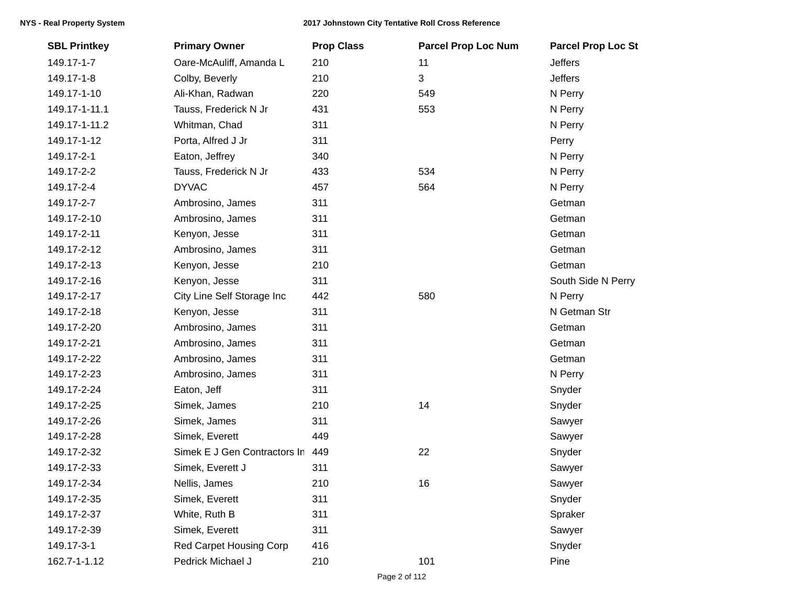| <b>SBL Printkey</b> | <b>Primary Owner</b>         | <b>Prop Class</b> | <b>Parcel Prop Loc Num</b> | <b>Parcel Prop Loc St</b> |
|---------------------|------------------------------|-------------------|----------------------------|---------------------------|
| 149.17-1-7          | Oare-McAuliff, Amanda L      | 210               | 11                         | <b>Jeffers</b>            |
| 149.17-1-8          | Colby, Beverly               | 210               | 3                          | <b>Jeffers</b>            |
| 149.17-1-10         | Ali-Khan, Radwan             | 220               | 549                        | N Perry                   |
| 149.17-1-11.1       | Tauss, Frederick N Jr        | 431               | 553                        | N Perry                   |
| 149.17-1-11.2       | Whitman, Chad                | 311               |                            | N Perry                   |
| 149.17-1-12         | Porta, Alfred J Jr           | 311               |                            | Perry                     |
| 149.17-2-1          | Eaton, Jeffrey               | 340               |                            | N Perry                   |
| 149.17-2-2          | Tauss, Frederick N Jr        | 433               | 534                        | N Perry                   |
| 149.17-2-4          | <b>DYVAC</b>                 | 457               | 564                        | N Perry                   |
| 149.17-2-7          | Ambrosino, James             | 311               |                            | Getman                    |
| 149.17-2-10         | Ambrosino, James             | 311               |                            | Getman                    |
| 149.17-2-11         | Kenyon, Jesse                | 311               |                            | Getman                    |
| 149.17-2-12         | Ambrosino, James             | 311               |                            | Getman                    |
| 149.17-2-13         | Kenyon, Jesse                | 210               |                            | Getman                    |
| 149.17-2-16         | Kenyon, Jesse                | 311               |                            | South Side N Perry        |
| 149.17-2-17         | City Line Self Storage Inc   | 442               | 580                        | N Perry                   |
| 149.17-2-18         | Kenyon, Jesse                | 311               |                            | N Getman Str              |
| 149.17-2-20         | Ambrosino, James             | 311               |                            | Getman                    |
| 149.17-2-21         | Ambrosino, James             | 311               |                            | Getman                    |
| 149.17-2-22         | Ambrosino, James             | 311               |                            | Getman                    |
| 149.17-2-23         | Ambrosino, James             | 311               |                            | N Perry                   |
| 149.17-2-24         | Eaton, Jeff                  | 311               |                            | Snyder                    |
| 149.17-2-25         | Simek, James                 | 210               | 14                         | Snyder                    |
| 149.17-2-26         | Simek, James                 | 311               |                            | Sawyer                    |
| 149.17-2-28         | Simek, Everett               | 449               |                            | Sawyer                    |
| 149.17-2-32         | Simek E J Gen Contractors In | 449               | 22                         | Snyder                    |
| 149.17-2-33         | Simek, Everett J             | 311               |                            | Sawyer                    |
| 149.17-2-34         | Nellis, James                | 210               | 16                         | Sawyer                    |
| 149.17-2-35         | Simek, Everett               | 311               |                            | Snyder                    |
| 149.17-2-37         | White, Ruth B                | 311               |                            | Spraker                   |
| 149.17-2-39         | Simek, Everett               | 311               |                            | Sawyer                    |
| 149.17-3-1          | Red Carpet Housing Corp      | 416               |                            | Snyder                    |
| 162.7-1-1.12        | Pedrick Michael J            | 210               | 101                        | Pine                      |
|                     |                              |                   |                            |                           |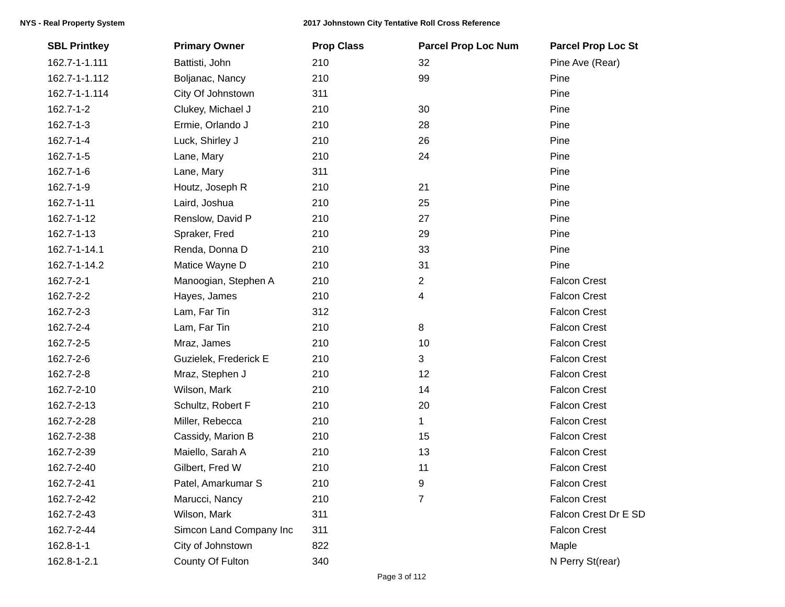| <b>SBL Printkey</b> | <b>Primary Owner</b>    | <b>Prop Class</b> | <b>Parcel Prop Loc Num</b> | <b>Parcel Prop Loc St</b> |
|---------------------|-------------------------|-------------------|----------------------------|---------------------------|
| 162.7-1-1.111       | Battisti, John          | 210               | 32                         | Pine Ave (Rear)           |
| 162.7-1-1.112       | Boljanac, Nancy         | 210               | 99                         | Pine                      |
| 162.7-1-1.114       | City Of Johnstown       | 311               |                            | Pine                      |
| 162.7-1-2           | Clukey, Michael J       | 210               | 30                         | Pine                      |
| 162.7-1-3           | Ermie, Orlando J        | 210               | 28                         | Pine                      |
| 162.7-1-4           | Luck, Shirley J         | 210               | 26                         | Pine                      |
| 162.7-1-5           | Lane, Mary              | 210               | 24                         | Pine                      |
| 162.7-1-6           | Lane, Mary              | 311               |                            | Pine                      |
| 162.7-1-9           | Houtz, Joseph R         | 210               | 21                         | Pine                      |
| 162.7-1-11          | Laird, Joshua           | 210               | 25                         | Pine                      |
| 162.7-1-12          | Renslow, David P        | 210               | 27                         | Pine                      |
| 162.7-1-13          | Spraker, Fred           | 210               | 29                         | Pine                      |
| 162.7-1-14.1        | Renda, Donna D          | 210               | 33                         | Pine                      |
| 162.7-1-14.2        | Matice Wayne D          | 210               | 31                         | Pine                      |
| 162.7-2-1           | Manoogian, Stephen A    | 210               | $\overline{2}$             | <b>Falcon Crest</b>       |
| 162.7-2-2           | Hayes, James            | 210               | 4                          | <b>Falcon Crest</b>       |
| 162.7-2-3           | Lam, Far Tin            | 312               |                            | <b>Falcon Crest</b>       |
| 162.7-2-4           | Lam, Far Tin            | 210               | 8                          | <b>Falcon Crest</b>       |
| 162.7-2-5           | Mraz, James             | 210               | 10                         | <b>Falcon Crest</b>       |
| 162.7-2-6           | Guzielek, Frederick E   | 210               | 3                          | <b>Falcon Crest</b>       |
| 162.7-2-8           | Mraz, Stephen J         | 210               | 12                         | <b>Falcon Crest</b>       |
| 162.7-2-10          | Wilson, Mark            | 210               | 14                         | <b>Falcon Crest</b>       |
| 162.7-2-13          | Schultz, Robert F       | 210               | 20                         | <b>Falcon Crest</b>       |
| 162.7-2-28          | Miller, Rebecca         | 210               | $\mathbf 1$                | <b>Falcon Crest</b>       |
| 162.7-2-38          | Cassidy, Marion B       | 210               | 15                         | <b>Falcon Crest</b>       |
| 162.7-2-39          | Maiello, Sarah A        | 210               | 13                         | <b>Falcon Crest</b>       |
| 162.7-2-40          | Gilbert, Fred W         | 210               | 11                         | <b>Falcon Crest</b>       |
| 162.7-2-41          | Patel, Amarkumar S      | 210               | 9                          | <b>Falcon Crest</b>       |
| 162.7-2-42          | Marucci, Nancy          | 210               | 7                          | <b>Falcon Crest</b>       |
| 162.7-2-43          | Wilson, Mark            | 311               |                            | Falcon Crest Dr E SD      |
| 162.7-2-44          | Simcon Land Company Inc | 311               |                            | <b>Falcon Crest</b>       |
| 162.8-1-1           | City of Johnstown       | 822               |                            | Maple                     |
| 162.8-1-2.1         | County Of Fulton        | 340               |                            | N Perry St(rear)          |
|                     |                         |                   |                            |                           |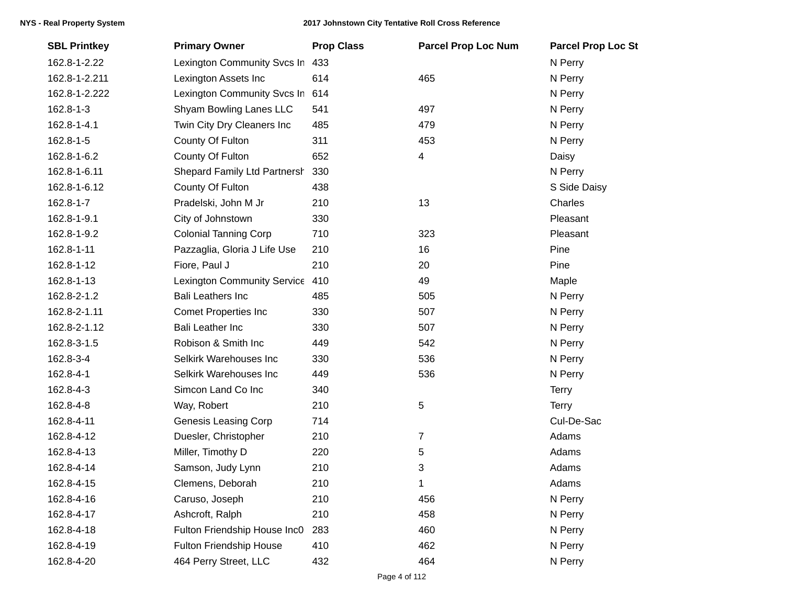| <b>SBL Printkey</b> | <b>Primary Owner</b>         | <b>Prop Class</b> | <b>Parcel Prop Loc Num</b> | <b>Parcel Prop Loc St</b> |
|---------------------|------------------------------|-------------------|----------------------------|---------------------------|
| 162.8-1-2.22        | Lexington Community Svcs In  | 433               |                            | N Perry                   |
| 162.8-1-2.211       | Lexington Assets Inc         | 614               | 465                        | N Perry                   |
| 162.8-1-2.222       | Lexington Community Svcs In  | 614               |                            | N Perry                   |
| 162.8-1-3           | Shyam Bowling Lanes LLC      | 541               | 497                        | N Perry                   |
| 162.8-1-4.1         | Twin City Dry Cleaners Inc   | 485               | 479                        | N Perry                   |
| 162.8-1-5           | County Of Fulton             | 311               | 453                        | N Perry                   |
| 162.8-1-6.2         | County Of Fulton             | 652               | 4                          | Daisy                     |
| 162.8-1-6.11        | Shepard Family Ltd Partnersh | 330               |                            | N Perry                   |
| 162.8-1-6.12        | County Of Fulton             | 438               |                            | S Side Daisy              |
| 162.8-1-7           | Pradelski, John M Jr         | 210               | 13                         | Charles                   |
| 162.8-1-9.1         | City of Johnstown            | 330               |                            | Pleasant                  |
| 162.8-1-9.2         | <b>Colonial Tanning Corp</b> | 710               | 323                        | Pleasant                  |
| 162.8-1-11          | Pazzaglia, Gloria J Life Use | 210               | 16                         | Pine                      |
| 162.8-1-12          | Fiore, Paul J                | 210               | 20                         | Pine                      |
| 162.8-1-13          | Lexington Community Service  | 410               | 49                         | Maple                     |
| 162.8-2-1.2         | <b>Bali Leathers Inc</b>     | 485               | 505                        | N Perry                   |
| 162.8-2-1.11        | <b>Comet Properties Inc</b>  | 330               | 507                        | N Perry                   |
| 162.8-2-1.12        | <b>Bali Leather Inc</b>      | 330               | 507                        | N Perry                   |
| 162.8-3-1.5         | Robison & Smith Inc          | 449               | 542                        | N Perry                   |
| 162.8-3-4           | Selkirk Warehouses Inc       | 330               | 536                        | N Perry                   |
| 162.8-4-1           | Selkirk Warehouses Inc       | 449               | 536                        | N Perry                   |
| 162.8-4-3           | Simcon Land Co Inc           | 340               |                            | <b>Terry</b>              |
| 162.8-4-8           | Way, Robert                  | 210               | 5                          | <b>Terry</b>              |
| 162.8-4-11          | <b>Genesis Leasing Corp</b>  | 714               |                            | Cul-De-Sac                |
| 162.8-4-12          | Duesler, Christopher         | 210               | $\overline{7}$             | Adams                     |
| 162.8-4-13          | Miller, Timothy D            | 220               | 5                          | Adams                     |
| 162.8-4-14          | Samson, Judy Lynn            | 210               | 3                          | Adams                     |
| 162.8-4-15          | Clemens, Deborah             | 210               | 1                          | Adams                     |
| 162.8-4-16          | Caruso, Joseph               | 210               | 456                        | N Perry                   |
| 162.8-4-17          | Ashcroft, Ralph              | 210               | 458                        | N Perry                   |
| 162.8-4-18          | Fulton Friendship House Inc0 | 283               | 460                        | N Perry                   |
| 162.8-4-19          | Fulton Friendship House      | 410               | 462                        | N Perry                   |
| 162.8-4-20          | 464 Perry Street, LLC        | 432               | 464                        | N Perry                   |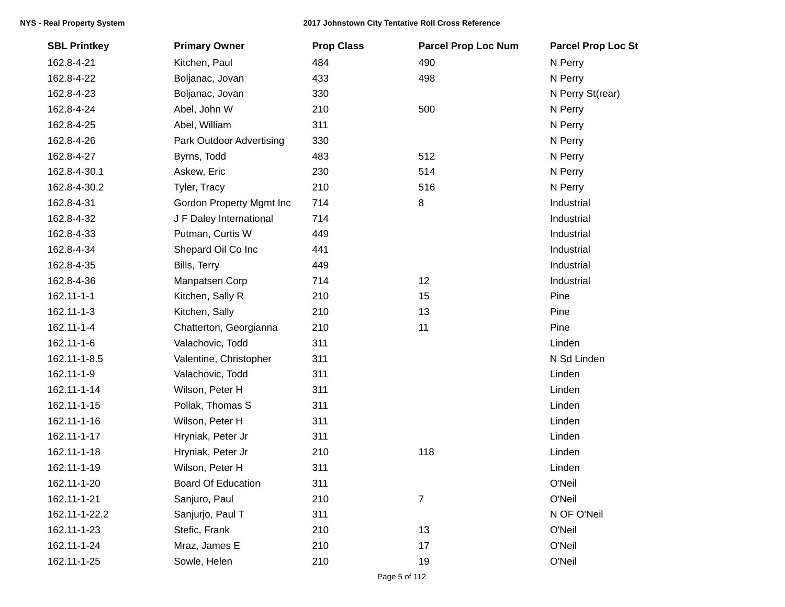| <b>SBL Printkey</b> | <b>Primary Owner</b>            | <b>Prop Class</b> | <b>Parcel Prop Loc Num</b> | <b>Parcel Prop Loc St</b> |
|---------------------|---------------------------------|-------------------|----------------------------|---------------------------|
| 162.8-4-21          | Kitchen, Paul                   | 484               | 490                        | N Perry                   |
| 162.8-4-22          | Boljanac, Jovan                 | 433               | 498                        | N Perry                   |
| 162.8-4-23          | Boljanac, Jovan                 | 330               |                            | N Perry St(rear)          |
| 162.8-4-24          | Abel, John W                    | 210               | 500                        | N Perry                   |
| 162.8-4-25          | Abel, William                   | 311               |                            | N Perry                   |
| 162.8-4-26          | Park Outdoor Advertising        | 330               |                            | N Perry                   |
| 162.8-4-27          | Byrns, Todd                     | 483               | 512                        | N Perry                   |
| 162.8-4-30.1        | Askew, Eric                     | 230               | 514                        | N Perry                   |
| 162.8-4-30.2        | Tyler, Tracy                    | 210               | 516                        | N Perry                   |
| 162.8-4-31          | <b>Gordon Property Mgmt Inc</b> | 714               | 8                          | Industrial                |
| 162.8-4-32          | J F Daley International         | 714               |                            | Industrial                |
| 162.8-4-33          | Putman, Curtis W                | 449               |                            | Industrial                |
| 162.8-4-34          | Shepard Oil Co Inc              | 441               |                            | Industrial                |
| 162.8-4-35          | Bills, Terry                    | 449               |                            | Industrial                |
| 162.8-4-36          | Manpatsen Corp                  | 714               | 12                         | Industrial                |
| 162.11-1-1          | Kitchen, Sally R                | 210               | 15                         | Pine                      |
| 162.11-1-3          | Kitchen, Sally                  | 210               | 13                         | Pine                      |
| 162.11-1-4          | Chatterton, Georgianna          | 210               | 11                         | Pine                      |
| 162.11-1-6          | Valachovic, Todd                | 311               |                            | Linden                    |
| 162.11-1-8.5        | Valentine, Christopher          | 311               |                            | N Sd Linden               |
| 162.11-1-9          | Valachovic, Todd                | 311               |                            | Linden                    |
| 162.11-1-14         | Wilson, Peter H                 | 311               |                            | Linden                    |
| 162.11-1-15         | Pollak, Thomas S                | 311               |                            | Linden                    |
| 162.11-1-16         | Wilson, Peter H                 | 311               |                            | Linden                    |
| 162.11-1-17         | Hryniak, Peter Jr               | 311               |                            | Linden                    |
| 162.11-1-18         | Hryniak, Peter Jr               | 210               | 118                        | Linden                    |
| 162.11-1-19         | Wilson, Peter H                 | 311               |                            | Linden                    |
| 162.11-1-20         | <b>Board Of Education</b>       | 311               |                            | O'Neil                    |
| 162.11-1-21         | Sanjuro, Paul                   | 210               | $\overline{7}$             | O'Neil                    |
| 162.11-1-22.2       | Sanjurjo, Paul T                | 311               |                            | N OF O'Neil               |
| 162.11-1-23         | Stefic, Frank                   | 210               | 13                         | O'Neil                    |
| 162.11-1-24         | Mraz, James E                   | 210               | 17                         | O'Neil                    |
| 162.11-1-25         | Sowle, Helen                    | 210               | 19                         | O'Neil                    |
|                     |                                 |                   |                            |                           |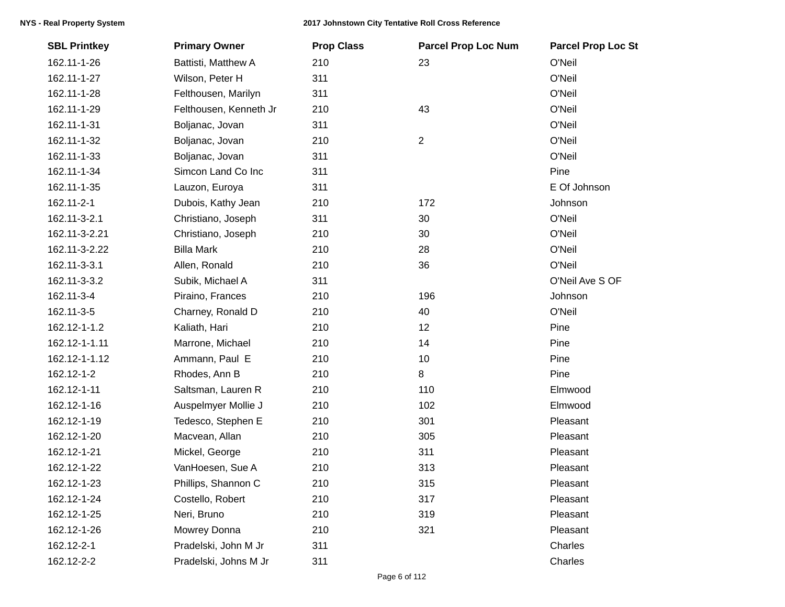| <b>SBL Printkey</b> | <b>Primary Owner</b>   | <b>Prop Class</b> | <b>Parcel Prop Loc Num</b> | <b>Parcel Prop Loc St</b> |
|---------------------|------------------------|-------------------|----------------------------|---------------------------|
| 162.11-1-26         | Battisti, Matthew A    | 210               | 23                         | O'Neil                    |
| 162.11-1-27         | Wilson, Peter H        | 311               |                            | O'Neil                    |
| 162.11-1-28         | Felthousen, Marilyn    | 311               |                            | O'Neil                    |
| 162.11-1-29         | Felthousen, Kenneth Jr | 210               | 43                         | O'Neil                    |
| 162.11-1-31         | Boljanac, Jovan        | 311               |                            | O'Neil                    |
| 162.11-1-32         | Boljanac, Jovan        | 210               | $\overline{2}$             | O'Neil                    |
| 162.11-1-33         | Boljanac, Jovan        | 311               |                            | O'Neil                    |
| 162.11-1-34         | Simcon Land Co Inc     | 311               |                            | Pine                      |
| 162.11-1-35         | Lauzon, Euroya         | 311               |                            | E Of Johnson              |
| 162.11-2-1          | Dubois, Kathy Jean     | 210               | 172                        | Johnson                   |
| 162.11-3-2.1        | Christiano, Joseph     | 311               | 30                         | O'Neil                    |
| 162.11-3-2.21       | Christiano, Joseph     | 210               | 30                         | O'Neil                    |
| 162.11-3-2.22       | <b>Billa Mark</b>      | 210               | 28                         | O'Neil                    |
| 162.11-3-3.1        | Allen, Ronald          | 210               | 36                         | O'Neil                    |
| 162.11-3-3.2        | Subik, Michael A       | 311               |                            | O'Neil Ave S OF           |
| 162.11-3-4          | Piraino, Frances       | 210               | 196                        | Johnson                   |
| 162.11-3-5          | Charney, Ronald D      | 210               | 40                         | O'Neil                    |
| 162.12-1-1.2        | Kaliath, Hari          | 210               | 12                         | Pine                      |
| 162.12-1-1.11       | Marrone, Michael       | 210               | 14                         | Pine                      |
| 162.12-1-1.12       | Ammann, Paul E         | 210               | $10$                       | Pine                      |
| 162.12-1-2          | Rhodes, Ann B          | 210               | 8                          | Pine                      |
| 162.12-1-11         | Saltsman, Lauren R     | 210               | 110                        | Elmwood                   |
| 162.12-1-16         | Auspelmyer Mollie J    | 210               | 102                        | Elmwood                   |
| 162.12-1-19         | Tedesco, Stephen E     | 210               | 301                        | Pleasant                  |
| 162.12-1-20         | Macvean, Allan         | 210               | 305                        | Pleasant                  |
| 162.12-1-21         | Mickel, George         | 210               | 311                        | Pleasant                  |
| 162.12-1-22         | VanHoesen, Sue A       | 210               | 313                        | Pleasant                  |
| 162.12-1-23         | Phillips, Shannon C    | 210               | 315                        | Pleasant                  |
| 162.12-1-24         | Costello, Robert       | 210               | 317                        | Pleasant                  |
| 162.12-1-25         | Neri, Bruno            | 210               | 319                        | Pleasant                  |
| 162.12-1-26         | Mowrey Donna           | 210               | 321                        | Pleasant                  |
| 162.12-2-1          | Pradelski, John M Jr   | 311               |                            | Charles                   |
| 162.12-2-2          | Pradelski, Johns M Jr  | 311               |                            | Charles                   |
|                     |                        |                   |                            |                           |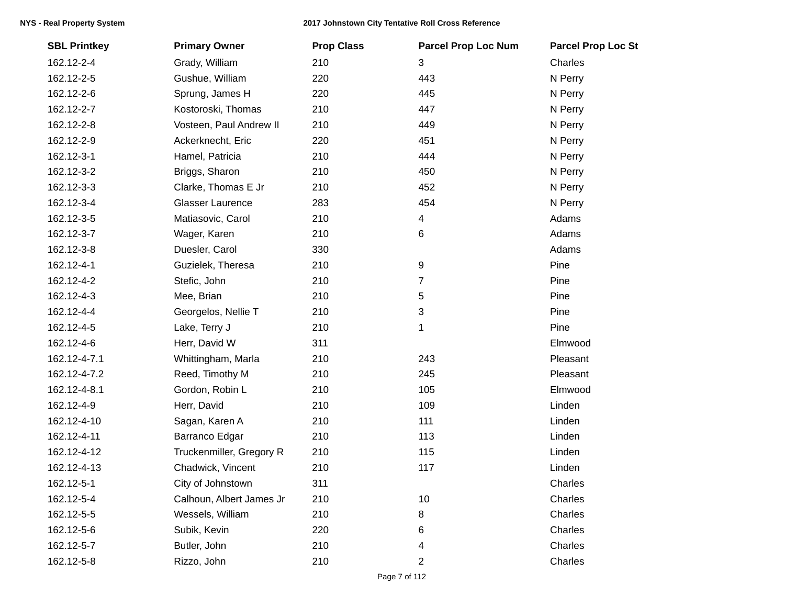| <b>SBL Printkey</b> | <b>Primary Owner</b>     | <b>Prop Class</b> | <b>Parcel Prop Loc Num</b> | <b>Parcel Prop Loc St</b> |
|---------------------|--------------------------|-------------------|----------------------------|---------------------------|
| 162.12-2-4          | Grady, William           | 210               | 3                          | Charles                   |
| 162.12-2-5          | Gushue, William          | 220               | 443                        | N Perry                   |
| 162.12-2-6          | Sprung, James H          | 220               | 445                        | N Perry                   |
| 162.12-2-7          | Kostoroski, Thomas       | 210               | 447                        | N Perry                   |
| 162.12-2-8          | Vosteen, Paul Andrew II  | 210               | 449                        | N Perry                   |
| 162.12-2-9          | Ackerknecht, Eric        | 220               | 451                        | N Perry                   |
| 162.12-3-1          | Hamel, Patricia          | 210               | 444                        | N Perry                   |
| 162.12-3-2          | Briggs, Sharon           | 210               | 450                        | N Perry                   |
| 162.12-3-3          | Clarke, Thomas E Jr      | 210               | 452                        | N Perry                   |
| 162.12-3-4          | <b>Glasser Laurence</b>  | 283               | 454                        | N Perry                   |
| 162.12-3-5          | Matiasovic, Carol        | 210               | 4                          | Adams                     |
| 162.12-3-7          | Wager, Karen             | 210               | 6                          | Adams                     |
| 162.12-3-8          | Duesler, Carol           | 330               |                            | Adams                     |
| 162.12-4-1          | Guzielek, Theresa        | 210               | $\boldsymbol{9}$           | Pine                      |
| 162.12-4-2          | Stefic, John             | 210               | 7                          | Pine                      |
| 162.12-4-3          | Mee, Brian               | 210               | 5                          | Pine                      |
| 162.12-4-4          | Georgelos, Nellie T      | 210               | 3                          | Pine                      |
| 162.12-4-5          | Lake, Terry J            | 210               | 1                          | Pine                      |
| 162.12-4-6          | Herr, David W            | 311               |                            | Elmwood                   |
| 162.12-4-7.1        | Whittingham, Marla       | 210               | 243                        | Pleasant                  |
| 162.12-4-7.2        | Reed, Timothy M          | 210               | 245                        | Pleasant                  |
| 162.12-4-8.1        | Gordon, Robin L          | 210               | 105                        | Elmwood                   |
| 162.12-4-9          | Herr, David              | 210               | 109                        | Linden                    |
| 162.12-4-10         | Sagan, Karen A           | 210               | 111                        | Linden                    |
| 162.12-4-11         | Barranco Edgar           | 210               | 113                        | Linden                    |
| 162.12-4-12         | Truckenmiller, Gregory R | 210               | 115                        | Linden                    |
| 162.12-4-13         | Chadwick, Vincent        | 210               | 117                        | Linden                    |
| 162.12-5-1          | City of Johnstown        | 311               |                            | Charles                   |
| 162.12-5-4          | Calhoun, Albert James Jr | 210               | 10                         | Charles                   |
| 162.12-5-5          | Wessels, William         | 210               | 8                          | Charles                   |
| 162.12-5-6          | Subik, Kevin             | 220               | 6                          | Charles                   |
| 162.12-5-7          | Butler, John             | 210               | 4                          | Charles                   |
| 162.12-5-8          | Rizzo, John              | 210               | 2                          | Charles                   |
|                     |                          |                   |                            |                           |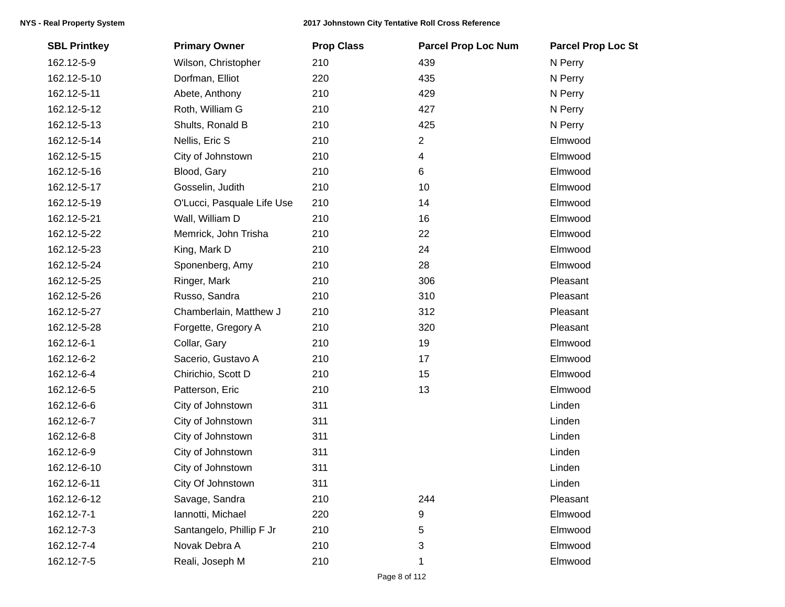| <b>SBL Printkey</b> | <b>Primary Owner</b>       | <b>Prop Class</b> | <b>Parcel Prop Loc Num</b> | <b>Parcel Prop Loc St</b> |
|---------------------|----------------------------|-------------------|----------------------------|---------------------------|
| 162.12-5-9          | Wilson, Christopher        | 210               | 439                        | N Perry                   |
| 162.12-5-10         | Dorfman, Elliot            | 220               | 435                        | N Perry                   |
| 162.12-5-11         | Abete, Anthony             | 210               | 429                        | N Perry                   |
| 162.12-5-12         | Roth, William G            | 210               | 427                        | N Perry                   |
| 162.12-5-13         | Shults, Ronald B           | 210               | 425                        | N Perry                   |
| 162.12-5-14         | Nellis, Eric S             | 210               | $\overline{c}$             | Elmwood                   |
| 162.12-5-15         | City of Johnstown          | 210               | 4                          | Elmwood                   |
| 162.12-5-16         | Blood, Gary                | 210               | 6                          | Elmwood                   |
| 162.12-5-17         | Gosselin, Judith           | 210               | 10                         | Elmwood                   |
| 162.12-5-19         | O'Lucci, Pasquale Life Use | 210               | 14                         | Elmwood                   |
| 162.12-5-21         | Wall, William D            | 210               | 16                         | Elmwood                   |
| 162.12-5-22         | Memrick, John Trisha       | 210               | 22                         | Elmwood                   |
| 162.12-5-23         | King, Mark D               | 210               | 24                         | Elmwood                   |
| 162.12-5-24         | Sponenberg, Amy            | 210               | 28                         | Elmwood                   |
| 162.12-5-25         | Ringer, Mark               | 210               | 306                        | Pleasant                  |
| 162.12-5-26         | Russo, Sandra              | 210               | 310                        | Pleasant                  |
| 162.12-5-27         | Chamberlain, Matthew J     | 210               | 312                        | Pleasant                  |
| 162.12-5-28         | Forgette, Gregory A        | 210               | 320                        | Pleasant                  |
| 162.12-6-1          | Collar, Gary               | 210               | 19                         | Elmwood                   |
| 162.12-6-2          | Sacerio, Gustavo A         | 210               | 17                         | Elmwood                   |
| 162.12-6-4          | Chirichio, Scott D         | 210               | 15                         | Elmwood                   |
| 162.12-6-5          | Patterson, Eric            | 210               | 13                         | Elmwood                   |
| 162.12-6-6          | City of Johnstown          | 311               |                            | Linden                    |
| 162.12-6-7          | City of Johnstown          | 311               |                            | Linden                    |
| 162.12-6-8          | City of Johnstown          | 311               |                            | Linden                    |
| 162.12-6-9          | City of Johnstown          | 311               |                            | Linden                    |
| 162.12-6-10         | City of Johnstown          | 311               |                            | Linden                    |
| 162.12-6-11         | City Of Johnstown          | 311               |                            | Linden                    |
| 162.12-6-12         | Savage, Sandra             | 210               | 244                        | Pleasant                  |
| 162.12-7-1          | Iannotti, Michael          | 220               | 9                          | Elmwood                   |
| 162.12-7-3          | Santangelo, Phillip F Jr   | 210               | 5                          | Elmwood                   |
| 162.12-7-4          | Novak Debra A              | 210               | 3                          | Elmwood                   |
| 162.12-7-5          | Reali, Joseph M            | 210               | 1                          | Elmwood                   |
|                     |                            |                   |                            |                           |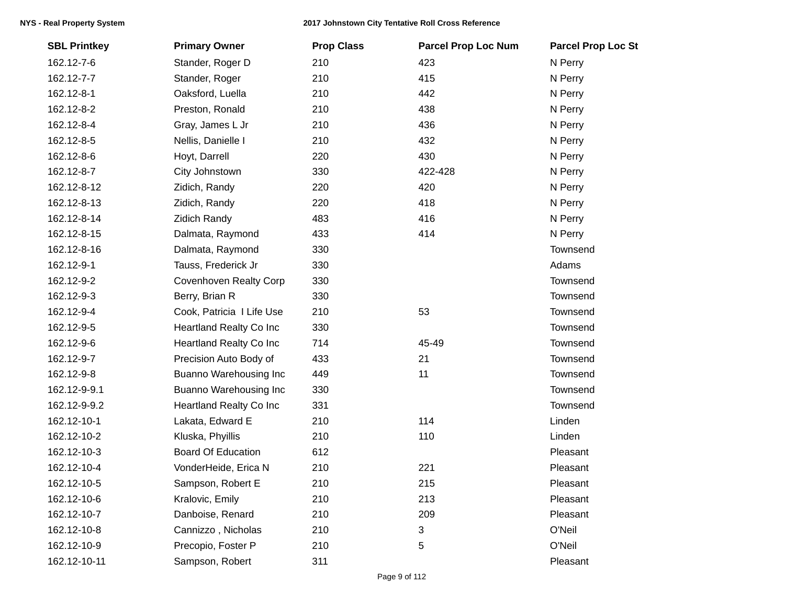| <b>SBL Printkey</b> | <b>Primary Owner</b>          | <b>Prop Class</b> | <b>Parcel Prop Loc Num</b> | <b>Parcel Prop Loc St</b> |
|---------------------|-------------------------------|-------------------|----------------------------|---------------------------|
| 162.12-7-6          | Stander, Roger D              | 210               | 423                        | N Perry                   |
| 162.12-7-7          | Stander, Roger                | 210               | 415                        | N Perry                   |
| 162.12-8-1          | Oaksford, Luella              | 210               | 442                        | N Perry                   |
| 162.12-8-2          | Preston, Ronald               | 210               | 438                        | N Perry                   |
| 162.12-8-4          | Gray, James L Jr              | 210               | 436                        | N Perry                   |
| 162.12-8-5          | Nellis, Danielle I            | 210               | 432                        | N Perry                   |
| 162.12-8-6          | Hoyt, Darrell                 | 220               | 430                        | N Perry                   |
| 162.12-8-7          | City Johnstown                | 330               | 422-428                    | N Perry                   |
| 162.12-8-12         | Zidich, Randy                 | 220               | 420                        | N Perry                   |
| 162.12-8-13         | Zidich, Randy                 | 220               | 418                        | N Perry                   |
| 162.12-8-14         | <b>Zidich Randy</b>           | 483               | 416                        | N Perry                   |
| 162.12-8-15         | Dalmata, Raymond              | 433               | 414                        | N Perry                   |
| 162.12-8-16         | Dalmata, Raymond              | 330               |                            | Townsend                  |
| 162.12-9-1          | Tauss, Frederick Jr           | 330               |                            | Adams                     |
| 162.12-9-2          | <b>Covenhoven Realty Corp</b> | 330               |                            | Townsend                  |
| 162.12-9-3          | Berry, Brian R                | 330               |                            | Townsend                  |
| 162.12-9-4          | Cook, Patricia I Life Use     | 210               | 53                         | Townsend                  |
| 162.12-9-5          | Heartland Realty Co Inc       | 330               |                            | Townsend                  |
| 162.12-9-6          | Heartland Realty Co Inc       | 714               | 45-49                      | Townsend                  |
| 162.12-9-7          | Precision Auto Body of        | 433               | 21                         | Townsend                  |
| 162.12-9-8          | Buanno Warehousing Inc        | 449               | 11                         | Townsend                  |
| 162.12-9-9.1        | Buanno Warehousing Inc        | 330               |                            | Townsend                  |
| 162.12-9-9.2        | Heartland Realty Co Inc       | 331               |                            | Townsend                  |
| 162.12-10-1         | Lakata, Edward E              | 210               | 114                        | Linden                    |
| 162.12-10-2         | Kluska, Phyillis              | 210               | 110                        | Linden                    |
| 162.12-10-3         | <b>Board Of Education</b>     | 612               |                            | Pleasant                  |
| 162.12-10-4         | VonderHeide, Erica N          | 210               | 221                        | Pleasant                  |
| 162.12-10-5         | Sampson, Robert E             | 210               | 215                        | Pleasant                  |
| 162.12-10-6         | Kralovic, Emily               | 210               | 213                        | Pleasant                  |
| 162.12-10-7         | Danboise, Renard              | 210               | 209                        | Pleasant                  |
| 162.12-10-8         | Cannizzo, Nicholas            | 210               | 3                          | O'Neil                    |
| 162.12-10-9         | Precopio, Foster P            | 210               | 5                          | O'Neil                    |
| 162.12-10-11        | Sampson, Robert               | 311               |                            | Pleasant                  |
|                     |                               |                   |                            |                           |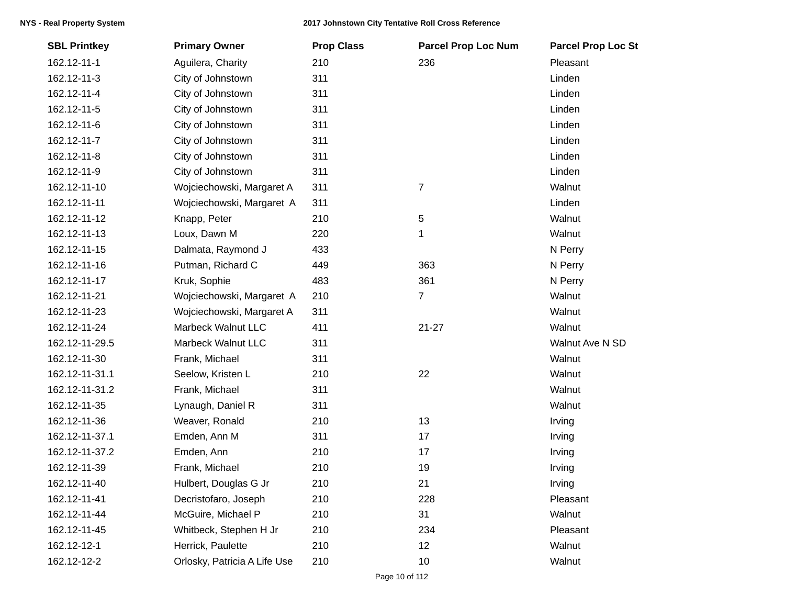| <b>SBL Printkey</b> | <b>Primary Owner</b>         | <b>Prop Class</b> | <b>Parcel Prop Loc Num</b> | <b>Parcel Prop Loc St</b> |
|---------------------|------------------------------|-------------------|----------------------------|---------------------------|
| 162.12-11-1         | Aguilera, Charity            | 210               | 236                        | Pleasant                  |
| 162.12-11-3         | City of Johnstown            | 311               |                            | Linden                    |
| 162.12-11-4         | City of Johnstown            | 311               |                            | Linden                    |
| 162.12-11-5         | City of Johnstown            | 311               |                            | Linden                    |
| 162.12-11-6         | City of Johnstown            | 311               |                            | Linden                    |
| 162.12-11-7         | City of Johnstown            | 311               |                            | Linden                    |
| 162.12-11-8         | City of Johnstown            | 311               |                            | Linden                    |
| 162.12-11-9         | City of Johnstown            | 311               |                            | Linden                    |
| 162.12-11-10        | Wojciechowski, Margaret A    | 311               | $\boldsymbol{7}$           | Walnut                    |
| 162.12-11-11        | Wojciechowski, Margaret A    | 311               |                            | Linden                    |
| 162.12-11-12        | Knapp, Peter                 | 210               | $\sqrt{5}$                 | Walnut                    |
| 162.12-11-13        | Loux, Dawn M                 | 220               | 1                          | Walnut                    |
| 162.12-11-15        | Dalmata, Raymond J           | 433               |                            | N Perry                   |
| 162.12-11-16        | Putman, Richard C            | 449               | 363                        | N Perry                   |
| 162.12-11-17        | Kruk, Sophie                 | 483               | 361                        | N Perry                   |
| 162.12-11-21        | Wojciechowski, Margaret A    | 210               | 7                          | Walnut                    |
| 162.12-11-23        | Wojciechowski, Margaret A    | 311               |                            | Walnut                    |
| 162.12-11-24        | Marbeck Walnut LLC           | 411               | $21 - 27$                  | Walnut                    |
| 162.12-11-29.5      | <b>Marbeck Walnut LLC</b>    | 311               |                            | Walnut Ave N SD           |
| 162.12-11-30        | Frank, Michael               | 311               |                            | Walnut                    |
| 162.12-11-31.1      | Seelow, Kristen L            | 210               | 22                         | Walnut                    |
| 162.12-11-31.2      | Frank, Michael               | 311               |                            | Walnut                    |
| 162.12-11-35        | Lynaugh, Daniel R            | 311               |                            | Walnut                    |
| 162.12-11-36        | Weaver, Ronald               | 210               | 13                         | Irving                    |
| 162.12-11-37.1      | Emden, Ann M                 | 311               | 17                         | Irving                    |
| 162.12-11-37.2      | Emden, Ann                   | 210               | 17                         | Irving                    |
| 162.12-11-39        | Frank, Michael               | 210               | 19                         | Irving                    |
| 162.12-11-40        | Hulbert, Douglas G Jr        | 210               | 21                         | Irving                    |
| 162.12-11-41        | Decristofaro, Joseph         | 210               | 228                        | Pleasant                  |
| 162.12-11-44        | McGuire, Michael P           | 210               | 31                         | Walnut                    |
| 162.12-11-45        | Whitbeck, Stephen H Jr       | 210               | 234                        | Pleasant                  |
| 162.12-12-1         | Herrick, Paulette            | 210               | 12                         | Walnut                    |
| 162.12-12-2         | Orlosky, Patricia A Life Use | 210               | 10                         | Walnut                    |
|                     |                              |                   |                            |                           |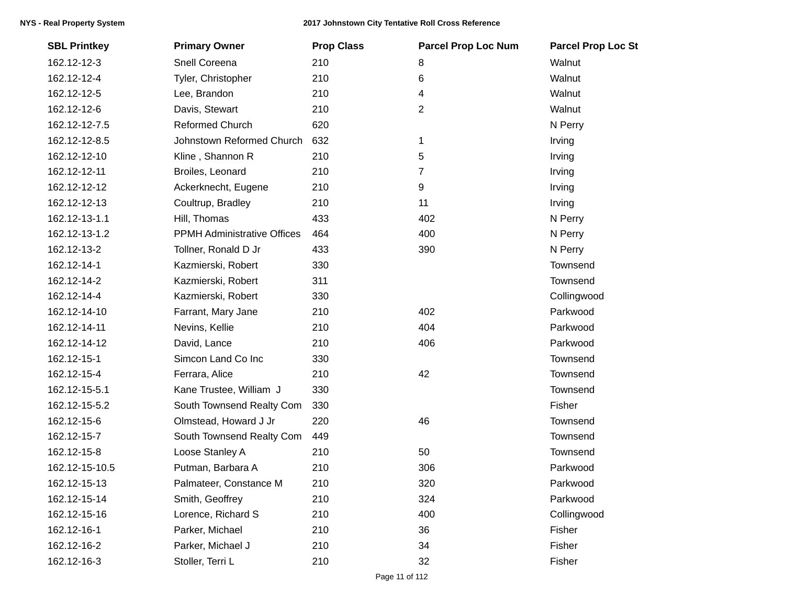| <b>SBL Printkey</b> | <b>Primary Owner</b>               | <b>Prop Class</b> | <b>Parcel Prop Loc Num</b> | <b>Parcel Prop Loc St</b> |
|---------------------|------------------------------------|-------------------|----------------------------|---------------------------|
| 162.12-12-3         | Snell Coreena                      | 210               | 8                          | Walnut                    |
| 162.12-12-4         | Tyler, Christopher                 | 210               | 6                          | Walnut                    |
| 162.12-12-5         | Lee, Brandon                       | 210               | 4                          | Walnut                    |
| 162.12-12-6         | Davis, Stewart                     | 210               | $\overline{2}$             | Walnut                    |
| 162.12-12-7.5       | <b>Reformed Church</b>             | 620               |                            | N Perry                   |
| 162.12-12-8.5       | Johnstown Reformed Church          | 632               | 1                          | Irving                    |
| 162.12-12-10        | Kline, Shannon R                   | 210               | 5                          | Irving                    |
| 162.12-12-11        | Broiles, Leonard                   | 210               | $\overline{7}$             | Irving                    |
| 162.12-12-12        | Ackerknecht, Eugene                | 210               | 9                          | Irving                    |
| 162.12-12-13        | Coultrup, Bradley                  | 210               | 11                         | Irving                    |
| 162.12-13-1.1       | Hill, Thomas                       | 433               | 402                        | N Perry                   |
| 162.12-13-1.2       | <b>PPMH Administrative Offices</b> | 464               | 400                        | N Perry                   |
| 162.12-13-2         | Tollner, Ronald D Jr               | 433               | 390                        | N Perry                   |
| 162.12-14-1         | Kazmierski, Robert                 | 330               |                            | Townsend                  |
| 162.12-14-2         | Kazmierski, Robert                 | 311               |                            | Townsend                  |
| 162.12-14-4         | Kazmierski, Robert                 | 330               |                            | Collingwood               |
| 162.12-14-10        | Farrant, Mary Jane                 | 210               | 402                        | Parkwood                  |
| 162.12-14-11        | Nevins, Kellie                     | 210               | 404                        | Parkwood                  |
| 162.12-14-12        | David, Lance                       | 210               | 406                        | Parkwood                  |
| 162.12-15-1         | Simcon Land Co Inc                 | 330               |                            | Townsend                  |
| 162.12-15-4         | Ferrara, Alice                     | 210               | 42                         | Townsend                  |
| 162.12-15-5.1       | Kane Trustee, William J            | 330               |                            | Townsend                  |
| 162.12-15-5.2       | South Townsend Realty Com          | 330               |                            | Fisher                    |
| 162.12-15-6         | Olmstead, Howard J Jr              | 220               | 46                         | Townsend                  |
| 162.12-15-7         | South Townsend Realty Com          | 449               |                            | Townsend                  |
| 162.12-15-8         | Loose Stanley A                    | 210               | 50                         | Townsend                  |
| 162.12-15-10.5      | Putman, Barbara A                  | 210               | 306                        | Parkwood                  |
| 162.12-15-13        | Palmateer, Constance M             | 210               | 320                        | Parkwood                  |
| 162.12-15-14        | Smith, Geoffrey                    | 210               | 324                        | Parkwood                  |
| 162.12-15-16        | Lorence, Richard S                 | 210               | 400                        | Collingwood               |
| 162.12-16-1         | Parker, Michael                    | 210               | 36                         | Fisher                    |
| 162.12-16-2         | Parker, Michael J                  | 210               | 34                         | Fisher                    |
| 162.12-16-3         | Stoller, Terri L                   | 210               | 32                         | Fisher                    |
|                     |                                    |                   |                            |                           |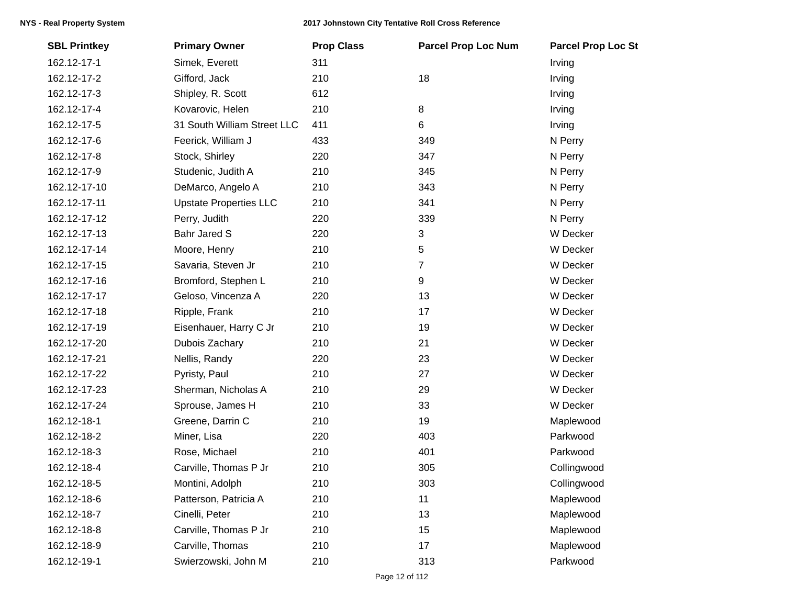| <b>SBL Printkey</b> | <b>Primary Owner</b>          | <b>Prop Class</b> | <b>Parcel Prop Loc Num</b> | <b>Parcel Prop Loc St</b> |
|---------------------|-------------------------------|-------------------|----------------------------|---------------------------|
| 162.12-17-1         | Simek, Everett                | 311               |                            | Irving                    |
| 162.12-17-2         | Gifford, Jack                 | 210               | 18                         | Irving                    |
| 162.12-17-3         | Shipley, R. Scott             | 612               |                            | Irving                    |
| 162.12-17-4         | Kovarovic, Helen              | 210               | 8                          | Irving                    |
| 162.12-17-5         | 31 South William Street LLC   | 411               | 6                          | Irving                    |
| 162.12-17-6         | Feerick, William J            | 433               | 349                        | N Perry                   |
| 162.12-17-8         | Stock, Shirley                | 220               | 347                        | N Perry                   |
| 162.12-17-9         | Studenic, Judith A            | 210               | 345                        | N Perry                   |
| 162.12-17-10        | DeMarco, Angelo A             | 210               | 343                        | N Perry                   |
| 162.12-17-11        | <b>Upstate Properties LLC</b> | 210               | 341                        | N Perry                   |
| 162.12-17-12        | Perry, Judith                 | 220               | 339                        | N Perry                   |
| 162.12-17-13        | <b>Bahr Jared S</b>           | 220               | 3                          | W Decker                  |
| 162.12-17-14        | Moore, Henry                  | 210               | 5                          | W Decker                  |
| 162.12-17-15        | Savaria, Steven Jr            | 210               | 7                          | W Decker                  |
| 162.12-17-16        | Bromford, Stephen L           | 210               | 9                          | W Decker                  |
| 162.12-17-17        | Geloso, Vincenza A            | 220               | 13                         | W Decker                  |
| 162.12-17-18        | Ripple, Frank                 | 210               | 17                         | W Decker                  |
| 162.12-17-19        | Eisenhauer, Harry C Jr        | 210               | 19                         | W Decker                  |
| 162.12-17-20        | Dubois Zachary                | 210               | 21                         | W Decker                  |
| 162.12-17-21        | Nellis, Randy                 | 220               | 23                         | W Decker                  |
| 162.12-17-22        | Pyristy, Paul                 | 210               | 27                         | W Decker                  |
| 162.12-17-23        | Sherman, Nicholas A           | 210               | 29                         | W Decker                  |
| 162.12-17-24        | Sprouse, James H              | 210               | 33                         | W Decker                  |
| 162.12-18-1         | Greene, Darrin C              | 210               | 19                         | Maplewood                 |
| 162.12-18-2         | Miner, Lisa                   | 220               | 403                        | Parkwood                  |
| 162.12-18-3         | Rose, Michael                 | 210               | 401                        | Parkwood                  |
| 162.12-18-4         | Carville, Thomas P Jr         | 210               | 305                        | Collingwood               |
| 162.12-18-5         | Montini, Adolph               | 210               | 303                        | Collingwood               |
| 162.12-18-6         | Patterson, Patricia A         | 210               | 11                         | Maplewood                 |
| 162.12-18-7         | Cinelli, Peter                | 210               | 13                         | Maplewood                 |
| 162.12-18-8         | Carville, Thomas P Jr         | 210               | 15                         | Maplewood                 |
| 162.12-18-9         | Carville, Thomas              | 210               | 17                         | Maplewood                 |
| 162.12-19-1         | Swierzowski, John M           | 210               | 313                        | Parkwood                  |
|                     |                               |                   |                            |                           |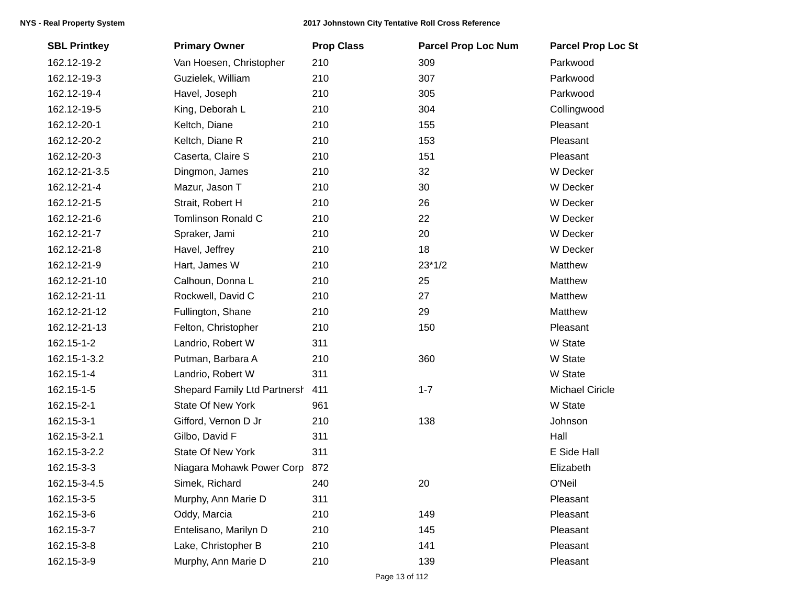| <b>SBL Printkey</b> | <b>Primary Owner</b>         | <b>Prop Class</b> | <b>Parcel Prop Loc Num</b> | <b>Parcel Prop Loc St</b> |
|---------------------|------------------------------|-------------------|----------------------------|---------------------------|
| 162.12-19-2         | Van Hoesen, Christopher      | 210               | 309                        | Parkwood                  |
| 162.12-19-3         | Guzielek, William            | 210               | 307                        | Parkwood                  |
| 162.12-19-4         | Havel, Joseph                | 210               | 305                        | Parkwood                  |
| 162.12-19-5         | King, Deborah L              | 210               | 304                        | Collingwood               |
| 162.12-20-1         | Keltch, Diane                | 210               | 155                        | Pleasant                  |
| 162.12-20-2         | Keltch, Diane R              | 210               | 153                        | Pleasant                  |
| 162.12-20-3         | Caserta, Claire S            | 210               | 151                        | Pleasant                  |
| 162.12-21-3.5       | Dingmon, James               | 210               | 32                         | W Decker                  |
| 162.12-21-4         | Mazur, Jason T               | 210               | 30                         | W Decker                  |
| 162.12-21-5         | Strait, Robert H             | 210               | 26                         | W Decker                  |
| 162.12-21-6         | <b>Tomlinson Ronald C</b>    | 210               | 22                         | W Decker                  |
| 162.12-21-7         | Spraker, Jami                | 210               | 20                         | W Decker                  |
| 162.12-21-8         | Havel, Jeffrey               | 210               | 18                         | W Decker                  |
| 162.12-21-9         | Hart, James W                | 210               | $23*1/2$                   | Matthew                   |
| 162.12-21-10        | Calhoun, Donna L             | 210               | 25                         | Matthew                   |
| 162.12-21-11        | Rockwell, David C            | 210               | 27                         | Matthew                   |
| 162.12-21-12        | Fullington, Shane            | 210               | 29                         | Matthew                   |
| 162.12-21-13        | Felton, Christopher          | 210               | 150                        | Pleasant                  |
| 162.15-1-2          | Landrio, Robert W            | 311               |                            | W State                   |
| 162.15-1-3.2        | Putman, Barbara A            | 210               | 360                        | W State                   |
| 162.15-1-4          | Landrio, Robert W            | 311               |                            | W State                   |
| 162.15-1-5          | Shepard Family Ltd Partnersh | 411               | $1 - 7$                    | <b>Michael Ciricle</b>    |
| 162.15-2-1          | <b>State Of New York</b>     | 961               |                            | W State                   |
| 162.15-3-1          | Gifford, Vernon D Jr         | 210               | 138                        | Johnson                   |
| 162.15-3-2.1        | Gilbo, David F               | 311               |                            | Hall                      |
| 162.15-3-2.2        | <b>State Of New York</b>     | 311               |                            | E Side Hall               |
| 162.15-3-3          | Niagara Mohawk Power Corp    | 872               |                            | Elizabeth                 |
| 162.15-3-4.5        | Simek, Richard               | 240               | 20                         | O'Neil                    |
| 162.15-3-5          | Murphy, Ann Marie D          | 311               |                            | Pleasant                  |
| 162.15-3-6          | Oddy, Marcia                 | 210               | 149                        | Pleasant                  |
| 162.15-3-7          | Entelisano, Marilyn D        | 210               | 145                        | Pleasant                  |
| 162.15-3-8          | Lake, Christopher B          | 210               | 141                        | Pleasant                  |
| 162.15-3-9          | Murphy, Ann Marie D          | 210               | 139                        | Pleasant                  |
|                     |                              |                   |                            |                           |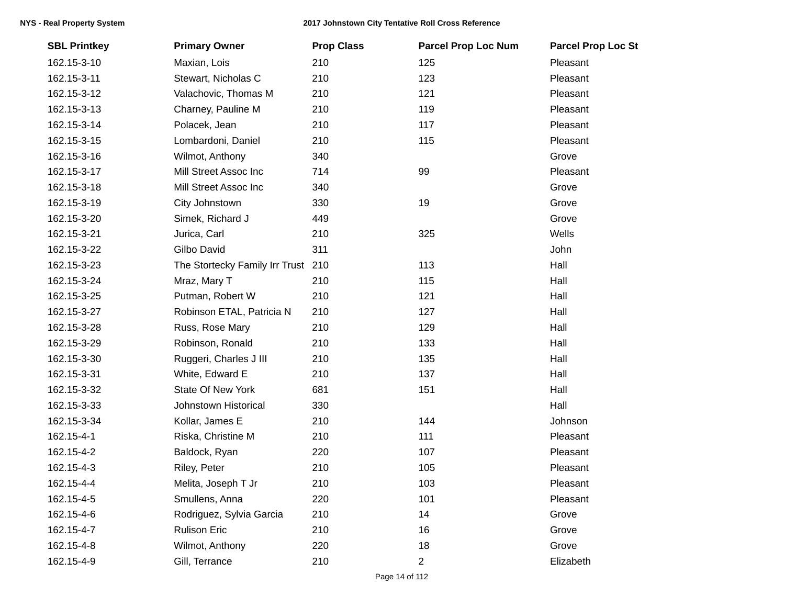| <b>SBL Printkey</b> | <b>Primary Owner</b>               | <b>Prop Class</b> | <b>Parcel Prop Loc Num</b> | <b>Parcel Prop Loc St</b> |
|---------------------|------------------------------------|-------------------|----------------------------|---------------------------|
| 162.15-3-10         | Maxian, Lois                       | 210               | 125                        | Pleasant                  |
| 162.15-3-11         | Stewart, Nicholas C                | 210               | 123                        | Pleasant                  |
| 162.15-3-12         | Valachovic, Thomas M               | 210               | 121                        | Pleasant                  |
| 162.15-3-13         | Charney, Pauline M                 | 210               | 119                        | Pleasant                  |
| 162.15-3-14         | Polacek, Jean                      | 210               | 117                        | Pleasant                  |
| 162.15-3-15         | Lombardoni, Daniel                 | 210               | 115                        | Pleasant                  |
| 162.15-3-16         | Wilmot, Anthony                    | 340               |                            | Grove                     |
| 162.15-3-17         | Mill Street Assoc Inc              | 714               | 99                         | Pleasant                  |
| 162.15-3-18         | Mill Street Assoc Inc              | 340               |                            | Grove                     |
| 162.15-3-19         | City Johnstown                     | 330               | 19                         | Grove                     |
| 162.15-3-20         | Simek, Richard J                   | 449               |                            | Grove                     |
| 162.15-3-21         | Jurica, Carl                       | 210               | 325                        | Wells                     |
| 162.15-3-22         | Gilbo David                        | 311               |                            | John                      |
| 162.15-3-23         | The Stortecky Family Irr Trust 210 |                   | 113                        | Hall                      |
| 162.15-3-24         | Mraz, Mary T                       | 210               | 115                        | Hall                      |
| 162.15-3-25         | Putman, Robert W                   | 210               | 121                        | Hall                      |
| 162.15-3-27         | Robinson ETAL, Patricia N          | 210               | 127                        | Hall                      |
| 162.15-3-28         | Russ, Rose Mary                    | 210               | 129                        | Hall                      |
| 162.15-3-29         | Robinson, Ronald                   | 210               | 133                        | Hall                      |
| 162.15-3-30         | Ruggeri, Charles J III             | 210               | 135                        | Hall                      |
| 162.15-3-31         | White, Edward E                    | 210               | 137                        | Hall                      |
| 162.15-3-32         | <b>State Of New York</b>           | 681               | 151                        | Hall                      |
| 162.15-3-33         | Johnstown Historical               | 330               |                            | Hall                      |
| 162.15-3-34         | Kollar, James E                    | 210               | 144                        | Johnson                   |
| 162.15-4-1          | Riska, Christine M                 | 210               | 111                        | Pleasant                  |
| 162.15-4-2          | Baldock, Ryan                      | 220               | 107                        | Pleasant                  |
| 162.15-4-3          | Riley, Peter                       | 210               | 105                        | Pleasant                  |
| 162.15-4-4          | Melita, Joseph T Jr                | 210               | 103                        | Pleasant                  |
| 162.15-4-5          | Smullens, Anna                     | 220               | 101                        | Pleasant                  |
| 162.15-4-6          | Rodriguez, Sylvia Garcia           | 210               | 14                         | Grove                     |
| 162.15-4-7          | <b>Rulison Eric</b>                | 210               | 16                         | Grove                     |
| 162.15-4-8          | Wilmot, Anthony                    | 220               | 18                         | Grove                     |
| 162.15-4-9          | Gill, Terrance                     | 210               | $\overline{2}$             | Elizabeth                 |
|                     |                                    |                   |                            |                           |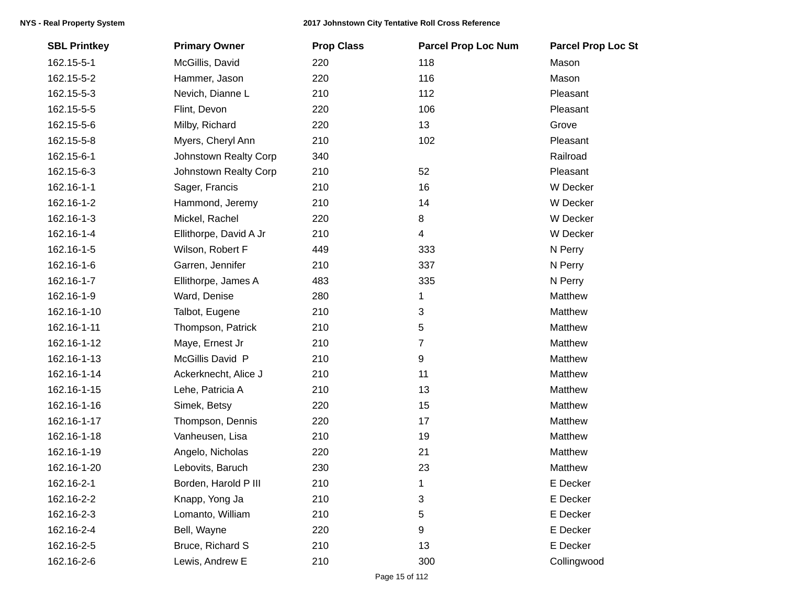| <b>SBL Printkey</b> | <b>Primary Owner</b>   | <b>Prop Class</b> | <b>Parcel Prop Loc Num</b> | <b>Parcel Prop Loc St</b> |
|---------------------|------------------------|-------------------|----------------------------|---------------------------|
| 162.15-5-1          | McGillis, David        | 220               | 118                        | Mason                     |
| 162.15-5-2          | Hammer, Jason          | 220               | 116                        | Mason                     |
| 162.15-5-3          | Nevich, Dianne L       | 210               | 112                        | Pleasant                  |
| 162.15-5-5          | Flint, Devon           | 220               | 106                        | Pleasant                  |
| 162.15-5-6          | Milby, Richard         | 220               | 13                         | Grove                     |
| 162.15-5-8          | Myers, Cheryl Ann      | 210               | 102                        | Pleasant                  |
| 162.15-6-1          | Johnstown Realty Corp  | 340               |                            | Railroad                  |
| 162.15-6-3          | Johnstown Realty Corp  | 210               | 52                         | Pleasant                  |
| 162.16-1-1          | Sager, Francis         | 210               | 16                         | W Decker                  |
| 162.16-1-2          | Hammond, Jeremy        | 210               | 14                         | W Decker                  |
| 162.16-1-3          | Mickel, Rachel         | 220               | 8                          | W Decker                  |
| 162.16-1-4          | Ellithorpe, David A Jr | 210               | $\overline{4}$             | W Decker                  |
| 162.16-1-5          | Wilson, Robert F       | 449               | 333                        | N Perry                   |
| 162.16-1-6          | Garren, Jennifer       | 210               | 337                        | N Perry                   |
| 162.16-1-7          | Ellithorpe, James A    | 483               | 335                        | N Perry                   |
| 162.16-1-9          | Ward, Denise           | 280               | 1                          | Matthew                   |
| 162.16-1-10         | Talbot, Eugene         | 210               | 3                          | Matthew                   |
| 162.16-1-11         | Thompson, Patrick      | 210               | 5                          | Matthew                   |
| 162.16-1-12         | Maye, Ernest Jr        | 210               | $\overline{7}$             | Matthew                   |
| 162.16-1-13         | McGillis David P       | 210               | $\boldsymbol{9}$           | Matthew                   |
| 162.16-1-14         | Ackerknecht, Alice J   | 210               | 11                         | Matthew                   |
| 162.16-1-15         | Lehe, Patricia A       | 210               | 13                         | Matthew                   |
| 162.16-1-16         | Simek, Betsy           | 220               | 15                         | Matthew                   |
| 162.16-1-17         | Thompson, Dennis       | 220               | 17                         | Matthew                   |
| 162.16-1-18         | Vanheusen, Lisa        | 210               | 19                         | Matthew                   |
| 162.16-1-19         | Angelo, Nicholas       | 220               | 21                         | Matthew                   |
| 162.16-1-20         | Lebovits, Baruch       | 230               | 23                         | Matthew                   |
| 162.16-2-1          | Borden, Harold P III   | 210               | 1                          | E Decker                  |
| 162.16-2-2          | Knapp, Yong Ja         | 210               | 3                          | E Decker                  |
| 162.16-2-3          | Lomanto, William       | 210               | 5                          | E Decker                  |
| 162.16-2-4          | Bell, Wayne            | 220               | 9                          | E Decker                  |
| 162.16-2-5          | Bruce, Richard S       | 210               | 13                         | E Decker                  |
| 162.16-2-6          | Lewis, Andrew E        | 210               | 300                        | Collingwood               |
|                     |                        |                   |                            |                           |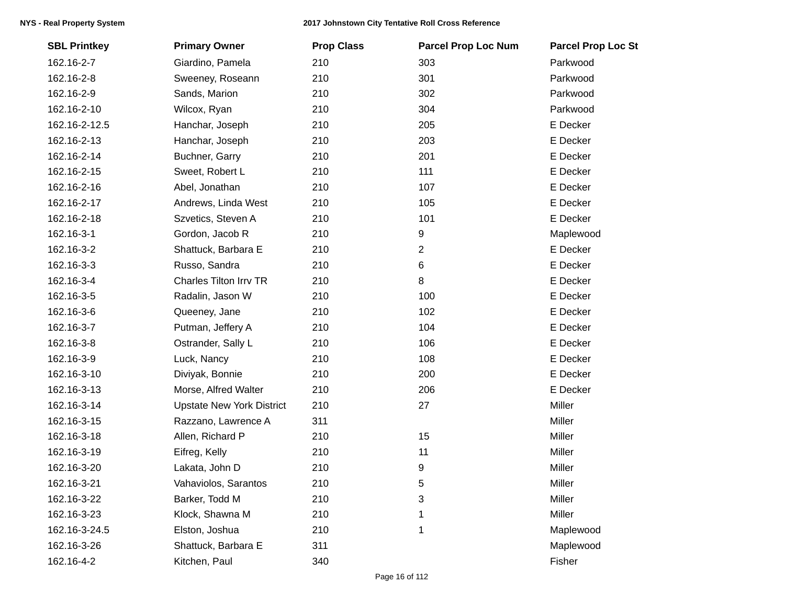| <b>SBL Printkey</b> | <b>Primary Owner</b>             | <b>Prop Class</b> | <b>Parcel Prop Loc Num</b> | <b>Parcel Prop Loc St</b> |
|---------------------|----------------------------------|-------------------|----------------------------|---------------------------|
| 162.16-2-7          | Giardino, Pamela                 | 210               | 303                        | Parkwood                  |
| 162.16-2-8          | Sweeney, Roseann                 | 210               | 301                        | Parkwood                  |
| 162.16-2-9          | Sands, Marion                    | 210               | 302                        | Parkwood                  |
| 162.16-2-10         | Wilcox, Ryan                     | 210               | 304                        | Parkwood                  |
| 162.16-2-12.5       | Hanchar, Joseph                  | 210               | 205                        | E Decker                  |
| 162.16-2-13         | Hanchar, Joseph                  | 210               | 203                        | E Decker                  |
| 162.16-2-14         | Buchner, Garry                   | 210               | 201                        | E Decker                  |
| 162.16-2-15         | Sweet, Robert L                  | 210               | 111                        | E Decker                  |
| 162.16-2-16         | Abel, Jonathan                   | 210               | 107                        | E Decker                  |
| 162.16-2-17         | Andrews, Linda West              | 210               | 105                        | E Decker                  |
| 162.16-2-18         | Szvetics, Steven A               | 210               | 101                        | E Decker                  |
| 162.16-3-1          | Gordon, Jacob R                  | 210               | 9                          | Maplewood                 |
| 162.16-3-2          | Shattuck, Barbara E              | 210               | 2                          | E Decker                  |
| 162.16-3-3          | Russo, Sandra                    | 210               | 6                          | E Decker                  |
| 162.16-3-4          | Charles Tilton Irrv TR           | 210               | 8                          | E Decker                  |
| 162.16-3-5          | Radalin, Jason W                 | 210               | 100                        | E Decker                  |
| 162.16-3-6          | Queeney, Jane                    | 210               | 102                        | E Decker                  |
| 162.16-3-7          | Putman, Jeffery A                | 210               | 104                        | E Decker                  |
| 162.16-3-8          | Ostrander, Sally L               | 210               | 106                        | E Decker                  |
| 162.16-3-9          | Luck, Nancy                      | 210               | 108                        | E Decker                  |
| 162.16-3-10         | Diviyak, Bonnie                  | 210               | 200                        | E Decker                  |
| 162.16-3-13         | Morse, Alfred Walter             | 210               | 206                        | E Decker                  |
| 162.16-3-14         | <b>Upstate New York District</b> | 210               | 27                         | Miller                    |
| 162.16-3-15         | Razzano, Lawrence A              | 311               |                            | Miller                    |
| 162.16-3-18         | Allen, Richard P                 | 210               | 15                         | Miller                    |
| 162.16-3-19         | Eifreg, Kelly                    | 210               | 11                         | Miller                    |
| 162.16-3-20         | Lakata, John D                   | 210               | 9                          | Miller                    |
| 162.16-3-21         | Vahaviolos, Sarantos             | 210               | 5                          | Miller                    |
| 162.16-3-22         | Barker, Todd M                   | 210               | 3                          | Miller                    |
| 162.16-3-23         | Klock, Shawna M                  | 210               | 1                          | Miller                    |
| 162.16-3-24.5       | Elston, Joshua                   | 210               | 1                          | Maplewood                 |
| 162.16-3-26         | Shattuck, Barbara E              | 311               |                            | Maplewood                 |
| 162.16-4-2          | Kitchen, Paul                    | 340               |                            | Fisher                    |
|                     |                                  |                   |                            |                           |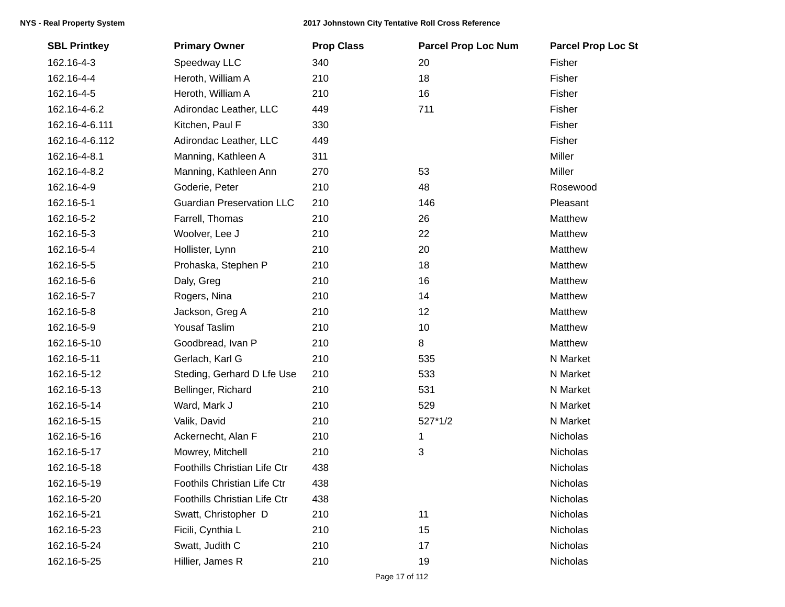| <b>SBL Printkey</b> | <b>Primary Owner</b>                | <b>Prop Class</b> | <b>Parcel Prop Loc Num</b> | <b>Parcel Prop Loc St</b> |
|---------------------|-------------------------------------|-------------------|----------------------------|---------------------------|
| 162.16-4-3          | Speedway LLC                        | 340               | 20                         | Fisher                    |
| 162.16-4-4          | Heroth, William A                   | 210               | 18                         | Fisher                    |
| 162.16-4-5          | Heroth, William A                   | 210               | 16                         | Fisher                    |
| 162.16-4-6.2        | Adirondac Leather, LLC              | 449               | 711                        | Fisher                    |
| 162.16-4-6.111      | Kitchen, Paul F                     | 330               |                            | Fisher                    |
| 162.16-4-6.112      | Adirondac Leather, LLC              | 449               |                            | Fisher                    |
| 162.16-4-8.1        | Manning, Kathleen A                 | 311               |                            | Miller                    |
| 162.16-4-8.2        | Manning, Kathleen Ann               | 270               | 53                         | Miller                    |
| 162.16-4-9          | Goderie, Peter                      | 210               | 48                         | Rosewood                  |
| 162.16-5-1          | <b>Guardian Preservation LLC</b>    | 210               | 146                        | Pleasant                  |
| 162.16-5-2          | Farrell, Thomas                     | 210               | 26                         | Matthew                   |
| 162.16-5-3          | Woolver, Lee J                      | 210               | 22                         | Matthew                   |
| 162.16-5-4          | Hollister, Lynn                     | 210               | 20                         | Matthew                   |
| 162.16-5-5          | Prohaska, Stephen P                 | 210               | 18                         | Matthew                   |
| 162.16-5-6          | Daly, Greg                          | 210               | 16                         | Matthew                   |
| 162.16-5-7          | Rogers, Nina                        | 210               | 14                         | Matthew                   |
| 162.16-5-8          | Jackson, Greg A                     | 210               | 12                         | Matthew                   |
| 162.16-5-9          | <b>Yousaf Taslim</b>                | 210               | 10                         | Matthew                   |
| 162.16-5-10         | Goodbread, Ivan P                   | 210               | $\bf 8$                    | Matthew                   |
| 162.16-5-11         | Gerlach, Karl G                     | 210               | 535                        | N Market                  |
| 162.16-5-12         | Steding, Gerhard D Lfe Use          | 210               | 533                        | N Market                  |
| 162.16-5-13         | Bellinger, Richard                  | 210               | 531                        | N Market                  |
| 162.16-5-14         | Ward, Mark J                        | 210               | 529                        | N Market                  |
| 162.16-5-15         | Valik, David                        | 210               | $527*1/2$                  | N Market                  |
| 162.16-5-16         | Ackernecht, Alan F                  | 210               | 1                          | <b>Nicholas</b>           |
| 162.16-5-17         | Mowrey, Mitchell                    | 210               | 3                          | Nicholas                  |
| 162.16-5-18         | Foothills Christian Life Ctr        | 438               |                            | Nicholas                  |
| 162.16-5-19         | Foothils Christian Life Ctr         | 438               |                            | Nicholas                  |
| 162.16-5-20         | <b>Foothills Christian Life Ctr</b> | 438               |                            | Nicholas                  |
| 162.16-5-21         | Swatt, Christopher D                | 210               | 11                         | Nicholas                  |
| 162.16-5-23         | Ficili, Cynthia L                   | 210               | 15                         | Nicholas                  |
| 162.16-5-24         | Swatt, Judith C                     | 210               | 17                         | Nicholas                  |
| 162.16-5-25         | Hillier, James R                    | 210               | 19                         | Nicholas                  |
|                     |                                     |                   |                            |                           |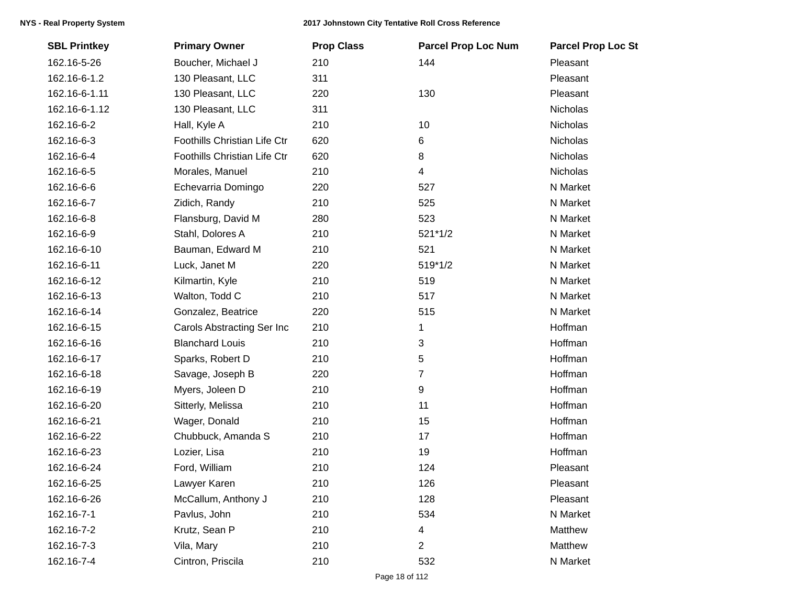| <b>SBL Printkey</b> | <b>Primary Owner</b>         | <b>Prop Class</b> | <b>Parcel Prop Loc Num</b> | <b>Parcel Prop Loc St</b> |
|---------------------|------------------------------|-------------------|----------------------------|---------------------------|
| 162.16-5-26         | Boucher, Michael J           | 210               | 144                        | Pleasant                  |
| 162.16-6-1.2        | 130 Pleasant, LLC            | 311               |                            | Pleasant                  |
| 162.16-6-1.11       | 130 Pleasant, LLC            | 220               | 130                        | Pleasant                  |
| 162.16-6-1.12       | 130 Pleasant, LLC            | 311               |                            | <b>Nicholas</b>           |
| 162.16-6-2          | Hall, Kyle A                 | 210               | 10                         | Nicholas                  |
| 162.16-6-3          | Foothills Christian Life Ctr | 620               | 6                          | Nicholas                  |
| 162.16-6-4          | Foothills Christian Life Ctr | 620               | 8                          | Nicholas                  |
| 162.16-6-5          | Morales, Manuel              | 210               | 4                          | Nicholas                  |
| 162.16-6-6          | Echevarria Domingo           | 220               | 527                        | N Market                  |
| 162.16-6-7          | Zidich, Randy                | 210               | 525                        | N Market                  |
| 162.16-6-8          | Flansburg, David M           | 280               | 523                        | N Market                  |
| 162.16-6-9          | Stahl, Dolores A             | 210               | 521*1/2                    | N Market                  |
| 162.16-6-10         | Bauman, Edward M             | 210               | 521                        | N Market                  |
| 162.16-6-11         | Luck, Janet M                | 220               | 519*1/2                    | N Market                  |
| 162.16-6-12         | Kilmartin, Kyle              | 210               | 519                        | N Market                  |
| 162.16-6-13         | Walton, Todd C               | 210               | 517                        | N Market                  |
| 162.16-6-14         | Gonzalez, Beatrice           | 220               | 515                        | N Market                  |
| 162.16-6-15         | Carols Abstracting Ser Inc   | 210               | 1                          | Hoffman                   |
| 162.16-6-16         | <b>Blanchard Louis</b>       | 210               | 3                          | Hoffman                   |
| 162.16-6-17         | Sparks, Robert D             | 210               | 5                          | Hoffman                   |
| 162.16-6-18         | Savage, Joseph B             | 220               | 7                          | Hoffman                   |
| 162.16-6-19         | Myers, Joleen D              | 210               | 9                          | Hoffman                   |
| 162.16-6-20         | Sitterly, Melissa            | 210               | 11                         | Hoffman                   |
| 162.16-6-21         | Wager, Donald                | 210               | 15                         | Hoffman                   |
| 162.16-6-22         | Chubbuck, Amanda S           | 210               | 17                         | Hoffman                   |
| 162.16-6-23         | Lozier, Lisa                 | 210               | 19                         | Hoffman                   |
| 162.16-6-24         | Ford, William                | 210               | 124                        | Pleasant                  |
| 162.16-6-25         | Lawyer Karen                 | 210               | 126                        | Pleasant                  |
| 162.16-6-26         | McCallum, Anthony J          | 210               | 128                        | Pleasant                  |
| 162.16-7-1          | Pavlus, John                 | 210               | 534                        | N Market                  |
| 162.16-7-2          | Krutz, Sean P                | 210               | 4                          | Matthew                   |
| 162.16-7-3          | Vila, Mary                   | 210               | 2                          | Matthew                   |
| 162.16-7-4          | Cintron, Priscila            | 210               | 532                        | N Market                  |
|                     |                              |                   |                            |                           |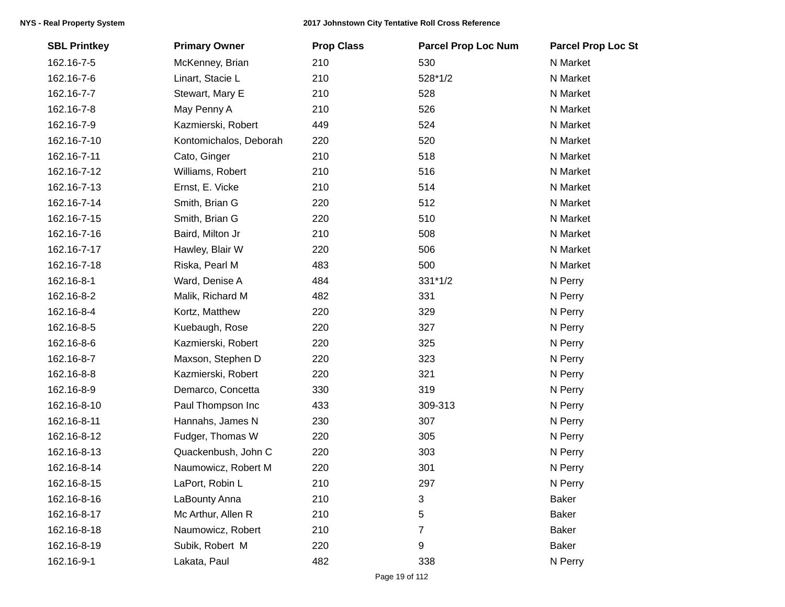| <b>SBL Printkey</b> | <b>Primary Owner</b>   | <b>Prop Class</b> | <b>Parcel Prop Loc Num</b> | <b>Parcel Prop Loc St</b> |
|---------------------|------------------------|-------------------|----------------------------|---------------------------|
| 162.16-7-5          | McKenney, Brian        | 210               | 530                        | N Market                  |
| 162.16-7-6          | Linart, Stacie L       | 210               | 528*1/2                    | N Market                  |
| 162.16-7-7          | Stewart, Mary E        | 210               | 528                        | N Market                  |
| 162.16-7-8          | May Penny A            | 210               | 526                        | N Market                  |
| 162.16-7-9          | Kazmierski, Robert     | 449               | 524                        | N Market                  |
| 162.16-7-10         | Kontomichalos, Deborah | 220               | 520                        | N Market                  |
| 162.16-7-11         | Cato, Ginger           | 210               | 518                        | N Market                  |
| 162.16-7-12         | Williams, Robert       | 210               | 516                        | N Market                  |
| 162.16-7-13         | Ernst, E. Vicke        | 210               | 514                        | N Market                  |
| 162.16-7-14         | Smith, Brian G         | 220               | 512                        | N Market                  |
| 162.16-7-15         | Smith, Brian G         | 220               | 510                        | N Market                  |
| 162.16-7-16         | Baird, Milton Jr       | 210               | 508                        | N Market                  |
| 162.16-7-17         | Hawley, Blair W        | 220               | 506                        | N Market                  |
| 162.16-7-18         | Riska, Pearl M         | 483               | 500                        | N Market                  |
| 162.16-8-1          | Ward, Denise A         | 484               | $331*1/2$                  | N Perry                   |
| 162.16-8-2          | Malik, Richard M       | 482               | 331                        | N Perry                   |
| 162.16-8-4          | Kortz, Matthew         | 220               | 329                        | N Perry                   |
| 162.16-8-5          | Kuebaugh, Rose         | 220               | 327                        | N Perry                   |
| 162.16-8-6          | Kazmierski, Robert     | 220               | 325                        | N Perry                   |
| 162.16-8-7          | Maxson, Stephen D      | 220               | 323                        | N Perry                   |
| 162.16-8-8          | Kazmierski, Robert     | 220               | 321                        | N Perry                   |
| 162.16-8-9          | Demarco, Concetta      | 330               | 319                        | N Perry                   |
| 162.16-8-10         | Paul Thompson Inc      | 433               | 309-313                    | N Perry                   |
| 162.16-8-11         | Hannahs, James N       | 230               | 307                        | N Perry                   |
| 162.16-8-12         | Fudger, Thomas W       | 220               | 305                        | N Perry                   |
| 162.16-8-13         | Quackenbush, John C    | 220               | 303                        | N Perry                   |
| 162.16-8-14         | Naumowicz, Robert M    | 220               | 301                        | N Perry                   |
| 162.16-8-15         | LaPort, Robin L        | 210               | 297                        | N Perry                   |
| 162.16-8-16         | LaBounty Anna          | 210               | 3                          | <b>Baker</b>              |
| 162.16-8-17         | Mc Arthur, Allen R     | 210               | 5                          | <b>Baker</b>              |
| 162.16-8-18         | Naumowicz, Robert      | 210               | 7                          | <b>Baker</b>              |
| 162.16-8-19         | Subik, Robert M        | 220               | 9                          | <b>Baker</b>              |
| 162.16-9-1          | Lakata, Paul           | 482               | 338                        | N Perry                   |
|                     |                        |                   |                            |                           |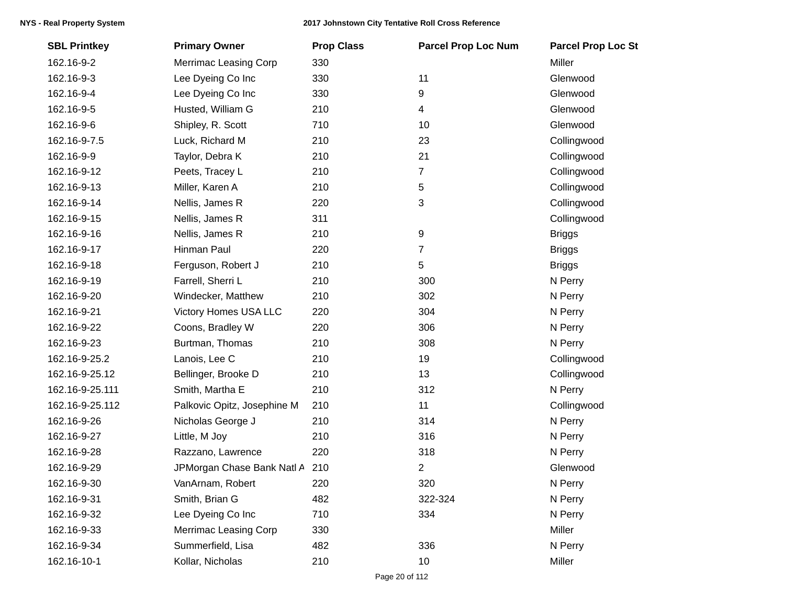| <b>SBL Printkey</b> | <b>Primary Owner</b>         | <b>Prop Class</b> | <b>Parcel Prop Loc Num</b> | <b>Parcel Prop Loc St</b> |
|---------------------|------------------------------|-------------------|----------------------------|---------------------------|
| 162.16-9-2          | <b>Merrimac Leasing Corp</b> | 330               |                            | Miller                    |
| 162.16-9-3          | Lee Dyeing Co Inc            | 330               | 11                         | Glenwood                  |
| 162.16-9-4          | Lee Dyeing Co Inc            | 330               | 9                          | Glenwood                  |
| 162.16-9-5          | Husted, William G            | 210               | 4                          | Glenwood                  |
| 162.16-9-6          | Shipley, R. Scott            | 710               | 10                         | Glenwood                  |
| 162.16-9-7.5        | Luck, Richard M              | 210               | 23                         | Collingwood               |
| 162.16-9-9          | Taylor, Debra K              | 210               | 21                         | Collingwood               |
| 162.16-9-12         | Peets, Tracey L              | 210               | 7                          | Collingwood               |
| 162.16-9-13         | Miller, Karen A              | 210               | $5\,$                      | Collingwood               |
| 162.16-9-14         | Nellis, James R              | 220               | 3                          | Collingwood               |
| 162.16-9-15         | Nellis, James R              | 311               |                            | Collingwood               |
| 162.16-9-16         | Nellis, James R              | 210               | 9                          | <b>Briggs</b>             |
| 162.16-9-17         | Hinman Paul                  | 220               | $\overline{7}$             | <b>Briggs</b>             |
| 162.16-9-18         | Ferguson, Robert J           | 210               | 5                          | <b>Briggs</b>             |
| 162.16-9-19         | Farrell, Sherri L            | 210               | 300                        | N Perry                   |
| 162.16-9-20         | Windecker, Matthew           | 210               | 302                        | N Perry                   |
| 162.16-9-21         | Victory Homes USA LLC        | 220               | 304                        | N Perry                   |
| 162.16-9-22         | Coons, Bradley W             | 220               | 306                        | N Perry                   |
| 162.16-9-23         | Burtman, Thomas              | 210               | 308                        | N Perry                   |
| 162.16-9-25.2       | Lanois, Lee C                | 210               | 19                         | Collingwood               |
| 162.16-9-25.12      | Bellinger, Brooke D          | 210               | 13                         | Collingwood               |
| 162.16-9-25.111     | Smith, Martha E              | 210               | 312                        | N Perry                   |
| 162.16-9-25.112     | Palkovic Opitz, Josephine M  | 210               | 11                         | Collingwood               |
| 162.16-9-26         | Nicholas George J            | 210               | 314                        | N Perry                   |
| 162.16-9-27         | Little, M Joy                | 210               | 316                        | N Perry                   |
| 162.16-9-28         | Razzano, Lawrence            | 220               | 318                        | N Perry                   |
| 162.16-9-29         | JPMorgan Chase Bank Natl A   | 210               | $\overline{2}$             | Glenwood                  |
| 162.16-9-30         | VanArnam, Robert             | 220               | 320                        | N Perry                   |
| 162.16-9-31         | Smith, Brian G               | 482               | 322-324                    | N Perry                   |
| 162.16-9-32         | Lee Dyeing Co Inc            | 710               | 334                        | N Perry                   |
| 162.16-9-33         | <b>Merrimac Leasing Corp</b> | 330               |                            | Miller                    |
| 162.16-9-34         | Summerfield, Lisa            | 482               | 336                        | N Perry                   |
| 162.16-10-1         | Kollar, Nicholas             | 210               | 10                         | Miller                    |
|                     |                              |                   |                            |                           |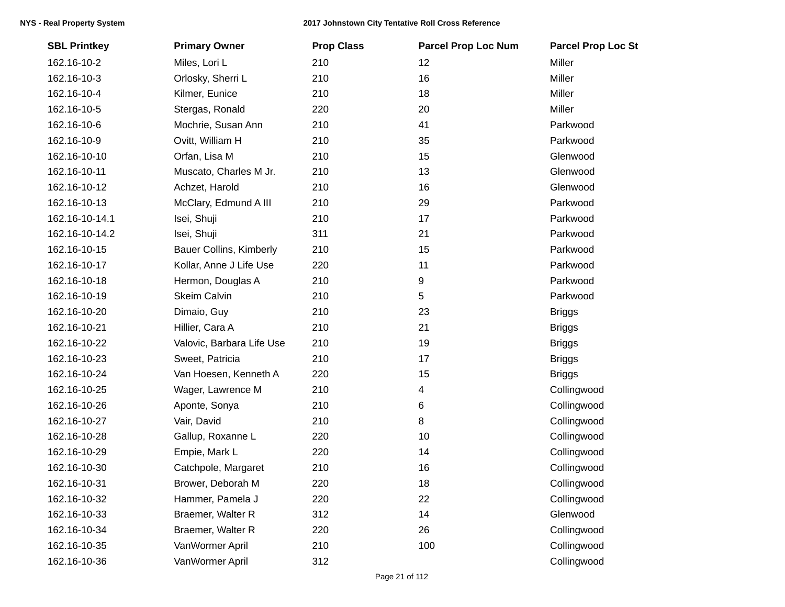| <b>SBL Printkey</b> | <b>Primary Owner</b>           | <b>Prop Class</b> | <b>Parcel Prop Loc Num</b> | <b>Parcel Prop Loc St</b> |
|---------------------|--------------------------------|-------------------|----------------------------|---------------------------|
| 162.16-10-2         | Miles, Lori L                  | 210               | 12                         | Miller                    |
| 162.16-10-3         | Orlosky, Sherri L              | 210               | 16                         | Miller                    |
| 162.16-10-4         | Kilmer, Eunice                 | 210               | 18                         | Miller                    |
| 162.16-10-5         | Stergas, Ronald                | 220               | 20                         | Miller                    |
| 162.16-10-6         | Mochrie, Susan Ann             | 210               | 41                         | Parkwood                  |
| 162.16-10-9         | Ovitt, William H               | 210               | 35                         | Parkwood                  |
| 162.16-10-10        | Orfan, Lisa M                  | 210               | 15                         | Glenwood                  |
| 162.16-10-11        | Muscato, Charles M Jr.         | 210               | 13                         | Glenwood                  |
| 162.16-10-12        | Achzet, Harold                 | 210               | 16                         | Glenwood                  |
| 162.16-10-13        | McClary, Edmund A III          | 210               | 29                         | Parkwood                  |
| 162.16-10-14.1      | Isei, Shuji                    | 210               | 17                         | Parkwood                  |
| 162.16-10-14.2      | Isei, Shuji                    | 311               | 21                         | Parkwood                  |
| 162.16-10-15        | <b>Bauer Collins, Kimberly</b> | 210               | 15                         | Parkwood                  |
| 162.16-10-17        | Kollar, Anne J Life Use        | 220               | 11                         | Parkwood                  |
| 162.16-10-18        | Hermon, Douglas A              | 210               | 9                          | Parkwood                  |
| 162.16-10-19        | <b>Skeim Calvin</b>            | 210               | 5                          | Parkwood                  |
| 162.16-10-20        | Dimaio, Guy                    | 210               | 23                         | <b>Briggs</b>             |
| 162.16-10-21        | Hillier, Cara A                | 210               | 21                         | <b>Briggs</b>             |
| 162.16-10-22        | Valovic, Barbara Life Use      | 210               | 19                         | <b>Briggs</b>             |
| 162.16-10-23        | Sweet, Patricia                | 210               | 17                         | <b>Briggs</b>             |
| 162.16-10-24        | Van Hoesen, Kenneth A          | 220               | 15                         | <b>Briggs</b>             |
| 162.16-10-25        | Wager, Lawrence M              | 210               | 4                          | Collingwood               |
| 162.16-10-26        | Aponte, Sonya                  | 210               | 6                          | Collingwood               |
| 162.16-10-27        | Vair, David                    | 210               | 8                          | Collingwood               |
| 162.16-10-28        | Gallup, Roxanne L              | 220               | 10                         | Collingwood               |
| 162.16-10-29        | Empie, Mark L                  | 220               | 14                         | Collingwood               |
| 162.16-10-30        | Catchpole, Margaret            | 210               | 16                         | Collingwood               |
| 162.16-10-31        | Brower, Deborah M              | 220               | 18                         | Collingwood               |
| 162.16-10-32        | Hammer, Pamela J               | 220               | 22                         | Collingwood               |
| 162.16-10-33        | Braemer, Walter R              | 312               | 14                         | Glenwood                  |
| 162.16-10-34        | Braemer, Walter R              | 220               | 26                         | Collingwood               |
| 162.16-10-35        | VanWormer April                | 210               | 100                        | Collingwood               |
| 162.16-10-36        | VanWormer April                | 312               |                            | Collingwood               |
|                     |                                |                   |                            |                           |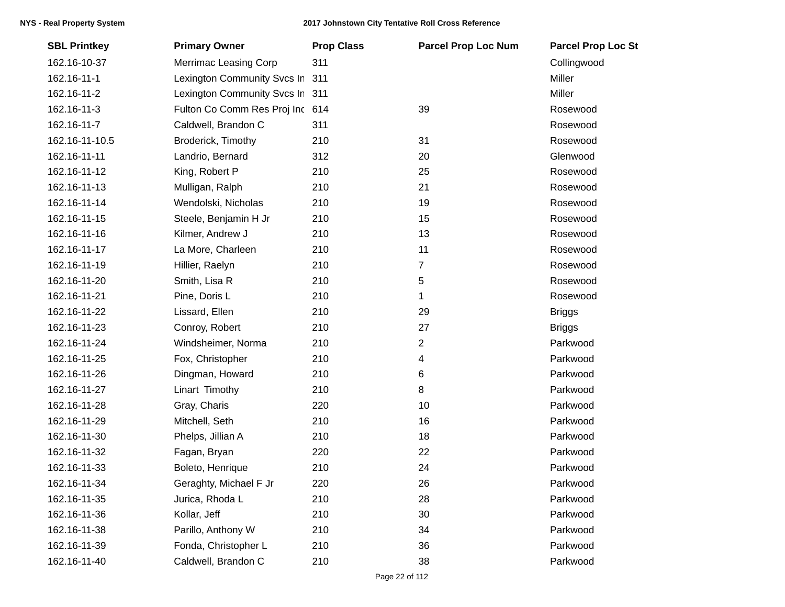| <b>SBL Printkey</b> | <b>Primary Owner</b>            | <b>Prop Class</b> | <b>Parcel Prop Loc Num</b> | <b>Parcel Prop Loc St</b> |
|---------------------|---------------------------------|-------------------|----------------------------|---------------------------|
| 162.16-10-37        | Merrimac Leasing Corp           | 311               |                            | Collingwood               |
| 162.16-11-1         | Lexington Community Svcs In     | 311               |                            | Miller                    |
| 162.16-11-2         | Lexington Community Svcs In 311 |                   |                            | Miller                    |
| 162.16-11-3         | Fulton Co Comm Res Proj Inc 614 |                   | 39                         | Rosewood                  |
| 162.16-11-7         | Caldwell, Brandon C             | 311               |                            | Rosewood                  |
| 162.16-11-10.5      | Broderick, Timothy              | 210               | 31                         | Rosewood                  |
| 162.16-11-11        | Landrio, Bernard                | 312               | 20                         | Glenwood                  |
| 162.16-11-12        | King, Robert P                  | 210               | 25                         | Rosewood                  |
| 162.16-11-13        | Mulligan, Ralph                 | 210               | 21                         | Rosewood                  |
| 162.16-11-14        | Wendolski, Nicholas             | 210               | 19                         | Rosewood                  |
| 162.16-11-15        | Steele, Benjamin H Jr           | 210               | 15                         | Rosewood                  |
| 162.16-11-16        | Kilmer, Andrew J                | 210               | 13                         | Rosewood                  |
| 162.16-11-17        | La More, Charleen               | 210               | 11                         | Rosewood                  |
| 162.16-11-19        | Hillier, Raelyn                 | 210               | 7                          | Rosewood                  |
| 162.16-11-20        | Smith, Lisa R                   | 210               | 5                          | Rosewood                  |
| 162.16-11-21        | Pine, Doris L                   | 210               | 1                          | Rosewood                  |
| 162.16-11-22        | Lissard, Ellen                  | 210               | 29                         | <b>Briggs</b>             |
| 162.16-11-23        | Conroy, Robert                  | 210               | 27                         | <b>Briggs</b>             |
| 162.16-11-24        | Windsheimer, Norma              | 210               | 2                          | Parkwood                  |
| 162.16-11-25        | Fox, Christopher                | 210               | 4                          | Parkwood                  |
| 162.16-11-26        | Dingman, Howard                 | 210               | 6                          | Parkwood                  |
| 162.16-11-27        | Linart Timothy                  | 210               | 8                          | Parkwood                  |
| 162.16-11-28        | Gray, Charis                    | 220               | 10                         | Parkwood                  |
| 162.16-11-29        | Mitchell, Seth                  | 210               | 16                         | Parkwood                  |
| 162.16-11-30        | Phelps, Jillian A               | 210               | 18                         | Parkwood                  |
| 162.16-11-32        | Fagan, Bryan                    | 220               | 22                         | Parkwood                  |
| 162.16-11-33        | Boleto, Henrique                | 210               | 24                         | Parkwood                  |
| 162.16-11-34        | Geraghty, Michael F Jr          | 220               | 26                         | Parkwood                  |
| 162.16-11-35        | Jurica, Rhoda L                 | 210               | 28                         | Parkwood                  |
| 162.16-11-36        | Kollar, Jeff                    | 210               | 30                         | Parkwood                  |
| 162.16-11-38        | Parillo, Anthony W              | 210               | 34                         | Parkwood                  |
| 162.16-11-39        | Fonda, Christopher L            | 210               | 36                         | Parkwood                  |
| 162.16-11-40        | Caldwell, Brandon C             | 210               | 38                         | Parkwood                  |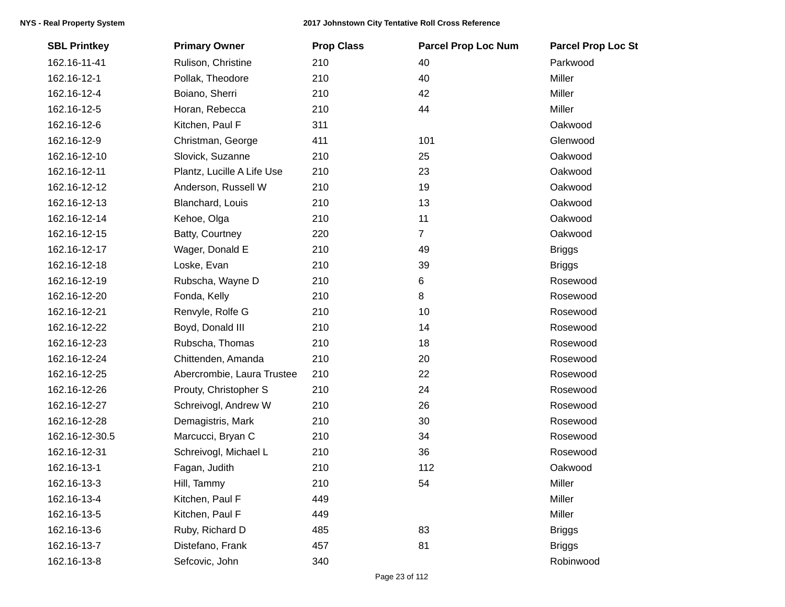| <b>SBL Printkey</b> | <b>Primary Owner</b>       | <b>Prop Class</b> | <b>Parcel Prop Loc Num</b> | <b>Parcel Prop Loc St</b> |
|---------------------|----------------------------|-------------------|----------------------------|---------------------------|
| 162.16-11-41        | Rulison, Christine         | 210               | 40                         | Parkwood                  |
| 162.16-12-1         | Pollak, Theodore           | 210               | 40                         | Miller                    |
| 162.16-12-4         | Boiano, Sherri             | 210               | 42                         | Miller                    |
| 162.16-12-5         | Horan, Rebecca             | 210               | 44                         | Miller                    |
| 162.16-12-6         | Kitchen, Paul F            | 311               |                            | Oakwood                   |
| 162.16-12-9         | Christman, George          | 411               | 101                        | Glenwood                  |
| 162.16-12-10        | Slovick, Suzanne           | 210               | 25                         | Oakwood                   |
| 162.16-12-11        | Plantz, Lucille A Life Use | 210               | 23                         | Oakwood                   |
| 162.16-12-12        | Anderson, Russell W        | 210               | 19                         | Oakwood                   |
| 162.16-12-13        | Blanchard, Louis           | 210               | 13                         | Oakwood                   |
| 162.16-12-14        | Kehoe, Olga                | 210               | 11                         | Oakwood                   |
| 162.16-12-15        | Batty, Courtney            | 220               | $\overline{7}$             | Oakwood                   |
| 162.16-12-17        | Wager, Donald E            | 210               | 49                         | <b>Briggs</b>             |
| 162.16-12-18        | Loske, Evan                | 210               | 39                         | <b>Briggs</b>             |
| 162.16-12-19        | Rubscha, Wayne D           | 210               | 6                          | Rosewood                  |
| 162.16-12-20        | Fonda, Kelly               | 210               | 8                          | Rosewood                  |
| 162.16-12-21        | Renvyle, Rolfe G           | 210               | 10                         | Rosewood                  |
| 162.16-12-22        | Boyd, Donald III           | 210               | 14                         | Rosewood                  |
| 162.16-12-23        | Rubscha, Thomas            | 210               | 18                         | Rosewood                  |
| 162.16-12-24        | Chittenden, Amanda         | 210               | 20                         | Rosewood                  |
| 162.16-12-25        | Abercrombie, Laura Trustee | 210               | 22                         | Rosewood                  |
| 162.16-12-26        | Prouty, Christopher S      | 210               | 24                         | Rosewood                  |
| 162.16-12-27        | Schreivogl, Andrew W       | 210               | 26                         | Rosewood                  |
| 162.16-12-28        | Demagistris, Mark          | 210               | 30                         | Rosewood                  |
| 162.16-12-30.5      | Marcucci, Bryan C          | 210               | 34                         | Rosewood                  |
| 162.16-12-31        | Schreivogl, Michael L      | 210               | 36                         | Rosewood                  |
| 162.16-13-1         | Fagan, Judith              | 210               | 112                        | Oakwood                   |
| 162.16-13-3         | Hill, Tammy                | 210               | 54                         | Miller                    |
| 162.16-13-4         | Kitchen, Paul F            | 449               |                            | Miller                    |
| 162.16-13-5         | Kitchen, Paul F            | 449               |                            | Miller                    |
| 162.16-13-6         | Ruby, Richard D            | 485               | 83                         | <b>Briggs</b>             |
| 162.16-13-7         | Distefano, Frank           | 457               | 81                         | <b>Briggs</b>             |
| 162.16-13-8         | Sefcovic, John             | 340               |                            | Robinwood                 |
|                     |                            |                   |                            |                           |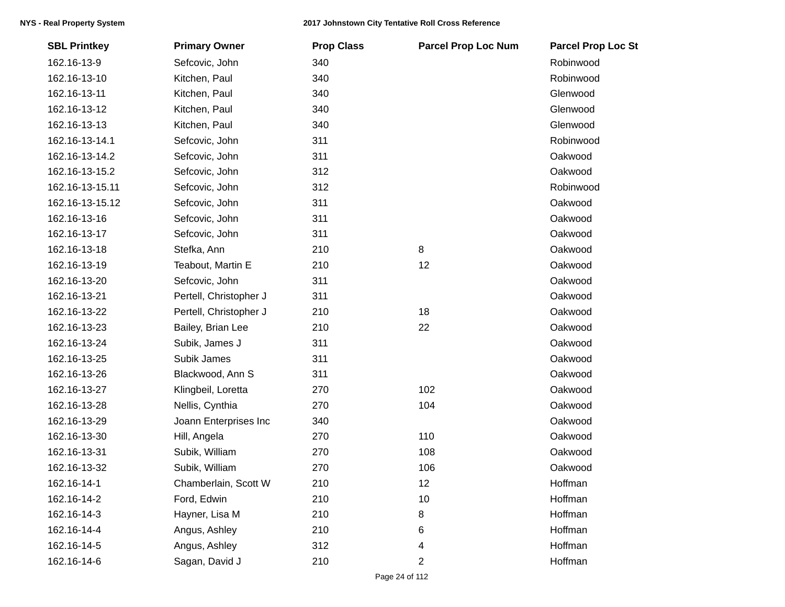| <b>SBL Printkey</b> | <b>Primary Owner</b>   | <b>Prop Class</b> | <b>Parcel Prop Loc Num</b> | <b>Parcel Prop Loc St</b> |
|---------------------|------------------------|-------------------|----------------------------|---------------------------|
| 162.16-13-9         | Sefcovic, John         | 340               |                            | Robinwood                 |
| 162.16-13-10        | Kitchen, Paul          | 340               |                            | Robinwood                 |
| 162.16-13-11        | Kitchen, Paul          | 340               |                            | Glenwood                  |
| 162.16-13-12        | Kitchen, Paul          | 340               |                            | Glenwood                  |
| 162.16-13-13        | Kitchen, Paul          | 340               |                            | Glenwood                  |
| 162.16-13-14.1      | Sefcovic, John         | 311               |                            | Robinwood                 |
| 162.16-13-14.2      | Sefcovic, John         | 311               |                            | Oakwood                   |
| 162.16-13-15.2      | Sefcovic, John         | 312               |                            | Oakwood                   |
| 162.16-13-15.11     | Sefcovic, John         | 312               |                            | Robinwood                 |
| 162.16-13-15.12     | Sefcovic, John         | 311               |                            | Oakwood                   |
| 162.16-13-16        | Sefcovic, John         | 311               |                            | Oakwood                   |
| 162.16-13-17        | Sefcovic, John         | 311               |                            | Oakwood                   |
| 162.16-13-18        | Stefka, Ann            | 210               | 8                          | Oakwood                   |
| 162.16-13-19        | Teabout, Martin E      | 210               | 12                         | Oakwood                   |
| 162.16-13-20        | Sefcovic, John         | 311               |                            | Oakwood                   |
| 162.16-13-21        | Pertell, Christopher J | 311               |                            | Oakwood                   |
| 162.16-13-22        | Pertell, Christopher J | 210               | 18                         | Oakwood                   |
| 162.16-13-23        | Bailey, Brian Lee      | 210               | 22                         | Oakwood                   |
| 162.16-13-24        | Subik, James J         | 311               |                            | Oakwood                   |
| 162.16-13-25        | Subik James            | 311               |                            | Oakwood                   |
| 162.16-13-26        | Blackwood, Ann S       | 311               |                            | Oakwood                   |
| 162.16-13-27        | Klingbeil, Loretta     | 270               | 102                        | Oakwood                   |
| 162.16-13-28        | Nellis, Cynthia        | 270               | 104                        | Oakwood                   |
| 162.16-13-29        | Joann Enterprises Inc  | 340               |                            | Oakwood                   |
| 162.16-13-30        | Hill, Angela           | 270               | 110                        | Oakwood                   |
| 162.16-13-31        | Subik, William         | 270               | 108                        | Oakwood                   |
| 162.16-13-32        | Subik, William         | 270               | 106                        | Oakwood                   |
| 162.16-14-1         | Chamberlain, Scott W   | 210               | 12                         | Hoffman                   |
| 162.16-14-2         | Ford, Edwin            | 210               | 10                         | Hoffman                   |
| 162.16-14-3         | Hayner, Lisa M         | 210               | 8                          | Hoffman                   |
| 162.16-14-4         | Angus, Ashley          | 210               | 6                          | Hoffman                   |
| 162.16-14-5         | Angus, Ashley          | 312               | 4                          | Hoffman                   |
| 162.16-14-6         | Sagan, David J         | 210               | 2                          | Hoffman                   |
|                     |                        |                   |                            |                           |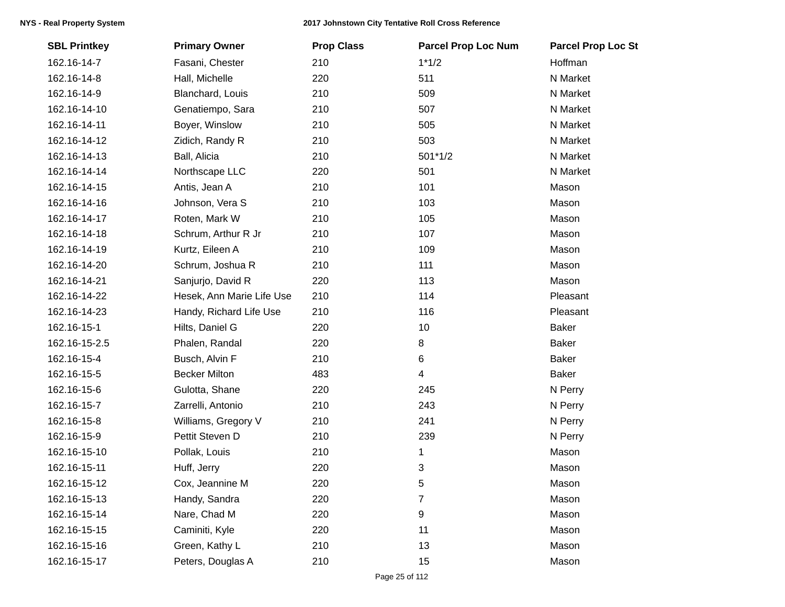| <b>SBL Printkey</b> | <b>Primary Owner</b>      | <b>Prop Class</b> | <b>Parcel Prop Loc Num</b> | <b>Parcel Prop Loc St</b> |
|---------------------|---------------------------|-------------------|----------------------------|---------------------------|
| 162.16-14-7         | Fasani, Chester           | 210               | $1*1/2$                    | Hoffman                   |
| 162.16-14-8         | Hall, Michelle            | 220               | 511                        | N Market                  |
| 162.16-14-9         | Blanchard, Louis          | 210               | 509                        | N Market                  |
| 162.16-14-10        | Genatiempo, Sara          | 210               | 507                        | N Market                  |
| 162.16-14-11        | Boyer, Winslow            | 210               | 505                        | N Market                  |
| 162.16-14-12        | Zidich, Randy R           | 210               | 503                        | N Market                  |
| 162.16-14-13        | Ball, Alicia              | 210               | $501*1/2$                  | N Market                  |
| 162.16-14-14        | Northscape LLC            | 220               | 501                        | N Market                  |
| 162.16-14-15        | Antis, Jean A             | 210               | 101                        | Mason                     |
| 162.16-14-16        | Johnson, Vera S           | 210               | 103                        | Mason                     |
| 162.16-14-17        | Roten, Mark W             | 210               | 105                        | Mason                     |
| 162.16-14-18        | Schrum, Arthur R Jr       | 210               | 107                        | Mason                     |
| 162.16-14-19        | Kurtz, Eileen A           | 210               | 109                        | Mason                     |
| 162.16-14-20        | Schrum, Joshua R          | 210               | 111                        | Mason                     |
| 162.16-14-21        | Sanjurjo, David R         | 220               | 113                        | Mason                     |
| 162.16-14-22        | Hesek, Ann Marie Life Use | 210               | 114                        | Pleasant                  |
| 162.16-14-23        | Handy, Richard Life Use   | 210               | 116                        | Pleasant                  |
| 162.16-15-1         | Hilts, Daniel G           | 220               | 10                         | <b>Baker</b>              |
| 162.16-15-2.5       | Phalen, Randal            | 220               | 8                          | <b>Baker</b>              |
| 162.16-15-4         | Busch, Alvin F            | 210               | 6                          | <b>Baker</b>              |
| 162.16-15-5         | <b>Becker Milton</b>      | 483               | 4                          | <b>Baker</b>              |
| 162.16-15-6         | Gulotta, Shane            | 220               | 245                        | N Perry                   |
| 162.16-15-7         | Zarrelli, Antonio         | 210               | 243                        | N Perry                   |
| 162.16-15-8         | Williams, Gregory V       | 210               | 241                        | N Perry                   |
| 162.16-15-9         | Pettit Steven D           | 210               | 239                        | N Perry                   |
| 162.16-15-10        | Pollak, Louis             | 210               | 1                          | Mason                     |
| 162.16-15-11        | Huff, Jerry               | 220               | 3                          | Mason                     |
| 162.16-15-12        | Cox, Jeannine M           | 220               | 5                          | Mason                     |
| 162.16-15-13        | Handy, Sandra             | 220               | 7                          | Mason                     |
| 162.16-15-14        | Nare, Chad M              | 220               | 9                          | Mason                     |
| 162.16-15-15        | Caminiti, Kyle            | 220               | 11                         | Mason                     |
| 162.16-15-16        | Green, Kathy L            | 210               | 13                         | Mason                     |
| 162.16-15-17        | Peters, Douglas A         | 210               | 15                         | Mason                     |
|                     |                           |                   |                            |                           |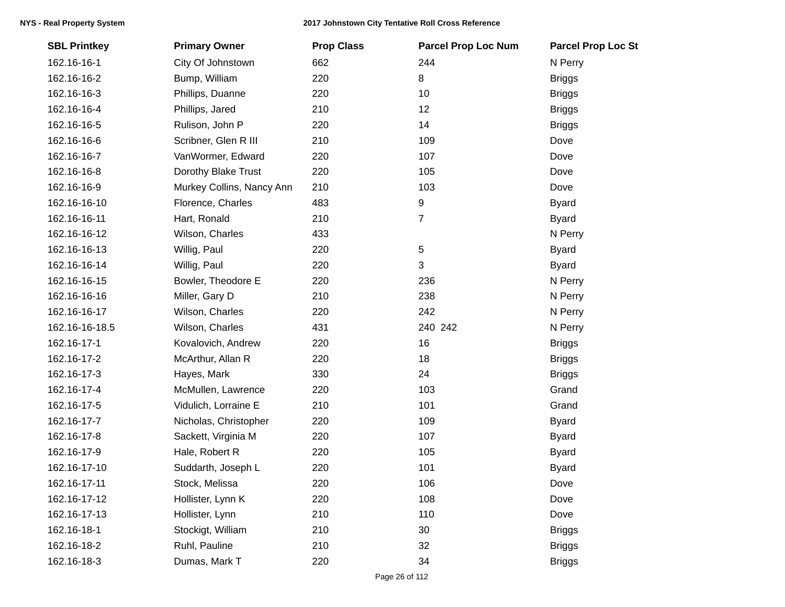| <b>SBL Printkey</b> | <b>Primary Owner</b>      | <b>Prop Class</b> | <b>Parcel Prop Loc Num</b> | <b>Parcel Prop Loc St</b> |
|---------------------|---------------------------|-------------------|----------------------------|---------------------------|
| 162.16-16-1         | City Of Johnstown         | 662               | 244                        | N Perry                   |
| 162.16-16-2         | Bump, William             | 220               | 8                          | <b>Briggs</b>             |
| 162.16-16-3         | Phillips, Duanne          | 220               | 10                         | <b>Briggs</b>             |
| 162.16-16-4         | Phillips, Jared           | 210               | 12                         | <b>Briggs</b>             |
| 162.16-16-5         | Rulison, John P           | 220               | 14                         | <b>Briggs</b>             |
| 162.16-16-6         | Scribner, Glen R III      | 210               | 109                        | Dove                      |
| 162.16-16-7         | VanWormer, Edward         | 220               | 107                        | Dove                      |
| 162.16-16-8         | Dorothy Blake Trust       | 220               | 105                        | Dove                      |
| 162.16-16-9         | Murkey Collins, Nancy Ann | 210               | 103                        | Dove                      |
| 162.16-16-10        | Florence, Charles         | 483               | 9                          | <b>Byard</b>              |
| 162.16-16-11        | Hart, Ronald              | 210               | $\overline{7}$             | <b>Byard</b>              |
| 162.16-16-12        | Wilson, Charles           | 433               |                            | N Perry                   |
| 162.16-16-13        | Willig, Paul              | 220               | 5                          | <b>Byard</b>              |
| 162.16-16-14        | Willig, Paul              | 220               | 3                          | <b>Byard</b>              |
| 162.16-16-15        | Bowler, Theodore E        | 220               | 236                        | N Perry                   |
| 162.16-16-16        | Miller, Gary D            | 210               | 238                        | N Perry                   |
| 162.16-16-17        | Wilson, Charles           | 220               | 242                        | N Perry                   |
| 162.16-16-18.5      | Wilson, Charles           | 431               | 240 242                    | N Perry                   |
| 162.16-17-1         | Kovalovich, Andrew        | 220               | 16                         | <b>Briggs</b>             |
| 162.16-17-2         | McArthur, Allan R         | 220               | 18                         | <b>Briggs</b>             |
| 162.16-17-3         | Hayes, Mark               | 330               | 24                         | <b>Briggs</b>             |
| 162.16-17-4         | McMullen, Lawrence        | 220               | 103                        | Grand                     |
| 162.16-17-5         | Vidulich, Lorraine E      | 210               | 101                        | Grand                     |
| 162.16-17-7         | Nicholas, Christopher     | 220               | 109                        | <b>Byard</b>              |
| 162.16-17-8         | Sackett, Virginia M       | 220               | 107                        | <b>Byard</b>              |
| 162.16-17-9         | Hale, Robert R            | 220               | 105                        | <b>Byard</b>              |
| 162.16-17-10        | Suddarth, Joseph L        | 220               | 101                        | <b>Byard</b>              |
| 162.16-17-11        | Stock, Melissa            | 220               | 106                        | Dove                      |
| 162.16-17-12        | Hollister, Lynn K         | 220               | 108                        | Dove                      |
| 162.16-17-13        | Hollister, Lynn           | 210               | 110                        | Dove                      |
| 162.16-18-1         | Stockigt, William         | 210               | 30                         | <b>Briggs</b>             |
| 162.16-18-2         | Ruhl, Pauline             | 210               | 32                         | <b>Briggs</b>             |
| 162.16-18-3         | Dumas, Mark T             | 220               | 34                         | <b>Briggs</b>             |
|                     |                           |                   |                            |                           |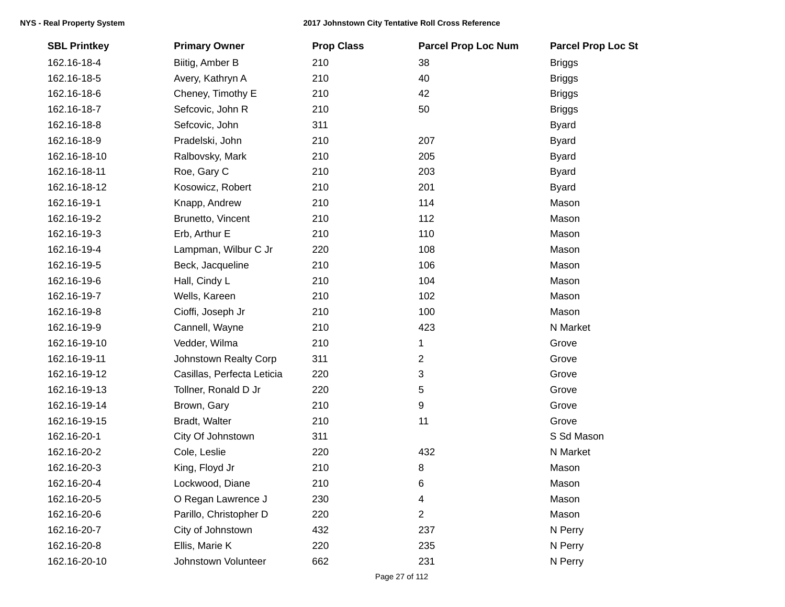| <b>SBL Printkey</b> | <b>Primary Owner</b>       | <b>Prop Class</b> | <b>Parcel Prop Loc Num</b> | <b>Parcel Prop Loc St</b> |
|---------------------|----------------------------|-------------------|----------------------------|---------------------------|
| 162.16-18-4         | Biitig, Amber B            | 210               | 38                         | <b>Briggs</b>             |
| 162.16-18-5         | Avery, Kathryn A           | 210               | 40                         | <b>Briggs</b>             |
| 162.16-18-6         | Cheney, Timothy E          | 210               | 42                         | <b>Briggs</b>             |
| 162.16-18-7         | Sefcovic, John R           | 210               | 50                         | <b>Briggs</b>             |
| 162.16-18-8         | Sefcovic, John             | 311               |                            | <b>Byard</b>              |
| 162.16-18-9         | Pradelski, John            | 210               | 207                        | <b>Byard</b>              |
| 162.16-18-10        | Ralbovsky, Mark            | 210               | 205                        | <b>Byard</b>              |
| 162.16-18-11        | Roe, Gary C                | 210               | 203                        | <b>Byard</b>              |
| 162.16-18-12        | Kosowicz, Robert           | 210               | 201                        | <b>Byard</b>              |
| 162.16-19-1         | Knapp, Andrew              | 210               | 114                        | Mason                     |
| 162.16-19-2         | Brunetto, Vincent          | 210               | 112                        | Mason                     |
| 162.16-19-3         | Erb, Arthur E              | 210               | 110                        | Mason                     |
| 162.16-19-4         | Lampman, Wilbur C Jr       | 220               | 108                        | Mason                     |
| 162.16-19-5         | Beck, Jacqueline           | 210               | 106                        | Mason                     |
| 162.16-19-6         | Hall, Cindy L              | 210               | 104                        | Mason                     |
| 162.16-19-7         | Wells, Kareen              | 210               | 102                        | Mason                     |
| 162.16-19-8         | Cioffi, Joseph Jr          | 210               | 100                        | Mason                     |
| 162.16-19-9         | Cannell, Wayne             | 210               | 423                        | N Market                  |
| 162.16-19-10        | Vedder, Wilma              | 210               | 1                          | Grove                     |
| 162.16-19-11        | Johnstown Realty Corp      | 311               | $\overline{c}$             | Grove                     |
| 162.16-19-12        | Casillas, Perfecta Leticia | 220               | 3                          | Grove                     |
| 162.16-19-13        | Tollner, Ronald D Jr       | 220               | 5                          | Grove                     |
| 162.16-19-14        | Brown, Gary                | 210               | 9                          | Grove                     |
| 162.16-19-15        | Bradt, Walter              | 210               | 11                         | Grove                     |
| 162.16-20-1         | City Of Johnstown          | 311               |                            | S Sd Mason                |
| 162.16-20-2         | Cole, Leslie               | 220               | 432                        | N Market                  |
| 162.16-20-3         | King, Floyd Jr             | 210               | 8                          | Mason                     |
| 162.16-20-4         | Lockwood, Diane            | 210               | 6                          | Mason                     |
| 162.16-20-5         | O Regan Lawrence J         | 230               | 4                          | Mason                     |
| 162.16-20-6         | Parillo, Christopher D     | 220               | 2                          | Mason                     |
| 162.16-20-7         | City of Johnstown          | 432               | 237                        | N Perry                   |
| 162.16-20-8         | Ellis, Marie K             | 220               | 235                        | N Perry                   |
| 162.16-20-10        | Johnstown Volunteer        | 662               | 231                        | N Perry                   |
|                     |                            |                   |                            |                           |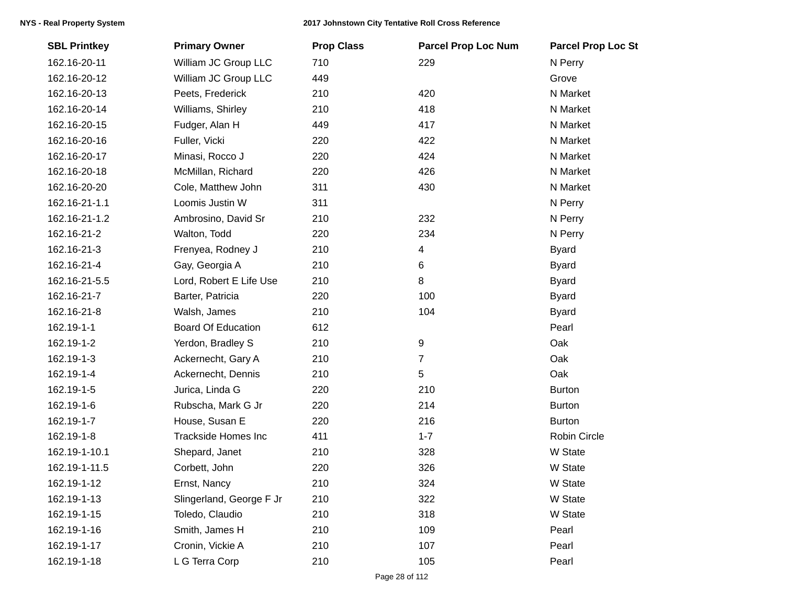| <b>SBL Printkey</b> | <b>Primary Owner</b>       | <b>Prop Class</b> | <b>Parcel Prop Loc Num</b> | <b>Parcel Prop Loc St</b> |
|---------------------|----------------------------|-------------------|----------------------------|---------------------------|
| 162.16-20-11        | William JC Group LLC       | 710               | 229                        | N Perry                   |
| 162.16-20-12        | William JC Group LLC       | 449               |                            | Grove                     |
| 162.16-20-13        | Peets, Frederick           | 210               | 420                        | N Market                  |
| 162.16-20-14        | Williams, Shirley          | 210               | 418                        | N Market                  |
| 162.16-20-15        | Fudger, Alan H             | 449               | 417                        | N Market                  |
| 162.16-20-16        | Fuller, Vicki              | 220               | 422                        | N Market                  |
| 162.16-20-17        | Minasi, Rocco J            | 220               | 424                        | N Market                  |
| 162.16-20-18        | McMillan, Richard          | 220               | 426                        | N Market                  |
| 162.16-20-20        | Cole, Matthew John         | 311               | 430                        | N Market                  |
| 162.16-21-1.1       | Loomis Justin W            | 311               |                            | N Perry                   |
| 162.16-21-1.2       | Ambrosino, David Sr        | 210               | 232                        | N Perry                   |
| 162.16-21-2         | Walton, Todd               | 220               | 234                        | N Perry                   |
| 162.16-21-3         | Frenyea, Rodney J          | 210               | 4                          | <b>Byard</b>              |
| 162.16-21-4         | Gay, Georgia A             | 210               | 6                          | <b>Byard</b>              |
| 162.16-21-5.5       | Lord, Robert E Life Use    | 210               | $\, 8$                     | <b>Byard</b>              |
| 162.16-21-7         | Barter, Patricia           | 220               | 100                        | <b>Byard</b>              |
| 162.16-21-8         | Walsh, James               | 210               | 104                        | <b>Byard</b>              |
| 162.19-1-1          | <b>Board Of Education</b>  | 612               |                            | Pearl                     |
| 162.19-1-2          | Yerdon, Bradley S          | 210               | 9                          | Oak                       |
| 162.19-1-3          | Ackernecht, Gary A         | 210               | $\overline{7}$             | Oak                       |
| 162.19-1-4          | Ackernecht, Dennis         | 210               | 5                          | Oak                       |
| 162.19-1-5          | Jurica, Linda G            | 220               | 210                        | <b>Burton</b>             |
| 162.19-1-6          | Rubscha, Mark G Jr         | 220               | 214                        | <b>Burton</b>             |
| 162.19-1-7          | House, Susan E             | 220               | 216                        | <b>Burton</b>             |
| 162.19-1-8          | <b>Trackside Homes Inc</b> | 411               | $1 - 7$                    | Robin Circle              |
| 162.19-1-10.1       | Shepard, Janet             | 210               | 328                        | W State                   |
| 162.19-1-11.5       | Corbett, John              | 220               | 326                        | W State                   |
| 162.19-1-12         | Ernst, Nancy               | 210               | 324                        | W State                   |
| 162.19-1-13         | Slingerland, George F Jr   | 210               | 322                        | W State                   |
| 162.19-1-15         | Toledo, Claudio            | 210               | 318                        | W State                   |
| 162.19-1-16         | Smith, James H             | 210               | 109                        | Pearl                     |
| 162.19-1-17         | Cronin, Vickie A           | 210               | 107                        | Pearl                     |
| 162.19-1-18         | L G Terra Corp             | 210               | 105                        | Pearl                     |
|                     |                            |                   |                            |                           |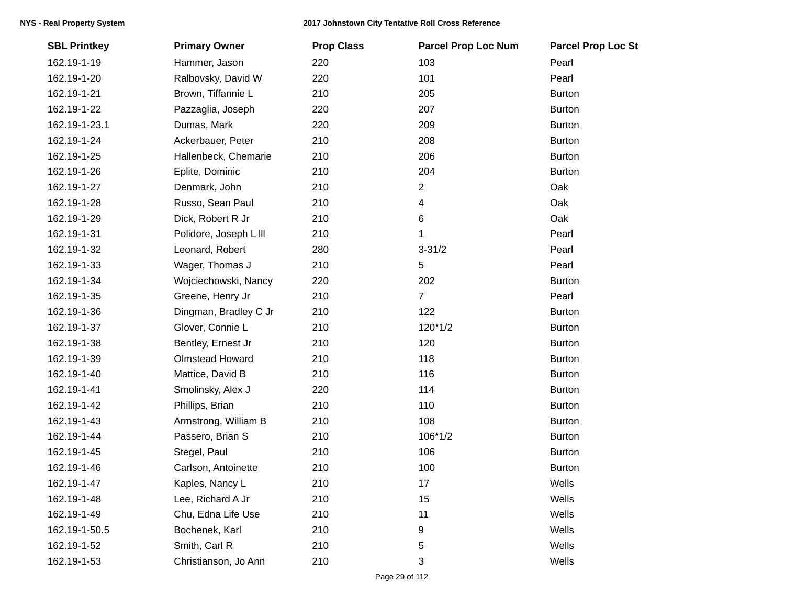| <b>SBL Printkey</b> | <b>Primary Owner</b>   | <b>Prop Class</b> | <b>Parcel Prop Loc Num</b> | <b>Parcel Prop Loc St</b> |
|---------------------|------------------------|-------------------|----------------------------|---------------------------|
| 162.19-1-19         | Hammer, Jason          | 220               | 103                        | Pearl                     |
| 162.19-1-20         | Ralbovsky, David W     | 220               | 101                        | Pearl                     |
| 162.19-1-21         | Brown, Tiffannie L     | 210               | 205                        | <b>Burton</b>             |
| 162.19-1-22         | Pazzaglia, Joseph      | 220               | 207                        | <b>Burton</b>             |
| 162.19-1-23.1       | Dumas, Mark            | 220               | 209                        | <b>Burton</b>             |
| 162.19-1-24         | Ackerbauer, Peter      | 210               | 208                        | <b>Burton</b>             |
| 162.19-1-25         | Hallenbeck, Chemarie   | 210               | 206                        | <b>Burton</b>             |
| 162.19-1-26         | Eplite, Dominic        | 210               | 204                        | <b>Burton</b>             |
| 162.19-1-27         | Denmark, John          | 210               | 2                          | Oak                       |
| 162.19-1-28         | Russo, Sean Paul       | 210               | 4                          | Oak                       |
| 162.19-1-29         | Dick, Robert R Jr      | 210               | 6                          | Oak                       |
| 162.19-1-31         | Polidore, Joseph L III | 210               | 1                          | Pearl                     |
| 162.19-1-32         | Leonard, Robert        | 280               | $3 - 31/2$                 | Pearl                     |
| 162.19-1-33         | Wager, Thomas J        | 210               | 5                          | Pearl                     |
| 162.19-1-34         | Wojciechowski, Nancy   | 220               | 202                        | <b>Burton</b>             |
| 162.19-1-35         | Greene, Henry Jr       | 210               | 7                          | Pearl                     |
| 162.19-1-36         | Dingman, Bradley C Jr  | 210               | 122                        | <b>Burton</b>             |
| 162.19-1-37         | Glover, Connie L       | 210               | $120*1/2$                  | <b>Burton</b>             |
| 162.19-1-38         | Bentley, Ernest Jr     | 210               | 120                        | <b>Burton</b>             |
| 162.19-1-39         | <b>Olmstead Howard</b> | 210               | 118                        | <b>Burton</b>             |
| 162.19-1-40         | Mattice, David B       | 210               | 116                        | <b>Burton</b>             |
| 162.19-1-41         | Smolinsky, Alex J      | 220               | 114                        | <b>Burton</b>             |
| 162.19-1-42         | Phillips, Brian        | 210               | 110                        | <b>Burton</b>             |
| 162.19-1-43         | Armstrong, William B   | 210               | 108                        | <b>Burton</b>             |
| 162.19-1-44         | Passero, Brian S       | 210               | $106*1/2$                  | <b>Burton</b>             |
| 162.19-1-45         | Stegel, Paul           | 210               | 106                        | <b>Burton</b>             |
| 162.19-1-46         | Carlson, Antoinette    | 210               | 100                        | <b>Burton</b>             |
| 162.19-1-47         | Kaples, Nancy L        | 210               | 17                         | Wells                     |
| 162.19-1-48         | Lee, Richard A Jr      | 210               | 15                         | Wells                     |
| 162.19-1-49         | Chu, Edna Life Use     | 210               | 11                         | Wells                     |
| 162.19-1-50.5       | Bochenek, Karl         | 210               | 9                          | Wells                     |
| 162.19-1-52         | Smith, Carl R          | 210               | 5                          | Wells                     |
| 162.19-1-53         | Christianson, Jo Ann   | 210               | 3                          | Wells                     |
|                     |                        |                   |                            |                           |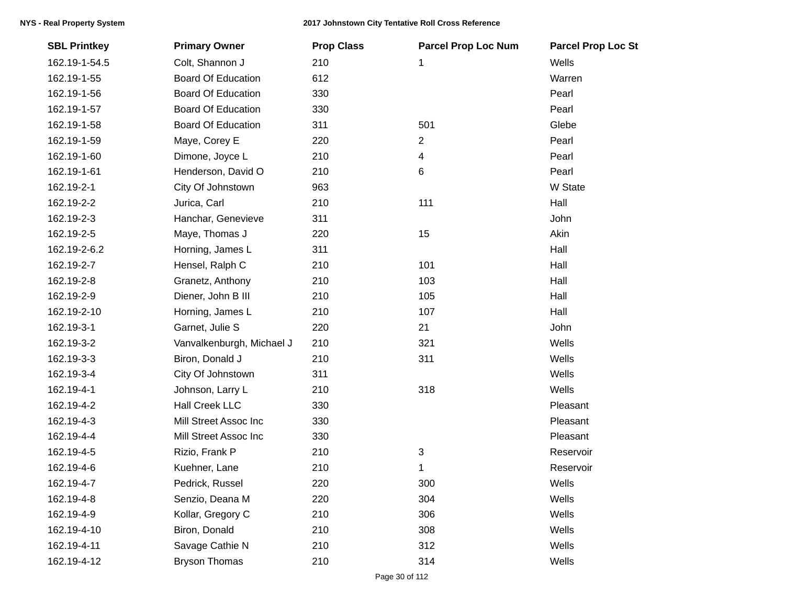| <b>SBL Printkey</b> | <b>Primary Owner</b>      | <b>Prop Class</b> | <b>Parcel Prop Loc Num</b> | <b>Parcel Prop Loc St</b> |
|---------------------|---------------------------|-------------------|----------------------------|---------------------------|
| 162.19-1-54.5       | Colt, Shannon J           | 210               | 1                          | Wells                     |
| 162.19-1-55         | <b>Board Of Education</b> | 612               |                            | Warren                    |
| 162.19-1-56         | <b>Board Of Education</b> | 330               |                            | Pearl                     |
| 162.19-1-57         | <b>Board Of Education</b> | 330               |                            | Pearl                     |
| 162.19-1-58         | <b>Board Of Education</b> | 311               | 501                        | Glebe                     |
| 162.19-1-59         | Maye, Corey E             | 220               | 2                          | Pearl                     |
| 162.19-1-60         | Dimone, Joyce L           | 210               | 4                          | Pearl                     |
| 162.19-1-61         | Henderson, David O        | 210               | 6                          | Pearl                     |
| 162.19-2-1          | City Of Johnstown         | 963               |                            | W State                   |
| 162.19-2-2          | Jurica, Carl              | 210               | 111                        | Hall                      |
| 162.19-2-3          | Hanchar, Genevieve        | 311               |                            | John                      |
| 162.19-2-5          | Maye, Thomas J            | 220               | 15                         | Akin                      |
| 162.19-2-6.2        | Horning, James L          | 311               |                            | Hall                      |
| 162.19-2-7          | Hensel, Ralph C           | 210               | 101                        | Hall                      |
| 162.19-2-8          | Granetz, Anthony          | 210               | 103                        | Hall                      |
| 162.19-2-9          | Diener, John B III        | 210               | 105                        | Hall                      |
| 162.19-2-10         | Horning, James L          | 210               | 107                        | Hall                      |
| 162.19-3-1          | Garnet, Julie S           | 220               | 21                         | John                      |
| 162.19-3-2          | Vanvalkenburgh, Michael J | 210               | 321                        | Wells                     |
| 162.19-3-3          | Biron, Donald J           | 210               | 311                        | Wells                     |
| 162.19-3-4          | City Of Johnstown         | 311               |                            | Wells                     |
| 162.19-4-1          | Johnson, Larry L          | 210               | 318                        | Wells                     |
| 162.19-4-2          | <b>Hall Creek LLC</b>     | 330               |                            | Pleasant                  |
| 162.19-4-3          | Mill Street Assoc Inc     | 330               |                            | Pleasant                  |
| 162.19-4-4          | Mill Street Assoc Inc     | 330               |                            | Pleasant                  |
| 162.19-4-5          | Rizio, Frank P            | 210               | 3                          | Reservoir                 |
| 162.19-4-6          | Kuehner, Lane             | 210               | 1                          | Reservoir                 |
| 162.19-4-7          | Pedrick, Russel           | 220               | 300                        | Wells                     |
| 162.19-4-8          | Senzio, Deana M           | 220               | 304                        | Wells                     |
| 162.19-4-9          | Kollar, Gregory C         | 210               | 306                        | Wells                     |
| 162.19-4-10         | Biron, Donald             | 210               | 308                        | Wells                     |
| 162.19-4-11         | Savage Cathie N           | 210               | 312                        | Wells                     |
| 162.19-4-12         | <b>Bryson Thomas</b>      | 210               | 314                        | Wells                     |
|                     |                           |                   |                            |                           |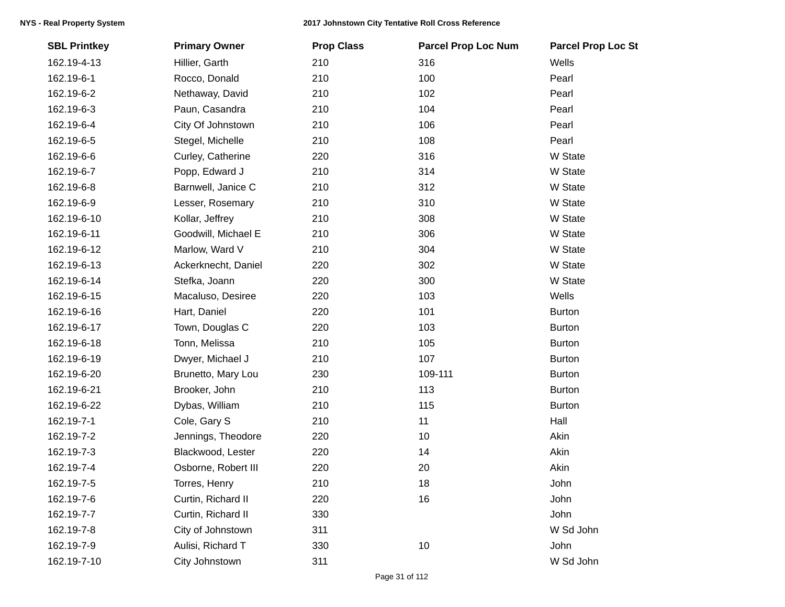| <b>SBL Printkey</b> | <b>Primary Owner</b> | <b>Prop Class</b> | <b>Parcel Prop Loc Num</b> | <b>Parcel Prop Loc St</b> |
|---------------------|----------------------|-------------------|----------------------------|---------------------------|
| 162.19-4-13         | Hillier, Garth       | 210               | 316                        | Wells                     |
| 162.19-6-1          | Rocco, Donald        | 210               | 100                        | Pearl                     |
| 162.19-6-2          | Nethaway, David      | 210               | 102                        | Pearl                     |
| 162.19-6-3          | Paun, Casandra       | 210               | 104                        | Pearl                     |
| 162.19-6-4          | City Of Johnstown    | 210               | 106                        | Pearl                     |
| 162.19-6-5          | Stegel, Michelle     | 210               | 108                        | Pearl                     |
| 162.19-6-6          | Curley, Catherine    | 220               | 316                        | W State                   |
| 162.19-6-7          | Popp, Edward J       | 210               | 314                        | W State                   |
| 162.19-6-8          | Barnwell, Janice C   | 210               | 312                        | W State                   |
| 162.19-6-9          | Lesser, Rosemary     | 210               | 310                        | W State                   |
| 162.19-6-10         | Kollar, Jeffrey      | 210               | 308                        | W State                   |
| 162.19-6-11         | Goodwill, Michael E  | 210               | 306                        | W State                   |
| 162.19-6-12         | Marlow, Ward V       | 210               | 304                        | W State                   |
| 162.19-6-13         | Ackerknecht, Daniel  | 220               | 302                        | W State                   |
| 162.19-6-14         | Stefka, Joann        | 220               | 300                        | W State                   |
| 162.19-6-15         | Macaluso, Desiree    | 220               | 103                        | Wells                     |
| 162.19-6-16         | Hart, Daniel         | 220               | 101                        | <b>Burton</b>             |
| 162.19-6-17         | Town, Douglas C      | 220               | 103                        | <b>Burton</b>             |
| 162.19-6-18         | Tonn, Melissa        | 210               | 105                        | <b>Burton</b>             |
| 162.19-6-19         | Dwyer, Michael J     | 210               | 107                        | <b>Burton</b>             |
| 162.19-6-20         | Brunetto, Mary Lou   | 230               | 109-111                    | <b>Burton</b>             |
| 162.19-6-21         | Brooker, John        | 210               | 113                        | <b>Burton</b>             |
| 162.19-6-22         | Dybas, William       | 210               | 115                        | <b>Burton</b>             |
| 162.19-7-1          | Cole, Gary S         | 210               | 11                         | Hall                      |
| 162.19-7-2          | Jennings, Theodore   | 220               | 10                         | Akin                      |
| 162.19-7-3          | Blackwood, Lester    | 220               | 14                         | Akin                      |
| 162.19-7-4          | Osborne, Robert III  | 220               | 20                         | Akin                      |
| 162.19-7-5          | Torres, Henry        | 210               | 18                         | John                      |
| 162.19-7-6          | Curtin, Richard II   | 220               | 16                         | John                      |
| 162.19-7-7          | Curtin, Richard II   | 330               |                            | John                      |
| 162.19-7-8          | City of Johnstown    | 311               |                            | W Sd John                 |
| 162.19-7-9          | Aulisi, Richard T    | 330               | 10                         | John                      |
| 162.19-7-10         | City Johnstown       | 311               |                            | W Sd John                 |
|                     |                      |                   |                            |                           |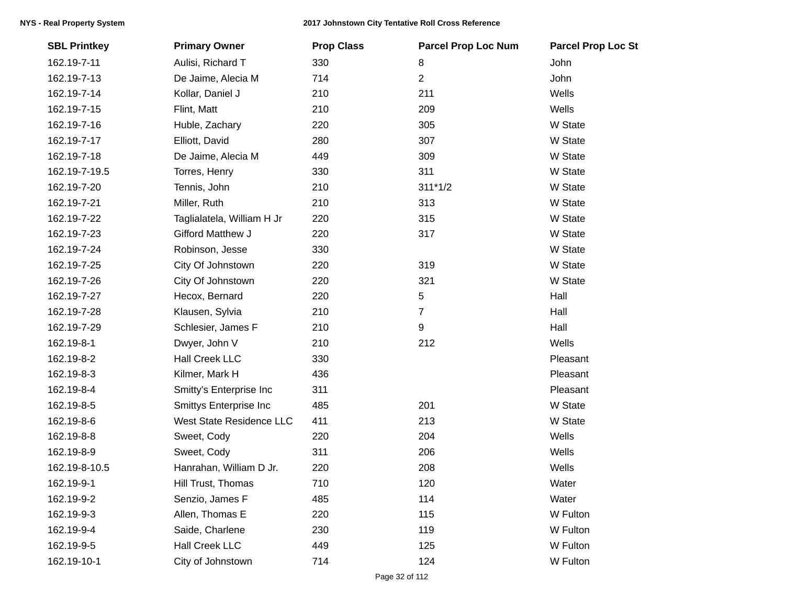| <b>SBL Printkey</b> | <b>Primary Owner</b>       | <b>Prop Class</b> | <b>Parcel Prop Loc Num</b> | <b>Parcel Prop Loc St</b> |
|---------------------|----------------------------|-------------------|----------------------------|---------------------------|
| 162.19-7-11         | Aulisi, Richard T          | 330               | 8                          | John                      |
| 162.19-7-13         | De Jaime, Alecia M         | 714               | $\overline{2}$             | John                      |
| 162.19-7-14         | Kollar, Daniel J           | 210               | 211                        | Wells                     |
| 162.19-7-15         | Flint, Matt                | 210               | 209                        | Wells                     |
| 162.19-7-16         | Huble, Zachary             | 220               | 305                        | W State                   |
| 162.19-7-17         | Elliott, David             | 280               | 307                        | W State                   |
| 162.19-7-18         | De Jaime, Alecia M         | 449               | 309                        | W State                   |
| 162.19-7-19.5       | Torres, Henry              | 330               | 311                        | W State                   |
| 162.19-7-20         | Tennis, John               | 210               | $311*1/2$                  | W State                   |
| 162.19-7-21         | Miller, Ruth               | 210               | 313                        | W State                   |
| 162.19-7-22         | Taglialatela, William H Jr | 220               | 315                        | W State                   |
| 162.19-7-23         | Gifford Matthew J          | 220               | 317                        | W State                   |
| 162.19-7-24         | Robinson, Jesse            | 330               |                            | W State                   |
| 162.19-7-25         | City Of Johnstown          | 220               | 319                        | W State                   |
| 162.19-7-26         | City Of Johnstown          | 220               | 321                        | W State                   |
| 162.19-7-27         | Hecox, Bernard             | 220               | 5                          | Hall                      |
| 162.19-7-28         | Klausen, Sylvia            | 210               | $\overline{7}$             | Hall                      |
| 162.19-7-29         | Schlesier, James F         | 210               | 9                          | Hall                      |
| 162.19-8-1          | Dwyer, John V              | 210               | 212                        | Wells                     |
| 162.19-8-2          | <b>Hall Creek LLC</b>      | 330               |                            | Pleasant                  |
| 162.19-8-3          | Kilmer, Mark H             | 436               |                            | Pleasant                  |
| 162.19-8-4          | Smitty's Enterprise Inc    | 311               |                            | Pleasant                  |
| 162.19-8-5          | Smittys Enterprise Inc     | 485               | 201                        | W State                   |
| 162.19-8-6          | West State Residence LLC   | 411               | 213                        | W State                   |
| 162.19-8-8          | Sweet, Cody                | 220               | 204                        | Wells                     |
| 162.19-8-9          | Sweet, Cody                | 311               | 206                        | Wells                     |
| 162.19-8-10.5       | Hanrahan, William D Jr.    | 220               | 208                        | Wells                     |
| 162.19-9-1          | Hill Trust, Thomas         | 710               | 120                        | Water                     |
| 162.19-9-2          | Senzio, James F            | 485               | 114                        | Water                     |
| 162.19-9-3          | Allen, Thomas E            | 220               | 115                        | W Fulton                  |
| 162.19-9-4          | Saide, Charlene            | 230               | 119                        | W Fulton                  |
| 162.19-9-5          | <b>Hall Creek LLC</b>      | 449               | 125                        | W Fulton                  |
| 162.19-10-1         | City of Johnstown          | 714               | 124                        | W Fulton                  |
|                     |                            |                   |                            |                           |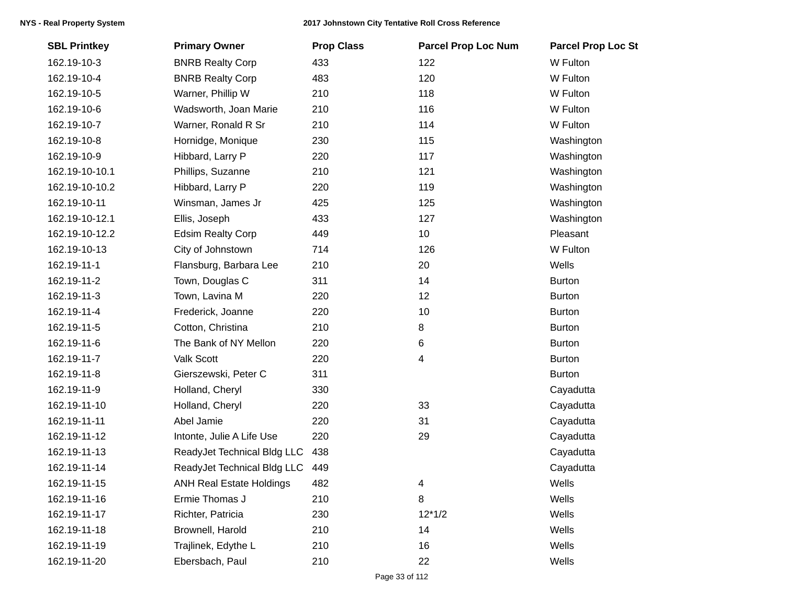| <b>SBL Printkey</b> | <b>Primary Owner</b>            | <b>Prop Class</b> | <b>Parcel Prop Loc Num</b> | <b>Parcel Prop Loc St</b> |
|---------------------|---------------------------------|-------------------|----------------------------|---------------------------|
| 162.19-10-3         | <b>BNRB Realty Corp</b>         | 433               | 122                        | W Fulton                  |
| 162.19-10-4         | <b>BNRB Realty Corp</b>         | 483               | 120                        | W Fulton                  |
| 162.19-10-5         | Warner, Phillip W               | 210               | 118                        | W Fulton                  |
| 162.19-10-6         | Wadsworth, Joan Marie           | 210               | 116                        | W Fulton                  |
| 162.19-10-7         | Warner, Ronald R Sr             | 210               | 114                        | W Fulton                  |
| 162.19-10-8         | Hornidge, Monique               | 230               | 115                        | Washington                |
| 162.19-10-9         | Hibbard, Larry P                | 220               | 117                        | Washington                |
| 162.19-10-10.1      | Phillips, Suzanne               | 210               | 121                        | Washington                |
| 162.19-10-10.2      | Hibbard, Larry P                | 220               | 119                        | Washington                |
| 162.19-10-11        | Winsman, James Jr               | 425               | 125                        | Washington                |
| 162.19-10-12.1      | Ellis, Joseph                   | 433               | 127                        | Washington                |
| 162.19-10-12.2      | <b>Edsim Realty Corp</b>        | 449               | 10                         | Pleasant                  |
| 162.19-10-13        | City of Johnstown               | 714               | 126                        | W Fulton                  |
| 162.19-11-1         | Flansburg, Barbara Lee          | 210               | 20                         | Wells                     |
| 162.19-11-2         | Town, Douglas C                 | 311               | 14                         | <b>Burton</b>             |
| 162.19-11-3         | Town, Lavina M                  | 220               | 12                         | <b>Burton</b>             |
| 162.19-11-4         | Frederick, Joanne               | 220               | 10                         | <b>Burton</b>             |
| 162.19-11-5         | Cotton, Christina               | 210               | 8                          | <b>Burton</b>             |
| 162.19-11-6         | The Bank of NY Mellon           | 220               | 6                          | <b>Burton</b>             |
| 162.19-11-7         | Valk Scott                      | 220               | 4                          | <b>Burton</b>             |
| 162.19-11-8         | Gierszewski, Peter C            | 311               |                            | <b>Burton</b>             |
| 162.19-11-9         | Holland, Cheryl                 | 330               |                            | Cayadutta                 |
| 162.19-11-10        | Holland, Cheryl                 | 220               | 33                         | Cayadutta                 |
| 162.19-11-11        | Abel Jamie                      | 220               | 31                         | Cayadutta                 |
| 162.19-11-12        | Intonte, Julie A Life Use       | 220               | 29                         | Cayadutta                 |
| 162.19-11-13        | ReadyJet Technical Bldg LLC     | 438               |                            | Cayadutta                 |
| 162.19-11-14        | ReadyJet Technical Bldg LLC     | 449               |                            | Cayadutta                 |
| 162.19-11-15        | <b>ANH Real Estate Holdings</b> | 482               | 4                          | Wells                     |
| 162.19-11-16        | Ermie Thomas J                  | 210               | 8                          | Wells                     |
| 162.19-11-17        | Richter, Patricia               | 230               | $12*1/2$                   | Wells                     |
| 162.19-11-18        | Brownell, Harold                | 210               | 14                         | Wells                     |
| 162.19-11-19        | Trajlinek, Edythe L             | 210               | 16                         | Wells                     |
| 162.19-11-20        | Ebersbach, Paul                 | 210               | 22                         | Wells                     |
|                     |                                 |                   |                            |                           |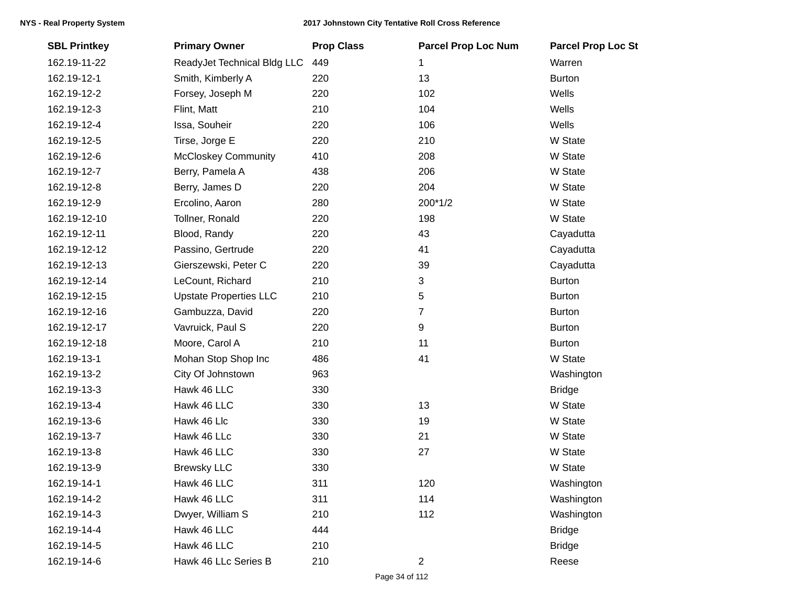| <b>SBL Printkey</b> | <b>Primary Owner</b>          | <b>Prop Class</b> | <b>Parcel Prop Loc Num</b> | <b>Parcel Prop Loc St</b> |
|---------------------|-------------------------------|-------------------|----------------------------|---------------------------|
| 162.19-11-22        | ReadyJet Technical Bldg LLC   | 449               | 1                          | Warren                    |
| 162.19-12-1         | Smith, Kimberly A             | 220               | 13                         | <b>Burton</b>             |
| 162.19-12-2         | Forsey, Joseph M              | 220               | 102                        | Wells                     |
| 162.19-12-3         | Flint, Matt                   | 210               | 104                        | Wells                     |
| 162.19-12-4         | Issa, Souheir                 | 220               | 106                        | Wells                     |
| 162.19-12-5         | Tirse, Jorge E                | 220               | 210                        | W State                   |
| 162.19-12-6         | <b>McCloskey Community</b>    | 410               | 208                        | W State                   |
| 162.19-12-7         | Berry, Pamela A               | 438               | 206                        | W State                   |
| 162.19-12-8         | Berry, James D                | 220               | 204                        | W State                   |
| 162.19-12-9         | Ercolino, Aaron               | 280               | 200*1/2                    | W State                   |
| 162.19-12-10        | Tollner, Ronald               | 220               | 198                        | W State                   |
| 162.19-12-11        | Blood, Randy                  | 220               | 43                         | Cayadutta                 |
| 162.19-12-12        | Passino, Gertrude             | 220               | 41                         | Cayadutta                 |
| 162.19-12-13        | Gierszewski, Peter C          | 220               | 39                         | Cayadutta                 |
| 162.19-12-14        | LeCount, Richard              | 210               | 3                          | <b>Burton</b>             |
| 162.19-12-15        | <b>Upstate Properties LLC</b> | 210               | 5                          | <b>Burton</b>             |
| 162.19-12-16        | Gambuzza, David               | 220               | 7                          | <b>Burton</b>             |
| 162.19-12-17        | Vavruick, Paul S              | 220               | 9                          | <b>Burton</b>             |
| 162.19-12-18        | Moore, Carol A                | 210               | 11                         | <b>Burton</b>             |
| 162.19-13-1         | Mohan Stop Shop Inc           | 486               | 41                         | W State                   |
| 162.19-13-2         | City Of Johnstown             | 963               |                            | Washington                |
| 162.19-13-3         | Hawk 46 LLC                   | 330               |                            | <b>Bridge</b>             |
| 162.19-13-4         | Hawk 46 LLC                   | 330               | 13                         | W State                   |
| 162.19-13-6         | Hawk 46 Llc                   | 330               | 19                         | W State                   |
| 162.19-13-7         | Hawk 46 LLc                   | 330               | 21                         | W State                   |
| 162.19-13-8         | Hawk 46 LLC                   | 330               | 27                         | W State                   |
| 162.19-13-9         | <b>Brewsky LLC</b>            | 330               |                            | W State                   |
| 162.19-14-1         | Hawk 46 LLC                   | 311               | 120                        | Washington                |
| 162.19-14-2         | Hawk 46 LLC                   | 311               | 114                        | Washington                |
| 162.19-14-3         | Dwyer, William S              | 210               | 112                        | Washington                |
| 162.19-14-4         | Hawk 46 LLC                   | 444               |                            | <b>Bridge</b>             |
| 162.19-14-5         | Hawk 46 LLC                   | 210               |                            | <b>Bridge</b>             |
| 162.19-14-6         | Hawk 46 LLc Series B          | 210               | $\overline{2}$             | Reese                     |
|                     |                               |                   |                            |                           |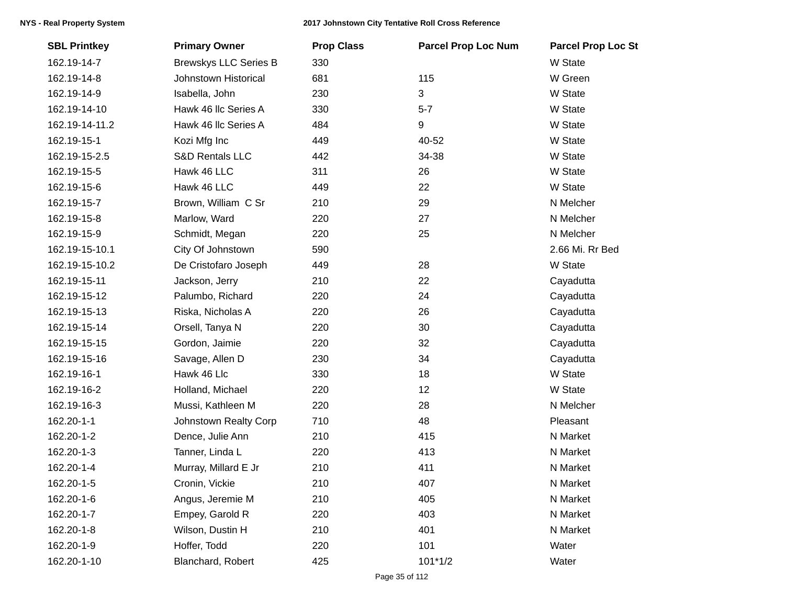| <b>SBL Printkey</b> | <b>Primary Owner</b>         | <b>Prop Class</b> | <b>Parcel Prop Loc Num</b> | <b>Parcel Prop Loc St</b> |
|---------------------|------------------------------|-------------------|----------------------------|---------------------------|
| 162.19-14-7         | <b>Brewskys LLC Series B</b> | 330               |                            | W State                   |
| 162.19-14-8         | Johnstown Historical         | 681               | 115                        | W Green                   |
| 162.19-14-9         | Isabella, John               | 230               | 3                          | W State                   |
| 162.19-14-10        | Hawk 46 Ilc Series A         | 330               | $5 - 7$                    | W State                   |
| 162.19-14-11.2      | Hawk 46 Ilc Series A         | 484               | 9                          | W State                   |
| 162.19-15-1         | Kozi Mfg Inc                 | 449               | 40-52                      | W State                   |
| 162.19-15-2.5       | <b>S&amp;D Rentals LLC</b>   | 442               | 34-38                      | W State                   |
| 162.19-15-5         | Hawk 46 LLC                  | 311               | 26                         | W State                   |
| 162.19-15-6         | Hawk 46 LLC                  | 449               | 22                         | W State                   |
| 162.19-15-7         | Brown, William C Sr          | 210               | 29                         | N Melcher                 |
| 162.19-15-8         | Marlow, Ward                 | 220               | 27                         | N Melcher                 |
| 162.19-15-9         | Schmidt, Megan               | 220               | 25                         | N Melcher                 |
| 162.19-15-10.1      | City Of Johnstown            | 590               |                            | 2.66 Mi. Rr Bed           |
| 162.19-15-10.2      | De Cristofaro Joseph         | 449               | 28                         | W State                   |
| 162.19-15-11        | Jackson, Jerry               | 210               | 22                         | Cayadutta                 |
| 162.19-15-12        | Palumbo, Richard             | 220               | 24                         | Cayadutta                 |
| 162.19-15-13        | Riska, Nicholas A            | 220               | 26                         | Cayadutta                 |
| 162.19-15-14        | Orsell, Tanya N              | 220               | 30                         | Cayadutta                 |
| 162.19-15-15        | Gordon, Jaimie               | 220               | 32                         | Cayadutta                 |
| 162.19-15-16        | Savage, Allen D              | 230               | 34                         | Cayadutta                 |
| 162.19-16-1         | Hawk 46 Llc                  | 330               | 18                         | W State                   |
| 162.19-16-2         | Holland, Michael             | 220               | 12                         | W State                   |
| 162.19-16-3         | Mussi, Kathleen M            | 220               | 28                         | N Melcher                 |
| 162.20-1-1          | Johnstown Realty Corp        | 710               | 48                         | Pleasant                  |
| 162.20-1-2          | Dence, Julie Ann             | 210               | 415                        | N Market                  |
| 162.20-1-3          | Tanner, Linda L              | 220               | 413                        | N Market                  |
| 162.20-1-4          | Murray, Millard E Jr         | 210               | 411                        | N Market                  |
| 162.20-1-5          | Cronin, Vickie               | 210               | 407                        | N Market                  |
| 162.20-1-6          | Angus, Jeremie M             | 210               | 405                        | N Market                  |
| 162.20-1-7          | Empey, Garold R              | 220               | 403                        | N Market                  |
| 162.20-1-8          | Wilson, Dustin H             | 210               | 401                        | N Market                  |
| 162.20-1-9          | Hoffer, Todd                 | 220               | 101                        | Water                     |
| 162.20-1-10         | Blanchard, Robert            | 425               | $101*1/2$                  | Water                     |
|                     |                              |                   |                            |                           |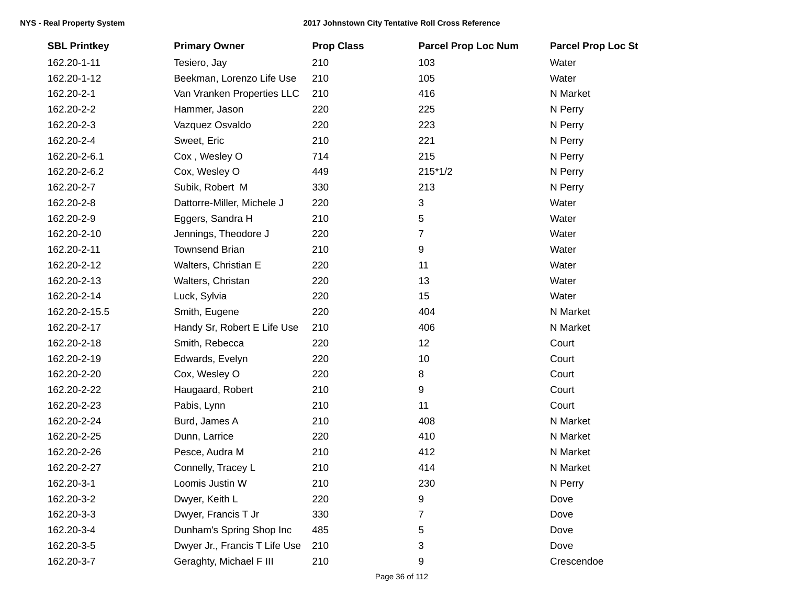| <b>SBL Printkey</b> | <b>Primary Owner</b>          | <b>Prop Class</b> | <b>Parcel Prop Loc Num</b> | <b>Parcel Prop Loc St</b> |
|---------------------|-------------------------------|-------------------|----------------------------|---------------------------|
| 162.20-1-11         | Tesiero, Jay                  | 210               | 103                        | Water                     |
| 162.20-1-12         | Beekman, Lorenzo Life Use     | 210               | 105                        | Water                     |
| 162.20-2-1          | Van Vranken Properties LLC    | 210               | 416                        | N Market                  |
| 162.20-2-2          | Hammer, Jason                 | 220               | 225                        | N Perry                   |
| 162.20-2-3          | Vazquez Osvaldo               | 220               | 223                        | N Perry                   |
| 162.20-2-4          | Sweet, Eric                   | 210               | 221                        | N Perry                   |
| 162.20-2-6.1        | Cox, Wesley O                 | 714               | 215                        | N Perry                   |
| 162.20-2-6.2        | Cox, Wesley O                 | 449               | $215*1/2$                  | N Perry                   |
| 162.20-2-7          | Subik, Robert M               | 330               | 213                        | N Perry                   |
| 162.20-2-8          | Dattorre-Miller, Michele J    | 220               | 3                          | Water                     |
| 162.20-2-9          | Eggers, Sandra H              | 210               | 5                          | Water                     |
| 162.20-2-10         | Jennings, Theodore J          | 220               | 7                          | Water                     |
| 162.20-2-11         | <b>Townsend Brian</b>         | 210               | 9                          | Water                     |
| 162.20-2-12         | Walters, Christian E          | 220               | 11                         | Water                     |
| 162.20-2-13         | Walters, Christan             | 220               | 13                         | Water                     |
| 162.20-2-14         | Luck, Sylvia                  | 220               | 15                         | Water                     |
| 162.20-2-15.5       | Smith, Eugene                 | 220               | 404                        | N Market                  |
| 162.20-2-17         | Handy Sr, Robert E Life Use   | 210               | 406                        | N Market                  |
| 162.20-2-18         | Smith, Rebecca                | 220               | 12                         | Court                     |
| 162.20-2-19         | Edwards, Evelyn               | 220               | 10                         | Court                     |
| 162.20-2-20         | Cox, Wesley O                 | 220               | 8                          | Court                     |
| 162.20-2-22         | Haugaard, Robert              | 210               | $\boldsymbol{9}$           | Court                     |
| 162.20-2-23         | Pabis, Lynn                   | 210               | 11                         | Court                     |
| 162.20-2-24         | Burd, James A                 | 210               | 408                        | N Market                  |
| 162.20-2-25         | Dunn, Larrice                 | 220               | 410                        | N Market                  |
| 162.20-2-26         | Pesce, Audra M                | 210               | 412                        | N Market                  |
| 162.20-2-27         | Connelly, Tracey L            | 210               | 414                        | N Market                  |
| 162.20-3-1          | Loomis Justin W               | 210               | 230                        | N Perry                   |
| 162.20-3-2          | Dwyer, Keith L                | 220               | 9                          | Dove                      |
| 162.20-3-3          | Dwyer, Francis T Jr           | 330               | 7                          | Dove                      |
| 162.20-3-4          | Dunham's Spring Shop Inc      | 485               | 5                          | Dove                      |
| 162.20-3-5          | Dwyer Jr., Francis T Life Use | 210               | 3                          | Dove                      |
| 162.20-3-7          | Geraghty, Michael F III       | 210               | 9                          | Crescendoe                |
|                     |                               |                   |                            |                           |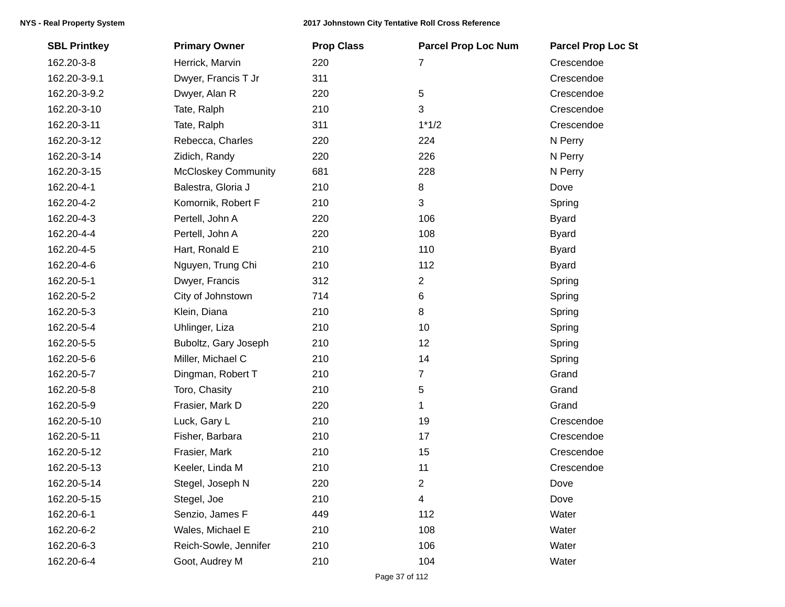| <b>SBL Printkey</b> | <b>Primary Owner</b>       | <b>Prop Class</b> | <b>Parcel Prop Loc Num</b> | <b>Parcel Prop Loc St</b> |
|---------------------|----------------------------|-------------------|----------------------------|---------------------------|
| 162.20-3-8          | Herrick, Marvin            | 220               | 7                          | Crescendoe                |
| 162.20-3-9.1        | Dwyer, Francis T Jr        | 311               |                            | Crescendoe                |
| 162.20-3-9.2        | Dwyer, Alan R              | 220               | 5                          | Crescendoe                |
| 162.20-3-10         | Tate, Ralph                | 210               | 3                          | Crescendoe                |
| 162.20-3-11         | Tate, Ralph                | 311               | $1*1/2$                    | Crescendoe                |
| 162.20-3-12         | Rebecca, Charles           | 220               | 224                        | N Perry                   |
| 162.20-3-14         | Zidich, Randy              | 220               | 226                        | N Perry                   |
| 162.20-3-15         | <b>McCloskey Community</b> | 681               | 228                        | N Perry                   |
| 162.20-4-1          | Balestra, Gloria J         | 210               | 8                          | Dove                      |
| 162.20-4-2          | Komornik, Robert F         | 210               | 3                          | Spring                    |
| 162.20-4-3          | Pertell, John A            | 220               | 106                        | <b>Byard</b>              |
| 162.20-4-4          | Pertell, John A            | 220               | 108                        | <b>Byard</b>              |
| 162.20-4-5          | Hart, Ronald E             | 210               | 110                        | <b>Byard</b>              |
| 162.20-4-6          | Nguyen, Trung Chi          | 210               | 112                        | <b>Byard</b>              |
| 162.20-5-1          | Dwyer, Francis             | 312               | 2                          | Spring                    |
| 162.20-5-2          | City of Johnstown          | 714               | 6                          | Spring                    |
| 162.20-5-3          | Klein, Diana               | 210               | 8                          | Spring                    |
| 162.20-5-4          | Uhlinger, Liza             | 210               | 10                         | Spring                    |
| 162.20-5-5          | Buboltz, Gary Joseph       | 210               | 12                         | Spring                    |
| 162.20-5-6          | Miller, Michael C          | 210               | 14                         | Spring                    |
| 162.20-5-7          | Dingman, Robert T          | 210               | 7                          | Grand                     |
| 162.20-5-8          | Toro, Chasity              | 210               | 5                          | Grand                     |
| 162.20-5-9          | Frasier, Mark D            | 220               | 1                          | Grand                     |
| 162.20-5-10         | Luck, Gary L               | 210               | 19                         | Crescendoe                |
| 162.20-5-11         | Fisher, Barbara            | 210               | 17                         | Crescendoe                |
| 162.20-5-12         | Frasier, Mark              | 210               | 15                         | Crescendoe                |
| 162.20-5-13         | Keeler, Linda M            | 210               | 11                         | Crescendoe                |
| 162.20-5-14         | Stegel, Joseph N           | 220               | 2                          | Dove                      |
| 162.20-5-15         | Stegel, Joe                | 210               | 4                          | Dove                      |
| 162.20-6-1          | Senzio, James F            | 449               | 112                        | Water                     |
| 162.20-6-2          | Wales, Michael E           | 210               | 108                        | Water                     |
| 162.20-6-3          | Reich-Sowle, Jennifer      | 210               | 106                        | Water                     |
| 162.20-6-4          | Goot, Audrey M             | 210               | 104                        | Water                     |
|                     |                            |                   |                            |                           |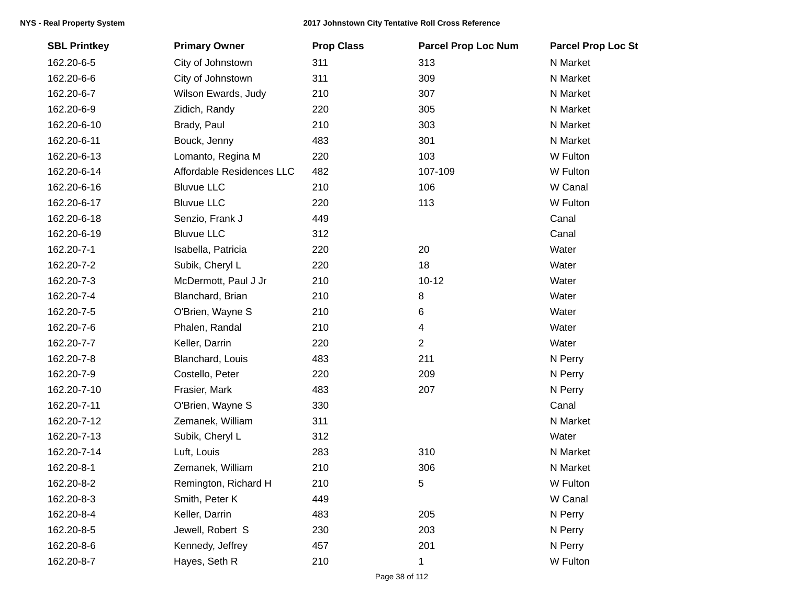| <b>SBL Printkey</b> | <b>Primary Owner</b>      | <b>Prop Class</b> | <b>Parcel Prop Loc Num</b> | <b>Parcel Prop Loc St</b> |
|---------------------|---------------------------|-------------------|----------------------------|---------------------------|
| 162.20-6-5          | City of Johnstown         | 311               | 313                        | N Market                  |
| 162.20-6-6          | City of Johnstown         | 311               | 309                        | N Market                  |
| 162.20-6-7          | Wilson Ewards, Judy       | 210               | 307                        | N Market                  |
| 162.20-6-9          | Zidich, Randy             | 220               | 305                        | N Market                  |
| 162.20-6-10         | Brady, Paul               | 210               | 303                        | N Market                  |
| 162.20-6-11         | Bouck, Jenny              | 483               | 301                        | N Market                  |
| 162.20-6-13         | Lomanto, Regina M         | 220               | 103                        | W Fulton                  |
| 162.20-6-14         | Affordable Residences LLC | 482               | 107-109                    | W Fulton                  |
| 162.20-6-16         | <b>Bluvue LLC</b>         | 210               | 106                        | W Canal                   |
| 162.20-6-17         | <b>Bluvue LLC</b>         | 220               | 113                        | W Fulton                  |
| 162.20-6-18         | Senzio, Frank J           | 449               |                            | Canal                     |
| 162.20-6-19         | <b>Bluvue LLC</b>         | 312               |                            | Canal                     |
| 162.20-7-1          | Isabella, Patricia        | 220               | 20                         | Water                     |
| 162.20-7-2          | Subik, Cheryl L           | 220               | 18                         | Water                     |
| 162.20-7-3          | McDermott, Paul J Jr      | 210               | $10 - 12$                  | Water                     |
| 162.20-7-4          | Blanchard, Brian          | 210               | 8                          | Water                     |
| 162.20-7-5          | O'Brien, Wayne S          | 210               | 6                          | Water                     |
| 162.20-7-6          | Phalen, Randal            | 210               | 4                          | Water                     |
| 162.20-7-7          | Keller, Darrin            | 220               | $\overline{2}$             | Water                     |
| 162.20-7-8          | Blanchard, Louis          | 483               | 211                        | N Perry                   |
| 162.20-7-9          | Costello, Peter           | 220               | 209                        | N Perry                   |
| 162.20-7-10         | Frasier, Mark             | 483               | 207                        | N Perry                   |
| 162.20-7-11         | O'Brien, Wayne S          | 330               |                            | Canal                     |
| 162.20-7-12         | Zemanek, William          | 311               |                            | N Market                  |
| 162.20-7-13         | Subik, Cheryl L           | 312               |                            | Water                     |
| 162.20-7-14         | Luft, Louis               | 283               | 310                        | N Market                  |
| 162.20-8-1          | Zemanek, William          | 210               | 306                        | N Market                  |
| 162.20-8-2          | Remington, Richard H      | 210               | 5                          | W Fulton                  |
| 162.20-8-3          | Smith, Peter K            | 449               |                            | W Canal                   |
| 162.20-8-4          | Keller, Darrin            | 483               | 205                        | N Perry                   |
| 162.20-8-5          | Jewell, Robert S          | 230               | 203                        | N Perry                   |
| 162.20-8-6          | Kennedy, Jeffrey          | 457               | 201                        | N Perry                   |
| 162.20-8-7          | Hayes, Seth R             | 210               | 1                          | W Fulton                  |
|                     |                           |                   |                            |                           |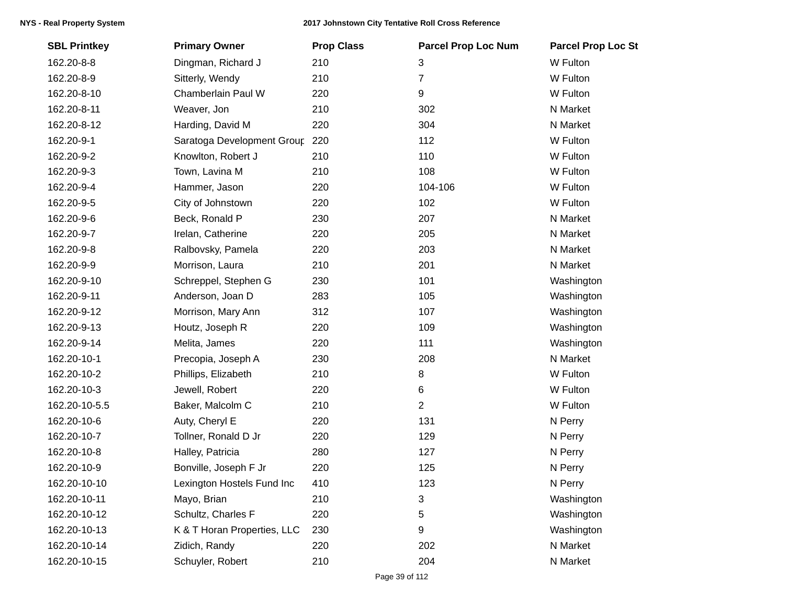| <b>SBL Printkey</b> | <b>Primary Owner</b>           | <b>Prop Class</b> | <b>Parcel Prop Loc Num</b> | <b>Parcel Prop Loc St</b> |
|---------------------|--------------------------------|-------------------|----------------------------|---------------------------|
| 162.20-8-8          | Dingman, Richard J             | 210               | 3                          | W Fulton                  |
| 162.20-8-9          | Sitterly, Wendy                | 210               | $\overline{7}$             | W Fulton                  |
| 162.20-8-10         | Chamberlain Paul W             | 220               | 9                          | W Fulton                  |
| 162.20-8-11         | Weaver, Jon                    | 210               | 302                        | N Market                  |
| 162.20-8-12         | Harding, David M               | 220               | 304                        | N Market                  |
| 162.20-9-1          | Saratoga Development Group 220 |                   | 112                        | W Fulton                  |
| 162.20-9-2          | Knowlton, Robert J             | 210               | 110                        | W Fulton                  |
| 162.20-9-3          | Town, Lavina M                 | 210               | 108                        | W Fulton                  |
| 162.20-9-4          | Hammer, Jason                  | 220               | 104-106                    | W Fulton                  |
| 162.20-9-5          | City of Johnstown              | 220               | 102                        | W Fulton                  |
| 162.20-9-6          | Beck, Ronald P                 | 230               | 207                        | N Market                  |
| 162.20-9-7          | Irelan, Catherine              | 220               | 205                        | N Market                  |
| 162.20-9-8          | Ralbovsky, Pamela              | 220               | 203                        | N Market                  |
| 162.20-9-9          | Morrison, Laura                | 210               | 201                        | N Market                  |
| 162.20-9-10         | Schreppel, Stephen G           | 230               | 101                        | Washington                |
| 162.20-9-11         | Anderson, Joan D               | 283               | 105                        | Washington                |
| 162.20-9-12         | Morrison, Mary Ann             | 312               | 107                        | Washington                |
| 162.20-9-13         | Houtz, Joseph R                | 220               | 109                        | Washington                |
| 162.20-9-14         | Melita, James                  | 220               | 111                        | Washington                |
| 162.20-10-1         | Precopia, Joseph A             | 230               | 208                        | N Market                  |
| 162.20-10-2         | Phillips, Elizabeth            | 210               | 8                          | W Fulton                  |
| 162.20-10-3         | Jewell, Robert                 | 220               | 6                          | W Fulton                  |
| 162.20-10-5.5       | Baker, Malcolm C               | 210               | $\overline{2}$             | W Fulton                  |
| 162.20-10-6         | Auty, Cheryl E                 | 220               | 131                        | N Perry                   |
| 162.20-10-7         | Tollner, Ronald D Jr           | 220               | 129                        | N Perry                   |
| 162.20-10-8         | Halley, Patricia               | 280               | 127                        | N Perry                   |
| 162.20-10-9         | Bonville, Joseph F Jr          | 220               | 125                        | N Perry                   |
| 162.20-10-10        | Lexington Hostels Fund Inc     | 410               | 123                        | N Perry                   |
| 162.20-10-11        | Mayo, Brian                    | 210               | 3                          | Washington                |
| 162.20-10-12        | Schultz, Charles F             | 220               | 5                          | Washington                |
| 162.20-10-13        | K & T Horan Properties, LLC    | 230               | 9                          | Washington                |
| 162.20-10-14        | Zidich, Randy                  | 220               | 202                        | N Market                  |
| 162.20-10-15        | Schuyler, Robert               | 210               | 204                        | N Market                  |
|                     |                                |                   |                            |                           |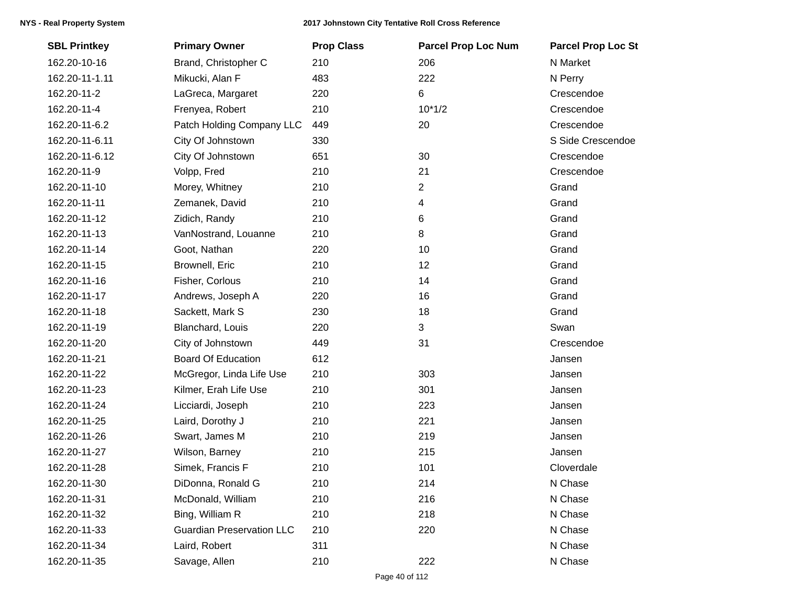| <b>SBL Printkey</b> | <b>Primary Owner</b>             | <b>Prop Class</b> | <b>Parcel Prop Loc Num</b> | <b>Parcel Prop Loc St</b> |
|---------------------|----------------------------------|-------------------|----------------------------|---------------------------|
| 162.20-10-16        | Brand, Christopher C             | 210               | 206                        | N Market                  |
| 162.20-11-1.11      | Mikucki, Alan F                  | 483               | 222                        | N Perry                   |
| 162.20-11-2         | LaGreca, Margaret                | 220               | 6                          | Crescendoe                |
| 162.20-11-4         | Frenyea, Robert                  | 210               | $10*1/2$                   | Crescendoe                |
| 162.20-11-6.2       | Patch Holding Company LLC        | 449               | 20                         | Crescendoe                |
| 162.20-11-6.11      | City Of Johnstown                | 330               |                            | S Side Crescendoe         |
| 162.20-11-6.12      | City Of Johnstown                | 651               | 30                         | Crescendoe                |
| 162.20-11-9         | Volpp, Fred                      | 210               | 21                         | Crescendoe                |
| 162.20-11-10        | Morey, Whitney                   | 210               | $\overline{2}$             | Grand                     |
| 162.20-11-11        | Zemanek, David                   | 210               | 4                          | Grand                     |
| 162.20-11-12        | Zidich, Randy                    | 210               | 6                          | Grand                     |
| 162.20-11-13        | VanNostrand, Louanne             | 210               | 8                          | Grand                     |
| 162.20-11-14        | Goot, Nathan                     | 220               | 10                         | Grand                     |
| 162.20-11-15        | Brownell, Eric                   | 210               | 12                         | Grand                     |
| 162.20-11-16        | Fisher, Corlous                  | 210               | 14                         | Grand                     |
| 162.20-11-17        | Andrews, Joseph A                | 220               | 16                         | Grand                     |
| 162.20-11-18        | Sackett, Mark S                  | 230               | 18                         | Grand                     |
| 162.20-11-19        | Blanchard, Louis                 | 220               | 3                          | Swan                      |
| 162.20-11-20        | City of Johnstown                | 449               | 31                         | Crescendoe                |
| 162.20-11-21        | <b>Board Of Education</b>        | 612               |                            | Jansen                    |
| 162.20-11-22        | McGregor, Linda Life Use         | 210               | 303                        | Jansen                    |
| 162.20-11-23        | Kilmer, Erah Life Use            | 210               | 301                        | Jansen                    |
| 162.20-11-24        | Licciardi, Joseph                | 210               | 223                        | Jansen                    |
| 162.20-11-25        | Laird, Dorothy J                 | 210               | 221                        | Jansen                    |
| 162.20-11-26        | Swart, James M                   | 210               | 219                        | Jansen                    |
| 162.20-11-27        | Wilson, Barney                   | 210               | 215                        | Jansen                    |
| 162.20-11-28        | Simek, Francis F                 | 210               | 101                        | Cloverdale                |
| 162.20-11-30        | DiDonna, Ronald G                | 210               | 214                        | N Chase                   |
| 162.20-11-31        | McDonald, William                | 210               | 216                        | N Chase                   |
| 162.20-11-32        | Bing, William R                  | 210               | 218                        | N Chase                   |
| 162.20-11-33        | <b>Guardian Preservation LLC</b> | 210               | 220                        | N Chase                   |
| 162.20-11-34        | Laird, Robert                    | 311               |                            | N Chase                   |
| 162.20-11-35        | Savage, Allen                    | 210               | 222                        | N Chase                   |
|                     |                                  |                   |                            |                           |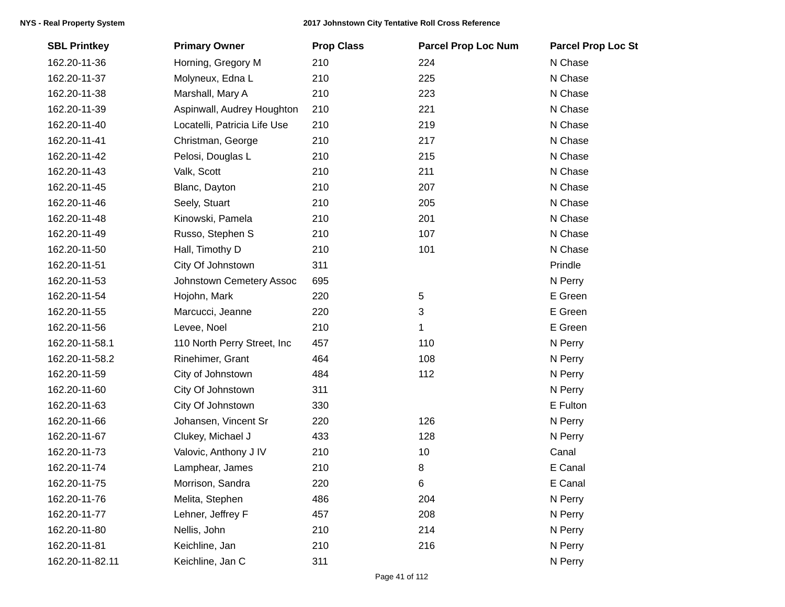| <b>SBL Printkey</b> | <b>Primary Owner</b>         | <b>Prop Class</b> | <b>Parcel Prop Loc Num</b> | <b>Parcel Prop Loc St</b> |
|---------------------|------------------------------|-------------------|----------------------------|---------------------------|
| 162.20-11-36        | Horning, Gregory M           | 210               | 224                        | N Chase                   |
| 162.20-11-37        | Molyneux, Edna L             | 210               | 225                        | N Chase                   |
| 162.20-11-38        | Marshall, Mary A             | 210               | 223                        | N Chase                   |
| 162.20-11-39        | Aspinwall, Audrey Houghton   | 210               | 221                        | N Chase                   |
| 162.20-11-40        | Locatelli, Patricia Life Use | 210               | 219                        | N Chase                   |
| 162.20-11-41        | Christman, George            | 210               | 217                        | N Chase                   |
| 162.20-11-42        | Pelosi, Douglas L            | 210               | 215                        | N Chase                   |
| 162.20-11-43        | Valk, Scott                  | 210               | 211                        | N Chase                   |
| 162.20-11-45        | Blanc, Dayton                | 210               | 207                        | N Chase                   |
| 162.20-11-46        | Seely, Stuart                | 210               | 205                        | N Chase                   |
| 162.20-11-48        | Kinowski, Pamela             | 210               | 201                        | N Chase                   |
| 162.20-11-49        | Russo, Stephen S             | 210               | 107                        | N Chase                   |
| 162.20-11-50        | Hall, Timothy D              | 210               | 101                        | N Chase                   |
| 162.20-11-51        | City Of Johnstown            | 311               |                            | Prindle                   |
| 162.20-11-53        | Johnstown Cemetery Assoc     | 695               |                            | N Perry                   |
| 162.20-11-54        | Hojohn, Mark                 | 220               | 5                          | E Green                   |
| 162.20-11-55        | Marcucci, Jeanne             | 220               | 3                          | E Green                   |
| 162.20-11-56        | Levee, Noel                  | 210               | 1                          | E Green                   |
| 162.20-11-58.1      | 110 North Perry Street, Inc  | 457               | 110                        | N Perry                   |
| 162.20-11-58.2      | Rinehimer, Grant             | 464               | 108                        | N Perry                   |
| 162.20-11-59        | City of Johnstown            | 484               | 112                        | N Perry                   |
| 162.20-11-60        | City Of Johnstown            | 311               |                            | N Perry                   |
| 162.20-11-63        | City Of Johnstown            | 330               |                            | E Fulton                  |
| 162.20-11-66        | Johansen, Vincent Sr         | 220               | 126                        | N Perry                   |
| 162.20-11-67        | Clukey, Michael J            | 433               | 128                        | N Perry                   |
| 162.20-11-73        | Valovic, Anthony J IV        | 210               | 10                         | Canal                     |
| 162.20-11-74        | Lamphear, James              | 210               | 8                          | E Canal                   |
| 162.20-11-75        | Morrison, Sandra             | 220               | 6                          | E Canal                   |
| 162.20-11-76        | Melita, Stephen              | 486               | 204                        | N Perry                   |
| 162.20-11-77        | Lehner, Jeffrey F            | 457               | 208                        | N Perry                   |
| 162.20-11-80        | Nellis, John                 | 210               | 214                        | N Perry                   |
| 162.20-11-81        | Keichline, Jan               | 210               | 216                        | N Perry                   |
| 162.20-11-82.11     | Keichline, Jan C             | 311               |                            | N Perry                   |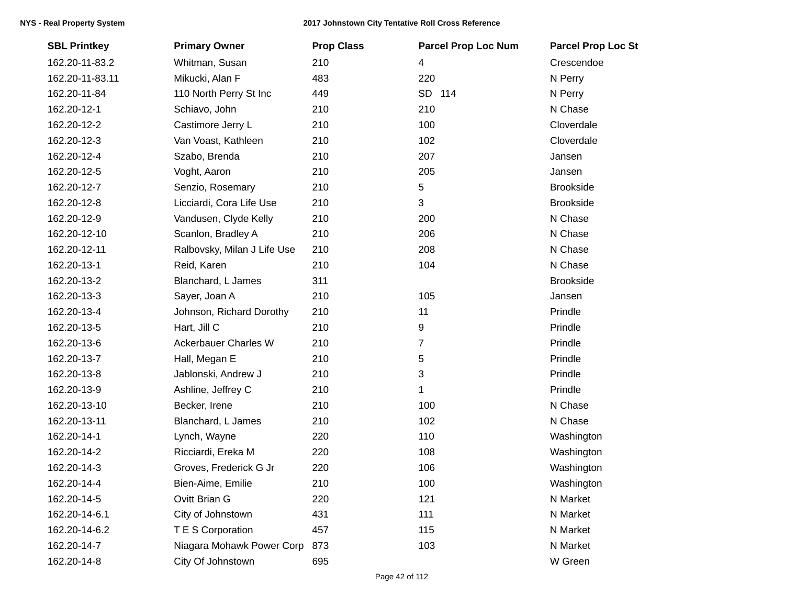## **NYS - Real Property System 2017 Johnstown City Tentative Roll Cross Reference**

| <b>SBL Printkey</b> | <b>Primary Owner</b>        | <b>Prop Class</b> | <b>Parcel Prop Loc Num</b> | <b>Parcel Prop Loc St</b> |
|---------------------|-----------------------------|-------------------|----------------------------|---------------------------|
| 162.20-11-83.2      | Whitman, Susan              | 210               | 4                          | Crescendoe                |
| 162.20-11-83.11     | Mikucki, Alan F             | 483               | 220                        | N Perry                   |
| 162.20-11-84        | 110 North Perry St Inc      | 449               | SD 114                     | N Perry                   |
| 162.20-12-1         | Schiavo, John               | 210               | 210                        | N Chase                   |
| 162.20-12-2         | Castimore Jerry L           | 210               | 100                        | Cloverdale                |
| 162.20-12-3         | Van Voast, Kathleen         | 210               | 102                        | Cloverdale                |
| 162.20-12-4         | Szabo, Brenda               | 210               | 207                        | Jansen                    |
| 162.20-12-5         | Voght, Aaron                | 210               | 205                        | Jansen                    |
| 162.20-12-7         | Senzio, Rosemary            | 210               | 5                          | <b>Brookside</b>          |
| 162.20-12-8         | Licciardi, Cora Life Use    | 210               | 3                          | <b>Brookside</b>          |
| 162.20-12-9         | Vandusen, Clyde Kelly       | 210               | 200                        | N Chase                   |
| 162.20-12-10        | Scanlon, Bradley A          | 210               | 206                        | N Chase                   |
| 162.20-12-11        | Ralbovsky, Milan J Life Use | 210               | 208                        | N Chase                   |
| 162.20-13-1         | Reid, Karen                 | 210               | 104                        | N Chase                   |
| 162.20-13-2         | Blanchard, L James          | 311               |                            | <b>Brookside</b>          |
| 162.20-13-3         | Sayer, Joan A               | 210               | 105                        | Jansen                    |
| 162.20-13-4         | Johnson, Richard Dorothy    | 210               | 11                         | Prindle                   |
| 162.20-13-5         | Hart, Jill C                | 210               | 9                          | Prindle                   |
| 162.20-13-6         | <b>Ackerbauer Charles W</b> | 210               | $\overline{7}$             | Prindle                   |
| 162.20-13-7         | Hall, Megan E               | 210               | 5                          | Prindle                   |
| 162.20-13-8         | Jablonski, Andrew J         | 210               | 3                          | Prindle                   |
| 162.20-13-9         | Ashline, Jeffrey C          | 210               | 1                          | Prindle                   |
| 162.20-13-10        | Becker, Irene               | 210               | 100                        | N Chase                   |
| 162.20-13-11        | Blanchard, L James          | 210               | 102                        | N Chase                   |
| 162.20-14-1         | Lynch, Wayne                | 220               | 110                        | Washington                |
| 162.20-14-2         | Ricciardi, Ereka M          | 220               | 108                        | Washington                |
| 162.20-14-3         | Groves, Frederick G Jr      | 220               | 106                        | Washington                |
| 162.20-14-4         | Bien-Aime, Emilie           | 210               | 100                        | Washington                |
| 162.20-14-5         | Ovitt Brian G               | 220               | 121                        | N Market                  |
| 162.20-14-6.1       | City of Johnstown           | 431               | 111                        | N Market                  |
| 162.20-14-6.2       | T E S Corporation           | 457               | 115                        | N Market                  |
| 162.20-14-7         | Niagara Mohawk Power Corp   | 873               | 103                        | N Market                  |
| 162.20-14-8         | City Of Johnstown           | 695               |                            | W Green                   |
|                     |                             |                   |                            |                           |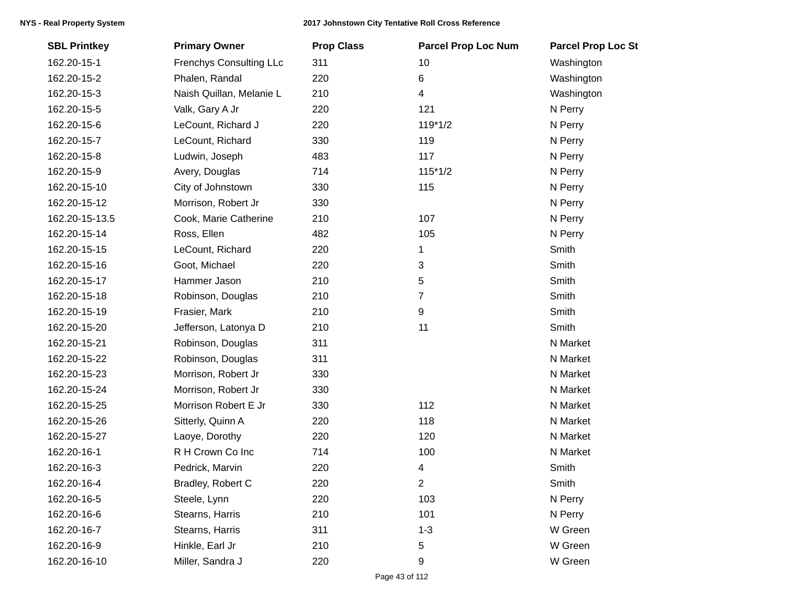| <b>SBL Printkey</b> | <b>Primary Owner</b>           | <b>Prop Class</b> | <b>Parcel Prop Loc Num</b> | <b>Parcel Prop Loc St</b> |
|---------------------|--------------------------------|-------------------|----------------------------|---------------------------|
| 162.20-15-1         | <b>Frenchys Consulting LLc</b> | 311               | 10                         | Washington                |
| 162.20-15-2         | Phalen, Randal                 | 220               | 6                          | Washington                |
| 162.20-15-3         | Naish Quillan, Melanie L       | 210               | 4                          | Washington                |
| 162.20-15-5         | Valk, Gary A Jr                | 220               | 121                        | N Perry                   |
| 162.20-15-6         | LeCount, Richard J             | 220               | $119*1/2$                  | N Perry                   |
| 162.20-15-7         | LeCount, Richard               | 330               | 119                        | N Perry                   |
| 162.20-15-8         | Ludwin, Joseph                 | 483               | 117                        | N Perry                   |
| 162.20-15-9         | Avery, Douglas                 | 714               | $115*1/2$                  | N Perry                   |
| 162.20-15-10        | City of Johnstown              | 330               | 115                        | N Perry                   |
| 162.20-15-12        | Morrison, Robert Jr            | 330               |                            | N Perry                   |
| 162.20-15-13.5      | Cook, Marie Catherine          | 210               | 107                        | N Perry                   |
| 162.20-15-14        | Ross, Ellen                    | 482               | 105                        | N Perry                   |
| 162.20-15-15        | LeCount, Richard               | 220               | 1                          | Smith                     |
| 162.20-15-16        | Goot, Michael                  | 220               | 3                          | Smith                     |
| 162.20-15-17        | Hammer Jason                   | 210               | 5                          | Smith                     |
| 162.20-15-18        | Robinson, Douglas              | 210               | 7                          | Smith                     |
| 162.20-15-19        | Frasier, Mark                  | 210               | 9                          | Smith                     |
| 162.20-15-20        | Jefferson, Latonya D           | 210               | 11                         | Smith                     |
| 162.20-15-21        | Robinson, Douglas              | 311               |                            | N Market                  |
| 162.20-15-22        | Robinson, Douglas              | 311               |                            | N Market                  |
| 162.20-15-23        | Morrison, Robert Jr            | 330               |                            | N Market                  |
| 162.20-15-24        | Morrison, Robert Jr            | 330               |                            | N Market                  |
| 162.20-15-25        | Morrison Robert E Jr           | 330               | 112                        | N Market                  |
| 162.20-15-26        | Sitterly, Quinn A              | 220               | 118                        | N Market                  |
| 162.20-15-27        | Laoye, Dorothy                 | 220               | 120                        | N Market                  |
| 162.20-16-1         | R H Crown Co Inc               | 714               | 100                        | N Market                  |
| 162.20-16-3         | Pedrick, Marvin                | 220               | 4                          | Smith                     |
| 162.20-16-4         | Bradley, Robert C              | 220               | 2                          | Smith                     |
| 162.20-16-5         | Steele, Lynn                   | 220               | 103                        | N Perry                   |
| 162.20-16-6         | Stearns, Harris                | 210               | 101                        | N Perry                   |
| 162.20-16-7         | Stearns, Harris                | 311               | $1 - 3$                    | W Green                   |
| 162.20-16-9         | Hinkle, Earl Jr                | 210               | 5                          | W Green                   |
| 162.20-16-10        | Miller, Sandra J               | 220               | 9                          | W Green                   |
|                     |                                |                   |                            |                           |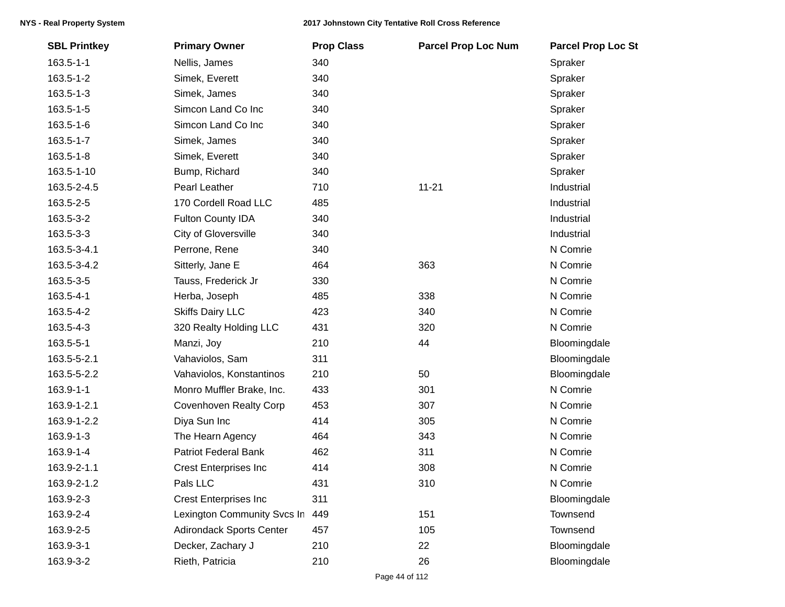| 163.5-1-1   | Nellis, James                   |     |           |              |
|-------------|---------------------------------|-----|-----------|--------------|
|             |                                 | 340 |           | Spraker      |
| 163.5-1-2   | Simek, Everett                  | 340 |           | Spraker      |
| 163.5-1-3   | Simek, James                    | 340 |           | Spraker      |
| 163.5-1-5   | Simcon Land Co Inc              | 340 |           | Spraker      |
| 163.5-1-6   | Simcon Land Co Inc              | 340 |           | Spraker      |
| 163.5-1-7   | Simek, James                    | 340 |           | Spraker      |
| 163.5-1-8   | Simek, Everett                  | 340 |           | Spraker      |
| 163.5-1-10  | Bump, Richard                   | 340 |           | Spraker      |
| 163.5-2-4.5 | Pearl Leather                   | 710 | $11 - 21$ | Industrial   |
| 163.5-2-5   | 170 Cordell Road LLC            | 485 |           | Industrial   |
| 163.5-3-2   | Fulton County IDA               | 340 |           | Industrial   |
| 163.5-3-3   | <b>City of Gloversville</b>     | 340 |           | Industrial   |
| 163.5-3-4.1 | Perrone, Rene                   | 340 |           | N Comrie     |
| 163.5-3-4.2 | Sitterly, Jane E                | 464 | 363       | N Comrie     |
| 163.5-3-5   | Tauss, Frederick Jr             | 330 |           | N Comrie     |
| 163.5-4-1   | Herba, Joseph                   | 485 | 338       | N Comrie     |
| 163.5-4-2   | <b>Skiffs Dairy LLC</b>         | 423 | 340       | N Comrie     |
| 163.5-4-3   | 320 Realty Holding LLC          | 431 | 320       | N Comrie     |
| 163.5-5-1   | Manzi, Joy                      | 210 | 44        | Bloomingdale |
| 163.5-5-2.1 | Vahaviolos, Sam                 | 311 |           | Bloomingdale |
| 163.5-5-2.2 | Vahaviolos, Konstantinos        | 210 | 50        | Bloomingdale |
| 163.9-1-1   | Monro Muffler Brake, Inc.       | 433 | 301       | N Comrie     |
| 163.9-1-2.1 | <b>Covenhoven Realty Corp</b>   | 453 | 307       | N Comrie     |
| 163.9-1-2.2 | Diya Sun Inc                    | 414 | 305       | N Comrie     |
| 163.9-1-3   | The Hearn Agency                | 464 | 343       | N Comrie     |
| 163.9-1-4   | <b>Patriot Federal Bank</b>     | 462 | 311       | N Comrie     |
| 163.9-2-1.1 | <b>Crest Enterprises Inc</b>    | 414 | 308       | N Comrie     |
| 163.9-2-1.2 | Pals LLC                        | 431 | 310       | N Comrie     |
| 163.9-2-3   | <b>Crest Enterprises Inc</b>    | 311 |           | Bloomingdale |
| 163.9-2-4   | Lexington Community Svcs In     | 449 | 151       | Townsend     |
| 163.9-2-5   | <b>Adirondack Sports Center</b> | 457 | 105       | Townsend     |
| 163.9-3-1   | Decker, Zachary J               | 210 | 22        | Bloomingdale |
| 163.9-3-2   | Rieth, Patricia                 | 210 | 26        | Bloomingdale |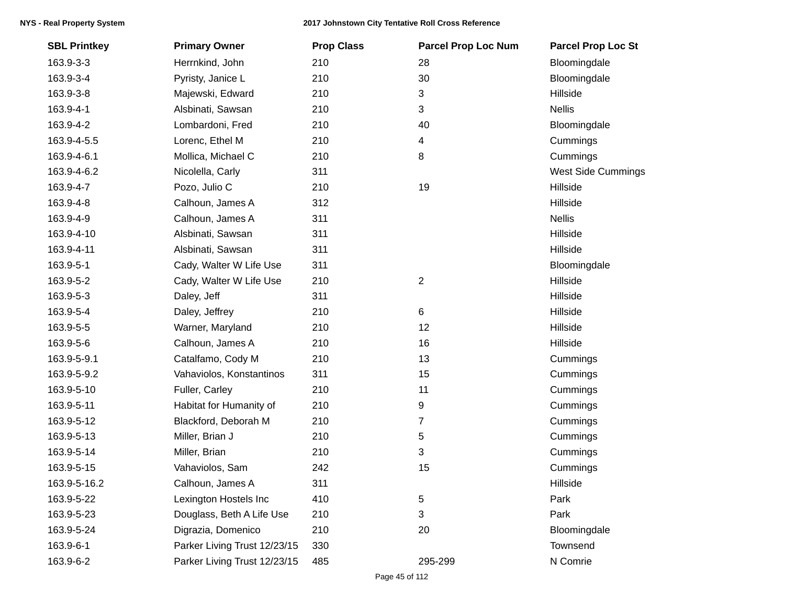| <b>SBL Printkey</b> | <b>Primary Owner</b>         | <b>Prop Class</b> | <b>Parcel Prop Loc Num</b> | <b>Parcel Prop Loc St</b> |
|---------------------|------------------------------|-------------------|----------------------------|---------------------------|
| 163.9-3-3           | Herrnkind, John              | 210               | 28                         | Bloomingdale              |
| 163.9-3-4           | Pyristy, Janice L            | 210               | 30                         | Bloomingdale              |
| 163.9-3-8           | Majewski, Edward             | 210               | 3                          | Hillside                  |
| 163.9-4-1           | Alsbinati, Sawsan            | 210               | 3                          | <b>Nellis</b>             |
| 163.9-4-2           | Lombardoni, Fred             | 210               | 40                         | Bloomingdale              |
| 163.9-4-5.5         | Lorenc, Ethel M              | 210               | $\overline{4}$             | Cummings                  |
| 163.9-4-6.1         | Mollica, Michael C           | 210               | 8                          | Cummings                  |
| 163.9-4-6.2         | Nicolella, Carly             | 311               |                            | <b>West Side Cummings</b> |
| 163.9-4-7           | Pozo, Julio C                | 210               | 19                         | Hillside                  |
| 163.9-4-8           | Calhoun, James A             | 312               |                            | Hillside                  |
| 163.9-4-9           | Calhoun, James A             | 311               |                            | <b>Nellis</b>             |
| 163.9-4-10          | Alsbinati, Sawsan            | 311               |                            | Hillside                  |
| 163.9-4-11          | Alsbinati, Sawsan            | 311               |                            | Hillside                  |
| 163.9-5-1           | Cady, Walter W Life Use      | 311               |                            | Bloomingdale              |
| 163.9-5-2           | Cady, Walter W Life Use      | 210               | 2                          | Hillside                  |
| 163.9-5-3           | Daley, Jeff                  | 311               |                            | Hillside                  |
| 163.9-5-4           | Daley, Jeffrey               | 210               | 6                          | Hillside                  |
| 163.9-5-5           | Warner, Maryland             | 210               | 12                         | Hillside                  |
| 163.9-5-6           | Calhoun, James A             | 210               | 16                         | Hillside                  |
| 163.9-5-9.1         | Catalfamo, Cody M            | 210               | 13                         | Cummings                  |
| 163.9-5-9.2         | Vahaviolos, Konstantinos     | 311               | 15                         | Cummings                  |
| 163.9-5-10          | Fuller, Carley               | 210               | 11                         | Cummings                  |
| 163.9-5-11          | Habitat for Humanity of      | 210               | 9                          | Cummings                  |
| 163.9-5-12          | Blackford, Deborah M         | 210               | 7                          | Cummings                  |
| 163.9-5-13          | Miller, Brian J              | 210               | 5                          | Cummings                  |
| 163.9-5-14          | Miller, Brian                | 210               | 3                          | Cummings                  |
| 163.9-5-15          | Vahaviolos, Sam              | 242               | 15                         | Cummings                  |
| 163.9-5-16.2        | Calhoun, James A             | 311               |                            | Hillside                  |
| 163.9-5-22          | Lexington Hostels Inc        | 410               | 5                          | Park                      |
| 163.9-5-23          | Douglass, Beth A Life Use    | 210               | 3                          | Park                      |
| 163.9-5-24          | Digrazia, Domenico           | 210               | 20                         | Bloomingdale              |
| 163.9-6-1           | Parker Living Trust 12/23/15 | 330               |                            | Townsend                  |
| 163.9-6-2           | Parker Living Trust 12/23/15 | 485               | 295-299                    | N Comrie                  |
|                     |                              |                   |                            |                           |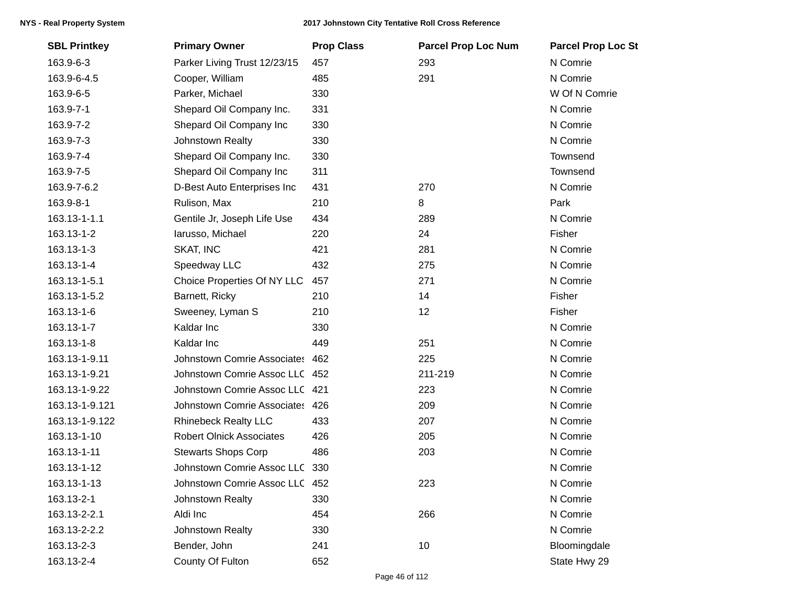| <b>SBL Printkey</b> | <b>Primary Owner</b>            | <b>Prop Class</b> | <b>Parcel Prop Loc Num</b> | <b>Parcel Prop Loc St</b> |
|---------------------|---------------------------------|-------------------|----------------------------|---------------------------|
| 163.9-6-3           | Parker Living Trust 12/23/15    | 457               | 293                        | N Comrie                  |
| 163.9-6-4.5         | Cooper, William                 | 485               | 291                        | N Comrie                  |
| 163.9-6-5           | Parker, Michael                 | 330               |                            | W Of N Comrie             |
| 163.9-7-1           | Shepard Oil Company Inc.        | 331               |                            | N Comrie                  |
| 163.9-7-2           | Shepard Oil Company Inc         | 330               |                            | N Comrie                  |
| 163.9-7-3           | Johnstown Realty                | 330               |                            | N Comrie                  |
| 163.9-7-4           | Shepard Oil Company Inc.        | 330               |                            | Townsend                  |
| 163.9-7-5           | Shepard Oil Company Inc         | 311               |                            | Townsend                  |
| 163.9-7-6.2         | D-Best Auto Enterprises Inc     | 431               | 270                        | N Comrie                  |
| 163.9-8-1           | Rulison, Max                    | 210               | 8                          | Park                      |
| 163.13-1-1.1        | Gentile Jr, Joseph Life Use     | 434               | 289                        | N Comrie                  |
| 163.13-1-2          | larusso, Michael                | 220               | 24                         | Fisher                    |
| 163.13-1-3          | SKAT, INC                       | 421               | 281                        | N Comrie                  |
| 163.13-1-4          | Speedway LLC                    | 432               | 275                        | N Comrie                  |
| 163.13-1-5.1        | Choice Properties Of NY LLC     | 457               | 271                        | N Comrie                  |
| 163.13-1-5.2        | Barnett, Ricky                  | 210               | 14                         | Fisher                    |
| 163.13-1-6          | Sweeney, Lyman S                | 210               | 12                         | Fisher                    |
| 163.13-1-7          | Kaldar Inc                      | 330               |                            | N Comrie                  |
| 163.13-1-8          | Kaldar Inc                      | 449               | 251                        | N Comrie                  |
| 163.13-1-9.11       | Johnstown Comrie Associates 462 |                   | 225                        | N Comrie                  |
| 163.13-1-9.21       | Johnstown Comrie Assoc LLC 452  |                   | 211-219                    | N Comrie                  |
| 163.13-1-9.22       | Johnstown Comrie Assoc LLC 421  |                   | 223                        | N Comrie                  |
| 163.13-1-9.121      | Johnstown Comrie Associates 426 |                   | 209                        | N Comrie                  |
| 163.13-1-9.122      | <b>Rhinebeck Realty LLC</b>     | 433               | 207                        | N Comrie                  |
| 163.13-1-10         | <b>Robert Olnick Associates</b> | 426               | 205                        | N Comrie                  |
| 163.13-1-11         | <b>Stewarts Shops Corp</b>      | 486               | 203                        | N Comrie                  |
| 163.13-1-12         | Johnstown Comrie Assoc LLC 330  |                   |                            | N Comrie                  |
| 163.13-1-13         | Johnstown Comrie Assoc LLC 452  |                   | 223                        | N Comrie                  |
| 163.13-2-1          | Johnstown Realty                | 330               |                            | N Comrie                  |
| 163.13-2-2.1        | Aldi Inc                        | 454               | 266                        | N Comrie                  |
| 163.13-2-2.2        | Johnstown Realty                | 330               |                            | N Comrie                  |
| 163.13-2-3          | Bender, John                    | 241               | 10                         | Bloomingdale              |
| 163.13-2-4          | County Of Fulton                | 652               |                            | State Hwy 29              |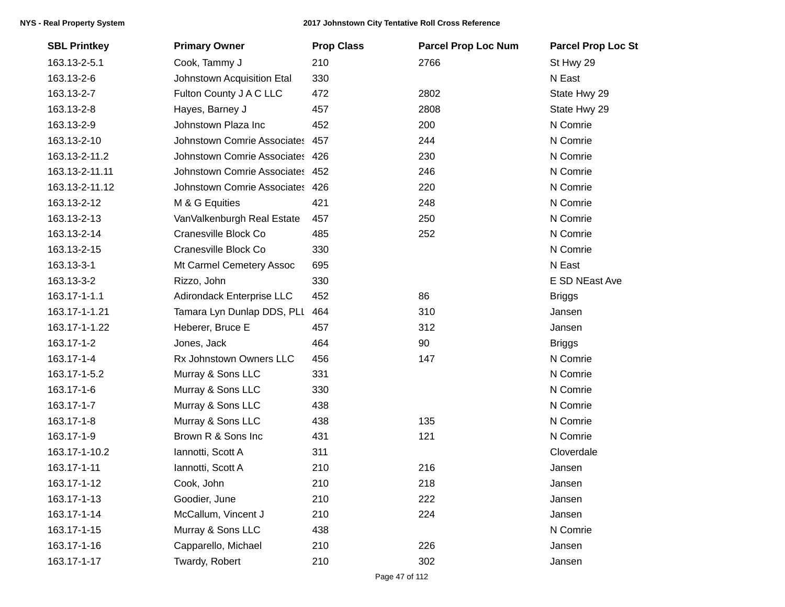| <b>SBL Printkey</b> | <b>Primary Owner</b>            | <b>Prop Class</b> | <b>Parcel Prop Loc Num</b> | <b>Parcel Prop Loc St</b> |
|---------------------|---------------------------------|-------------------|----------------------------|---------------------------|
| 163.13-2-5.1        | Cook, Tammy J                   | 210               | 2766                       | St Hwy 29                 |
| 163.13-2-6          | Johnstown Acquisition Etal      | 330               |                            | N East                    |
| 163.13-2-7          | Fulton County J A C LLC         | 472               | 2802                       | State Hwy 29              |
| 163.13-2-8          | Hayes, Barney J                 | 457               | 2808                       | State Hwy 29              |
| 163.13-2-9          | Johnstown Plaza Inc             | 452               | 200                        | N Comrie                  |
| 163.13-2-10         | Johnstown Comrie Associates 457 |                   | 244                        | N Comrie                  |
| 163.13-2-11.2       | Johnstown Comrie Associates 426 |                   | 230                        | N Comrie                  |
| 163.13-2-11.11      | Johnstown Comrie Associates 452 |                   | 246                        | N Comrie                  |
| 163.13-2-11.12      | Johnstown Comrie Associates 426 |                   | 220                        | N Comrie                  |
| 163.13-2-12         | M & G Equities                  | 421               | 248                        | N Comrie                  |
| 163.13-2-13         | VanValkenburgh Real Estate      | 457               | 250                        | N Comrie                  |
| 163.13-2-14         | Cranesville Block Co            | 485               | 252                        | N Comrie                  |
| 163.13-2-15         | Cranesville Block Co            | 330               |                            | N Comrie                  |
| 163.13-3-1          | Mt Carmel Cemetery Assoc        | 695               |                            | N East                    |
| 163.13-3-2          | Rizzo, John                     | 330               |                            | E SD NEast Ave            |
| 163.17-1-1.1        | Adirondack Enterprise LLC       | 452               | 86                         | <b>Briggs</b>             |
| 163.17-1-1.21       | Tamara Lyn Dunlap DDS, PLI      | 464               | 310                        | Jansen                    |
| 163.17-1-1.22       | Heberer, Bruce E                | 457               | 312                        | Jansen                    |
| 163.17-1-2          | Jones, Jack                     | 464               | 90                         | <b>Briggs</b>             |
| 163.17-1-4          | Rx Johnstown Owners LLC         | 456               | 147                        | N Comrie                  |
| 163.17-1-5.2        | Murray & Sons LLC               | 331               |                            | N Comrie                  |
| 163.17-1-6          | Murray & Sons LLC               | 330               |                            | N Comrie                  |
| 163.17-1-7          | Murray & Sons LLC               | 438               |                            | N Comrie                  |
| 163.17-1-8          | Murray & Sons LLC               | 438               | 135                        | N Comrie                  |
| 163.17-1-9          | Brown R & Sons Inc              | 431               | 121                        | N Comrie                  |
| 163.17-1-10.2       | Iannotti, Scott A               | 311               |                            | Cloverdale                |
| 163.17-1-11         | Iannotti, Scott A               | 210               | 216                        | Jansen                    |
| 163.17-1-12         | Cook, John                      | 210               | 218                        | Jansen                    |
| 163.17-1-13         | Goodier, June                   | 210               | 222                        | Jansen                    |
| 163.17-1-14         | McCallum, Vincent J             | 210               | 224                        | Jansen                    |
| 163.17-1-15         | Murray & Sons LLC               | 438               |                            | N Comrie                  |
| 163.17-1-16         | Capparello, Michael             | 210               | 226                        | Jansen                    |
| 163.17-1-17         | Twardy, Robert                  | 210               | 302                        | Jansen                    |
|                     |                                 |                   |                            |                           |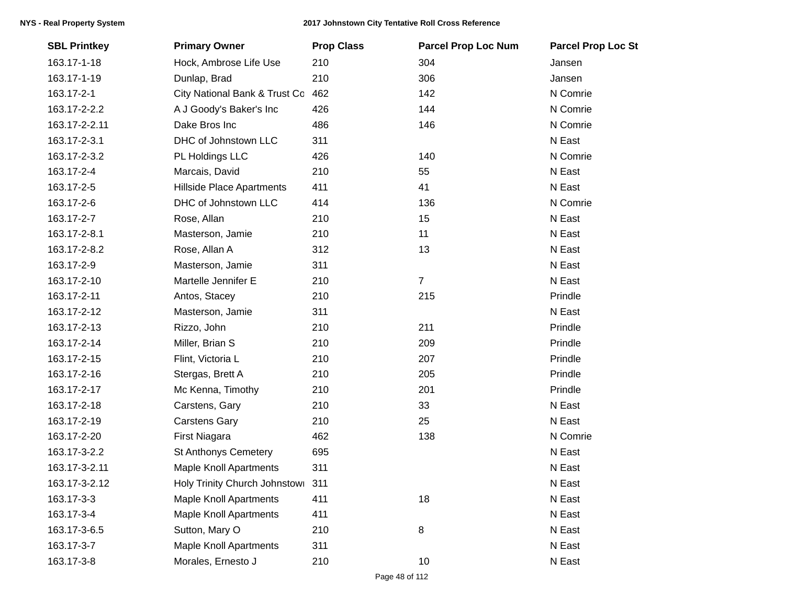| <b>SBL Printkey</b> | <b>Primary Owner</b>          | <b>Prop Class</b> | <b>Parcel Prop Loc Num</b> | <b>Parcel Prop Loc St</b> |
|---------------------|-------------------------------|-------------------|----------------------------|---------------------------|
| 163.17-1-18         | Hock, Ambrose Life Use        | 210               | 304                        | Jansen                    |
| 163.17-1-19         | Dunlap, Brad                  | 210               | 306                        | Jansen                    |
| 163.17-2-1          | City National Bank & Trust Co | 462               | 142                        | N Comrie                  |
| 163.17-2-2.2        | A J Goody's Baker's Inc       | 426               | 144                        | N Comrie                  |
| 163.17-2-2.11       | Dake Bros Inc                 | 486               | 146                        | N Comrie                  |
| 163.17-2-3.1        | DHC of Johnstown LLC          | 311               |                            | N East                    |
| 163.17-2-3.2        | PL Holdings LLC               | 426               | 140                        | N Comrie                  |
| 163.17-2-4          | Marcais, David                | 210               | 55                         | N East                    |
| 163.17-2-5          | Hillside Place Apartments     | 411               | 41                         | N East                    |
| 163.17-2-6          | DHC of Johnstown LLC          | 414               | 136                        | N Comrie                  |
| 163.17-2-7          | Rose, Allan                   | 210               | 15                         | N East                    |
| 163.17-2-8.1        | Masterson, Jamie              | 210               | 11                         | N East                    |
| 163.17-2-8.2        | Rose, Allan A                 | 312               | 13                         | N East                    |
| 163.17-2-9          | Masterson, Jamie              | 311               |                            | N East                    |
| 163.17-2-10         | Martelle Jennifer E           | 210               | $\overline{7}$             | N East                    |
| 163.17-2-11         | Antos, Stacey                 | 210               | 215                        | Prindle                   |
| 163.17-2-12         | Masterson, Jamie              | 311               |                            | N East                    |
| 163.17-2-13         | Rizzo, John                   | 210               | 211                        | Prindle                   |
| 163.17-2-14         | Miller, Brian S               | 210               | 209                        | Prindle                   |
| 163.17-2-15         | Flint, Victoria L             | 210               | 207                        | Prindle                   |
| 163.17-2-16         | Stergas, Brett A              | 210               | 205                        | Prindle                   |
| 163.17-2-17         | Mc Kenna, Timothy             | 210               | 201                        | Prindle                   |
| 163.17-2-18         | Carstens, Gary                | 210               | 33                         | N East                    |
| 163.17-2-19         | <b>Carstens Gary</b>          | 210               | 25                         | N East                    |
| 163.17-2-20         | First Niagara                 | 462               | 138                        | N Comrie                  |
| 163.17-3-2.2        | <b>St Anthonys Cemetery</b>   | 695               |                            | N East                    |
| 163.17-3-2.11       | <b>Maple Knoll Apartments</b> | 311               |                            | N East                    |
| 163.17-3-2.12       | Holy Trinity Church Johnstowi | 311               |                            | N East                    |
| 163.17-3-3          | <b>Maple Knoll Apartments</b> | 411               | 18                         | N East                    |
| 163.17-3-4          | <b>Maple Knoll Apartments</b> | 411               |                            | N East                    |
| 163.17-3-6.5        | Sutton, Mary O                | 210               | 8                          | N East                    |
| 163.17-3-7          | <b>Maple Knoll Apartments</b> | 311               |                            | N East                    |
| 163.17-3-8          | Morales, Ernesto J            | 210               | 10                         | N East                    |
|                     |                               |                   |                            |                           |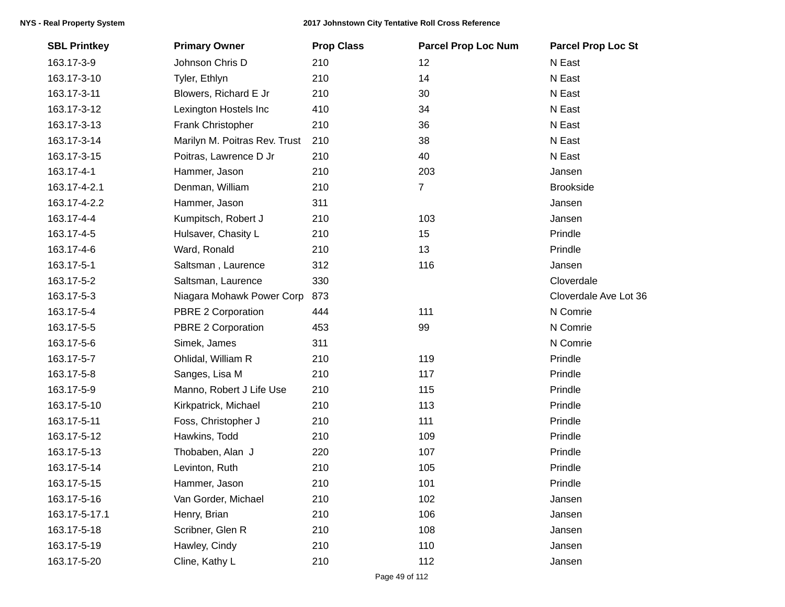| Johnson Chris D<br>163.17-3-9<br>210<br>210<br>163.17-3-10<br>Tyler, Ethlyn<br>163.17-3-11<br>Blowers, Richard E Jr<br>210<br>Lexington Hostels Inc<br>410<br>163.17-3-12 | 12<br>N East<br>N East<br>14<br>30<br>N East<br>34<br>N East<br>36<br>N East<br>38<br>N East<br>40<br>N East |  |
|---------------------------------------------------------------------------------------------------------------------------------------------------------------------------|--------------------------------------------------------------------------------------------------------------|--|
|                                                                                                                                                                           |                                                                                                              |  |
|                                                                                                                                                                           |                                                                                                              |  |
|                                                                                                                                                                           |                                                                                                              |  |
|                                                                                                                                                                           |                                                                                                              |  |
| Frank Christopher<br>163.17-3-13<br>210                                                                                                                                   |                                                                                                              |  |
| 163.17-3-14<br>Marilyn M. Poitras Rev. Trust<br>210                                                                                                                       |                                                                                                              |  |
| 210<br>Poitras, Lawrence D Jr<br>163.17-3-15                                                                                                                              |                                                                                                              |  |
| 163.17-4-1<br>210<br>Hammer, Jason                                                                                                                                        | 203<br>Jansen                                                                                                |  |
| Denman, William<br>210<br>163.17-4-2.1                                                                                                                                    | $\overline{7}$<br><b>Brookside</b>                                                                           |  |
| 163.17-4-2.2<br>Hammer, Jason<br>311                                                                                                                                      | Jansen                                                                                                       |  |
| 163.17-4-4<br>Kumpitsch, Robert J<br>210                                                                                                                                  | 103<br>Jansen                                                                                                |  |
| 163.17-4-5<br>Hulsaver, Chasity L<br>210                                                                                                                                  | 15<br>Prindle                                                                                                |  |
| Ward, Ronald<br>210<br>163.17-4-6                                                                                                                                         | 13<br>Prindle                                                                                                |  |
| 163.17-5-1<br>Saltsman, Laurence<br>312                                                                                                                                   | 116<br>Jansen                                                                                                |  |
| 163.17-5-2<br>Saltsman, Laurence<br>330                                                                                                                                   | Cloverdale                                                                                                   |  |
| 163.17-5-3<br>873<br>Niagara Mohawk Power Corp                                                                                                                            | Cloverdale Ave Lot 36                                                                                        |  |
| 163.17-5-4<br>PBRE 2 Corporation<br>444                                                                                                                                   | 111<br>N Comrie                                                                                              |  |
| 163.17-5-5<br>PBRE 2 Corporation<br>453                                                                                                                                   | N Comrie<br>99                                                                                               |  |
| Simek, James<br>311<br>163.17-5-6                                                                                                                                         | N Comrie                                                                                                     |  |
| 163.17-5-7<br>Ohlidal, William R<br>210                                                                                                                                   | 119<br>Prindle                                                                                               |  |
| 163.17-5-8<br>210<br>Sanges, Lisa M                                                                                                                                       | 117<br>Prindle                                                                                               |  |
| Manno, Robert J Life Use<br>210<br>163.17-5-9                                                                                                                             | 115<br>Prindle                                                                                               |  |
| 163.17-5-10<br>210<br>Kirkpatrick, Michael                                                                                                                                | 113<br>Prindle                                                                                               |  |
| 163.17-5-11<br>210<br>Foss, Christopher J                                                                                                                                 | 111<br>Prindle                                                                                               |  |
| Hawkins, Todd<br>210<br>163.17-5-12                                                                                                                                       | 109<br>Prindle                                                                                               |  |
| 163.17-5-13<br>Thobaben, Alan J<br>220                                                                                                                                    | 107<br>Prindle                                                                                               |  |
| 210<br>163.17-5-14<br>Levinton, Ruth                                                                                                                                      | Prindle<br>105                                                                                               |  |
| 210<br>163.17-5-15<br>Hammer, Jason                                                                                                                                       | 101<br>Prindle                                                                                               |  |
| 163.17-5-16<br>Van Gorder, Michael<br>210                                                                                                                                 | 102<br>Jansen                                                                                                |  |
| 210<br>163.17-5-17.1<br>Henry, Brian                                                                                                                                      | 106<br>Jansen                                                                                                |  |
| Scribner, Glen R<br>210<br>163.17-5-18                                                                                                                                    | 108<br>Jansen                                                                                                |  |
| 163.17-5-19<br>Hawley, Cindy<br>210                                                                                                                                       | 110<br>Jansen                                                                                                |  |
| 163.17-5-20<br>210<br>Cline, Kathy L                                                                                                                                      | 112<br>Jansen                                                                                                |  |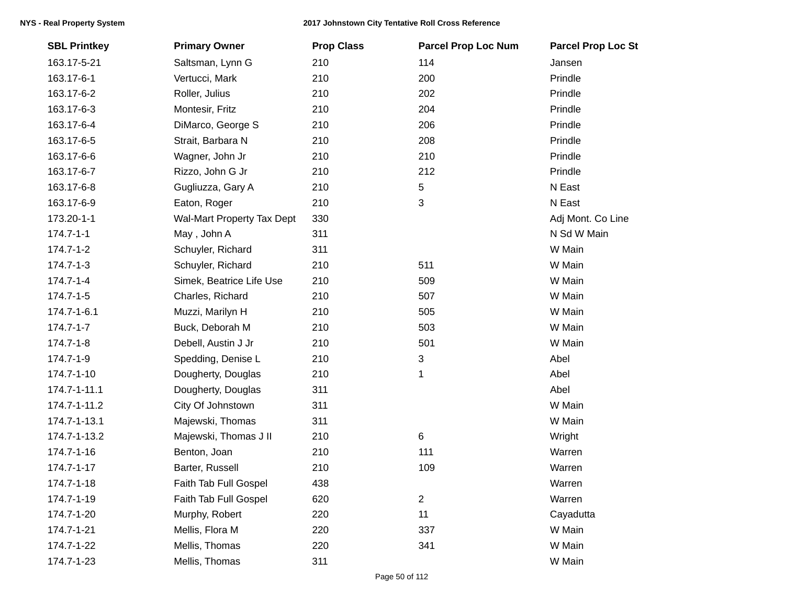| <b>SBL Printkey</b> | <b>Primary Owner</b>       | <b>Prop Class</b> | <b>Parcel Prop Loc Num</b> | <b>Parcel Prop Loc St</b> |
|---------------------|----------------------------|-------------------|----------------------------|---------------------------|
| 163.17-5-21         | Saltsman, Lynn G           | 210               | 114                        | Jansen                    |
| 163.17-6-1          | Vertucci, Mark             | 210               | 200                        | Prindle                   |
| 163.17-6-2          | Roller, Julius             | 210               | 202                        | Prindle                   |
| 163.17-6-3          | Montesir, Fritz            | 210               | 204                        | Prindle                   |
| 163.17-6-4          | DiMarco, George S          | 210               | 206                        | Prindle                   |
| 163.17-6-5          | Strait, Barbara N          | 210               | 208                        | Prindle                   |
| 163.17-6-6          | Wagner, John Jr            | 210               | 210                        | Prindle                   |
| 163.17-6-7          | Rizzo, John G Jr           | 210               | 212                        | Prindle                   |
| 163.17-6-8          | Gugliuzza, Gary A          | 210               | 5                          | N East                    |
| 163.17-6-9          | Eaton, Roger               | 210               | 3                          | N East                    |
| 173.20-1-1          | Wal-Mart Property Tax Dept | 330               |                            | Adj Mont. Co Line         |
| $174.7 - 1 - 1$     | May, John A                | 311               |                            | N Sd W Main               |
| $174.7 - 1 - 2$     | Schuyler, Richard          | 311               |                            | W Main                    |
| $174.7 - 1 - 3$     | Schuyler, Richard          | 210               | 511                        | W Main                    |
| $174.7 - 1 - 4$     | Simek, Beatrice Life Use   | 210               | 509                        | W Main                    |
| $174.7 - 1 - 5$     | Charles, Richard           | 210               | 507                        | W Main                    |
| 174.7-1-6.1         | Muzzi, Marilyn H           | 210               | 505                        | W Main                    |
| $174.7 - 1 - 7$     | Buck, Deborah M            | 210               | 503                        | W Main                    |
| 174.7-1-8           | Debell, Austin J Jr        | 210               | 501                        | W Main                    |
| 174.7-1-9           | Spedding, Denise L         | 210               | 3                          | Abel                      |
| 174.7-1-10          | Dougherty, Douglas         | 210               | 1                          | Abel                      |
| 174.7-1-11.1        | Dougherty, Douglas         | 311               |                            | Abel                      |
| 174.7-1-11.2        | City Of Johnstown          | 311               |                            | W Main                    |
| 174.7-1-13.1        | Majewski, Thomas           | 311               |                            | W Main                    |
| 174.7-1-13.2        | Majewski, Thomas J II      | 210               | $\,6$                      | Wright                    |
| 174.7-1-16          | Benton, Joan               | 210               | 111                        | Warren                    |
| 174.7-1-17          | Barter, Russell            | 210               | 109                        | Warren                    |
| 174.7-1-18          | Faith Tab Full Gospel      | 438               |                            | Warren                    |
| 174.7-1-19          | Faith Tab Full Gospel      | 620               | $\overline{2}$             | Warren                    |
| 174.7-1-20          | Murphy, Robert             | 220               | 11                         | Cayadutta                 |
| 174.7-1-21          | Mellis, Flora M            | 220               | 337                        | W Main                    |
| 174.7-1-22          | Mellis, Thomas             | 220               | 341                        | W Main                    |
| 174.7-1-23          | Mellis, Thomas             | 311               |                            | W Main                    |
|                     |                            |                   |                            |                           |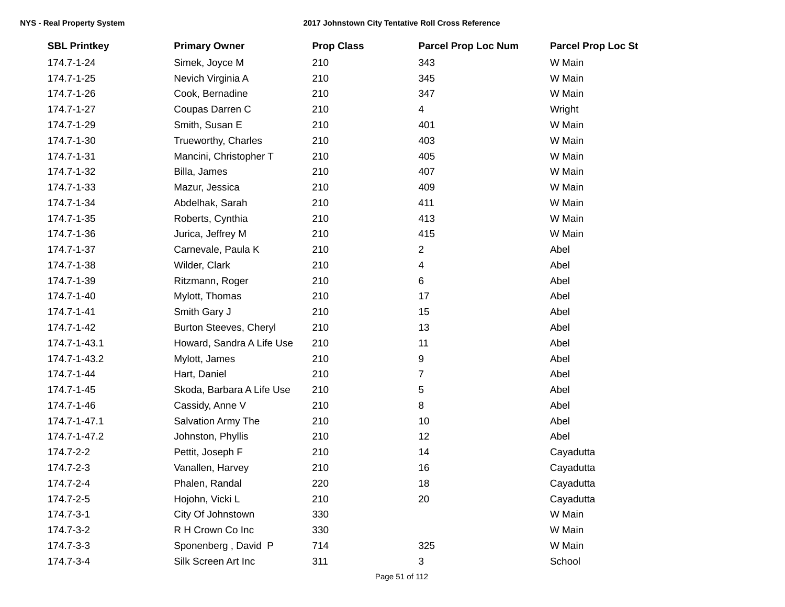| <b>SBL Printkey</b> | <b>Primary Owner</b>      | <b>Prop Class</b> | <b>Parcel Prop Loc Num</b> | <b>Parcel Prop Loc St</b> |
|---------------------|---------------------------|-------------------|----------------------------|---------------------------|
| 174.7-1-24          | Simek, Joyce M            | 210               | 343                        | W Main                    |
| 174.7-1-25          | Nevich Virginia A         | 210               | 345                        | W Main                    |
| 174.7-1-26          | Cook, Bernadine           | 210               | 347                        | W Main                    |
| 174.7-1-27          | Coupas Darren C           | 210               | 4                          | Wright                    |
| 174.7-1-29          | Smith, Susan E            | 210               | 401                        | W Main                    |
| 174.7-1-30          | Trueworthy, Charles       | 210               | 403                        | W Main                    |
| 174.7-1-31          | Mancini, Christopher T    | 210               | 405                        | W Main                    |
| 174.7-1-32          | Billa, James              | 210               | 407                        | W Main                    |
| 174.7-1-33          | Mazur, Jessica            | 210               | 409                        | W Main                    |
| 174.7-1-34          | Abdelhak, Sarah           | 210               | 411                        | W Main                    |
| 174.7-1-35          | Roberts, Cynthia          | 210               | 413                        | W Main                    |
| 174.7-1-36          | Jurica, Jeffrey M         | 210               | 415                        | W Main                    |
| 174.7-1-37          | Carnevale, Paula K        | 210               | 2                          | Abel                      |
| 174.7-1-38          | Wilder, Clark             | 210               | 4                          | Abel                      |
| 174.7-1-39          | Ritzmann, Roger           | 210               | 6                          | Abel                      |
| 174.7-1-40          | Mylott, Thomas            | 210               | 17                         | Abel                      |
| 174.7-1-41          | Smith Gary J              | 210               | 15                         | Abel                      |
| 174.7-1-42          | Burton Steeves, Cheryl    | 210               | 13                         | Abel                      |
| 174.7-1-43.1        | Howard, Sandra A Life Use | 210               | 11                         | Abel                      |
| 174.7-1-43.2        | Mylott, James             | 210               | 9                          | Abel                      |
| 174.7-1-44          | Hart, Daniel              | 210               | 7                          | Abel                      |
| 174.7-1-45          | Skoda, Barbara A Life Use | 210               | $\sqrt{5}$                 | Abel                      |
| 174.7-1-46          | Cassidy, Anne V           | 210               | 8                          | Abel                      |
| 174.7-1-47.1        | Salvation Army The        | 210               | 10                         | Abel                      |
| 174.7-1-47.2        | Johnston, Phyllis         | 210               | 12                         | Abel                      |
| 174.7-2-2           | Pettit, Joseph F          | 210               | 14                         | Cayadutta                 |
| 174.7-2-3           | Vanallen, Harvey          | 210               | 16                         | Cayadutta                 |
| 174.7-2-4           | Phalen, Randal            | 220               | 18                         | Cayadutta                 |
| 174.7-2-5           | Hojohn, Vicki L           | 210               | 20                         | Cayadutta                 |
| 174.7-3-1           | City Of Johnstown         | 330               |                            | W Main                    |
| 174.7-3-2           | R H Crown Co Inc          | 330               |                            | W Main                    |
| 174.7-3-3           | Sponenberg, David P       | 714               | 325                        | W Main                    |
| 174.7-3-4           | Silk Screen Art Inc       | 311               | 3                          | School                    |
|                     |                           |                   |                            |                           |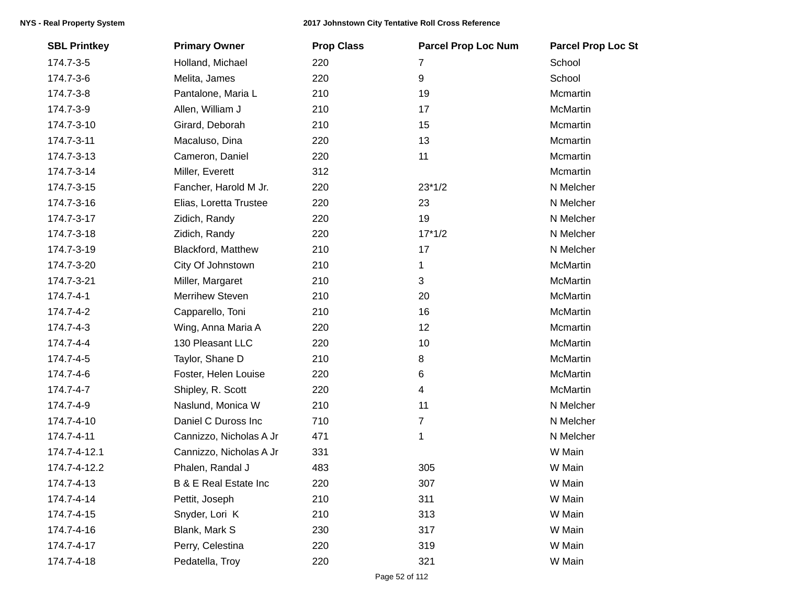| <b>SBL Printkey</b> | <b>Primary Owner</b>             | <b>Prop Class</b> | <b>Parcel Prop Loc Num</b> | <b>Parcel Prop Loc St</b> |
|---------------------|----------------------------------|-------------------|----------------------------|---------------------------|
| 174.7-3-5           | Holland, Michael                 | 220               | 7                          | School                    |
| 174.7-3-6           | Melita, James                    | 220               | $\boldsymbol{9}$           | School                    |
| 174.7-3-8           | Pantalone, Maria L               | 210               | 19                         | Mcmartin                  |
| 174.7-3-9           | Allen, William J                 | 210               | 17                         | <b>McMartin</b>           |
| 174.7-3-10          | Girard, Deborah                  | 210               | 15                         | Mcmartin                  |
| 174.7-3-11          | Macaluso, Dina                   | 220               | 13                         | Mcmartin                  |
| 174.7-3-13          | Cameron, Daniel                  | 220               | 11                         | Mcmartin                  |
| 174.7-3-14          | Miller, Everett                  | 312               |                            | Mcmartin                  |
| 174.7-3-15          | Fancher, Harold M Jr.            | 220               | $23*1/2$                   | N Melcher                 |
| 174.7-3-16          | Elias, Loretta Trustee           | 220               | 23                         | N Melcher                 |
| 174.7-3-17          | Zidich, Randy                    | 220               | 19                         | N Melcher                 |
| 174.7-3-18          | Zidich, Randy                    | 220               | $17*1/2$                   | N Melcher                 |
| 174.7-3-19          | Blackford, Matthew               | 210               | 17                         | N Melcher                 |
| 174.7-3-20          | City Of Johnstown                | 210               | 1                          | McMartin                  |
| 174.7-3-21          | Miller, Margaret                 | 210               | 3                          | <b>McMartin</b>           |
| 174.7-4-1           | <b>Merrihew Steven</b>           | 210               | 20                         | McMartin                  |
| 174.7-4-2           | Capparello, Toni                 | 210               | 16                         | McMartin                  |
| 174.7-4-3           | Wing, Anna Maria A               | 220               | 12                         | Mcmartin                  |
| 174.7-4-4           | 130 Pleasant LLC                 | 220               | 10                         | <b>McMartin</b>           |
| 174.7-4-5           | Taylor, Shane D                  | 210               | 8                          | McMartin                  |
| 174.7-4-6           | Foster, Helen Louise             | 220               | 6                          | <b>McMartin</b>           |
| 174.7-4-7           | Shipley, R. Scott                | 220               | $\overline{4}$             | <b>McMartin</b>           |
| 174.7-4-9           | Naslund, Monica W                | 210               | 11                         | N Melcher                 |
| 174.7-4-10          | Daniel C Duross Inc              | 710               | 7                          | N Melcher                 |
| 174.7-4-11          | Cannizzo, Nicholas A Jr          | 471               | 1                          | N Melcher                 |
| 174.7-4-12.1        | Cannizzo, Nicholas A Jr          | 331               |                            | W Main                    |
| 174.7-4-12.2        | Phalen, Randal J                 | 483               | 305                        | W Main                    |
| 174.7-4-13          | <b>B &amp; E Real Estate Inc</b> | 220               | 307                        | W Main                    |
| 174.7-4-14          | Pettit, Joseph                   | 210               | 311                        | W Main                    |
| 174.7-4-15          | Snyder, Lori K                   | 210               | 313                        | W Main                    |
| 174.7-4-16          | Blank, Mark S                    | 230               | 317                        | W Main                    |
| 174.7-4-17          | Perry, Celestina                 | 220               | 319                        | W Main                    |
| 174.7-4-18          | Pedatella, Troy                  | 220               | 321                        | W Main                    |
|                     |                                  |                   |                            |                           |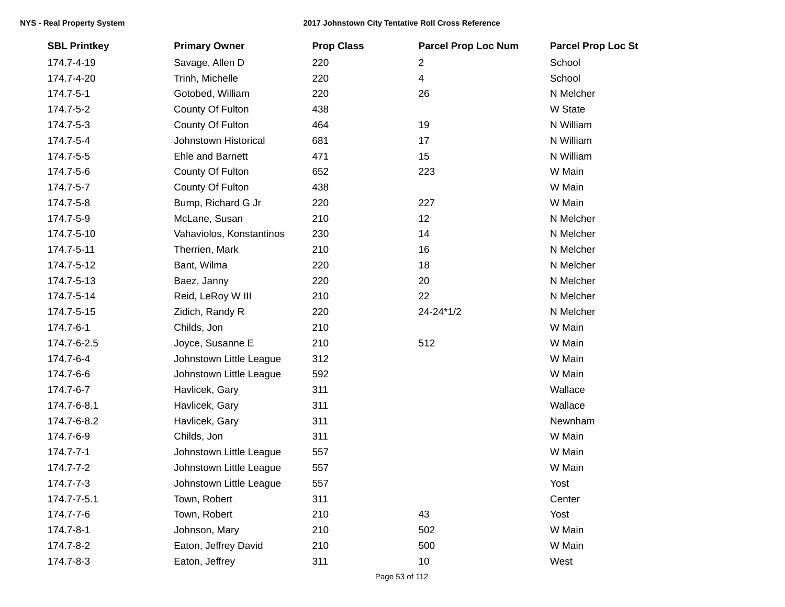| <b>SBL Printkey</b> | <b>Primary Owner</b>     | <b>Prop Class</b> | <b>Parcel Prop Loc Num</b> | <b>Parcel Prop Loc St</b> |
|---------------------|--------------------------|-------------------|----------------------------|---------------------------|
| 174.7-4-19          | Savage, Allen D          | 220               | $\overline{2}$             | School                    |
| 174.7-4-20          | Trinh, Michelle          | 220               | $\overline{4}$             | School                    |
| 174.7-5-1           | Gotobed, William         | 220               | 26                         | N Melcher                 |
| 174.7-5-2           | County Of Fulton         | 438               |                            | W State                   |
| 174.7-5-3           | County Of Fulton         | 464               | 19                         | N William                 |
| 174.7-5-4           | Johnstown Historical     | 681               | 17                         | N William                 |
| 174.7-5-5           | Ehle and Barnett         | 471               | 15                         | N William                 |
| 174.7-5-6           | County Of Fulton         | 652               | 223                        | W Main                    |
| 174.7-5-7           | County Of Fulton         | 438               |                            | W Main                    |
| 174.7-5-8           | Bump, Richard G Jr       | 220               | 227                        | W Main                    |
| 174.7-5-9           | McLane, Susan            | 210               | 12                         | N Melcher                 |
| 174.7-5-10          | Vahaviolos, Konstantinos | 230               | 14                         | N Melcher                 |
| 174.7-5-11          | Therrien, Mark           | 210               | 16                         | N Melcher                 |
| 174.7-5-12          | Bant, Wilma              | 220               | 18                         | N Melcher                 |
| 174.7-5-13          | Baez, Janny              | 220               | 20                         | N Melcher                 |
| 174.7-5-14          | Reid, LeRoy W III        | 210               | 22                         | N Melcher                 |
| 174.7-5-15          | Zidich, Randy R          | 220               | 24-24*1/2                  | N Melcher                 |
| 174.7-6-1           | Childs, Jon              | 210               |                            | W Main                    |
| 174.7-6-2.5         | Joyce, Susanne E         | 210               | 512                        | W Main                    |
| 174.7-6-4           | Johnstown Little League  | 312               |                            | W Main                    |
| 174.7-6-6           | Johnstown Little League  | 592               |                            | W Main                    |
| 174.7-6-7           | Havlicek, Gary           | 311               |                            | Wallace                   |
| 174.7-6-8.1         | Havlicek, Gary           | 311               |                            | Wallace                   |
| 174.7-6-8.2         | Havlicek, Gary           | 311               |                            | Newnham                   |
| 174.7-6-9           | Childs, Jon              | 311               |                            | W Main                    |
| 174.7-7-1           | Johnstown Little League  | 557               |                            | W Main                    |
| 174.7-7-2           | Johnstown Little League  | 557               |                            | W Main                    |
| 174.7-7-3           | Johnstown Little League  | 557               |                            | Yost                      |
| 174.7-7-5.1         | Town, Robert             | 311               |                            | Center                    |
| 174.7-7-6           | Town, Robert             | 210               | 43                         | Yost                      |
| 174.7-8-1           | Johnson, Mary            | 210               | 502                        | W Main                    |
| 174.7-8-2           | Eaton, Jeffrey David     | 210               | 500                        | W Main                    |
| 174.7-8-3           | Eaton, Jeffrey           | 311               | 10                         | West                      |
|                     |                          |                   |                            |                           |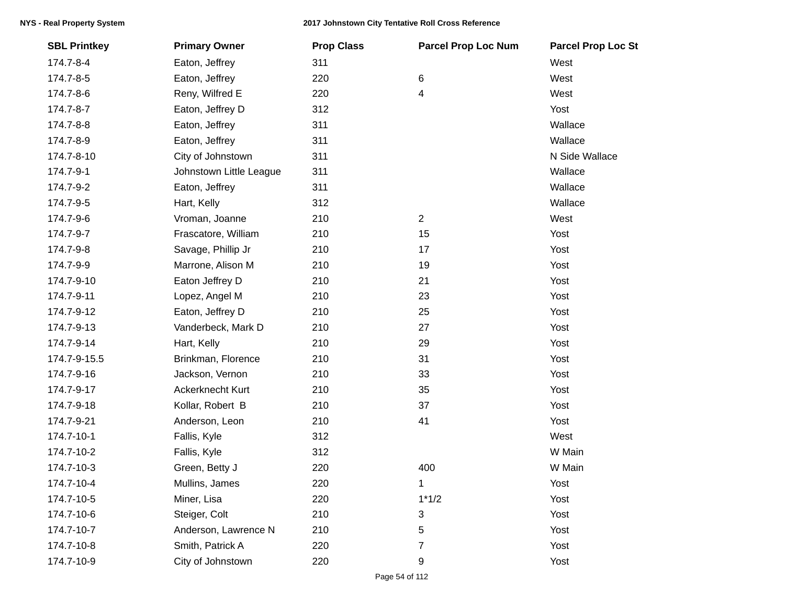| <b>SBL Printkey</b> | <b>Primary Owner</b>    | <b>Prop Class</b> | <b>Parcel Prop Loc Num</b> | <b>Parcel Prop Loc St</b> |
|---------------------|-------------------------|-------------------|----------------------------|---------------------------|
| 174.7-8-4           | Eaton, Jeffrey          | 311               |                            | West                      |
| 174.7-8-5           | Eaton, Jeffrey          | 220               | $\,6$                      | West                      |
| 174.7-8-6           | Reny, Wilfred E         | 220               | 4                          | West                      |
| 174.7-8-7           | Eaton, Jeffrey D        | 312               |                            | Yost                      |
| 174.7-8-8           | Eaton, Jeffrey          | 311               |                            | Wallace                   |
| 174.7-8-9           | Eaton, Jeffrey          | 311               |                            | Wallace                   |
| 174.7-8-10          | City of Johnstown       | 311               |                            | N Side Wallace            |
| 174.7-9-1           | Johnstown Little League | 311               |                            | Wallace                   |
| 174.7-9-2           | Eaton, Jeffrey          | 311               |                            | Wallace                   |
| 174.7-9-5           | Hart, Kelly             | 312               |                            | Wallace                   |
| 174.7-9-6           | Vroman, Joanne          | 210               | $\overline{2}$             | West                      |
| 174.7-9-7           | Frascatore, William     | 210               | 15                         | Yost                      |
| 174.7-9-8           | Savage, Phillip Jr      | 210               | 17                         | Yost                      |
| 174.7-9-9           | Marrone, Alison M       | 210               | 19                         | Yost                      |
| 174.7-9-10          | Eaton Jeffrey D         | 210               | 21                         | Yost                      |
| 174.7-9-11          | Lopez, Angel M          | 210               | 23                         | Yost                      |
| 174.7-9-12          | Eaton, Jeffrey D        | 210               | 25                         | Yost                      |
| 174.7-9-13          | Vanderbeck, Mark D      | 210               | 27                         | Yost                      |
| 174.7-9-14          | Hart, Kelly             | 210               | 29                         | Yost                      |
| 174.7-9-15.5        | Brinkman, Florence      | 210               | 31                         | Yost                      |
| 174.7-9-16          | Jackson, Vernon         | 210               | 33                         | Yost                      |
| 174.7-9-17          | Ackerknecht Kurt        | 210               | 35                         | Yost                      |
| 174.7-9-18          | Kollar, Robert B        | 210               | 37                         | Yost                      |
| 174.7-9-21          | Anderson, Leon          | 210               | 41                         | Yost                      |
| 174.7-10-1          | Fallis, Kyle            | 312               |                            | West                      |
| 174.7-10-2          | Fallis, Kyle            | 312               |                            | W Main                    |
| 174.7-10-3          | Green, Betty J          | 220               | 400                        | W Main                    |
| 174.7-10-4          | Mullins, James          | 220               | $\mathbf 1$                | Yost                      |
| 174.7-10-5          | Miner, Lisa             | 220               | $1*1/2$                    | Yost                      |
| 174.7-10-6          | Steiger, Colt           | 210               | 3                          | Yost                      |
| 174.7-10-7          | Anderson, Lawrence N    | 210               | 5                          | Yost                      |
| 174.7-10-8          | Smith, Patrick A        | 220               | 7                          | Yost                      |
| 174.7-10-9          | City of Johnstown       | 220               | 9                          | Yost                      |
|                     |                         |                   |                            |                           |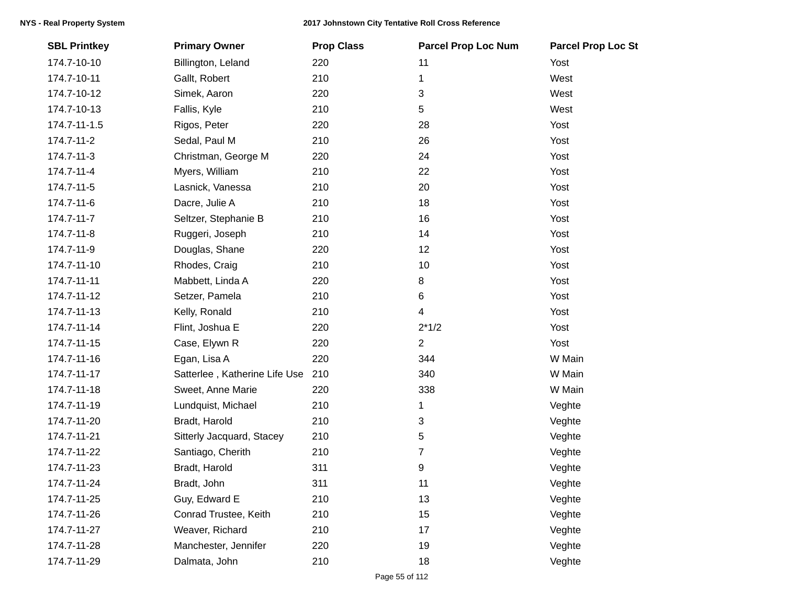| <b>SBL Printkey</b> | <b>Primary Owner</b>          | <b>Prop Class</b> | <b>Parcel Prop Loc Num</b> | <b>Parcel Prop Loc St</b> |
|---------------------|-------------------------------|-------------------|----------------------------|---------------------------|
| 174.7-10-10         | Billington, Leland            | 220               | 11                         | Yost                      |
| 174.7-10-11         | Gallt, Robert                 | 210               | 1                          | West                      |
| 174.7-10-12         | Simek, Aaron                  | 220               | 3                          | West                      |
| 174.7-10-13         | Fallis, Kyle                  | 210               | 5                          | West                      |
| 174.7-11-1.5        | Rigos, Peter                  | 220               | 28                         | Yost                      |
| 174.7-11-2          | Sedal, Paul M                 | 210               | 26                         | Yost                      |
| 174.7-11-3          | Christman, George M           | 220               | 24                         | Yost                      |
| 174.7-11-4          | Myers, William                | 210               | 22                         | Yost                      |
| 174.7-11-5          | Lasnick, Vanessa              | 210               | 20                         | Yost                      |
| 174.7-11-6          | Dacre, Julie A                | 210               | 18                         | Yost                      |
| 174.7-11-7          | Seltzer, Stephanie B          | 210               | 16                         | Yost                      |
| 174.7-11-8          | Ruggeri, Joseph               | 210               | 14                         | Yost                      |
| 174.7-11-9          | Douglas, Shane                | 220               | 12                         | Yost                      |
| 174.7-11-10         | Rhodes, Craig                 | 210               | 10                         | Yost                      |
| 174.7-11-11         | Mabbett, Linda A              | 220               | 8                          | Yost                      |
| 174.7-11-12         | Setzer, Pamela                | 210               | 6                          | Yost                      |
| 174.7-11-13         | Kelly, Ronald                 | 210               | 4                          | Yost                      |
| 174.7-11-14         | Flint, Joshua E               | 220               | $2*1/2$                    | Yost                      |
| 174.7-11-15         | Case, Elywn R                 | 220               | 2                          | Yost                      |
| 174.7-11-16         | Egan, Lisa A                  | 220               | 344                        | W Main                    |
| 174.7-11-17         | Satterlee, Katherine Life Use | 210               | 340                        | W Main                    |
| 174.7-11-18         | Sweet, Anne Marie             | 220               | 338                        | W Main                    |
| 174.7-11-19         | Lundquist, Michael            | 210               | 1                          | Veghte                    |
| 174.7-11-20         | Bradt, Harold                 | 210               | 3                          | Veghte                    |
| 174.7-11-21         | Sitterly Jacquard, Stacey     | 210               | 5                          | Veghte                    |
| 174.7-11-22         | Santiago, Cherith             | 210               | 7                          | Veghte                    |
| 174.7-11-23         | Bradt, Harold                 | 311               | 9                          | Veghte                    |
| 174.7-11-24         | Bradt, John                   | 311               | 11                         | Veghte                    |
| 174.7-11-25         | Guy, Edward E                 | 210               | 13                         | Veghte                    |
| 174.7-11-26         | Conrad Trustee, Keith         | 210               | 15                         | Veghte                    |
| 174.7-11-27         | Weaver, Richard               | 210               | 17                         | Veghte                    |
| 174.7-11-28         | Manchester, Jennifer          | 220               | 19                         | Veghte                    |
| 174.7-11-29         | Dalmata, John                 | 210               | 18                         | Veghte                    |
|                     |                               |                   |                            |                           |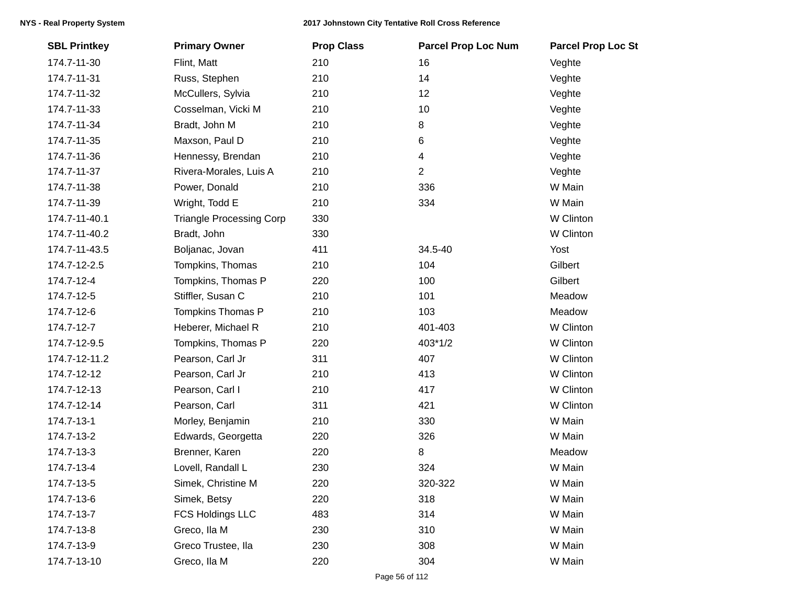| <b>SBL Printkey</b> | <b>Primary Owner</b>            | <b>Prop Class</b> | <b>Parcel Prop Loc Num</b> | <b>Parcel Prop Loc St</b> |
|---------------------|---------------------------------|-------------------|----------------------------|---------------------------|
| 174.7-11-30         | Flint, Matt                     | 210               | 16                         | Veghte                    |
| 174.7-11-31         | Russ, Stephen                   | 210               | 14                         | Veghte                    |
| 174.7-11-32         | McCullers, Sylvia               | 210               | 12                         | Veghte                    |
| 174.7-11-33         | Cosselman, Vicki M              | 210               | 10                         | Veghte                    |
| 174.7-11-34         | Bradt, John M                   | 210               | 8                          | Veghte                    |
| 174.7-11-35         | Maxson, Paul D                  | 210               | 6                          | Veghte                    |
| 174.7-11-36         | Hennessy, Brendan               | 210               | 4                          | Veghte                    |
| 174.7-11-37         | Rivera-Morales, Luis A          | 210               | $\overline{2}$             | Veghte                    |
| 174.7-11-38         | Power, Donald                   | 210               | 336                        | W Main                    |
| 174.7-11-39         | Wright, Todd E                  | 210               | 334                        | W Main                    |
| 174.7-11-40.1       | <b>Triangle Processing Corp</b> | 330               |                            | W Clinton                 |
| 174.7-11-40.2       | Bradt, John                     | 330               |                            | W Clinton                 |
| 174.7-11-43.5       | Boljanac, Jovan                 | 411               | 34.5-40                    | Yost                      |
| 174.7-12-2.5        | Tompkins, Thomas                | 210               | 104                        | Gilbert                   |
| 174.7-12-4          | Tompkins, Thomas P              | 220               | 100                        | Gilbert                   |
| 174.7-12-5          | Stiffler, Susan C               | 210               | 101                        | Meadow                    |
| 174.7-12-6          | Tompkins Thomas P               | 210               | 103                        | Meadow                    |
| 174.7-12-7          | Heberer, Michael R              | 210               | 401-403                    | W Clinton                 |
| 174.7-12-9.5        | Tompkins, Thomas P              | 220               | 403*1/2                    | W Clinton                 |
| 174.7-12-11.2       | Pearson, Carl Jr                | 311               | 407                        | W Clinton                 |
| 174.7-12-12         | Pearson, Carl Jr                | 210               | 413                        | W Clinton                 |
| 174.7-12-13         | Pearson, Carl I                 | 210               | 417                        | W Clinton                 |
| 174.7-12-14         | Pearson, Carl                   | 311               | 421                        | W Clinton                 |
| 174.7-13-1          | Morley, Benjamin                | 210               | 330                        | W Main                    |
| 174.7-13-2          | Edwards, Georgetta              | 220               | 326                        | W Main                    |
| 174.7-13-3          | Brenner, Karen                  | 220               | 8                          | Meadow                    |
| 174.7-13-4          | Lovell, Randall L               | 230               | 324                        | W Main                    |
| 174.7-13-5          | Simek, Christine M              | 220               | 320-322                    | W Main                    |
| 174.7-13-6          | Simek, Betsy                    | 220               | 318                        | W Main                    |
| 174.7-13-7          | <b>FCS Holdings LLC</b>         | 483               | 314                        | W Main                    |
| 174.7-13-8          | Greco, Ila M                    | 230               | 310                        | W Main                    |
| 174.7-13-9          | Greco Trustee, lla              | 230               | 308                        | W Main                    |
| 174.7-13-10         | Greco, Ila M                    | 220               | 304                        | W Main                    |
|                     |                                 |                   |                            |                           |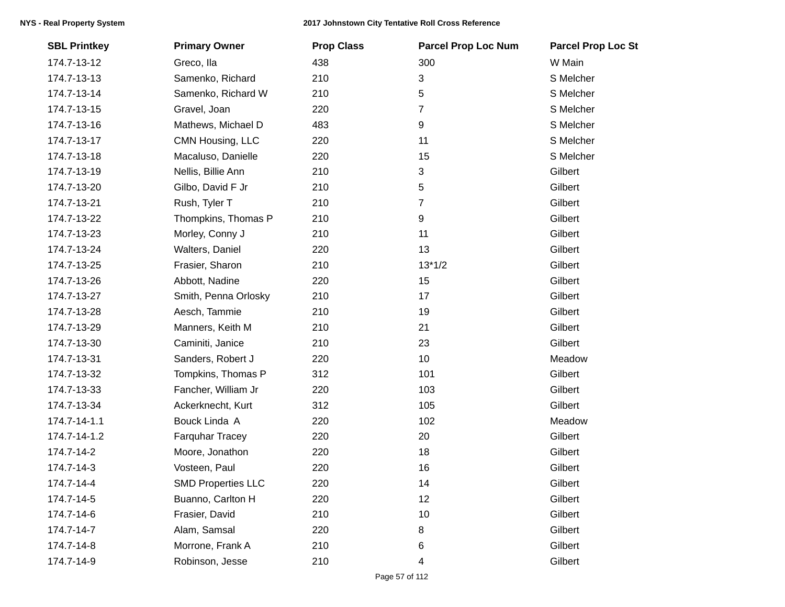| <b>SBL Printkey</b> | <b>Primary Owner</b>      | <b>Prop Class</b> | <b>Parcel Prop Loc Num</b> | <b>Parcel Prop Loc St</b> |
|---------------------|---------------------------|-------------------|----------------------------|---------------------------|
| 174.7-13-12         | Greco, lla                | 438               | 300                        | W Main                    |
| 174.7-13-13         | Samenko, Richard          | 210               | 3                          | S Melcher                 |
| 174.7-13-14         | Samenko, Richard W        | 210               | 5                          | S Melcher                 |
| 174.7-13-15         | Gravel, Joan              | 220               | 7                          | S Melcher                 |
| 174.7-13-16         | Mathews, Michael D        | 483               | 9                          | S Melcher                 |
| 174.7-13-17         | CMN Housing, LLC          | 220               | 11                         | S Melcher                 |
| 174.7-13-18         | Macaluso, Danielle        | 220               | 15                         | S Melcher                 |
| 174.7-13-19         | Nellis, Billie Ann        | 210               | 3                          | Gilbert                   |
| 174.7-13-20         | Gilbo, David F Jr         | 210               | 5                          | Gilbert                   |
| 174.7-13-21         | Rush, Tyler T             | 210               | 7                          | Gilbert                   |
| 174.7-13-22         | Thompkins, Thomas P       | 210               | 9                          | Gilbert                   |
| 174.7-13-23         | Morley, Conny J           | 210               | 11                         | Gilbert                   |
| 174.7-13-24         | Walters, Daniel           | 220               | 13                         | Gilbert                   |
| 174.7-13-25         | Frasier, Sharon           | 210               | $13*1/2$                   | Gilbert                   |
| 174.7-13-26         | Abbott, Nadine            | 220               | 15                         | Gilbert                   |
| 174.7-13-27         | Smith, Penna Orlosky      | 210               | 17                         | Gilbert                   |
| 174.7-13-28         | Aesch, Tammie             | 210               | 19                         | Gilbert                   |
| 174.7-13-29         | Manners, Keith M          | 210               | 21                         | Gilbert                   |
| 174.7-13-30         | Caminiti, Janice          | 210               | 23                         | Gilbert                   |
| 174.7-13-31         | Sanders, Robert J         | 220               | 10                         | Meadow                    |
| 174.7-13-32         | Tompkins, Thomas P        | 312               | 101                        | Gilbert                   |
| 174.7-13-33         | Fancher, William Jr       | 220               | 103                        | Gilbert                   |
| 174.7-13-34         | Ackerknecht, Kurt         | 312               | 105                        | Gilbert                   |
| 174.7-14-1.1        | Bouck Linda A             | 220               | 102                        | Meadow                    |
| 174.7-14-1.2        | Farquhar Tracey           | 220               | 20                         | Gilbert                   |
| 174.7-14-2          | Moore, Jonathon           | 220               | 18                         | Gilbert                   |
| 174.7-14-3          | Vosteen, Paul             | 220               | 16                         | Gilbert                   |
| 174.7-14-4          | <b>SMD Properties LLC</b> | 220               | 14                         | Gilbert                   |
| 174.7-14-5          | Buanno, Carlton H         | 220               | 12                         | Gilbert                   |
| 174.7-14-6          | Frasier, David            | 210               | 10                         | Gilbert                   |
| 174.7-14-7          | Alam, Samsal              | 220               | 8                          | Gilbert                   |
| 174.7-14-8          | Morrone, Frank A          | 210               | 6                          | Gilbert                   |
| 174.7-14-9          | Robinson, Jesse           | 210               | 4                          | Gilbert                   |
|                     |                           |                   |                            |                           |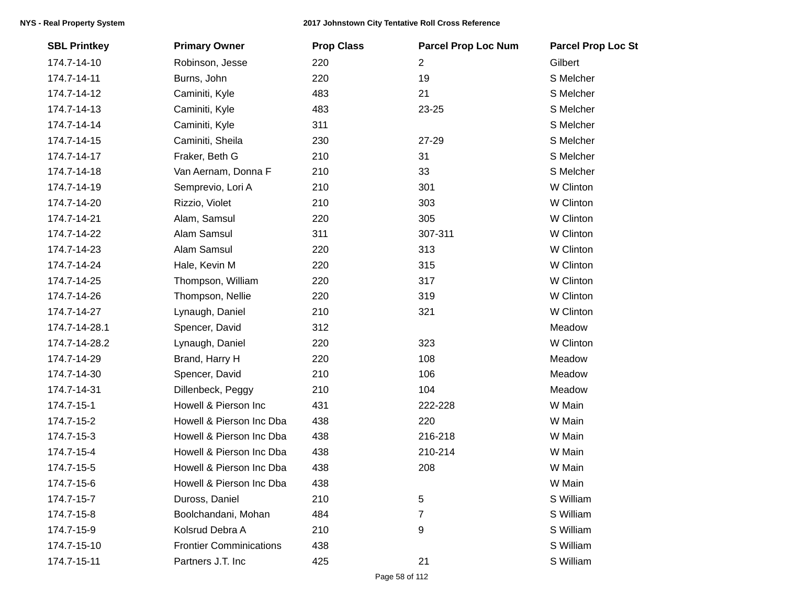| <b>SBL Printkey</b> | <b>Primary Owner</b>           | <b>Prop Class</b> | <b>Parcel Prop Loc Num</b> | <b>Parcel Prop Loc St</b> |
|---------------------|--------------------------------|-------------------|----------------------------|---------------------------|
| 174.7-14-10         | Robinson, Jesse                | 220               | $\overline{2}$             | Gilbert                   |
| 174.7-14-11         | Burns, John                    | 220               | 19                         | S Melcher                 |
| 174.7-14-12         | Caminiti, Kyle                 | 483               | 21                         | S Melcher                 |
| 174.7-14-13         | Caminiti, Kyle                 | 483               | 23-25                      | S Melcher                 |
| 174.7-14-14         | Caminiti, Kyle                 | 311               |                            | S Melcher                 |
| 174.7-14-15         | Caminiti, Sheila               | 230               | 27-29                      | S Melcher                 |
| 174.7-14-17         | Fraker, Beth G                 | 210               | 31                         | S Melcher                 |
| 174.7-14-18         | Van Aernam, Donna F            | 210               | 33                         | S Melcher                 |
| 174.7-14-19         | Semprevio, Lori A              | 210               | 301                        | W Clinton                 |
| 174.7-14-20         | Rizzio, Violet                 | 210               | 303                        | W Clinton                 |
| 174.7-14-21         | Alam, Samsul                   | 220               | 305                        | W Clinton                 |
| 174.7-14-22         | Alam Samsul                    | 311               | 307-311                    | W Clinton                 |
| 174.7-14-23         | Alam Samsul                    | 220               | 313                        | W Clinton                 |
| 174.7-14-24         | Hale, Kevin M                  | 220               | 315                        | W Clinton                 |
| 174.7-14-25         | Thompson, William              | 220               | 317                        | W Clinton                 |
| 174.7-14-26         | Thompson, Nellie               | 220               | 319                        | W Clinton                 |
| 174.7-14-27         | Lynaugh, Daniel                | 210               | 321                        | W Clinton                 |
| 174.7-14-28.1       | Spencer, David                 | 312               |                            | Meadow                    |
| 174.7-14-28.2       | Lynaugh, Daniel                | 220               | 323                        | W Clinton                 |
| 174.7-14-29         | Brand, Harry H                 | 220               | 108                        | Meadow                    |
| 174.7-14-30         | Spencer, David                 | 210               | 106                        | Meadow                    |
| 174.7-14-31         | Dillenbeck, Peggy              | 210               | 104                        | Meadow                    |
| 174.7-15-1          | Howell & Pierson Inc           | 431               | 222-228                    | W Main                    |
| 174.7-15-2          | Howell & Pierson Inc Dba       | 438               | 220                        | W Main                    |
| 174.7-15-3          | Howell & Pierson Inc Dba       | 438               | 216-218                    | W Main                    |
| 174.7-15-4          | Howell & Pierson Inc Dba       | 438               | 210-214                    | W Main                    |
| 174.7-15-5          | Howell & Pierson Inc Dba       | 438               | 208                        | W Main                    |
| 174.7-15-6          | Howell & Pierson Inc Dba       | 438               |                            | W Main                    |
| 174.7-15-7          | Duross, Daniel                 | 210               | $\sqrt{5}$                 | S William                 |
| 174.7-15-8          | Boolchandani, Mohan            | 484               | 7                          | S William                 |
| 174.7-15-9          | Kolsrud Debra A                | 210               | 9                          | S William                 |
| 174.7-15-10         | <b>Frontier Comminications</b> | 438               |                            | S William                 |
| 174.7-15-11         | Partners J.T. Inc              | 425               | 21                         | S William                 |
|                     |                                |                   |                            |                           |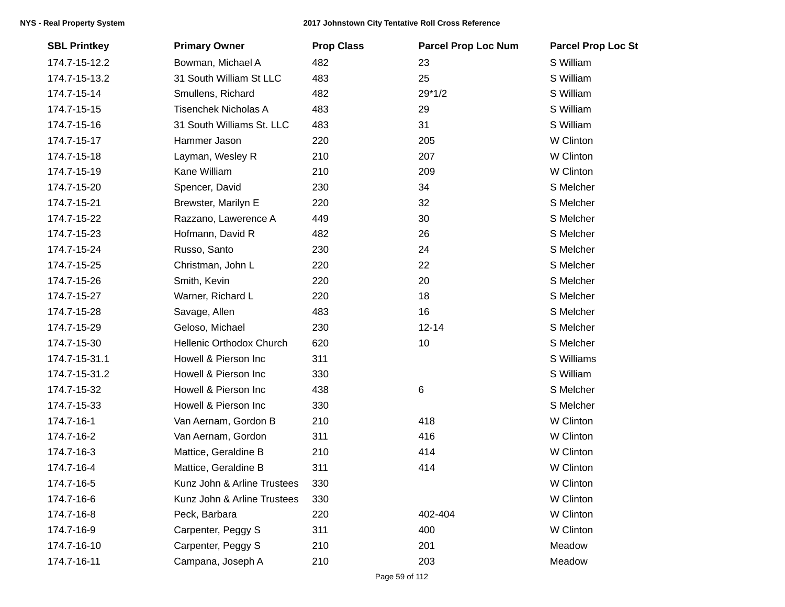| <b>SBL Printkey</b> | <b>Primary Owner</b>        | <b>Prop Class</b> | <b>Parcel Prop Loc Num</b> | <b>Parcel Prop Loc St</b> |
|---------------------|-----------------------------|-------------------|----------------------------|---------------------------|
| 174.7-15-12.2       | Bowman, Michael A           | 482               | 23                         | S William                 |
| 174.7-15-13.2       | 31 South William St LLC     | 483               | 25                         | S William                 |
| 174.7-15-14         | Smullens, Richard           | 482               | $29*1/2$                   | S William                 |
| 174.7-15-15         | <b>Tisenchek Nicholas A</b> | 483               | 29                         | S William                 |
| 174.7-15-16         | 31 South Williams St. LLC   | 483               | 31                         | S William                 |
| 174.7-15-17         | Hammer Jason                | 220               | 205                        | W Clinton                 |
| 174.7-15-18         | Layman, Wesley R            | 210               | 207                        | W Clinton                 |
| 174.7-15-19         | Kane William                | 210               | 209                        | W Clinton                 |
| 174.7-15-20         | Spencer, David              | 230               | 34                         | S Melcher                 |
| 174.7-15-21         | Brewster, Marilyn E         | 220               | 32                         | S Melcher                 |
| 174.7-15-22         | Razzano, Lawerence A        | 449               | 30                         | S Melcher                 |
| 174.7-15-23         | Hofmann, David R            | 482               | 26                         | S Melcher                 |
| 174.7-15-24         | Russo, Santo                | 230               | 24                         | S Melcher                 |
| 174.7-15-25         | Christman, John L           | 220               | 22                         | S Melcher                 |
| 174.7-15-26         | Smith, Kevin                | 220               | 20                         | S Melcher                 |
| 174.7-15-27         | Warner, Richard L           | 220               | 18                         | S Melcher                 |
| 174.7-15-28         | Savage, Allen               | 483               | 16                         | S Melcher                 |
| 174.7-15-29         | Geloso, Michael             | 230               | $12 - 14$                  | S Melcher                 |
| 174.7-15-30         | Hellenic Orthodox Church    | 620               | 10                         | S Melcher                 |
| 174.7-15-31.1       | Howell & Pierson Inc        | 311               |                            | S Williams                |
| 174.7-15-31.2       | Howell & Pierson Inc        | 330               |                            | S William                 |
| 174.7-15-32         | Howell & Pierson Inc        | 438               | 6                          | S Melcher                 |
| 174.7-15-33         | Howell & Pierson Inc        | 330               |                            | S Melcher                 |
| 174.7-16-1          | Van Aernam, Gordon B        | 210               | 418                        | W Clinton                 |
| 174.7-16-2          | Van Aernam, Gordon          | 311               | 416                        | W Clinton                 |
| 174.7-16-3          | Mattice, Geraldine B        | 210               | 414                        | W Clinton                 |
| 174.7-16-4          | Mattice, Geraldine B        | 311               | 414                        | W Clinton                 |
| 174.7-16-5          | Kunz John & Arline Trustees | 330               |                            | W Clinton                 |
| 174.7-16-6          | Kunz John & Arline Trustees | 330               |                            | W Clinton                 |
| 174.7-16-8          | Peck, Barbara               | 220               | 402-404                    | W Clinton                 |
| 174.7-16-9          | Carpenter, Peggy S          | 311               | 400                        | W Clinton                 |
| 174.7-16-10         | Carpenter, Peggy S          | 210               | 201                        | Meadow                    |
| 174.7-16-11         | Campana, Joseph A           | 210               | 203                        | Meadow                    |
|                     |                             |                   |                            |                           |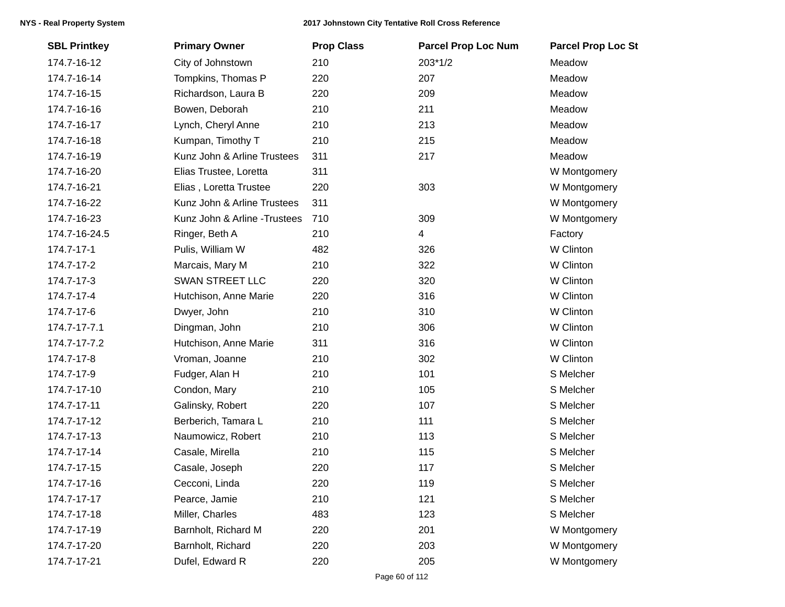| <b>SBL Printkey</b> | <b>Primary Owner</b>          | <b>Prop Class</b> | <b>Parcel Prop Loc Num</b> | <b>Parcel Prop Loc St</b> |
|---------------------|-------------------------------|-------------------|----------------------------|---------------------------|
| 174.7-16-12         | City of Johnstown             | 210               | 203*1/2                    | Meadow                    |
| 174.7-16-14         | Tompkins, Thomas P            | 220               | 207                        | Meadow                    |
| 174.7-16-15         | Richardson, Laura B           | 220               | 209                        | Meadow                    |
| 174.7-16-16         | Bowen, Deborah                | 210               | 211                        | Meadow                    |
| 174.7-16-17         | Lynch, Cheryl Anne            | 210               | 213                        | Meadow                    |
| 174.7-16-18         | Kumpan, Timothy T             | 210               | 215                        | Meadow                    |
| 174.7-16-19         | Kunz John & Arline Trustees   | 311               | 217                        | Meadow                    |
| 174.7-16-20         | Elias Trustee, Loretta        | 311               |                            | W Montgomery              |
| 174.7-16-21         | Elias, Loretta Trustee        | 220               | 303                        | W Montgomery              |
| 174.7-16-22         | Kunz John & Arline Trustees   | 311               |                            | W Montgomery              |
| 174.7-16-23         | Kunz John & Arline - Trustees | 710               | 309                        | W Montgomery              |
| 174.7-16-24.5       | Ringer, Beth A                | 210               | $\overline{4}$             | Factory                   |
| 174.7-17-1          | Pulis, William W              | 482               | 326                        | W Clinton                 |
| 174.7-17-2          | Marcais, Mary M               | 210               | 322                        | W Clinton                 |
| 174.7-17-3          | <b>SWAN STREET LLC</b>        | 220               | 320                        | W Clinton                 |
| 174.7-17-4          | Hutchison, Anne Marie         | 220               | 316                        | W Clinton                 |
| 174.7-17-6          | Dwyer, John                   | 210               | 310                        | W Clinton                 |
| 174.7-17-7.1        | Dingman, John                 | 210               | 306                        | W Clinton                 |
| 174.7-17-7.2        | Hutchison, Anne Marie         | 311               | 316                        | W Clinton                 |
| 174.7-17-8          | Vroman, Joanne                | 210               | 302                        | W Clinton                 |
| 174.7-17-9          | Fudger, Alan H                | 210               | 101                        | S Melcher                 |
| 174.7-17-10         | Condon, Mary                  | 210               | 105                        | S Melcher                 |
| 174.7-17-11         | Galinsky, Robert              | 220               | 107                        | S Melcher                 |
| 174.7-17-12         | Berberich, Tamara L           | 210               | 111                        | S Melcher                 |
| 174.7-17-13         | Naumowicz, Robert             | 210               | 113                        | S Melcher                 |
| 174.7-17-14         | Casale, Mirella               | 210               | 115                        | S Melcher                 |
| 174.7-17-15         | Casale, Joseph                | 220               | 117                        | S Melcher                 |
| 174.7-17-16         | Cecconi, Linda                | 220               | 119                        | S Melcher                 |
| 174.7-17-17         | Pearce, Jamie                 | 210               | 121                        | S Melcher                 |
| 174.7-17-18         | Miller, Charles               | 483               | 123                        | S Melcher                 |
| 174.7-17-19         | Barnholt, Richard M           | 220               | 201                        | W Montgomery              |
| 174.7-17-20         | Barnholt, Richard             | 220               | 203                        | W Montgomery              |
| 174.7-17-21         | Dufel, Edward R               | 220               | 205                        | W Montgomery              |
|                     |                               |                   |                            |                           |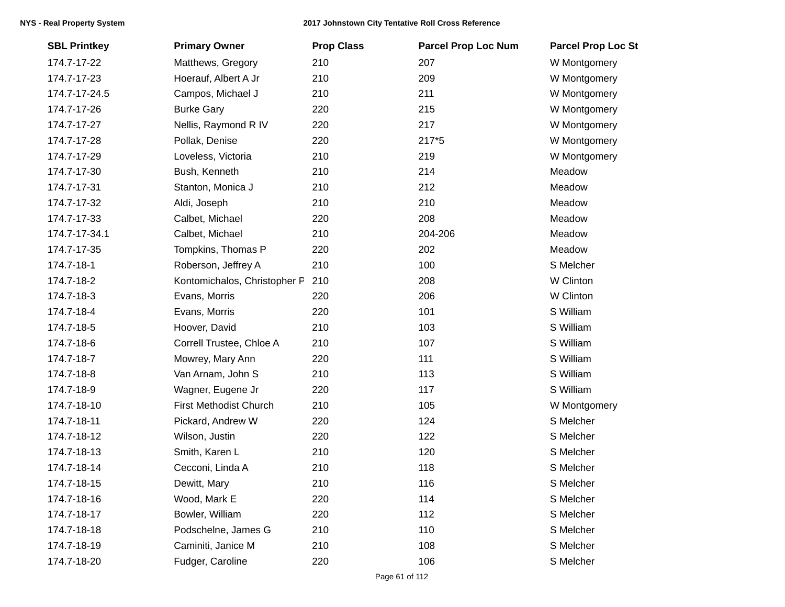| <b>SBL Printkey</b> | <b>Primary Owner</b>          | <b>Prop Class</b> | <b>Parcel Prop Loc Num</b> | <b>Parcel Prop Loc St</b> |
|---------------------|-------------------------------|-------------------|----------------------------|---------------------------|
| 174.7-17-22         | Matthews, Gregory             | 210               | 207                        | W Montgomery              |
| 174.7-17-23         | Hoerauf, Albert A Jr          | 210               | 209                        | W Montgomery              |
| 174.7-17-24.5       | Campos, Michael J             | 210               | 211                        | W Montgomery              |
| 174.7-17-26         | <b>Burke Gary</b>             | 220               | 215                        | W Montgomery              |
| 174.7-17-27         | Nellis, Raymond R IV          | 220               | 217                        | W Montgomery              |
| 174.7-17-28         | Pollak, Denise                | 220               | 217*5                      | W Montgomery              |
| 174.7-17-29         | Loveless, Victoria            | 210               | 219                        | W Montgomery              |
| 174.7-17-30         | Bush, Kenneth                 | 210               | 214                        | Meadow                    |
| 174.7-17-31         | Stanton, Monica J             | 210               | 212                        | Meadow                    |
| 174.7-17-32         | Aldi, Joseph                  | 210               | 210                        | Meadow                    |
| 174.7-17-33         | Calbet, Michael               | 220               | 208                        | Meadow                    |
| 174.7-17-34.1       | Calbet, Michael               | 210               | 204-206                    | Meadow                    |
| 174.7-17-35         | Tompkins, Thomas P            | 220               | 202                        | Meadow                    |
| 174.7-18-1          | Roberson, Jeffrey A           | 210               | 100                        | S Melcher                 |
| 174.7-18-2          | Kontomichalos, Christopher P  | 210               | 208                        | W Clinton                 |
| 174.7-18-3          | Evans, Morris                 | 220               | 206                        | W Clinton                 |
| 174.7-18-4          | Evans, Morris                 | 220               | 101                        | S William                 |
| 174.7-18-5          | Hoover, David                 | 210               | 103                        | S William                 |
| 174.7-18-6          | Correll Trustee, Chloe A      | 210               | 107                        | S William                 |
| 174.7-18-7          | Mowrey, Mary Ann              | 220               | 111                        | S William                 |
| 174.7-18-8          | Van Arnam, John S             | 210               | 113                        | S William                 |
| 174.7-18-9          | Wagner, Eugene Jr             | 220               | 117                        | S William                 |
| 174.7-18-10         | <b>First Methodist Church</b> | 210               | 105                        | W Montgomery              |
| 174.7-18-11         | Pickard, Andrew W             | 220               | 124                        | S Melcher                 |
| 174.7-18-12         | Wilson, Justin                | 220               | 122                        | S Melcher                 |
| 174.7-18-13         | Smith, Karen L                | 210               | 120                        | S Melcher                 |
| 174.7-18-14         | Cecconi, Linda A              | 210               | 118                        | S Melcher                 |
| 174.7-18-15         | Dewitt, Mary                  | 210               | 116                        | S Melcher                 |
| 174.7-18-16         | Wood, Mark E                  | 220               | 114                        | S Melcher                 |
| 174.7-18-17         | Bowler, William               | 220               | 112                        | S Melcher                 |
| 174.7-18-18         | Podschelne, James G           | 210               | 110                        | S Melcher                 |
| 174.7-18-19         | Caminiti, Janice M            | 210               | 108                        | S Melcher                 |
| 174.7-18-20         | Fudger, Caroline              | 220               | 106                        | S Melcher                 |
|                     |                               |                   |                            |                           |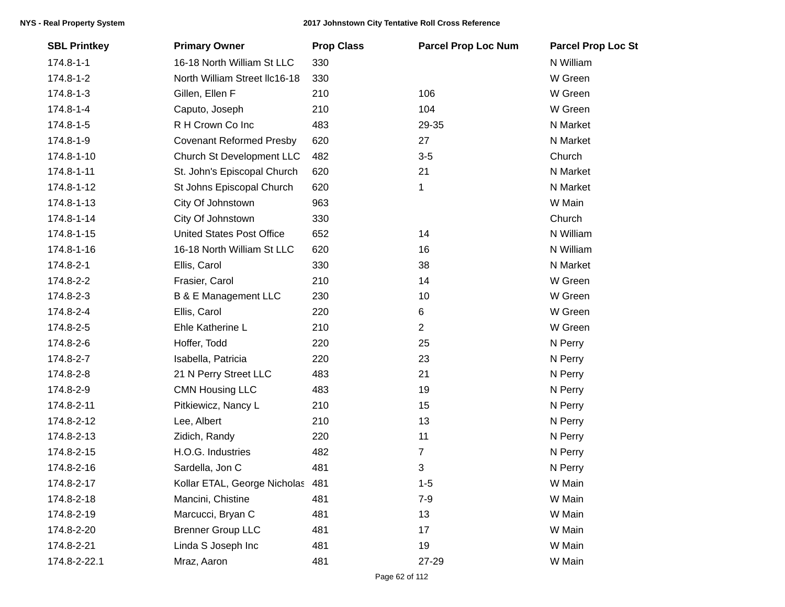| <b>SBL Printkey</b> | <b>Primary Owner</b>             | <b>Prop Class</b> | <b>Parcel Prop Loc Num</b> | <b>Parcel Prop Loc St</b> |
|---------------------|----------------------------------|-------------------|----------------------------|---------------------------|
| $174.8 - 1 - 1$     | 16-18 North William St LLC       | 330               |                            | N William                 |
| 174.8-1-2           | North William Street Ilc16-18    | 330               |                            | W Green                   |
| 174.8-1-3           | Gillen, Ellen F                  | 210               | 106                        | W Green                   |
| 174.8-1-4           | Caputo, Joseph                   | 210               | 104                        | W Green                   |
| 174.8-1-5           | R H Crown Co Inc                 | 483               | 29-35                      | N Market                  |
| 174.8-1-9           | <b>Covenant Reformed Presby</b>  | 620               | 27                         | N Market                  |
| 174.8-1-10          | Church St Development LLC        | 482               | $3-5$                      | Church                    |
| 174.8-1-11          | St. John's Episcopal Church      | 620               | 21                         | N Market                  |
| 174.8-1-12          | St Johns Episcopal Church        | 620               | 1                          | N Market                  |
| 174.8-1-13          | City Of Johnstown                | 963               |                            | W Main                    |
| 174.8-1-14          | City Of Johnstown                | 330               |                            | Church                    |
| 174.8-1-15          | <b>United States Post Office</b> | 652               | 14                         | N William                 |
| 174.8-1-16          | 16-18 North William St LLC       | 620               | 16                         | N William                 |
| 174.8-2-1           | Ellis, Carol                     | 330               | 38                         | N Market                  |
| 174.8-2-2           | Frasier, Carol                   | 210               | 14                         | W Green                   |
| 174.8-2-3           | <b>B &amp; E Management LLC</b>  | 230               | 10                         | W Green                   |
| 174.8-2-4           | Ellis, Carol                     | 220               | 6                          | W Green                   |
| 174.8-2-5           | Ehle Katherine L                 | 210               | $\overline{2}$             | W Green                   |
| 174.8-2-6           | Hoffer, Todd                     | 220               | 25                         | N Perry                   |
| 174.8-2-7           | Isabella, Patricia               | 220               | 23                         | N Perry                   |
| 174.8-2-8           | 21 N Perry Street LLC            | 483               | 21                         | N Perry                   |
| 174.8-2-9           | <b>CMN Housing LLC</b>           | 483               | 19                         | N Perry                   |
| 174.8-2-11          | Pitkiewicz, Nancy L              | 210               | 15                         | N Perry                   |
| 174.8-2-12          | Lee, Albert                      | 210               | 13                         | N Perry                   |
| 174.8-2-13          | Zidich, Randy                    | 220               | 11                         | N Perry                   |
| 174.8-2-15          | H.O.G. Industries                | 482               | $\overline{7}$             | N Perry                   |
| 174.8-2-16          | Sardella, Jon C                  | 481               | 3                          | N Perry                   |
| 174.8-2-17          | Kollar ETAL, George Nicholas 481 |                   | $1 - 5$                    | W Main                    |
| 174.8-2-18          | Mancini, Chistine                | 481               | $7 - 9$                    | W Main                    |
| 174.8-2-19          | Marcucci, Bryan C                | 481               | 13                         | W Main                    |
| 174.8-2-20          | <b>Brenner Group LLC</b>         | 481               | 17                         | W Main                    |
| 174.8-2-21          | Linda S Joseph Inc               | 481               | 19                         | W Main                    |
| 174.8-2-22.1        | Mraz, Aaron                      | 481               | 27-29                      | W Main                    |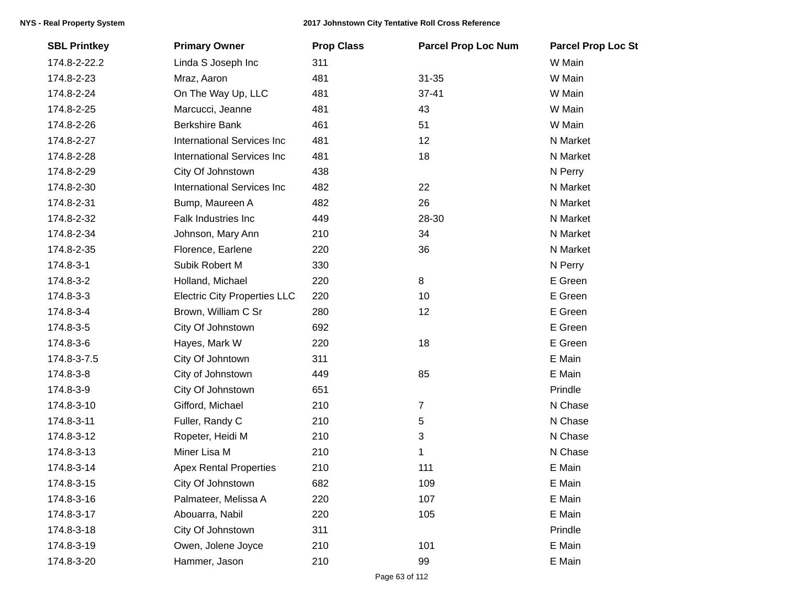| <b>SBL Printkey</b> | <b>Primary Owner</b>                | <b>Prop Class</b> | <b>Parcel Prop Loc Num</b> | <b>Parcel Prop Loc St</b> |
|---------------------|-------------------------------------|-------------------|----------------------------|---------------------------|
| 174.8-2-22.2        | Linda S Joseph Inc                  | 311               |                            | W Main                    |
| 174.8-2-23          | Mraz, Aaron                         | 481               | $31 - 35$                  | W Main                    |
| 174.8-2-24          | On The Way Up, LLC                  | 481               | $37 - 41$                  | W Main                    |
| 174.8-2-25          | Marcucci, Jeanne                    | 481               | 43                         | W Main                    |
| 174.8-2-26          | <b>Berkshire Bank</b>               | 461               | 51                         | W Main                    |
| 174.8-2-27          | <b>International Services Inc</b>   | 481               | 12                         | N Market                  |
| 174.8-2-28          | <b>International Services Inc</b>   | 481               | 18                         | N Market                  |
| 174.8-2-29          | City Of Johnstown                   | 438               |                            | N Perry                   |
| 174.8-2-30          | <b>International Services Inc</b>   | 482               | 22                         | N Market                  |
| 174.8-2-31          | Bump, Maureen A                     | 482               | 26                         | N Market                  |
| 174.8-2-32          | Falk Industries Inc                 | 449               | 28-30                      | N Market                  |
| 174.8-2-34          | Johnson, Mary Ann                   | 210               | 34                         | N Market                  |
| 174.8-2-35          | Florence, Earlene                   | 220               | 36                         | N Market                  |
| 174.8-3-1           | Subik Robert M                      | 330               |                            | N Perry                   |
| 174.8-3-2           | Holland, Michael                    | 220               | $\bf 8$                    | E Green                   |
| 174.8-3-3           | <b>Electric City Properties LLC</b> | 220               | 10                         | E Green                   |
| 174.8-3-4           | Brown, William C Sr                 | 280               | 12                         | E Green                   |
| 174.8-3-5           | City Of Johnstown                   | 692               |                            | E Green                   |
| 174.8-3-6           | Hayes, Mark W                       | 220               | 18                         | E Green                   |
| 174.8-3-7.5         | City Of Johntown                    | 311               |                            | E Main                    |
| 174.8-3-8           | City of Johnstown                   | 449               | 85                         | E Main                    |
| 174.8-3-9           | City Of Johnstown                   | 651               |                            | Prindle                   |
| 174.8-3-10          | Gifford, Michael                    | 210               | $\overline{7}$             | N Chase                   |
| 174.8-3-11          | Fuller, Randy C                     | 210               | 5                          | N Chase                   |
| 174.8-3-12          | Ropeter, Heidi M                    | 210               | 3                          | N Chase                   |
| 174.8-3-13          | Miner Lisa M                        | 210               | 1                          | N Chase                   |
| 174.8-3-14          | <b>Apex Rental Properties</b>       | 210               | 111                        | E Main                    |
| 174.8-3-15          | City Of Johnstown                   | 682               | 109                        | E Main                    |
| 174.8-3-16          | Palmateer, Melissa A                | 220               | 107                        | E Main                    |
| 174.8-3-17          | Abouarra, Nabil                     | 220               | 105                        | E Main                    |
| 174.8-3-18          | City Of Johnstown                   | 311               |                            | Prindle                   |
| 174.8-3-19          | Owen, Jolene Joyce                  | 210               | 101                        | E Main                    |
| 174.8-3-20          | Hammer, Jason                       | 210               | 99                         | E Main                    |
|                     |                                     |                   |                            |                           |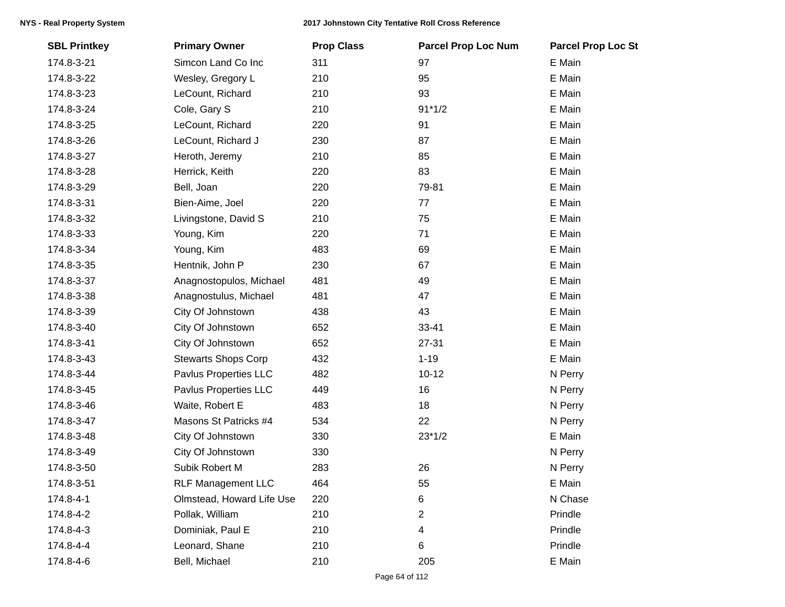| <b>SBL Printkey</b> | <b>Primary Owner</b>       | <b>Prop Class</b> | <b>Parcel Prop Loc Num</b> | <b>Parcel Prop Loc St</b> |
|---------------------|----------------------------|-------------------|----------------------------|---------------------------|
| 174.8-3-21          | Simcon Land Co Inc         | 311               | 97                         | E Main                    |
| 174.8-3-22          | Wesley, Gregory L          | 210               | 95                         | E Main                    |
| 174.8-3-23          | LeCount, Richard           | 210               | 93                         | E Main                    |
| 174.8-3-24          | Cole, Gary S               | 210               | $91*1/2$                   | E Main                    |
| 174.8-3-25          | LeCount, Richard           | 220               | 91                         | E Main                    |
| 174.8-3-26          | LeCount, Richard J         | 230               | 87                         | E Main                    |
| 174.8-3-27          | Heroth, Jeremy             | 210               | 85                         | E Main                    |
| 174.8-3-28          | Herrick, Keith             | 220               | 83                         | E Main                    |
| 174.8-3-29          | Bell, Joan                 | 220               | 79-81                      | E Main                    |
| 174.8-3-31          | Bien-Aime, Joel            | 220               | 77                         | E Main                    |
| 174.8-3-32          | Livingstone, David S       | 210               | 75                         | E Main                    |
| 174.8-3-33          | Young, Kim                 | 220               | 71                         | E Main                    |
| 174.8-3-34          | Young, Kim                 | 483               | 69                         | E Main                    |
| 174.8-3-35          | Hentnik, John P            | 230               | 67                         | E Main                    |
| 174.8-3-37          | Anagnostopulos, Michael    | 481               | 49                         | E Main                    |
| 174.8-3-38          | Anagnostulus, Michael      | 481               | 47                         | E Main                    |
| 174.8-3-39          | City Of Johnstown          | 438               | 43                         | E Main                    |
| 174.8-3-40          | City Of Johnstown          | 652               | 33-41                      | E Main                    |
| 174.8-3-41          | City Of Johnstown          | 652               | 27-31                      | E Main                    |
| 174.8-3-43          | <b>Stewarts Shops Corp</b> | 432               | $1 - 19$                   | E Main                    |
| 174.8-3-44          | Pavlus Properties LLC      | 482               | $10 - 12$                  | N Perry                   |
| 174.8-3-45          | Pavlus Properties LLC      | 449               | 16                         | N Perry                   |
| 174.8-3-46          | Waite, Robert E            | 483               | 18                         | N Perry                   |
| 174.8-3-47          | Masons St Patricks #4      | 534               | 22                         | N Perry                   |
| 174.8-3-48          | City Of Johnstown          | 330               | $23*1/2$                   | E Main                    |
| 174.8-3-49          | City Of Johnstown          | 330               |                            | N Perry                   |
| 174.8-3-50          | Subik Robert M             | 283               | 26                         | N Perry                   |
| 174.8-3-51          | <b>RLF Management LLC</b>  | 464               | 55                         | E Main                    |
| 174.8-4-1           | Olmstead, Howard Life Use  | 220               | 6                          | N Chase                   |
| 174.8-4-2           | Pollak, William            | 210               | 2                          | Prindle                   |
| 174.8-4-3           | Dominiak, Paul E           | 210               | 4                          | Prindle                   |
| 174.8-4-4           | Leonard, Shane             | 210               | 6                          | Prindle                   |
| 174.8-4-6           | Bell, Michael              | 210               | 205                        | E Main                    |
|                     |                            |                   |                            |                           |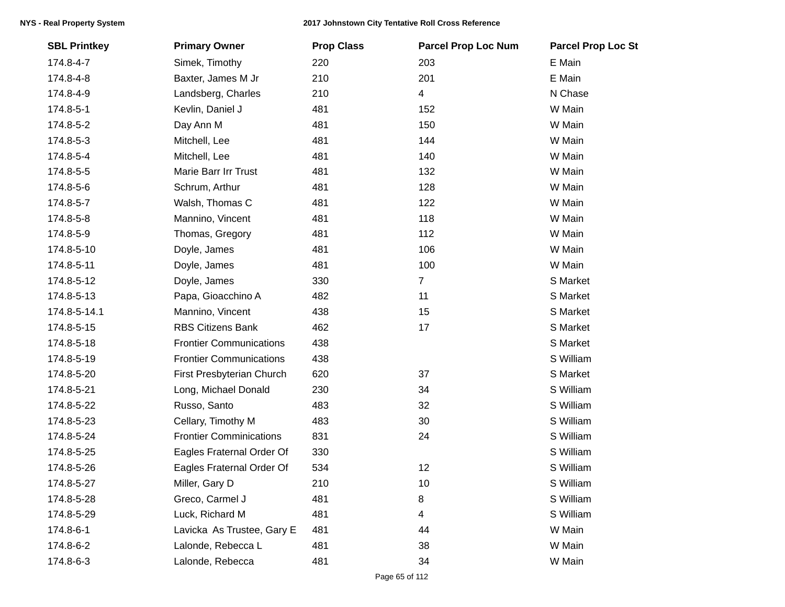| <b>SBL Printkey</b> | <b>Primary Owner</b>           | <b>Prop Class</b> | <b>Parcel Prop Loc Num</b> | <b>Parcel Prop Loc St</b> |
|---------------------|--------------------------------|-------------------|----------------------------|---------------------------|
| 174.8-4-7           | Simek, Timothy                 | 220               | 203                        | E Main                    |
| 174.8-4-8           | Baxter, James M Jr             | 210               | 201                        | E Main                    |
| 174.8-4-9           | Landsberg, Charles             | 210               | 4                          | N Chase                   |
| 174.8-5-1           | Kevlin, Daniel J               | 481               | 152                        | W Main                    |
| 174.8-5-2           | Day Ann M                      | 481               | 150                        | W Main                    |
| 174.8-5-3           | Mitchell, Lee                  | 481               | 144                        | W Main                    |
| 174.8-5-4           | Mitchell, Lee                  | 481               | 140                        | W Main                    |
| 174.8-5-5           | Marie Barr Irr Trust           | 481               | 132                        | W Main                    |
| 174.8-5-6           | Schrum, Arthur                 | 481               | 128                        | W Main                    |
| 174.8-5-7           | Walsh, Thomas C                | 481               | 122                        | W Main                    |
| 174.8-5-8           | Mannino, Vincent               | 481               | 118                        | W Main                    |
| 174.8-5-9           | Thomas, Gregory                | 481               | 112                        | W Main                    |
| 174.8-5-10          | Doyle, James                   | 481               | 106                        | W Main                    |
| 174.8-5-11          | Doyle, James                   | 481               | 100                        | W Main                    |
| 174.8-5-12          | Doyle, James                   | 330               | $\overline{7}$             | S Market                  |
| 174.8-5-13          | Papa, Gioacchino A             | 482               | 11                         | S Market                  |
| 174.8-5-14.1        | Mannino, Vincent               | 438               | 15                         | S Market                  |
| 174.8-5-15          | <b>RBS Citizens Bank</b>       | 462               | 17                         | S Market                  |
| 174.8-5-18          | <b>Frontier Communications</b> | 438               |                            | S Market                  |
| 174.8-5-19          | <b>Frontier Communications</b> | 438               |                            | S William                 |
| 174.8-5-20          | First Presbyterian Church      | 620               | 37                         | S Market                  |
| 174.8-5-21          | Long, Michael Donald           | 230               | 34                         | S William                 |
| 174.8-5-22          | Russo, Santo                   | 483               | 32                         | S William                 |
| 174.8-5-23          | Cellary, Timothy M             | 483               | 30                         | S William                 |
| 174.8-5-24          | <b>Frontier Comminications</b> | 831               | 24                         | S William                 |
| 174.8-5-25          | Eagles Fraternal Order Of      | 330               |                            | S William                 |
| 174.8-5-26          | Eagles Fraternal Order Of      | 534               | 12                         | S William                 |
| 174.8-5-27          | Miller, Gary D                 | 210               | 10                         | S William                 |
| 174.8-5-28          | Greco, Carmel J                | 481               | 8                          | S William                 |
| 174.8-5-29          | Luck, Richard M                | 481               | 4                          | S William                 |
| 174.8-6-1           | Lavicka As Trustee, Gary E     | 481               | 44                         | W Main                    |
| 174.8-6-2           | Lalonde, Rebecca L             | 481               | 38                         | W Main                    |
| 174.8-6-3           | Lalonde, Rebecca               | 481               | 34                         | W Main                    |
|                     |                                |                   |                            |                           |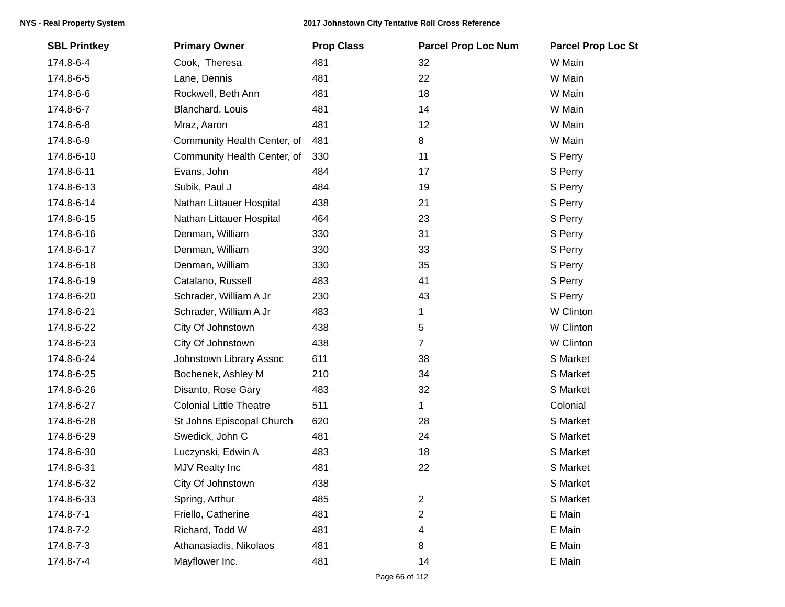| <b>SBL Printkey</b> | <b>Primary Owner</b>           | <b>Prop Class</b> | <b>Parcel Prop Loc Num</b> | <b>Parcel Prop Loc St</b> |
|---------------------|--------------------------------|-------------------|----------------------------|---------------------------|
| 174.8-6-4           | Cook, Theresa                  | 481               | 32                         | W Main                    |
| 174.8-6-5           | Lane, Dennis                   | 481               | 22                         | W Main                    |
| 174.8-6-6           | Rockwell, Beth Ann             | 481               | 18                         | W Main                    |
| 174.8-6-7           | Blanchard, Louis               | 481               | 14                         | W Main                    |
| 174.8-6-8           | Mraz, Aaron                    | 481               | 12                         | W Main                    |
| 174.8-6-9           | Community Health Center, of    | 481               | 8                          | W Main                    |
| 174.8-6-10          | Community Health Center, of    | 330               | 11                         | S Perry                   |
| 174.8-6-11          | Evans, John                    | 484               | 17                         | S Perry                   |
| 174.8-6-13          | Subik, Paul J                  | 484               | 19                         | S Perry                   |
| 174.8-6-14          | Nathan Littauer Hospital       | 438               | 21                         | S Perry                   |
| 174.8-6-15          | Nathan Littauer Hospital       | 464               | 23                         | S Perry                   |
| 174.8-6-16          | Denman, William                | 330               | 31                         | S Perry                   |
| 174.8-6-17          | Denman, William                | 330               | 33                         | S Perry                   |
| 174.8-6-18          | Denman, William                | 330               | 35                         | S Perry                   |
| 174.8-6-19          | Catalano, Russell              | 483               | 41                         | S Perry                   |
| 174.8-6-20          | Schrader, William A Jr         | 230               | 43                         | S Perry                   |
| 174.8-6-21          | Schrader, William A Jr         | 483               | 1                          | W Clinton                 |
| 174.8-6-22          | City Of Johnstown              | 438               | 5                          | W Clinton                 |
| 174.8-6-23          | City Of Johnstown              | 438               | $\overline{7}$             | W Clinton                 |
| 174.8-6-24          | Johnstown Library Assoc        | 611               | 38                         | S Market                  |
| 174.8-6-25          | Bochenek, Ashley M             | 210               | 34                         | S Market                  |
| 174.8-6-26          | Disanto, Rose Gary             | 483               | 32                         | S Market                  |
| 174.8-6-27          | <b>Colonial Little Theatre</b> | 511               | 1                          | Colonial                  |
| 174.8-6-28          | St Johns Episcopal Church      | 620               | 28                         | S Market                  |
| 174.8-6-29          | Swedick, John C                | 481               | 24                         | S Market                  |
| 174.8-6-30          | Luczynski, Edwin A             | 483               | 18                         | S Market                  |
| 174.8-6-31          | MJV Realty Inc                 | 481               | 22                         | S Market                  |
| 174.8-6-32          | City Of Johnstown              | 438               |                            | S Market                  |
| 174.8-6-33          | Spring, Arthur                 | 485               | $\overline{2}$             | S Market                  |
| 174.8-7-1           | Friello, Catherine             | 481               | 2                          | E Main                    |
| 174.8-7-2           | Richard, Todd W                | 481               | 4                          | E Main                    |
| 174.8-7-3           | Athanasiadis, Nikolaos         | 481               | 8                          | E Main                    |
| 174.8-7-4           | Mayflower Inc.                 | 481               | 14                         | E Main                    |
|                     |                                |                   |                            |                           |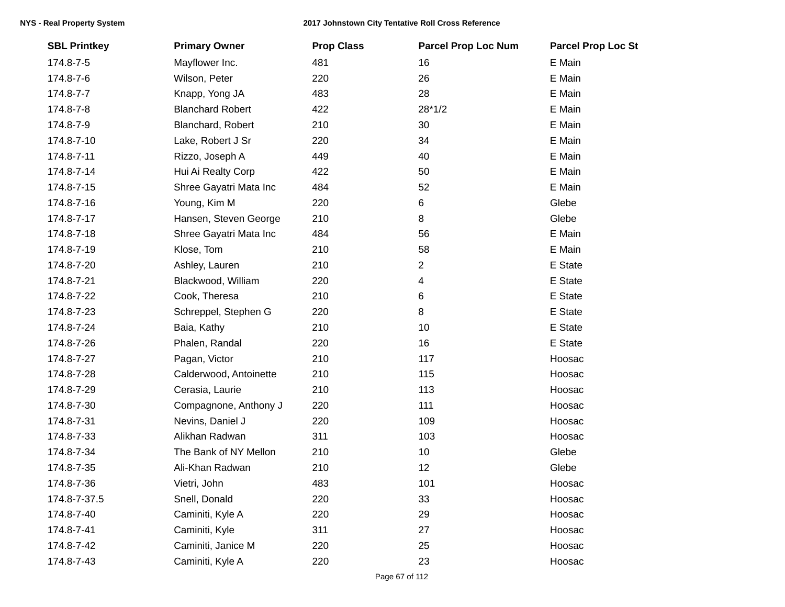| <b>SBL Printkey</b> | <b>Primary Owner</b>    | <b>Prop Class</b> | <b>Parcel Prop Loc Num</b> | <b>Parcel Prop Loc St</b> |
|---------------------|-------------------------|-------------------|----------------------------|---------------------------|
| 174.8-7-5           | Mayflower Inc.          | 481               | 16                         | E Main                    |
| 174.8-7-6           | Wilson, Peter           | 220               | 26                         | E Main                    |
| 174.8-7-7           | Knapp, Yong JA          | 483               | 28                         | E Main                    |
| 174.8-7-8           | <b>Blanchard Robert</b> | 422               | $28*1/2$                   | E Main                    |
| 174.8-7-9           | Blanchard, Robert       | 210               | 30                         | E Main                    |
| 174.8-7-10          | Lake, Robert J Sr       | 220               | 34                         | E Main                    |
| 174.8-7-11          | Rizzo, Joseph A         | 449               | 40                         | E Main                    |
| 174.8-7-14          | Hui Ai Realty Corp      | 422               | 50                         | E Main                    |
| 174.8-7-15          | Shree Gayatri Mata Inc  | 484               | 52                         | E Main                    |
| 174.8-7-16          | Young, Kim M            | 220               | 6                          | Glebe                     |
| 174.8-7-17          | Hansen, Steven George   | 210               | 8                          | Glebe                     |
| 174.8-7-18          | Shree Gayatri Mata Inc  | 484               | 56                         | E Main                    |
| 174.8-7-19          | Klose, Tom              | 210               | 58                         | E Main                    |
| 174.8-7-20          | Ashley, Lauren          | 210               | $\overline{2}$             | E State                   |
| 174.8-7-21          | Blackwood, William      | 220               | 4                          | E State                   |
| 174.8-7-22          | Cook, Theresa           | 210               | 6                          | E State                   |
| 174.8-7-23          | Schreppel, Stephen G    | 220               | 8                          | E State                   |
| 174.8-7-24          | Baia, Kathy             | 210               | 10                         | E State                   |
| 174.8-7-26          | Phalen, Randal          | 220               | 16                         | E State                   |
| 174.8-7-27          | Pagan, Victor           | 210               | 117                        | Hoosac                    |
| 174.8-7-28          | Calderwood, Antoinette  | 210               | 115                        | Hoosac                    |
| 174.8-7-29          | Cerasia, Laurie         | 210               | 113                        | Hoosac                    |
| 174.8-7-30          | Compagnone, Anthony J   | 220               | 111                        | Hoosac                    |
| 174.8-7-31          | Nevins, Daniel J        | 220               | 109                        | Hoosac                    |
| 174.8-7-33          | Alikhan Radwan          | 311               | 103                        | Hoosac                    |
| 174.8-7-34          | The Bank of NY Mellon   | 210               | 10                         | Glebe                     |
| 174.8-7-35          | Ali-Khan Radwan         | 210               | 12                         | Glebe                     |
| 174.8-7-36          | Vietri, John            | 483               | 101                        | Hoosac                    |
| 174.8-7-37.5        | Snell, Donald           | 220               | 33                         | Hoosac                    |
| 174.8-7-40          | Caminiti, Kyle A        | 220               | 29                         | Hoosac                    |
| 174.8-7-41          | Caminiti, Kyle          | 311               | 27                         | Hoosac                    |
| 174.8-7-42          | Caminiti, Janice M      | 220               | 25                         | Hoosac                    |
| 174.8-7-43          | Caminiti, Kyle A        | 220               | 23                         | Hoosac                    |
|                     |                         |                   |                            |                           |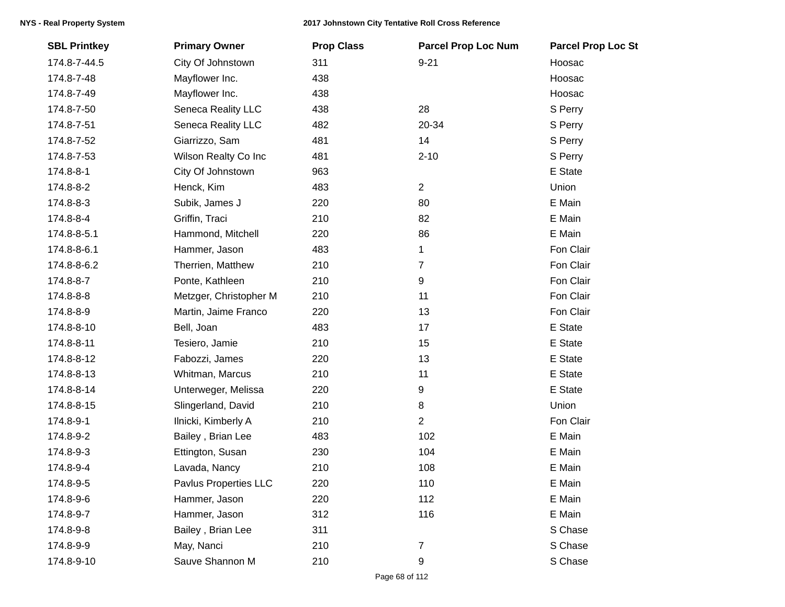| <b>SBL Printkey</b> | <b>Primary Owner</b>   | <b>Prop Class</b> | <b>Parcel Prop Loc Num</b> | <b>Parcel Prop Loc St</b> |
|---------------------|------------------------|-------------------|----------------------------|---------------------------|
| 174.8-7-44.5        | City Of Johnstown      | 311               | $9 - 21$                   | Hoosac                    |
| 174.8-7-48          | Mayflower Inc.         | 438               |                            | Hoosac                    |
| 174.8-7-49          | Mayflower Inc.         | 438               |                            | Hoosac                    |
| 174.8-7-50          | Seneca Reality LLC     | 438               | 28                         | S Perry                   |
| 174.8-7-51          | Seneca Reality LLC     | 482               | 20-34                      | S Perry                   |
| 174.8-7-52          | Giarrizzo, Sam         | 481               | 14                         | S Perry                   |
| 174.8-7-53          | Wilson Realty Co Inc   | 481               | $2 - 10$                   | S Perry                   |
| 174.8-8-1           | City Of Johnstown      | 963               |                            | E State                   |
| 174.8-8-2           | Henck, Kim             | 483               | $\overline{2}$             | Union                     |
| 174.8-8-3           | Subik, James J         | 220               | 80                         | E Main                    |
| 174.8-8-4           | Griffin, Traci         | 210               | 82                         | E Main                    |
| 174.8-8-5.1         | Hammond, Mitchell      | 220               | 86                         | E Main                    |
| 174.8-8-6.1         | Hammer, Jason          | 483               | 1                          | Fon Clair                 |
| 174.8-8-6.2         | Therrien, Matthew      | 210               | $\overline{7}$             | Fon Clair                 |
| 174.8-8-7           | Ponte, Kathleen        | 210               | 9                          | Fon Clair                 |
| 174.8-8-8           | Metzger, Christopher M | 210               | 11                         | Fon Clair                 |
| 174.8-8-9           | Martin, Jaime Franco   | 220               | 13                         | Fon Clair                 |
| 174.8-8-10          | Bell, Joan             | 483               | 17                         | E State                   |
| 174.8-8-11          | Tesiero, Jamie         | 210               | 15                         | E State                   |
| 174.8-8-12          | Fabozzi, James         | 220               | 13                         | E State                   |
| 174.8-8-13          | Whitman, Marcus        | 210               | 11                         | E State                   |
| 174.8-8-14          | Unterweger, Melissa    | 220               | 9                          | E State                   |
| 174.8-8-15          | Slingerland, David     | 210               | 8                          | Union                     |
| 174.8-9-1           | Ilnicki, Kimberly A    | 210               | 2                          | Fon Clair                 |
| 174.8-9-2           | Bailey, Brian Lee      | 483               | 102                        | E Main                    |
| 174.8-9-3           | Ettington, Susan       | 230               | 104                        | E Main                    |
| 174.8-9-4           | Lavada, Nancy          | 210               | 108                        | E Main                    |
| 174.8-9-5           | Pavlus Properties LLC  | 220               | 110                        | E Main                    |
| 174.8-9-6           | Hammer, Jason          | 220               | 112                        | E Main                    |
| 174.8-9-7           | Hammer, Jason          | 312               | 116                        | E Main                    |
| 174.8-9-8           | Bailey, Brian Lee      | 311               |                            | S Chase                   |
| 174.8-9-9           | May, Nanci             | 210               | $\overline{7}$             | S Chase                   |
| 174.8-9-10          | Sauve Shannon M        | 210               | 9                          | S Chase                   |
|                     |                        |                   |                            |                           |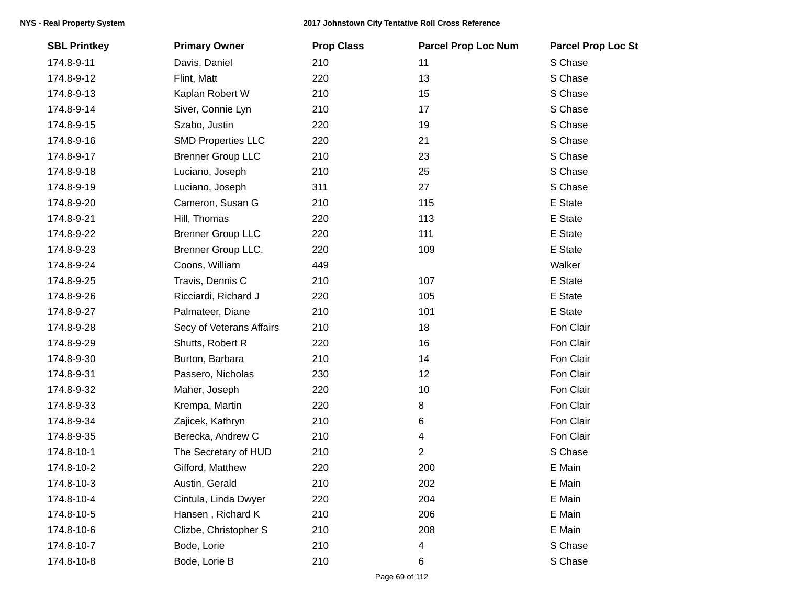| <b>SBL Printkey</b> | <b>Primary Owner</b>      | <b>Prop Class</b> | <b>Parcel Prop Loc Num</b> | <b>Parcel Prop Loc St</b> |
|---------------------|---------------------------|-------------------|----------------------------|---------------------------|
| 174.8-9-11          | Davis, Daniel             | 210               | 11                         | S Chase                   |
| 174.8-9-12          | Flint, Matt               | 220               | 13                         | S Chase                   |
| 174.8-9-13          | Kaplan Robert W           | 210               | 15                         | S Chase                   |
| 174.8-9-14          | Siver, Connie Lyn         | 210               | 17                         | S Chase                   |
| 174.8-9-15          | Szabo, Justin             | 220               | 19                         | S Chase                   |
| 174.8-9-16          | <b>SMD Properties LLC</b> | 220               | 21                         | S Chase                   |
| 174.8-9-17          | <b>Brenner Group LLC</b>  | 210               | 23                         | S Chase                   |
| 174.8-9-18          | Luciano, Joseph           | 210               | 25                         | S Chase                   |
| 174.8-9-19          | Luciano, Joseph           | 311               | 27                         | S Chase                   |
| 174.8-9-20          | Cameron, Susan G          | 210               | 115                        | E State                   |
| 174.8-9-21          | Hill, Thomas              | 220               | 113                        | E State                   |
| 174.8-9-22          | <b>Brenner Group LLC</b>  | 220               | 111                        | E State                   |
| 174.8-9-23          | <b>Brenner Group LLC.</b> | 220               | 109                        | E State                   |
| 174.8-9-24          | Coons, William            | 449               |                            | Walker                    |
| 174.8-9-25          | Travis, Dennis C          | 210               | 107                        | E State                   |
| 174.8-9-26          | Ricciardi, Richard J      | 220               | 105                        | E State                   |
| 174.8-9-27          | Palmateer, Diane          | 210               | 101                        | E State                   |
| 174.8-9-28          | Secy of Veterans Affairs  | 210               | 18                         | Fon Clair                 |
| 174.8-9-29          | Shutts, Robert R          | 220               | 16                         | Fon Clair                 |
| 174.8-9-30          | Burton, Barbara           | 210               | 14                         | Fon Clair                 |
| 174.8-9-31          | Passero, Nicholas         | 230               | 12                         | Fon Clair                 |
| 174.8-9-32          | Maher, Joseph             | 220               | 10                         | Fon Clair                 |
| 174.8-9-33          | Krempa, Martin            | 220               | 8                          | Fon Clair                 |
| 174.8-9-34          | Zajicek, Kathryn          | 210               | 6                          | Fon Clair                 |
| 174.8-9-35          | Berecka, Andrew C         | 210               | 4                          | Fon Clair                 |
| 174.8-10-1          | The Secretary of HUD      | 210               | 2                          | S Chase                   |
| 174.8-10-2          | Gifford, Matthew          | 220               | 200                        | E Main                    |
| 174.8-10-3          | Austin, Gerald            | 210               | 202                        | E Main                    |
| 174.8-10-4          | Cintula, Linda Dwyer      | 220               | 204                        | E Main                    |
| 174.8-10-5          | Hansen, Richard K         | 210               | 206                        | E Main                    |
| 174.8-10-6          | Clizbe, Christopher S     | 210               | 208                        | E Main                    |
| 174.8-10-7          | Bode, Lorie               | 210               | 4                          | S Chase                   |
| 174.8-10-8          | Bode, Lorie B             | 210               | 6                          | S Chase                   |
|                     |                           |                   |                            |                           |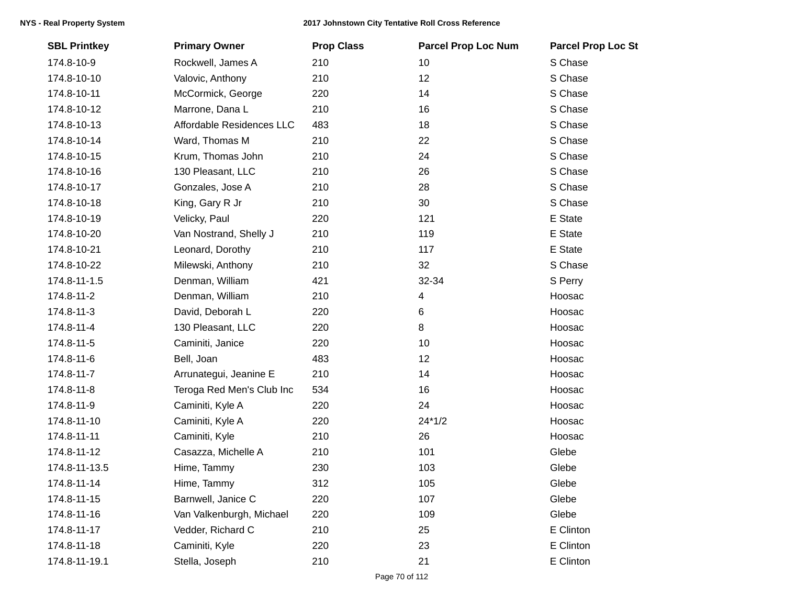| <b>SBL Printkey</b> | <b>Primary Owner</b>      | <b>Prop Class</b> | <b>Parcel Prop Loc Num</b> | <b>Parcel Prop Loc St</b> |
|---------------------|---------------------------|-------------------|----------------------------|---------------------------|
| 174.8-10-9          | Rockwell, James A         | 210               | 10                         | S Chase                   |
| 174.8-10-10         | Valovic, Anthony          | 210               | 12                         | S Chase                   |
| 174.8-10-11         | McCormick, George         | 220               | 14                         | S Chase                   |
| 174.8-10-12         | Marrone, Dana L           | 210               | 16                         | S Chase                   |
| 174.8-10-13         | Affordable Residences LLC | 483               | 18                         | S Chase                   |
| 174.8-10-14         | Ward, Thomas M            | 210               | 22                         | S Chase                   |
| 174.8-10-15         | Krum, Thomas John         | 210               | 24                         | S Chase                   |
| 174.8-10-16         | 130 Pleasant, LLC         | 210               | 26                         | S Chase                   |
| 174.8-10-17         | Gonzales, Jose A          | 210               | 28                         | S Chase                   |
| 174.8-10-18         | King, Gary R Jr           | 210               | 30                         | S Chase                   |
| 174.8-10-19         | Velicky, Paul             | 220               | 121                        | E State                   |
| 174.8-10-20         | Van Nostrand, Shelly J    | 210               | 119                        | E State                   |
| 174.8-10-21         | Leonard, Dorothy          | 210               | 117                        | E State                   |
| 174.8-10-22         | Milewski, Anthony         | 210               | 32                         | S Chase                   |
| 174.8-11-1.5        | Denman, William           | 421               | 32-34                      | S Perry                   |
| 174.8-11-2          | Denman, William           | 210               | 4                          | Hoosac                    |
| 174.8-11-3          | David, Deborah L          | 220               | 6                          | Hoosac                    |
| 174.8-11-4          | 130 Pleasant, LLC         | 220               | 8                          | Hoosac                    |
| 174.8-11-5          | Caminiti, Janice          | 220               | 10                         | Hoosac                    |
| 174.8-11-6          | Bell, Joan                | 483               | 12                         | Hoosac                    |
| 174.8-11-7          | Arrunategui, Jeanine E    | 210               | 14                         | Hoosac                    |
| 174.8-11-8          | Teroga Red Men's Club Inc | 534               | 16                         | Hoosac                    |
| 174.8-11-9          | Caminiti, Kyle A          | 220               | 24                         | Hoosac                    |
| 174.8-11-10         | Caminiti, Kyle A          | 220               | $24*1/2$                   | Hoosac                    |
| 174.8-11-11         | Caminiti, Kyle            | 210               | 26                         | Hoosac                    |
| 174.8-11-12         | Casazza, Michelle A       | 210               | 101                        | Glebe                     |
| 174.8-11-13.5       | Hime, Tammy               | 230               | 103                        | Glebe                     |
| 174.8-11-14         | Hime, Tammy               | 312               | 105                        | Glebe                     |
| 174.8-11-15         | Barnwell, Janice C        | 220               | 107                        | Glebe                     |
| 174.8-11-16         | Van Valkenburgh, Michael  | 220               | 109                        | Glebe                     |
| 174.8-11-17         | Vedder, Richard C         | 210               | 25                         | E Clinton                 |
| 174.8-11-18         | Caminiti, Kyle            | 220               | 23                         | E Clinton                 |
| 174.8-11-19.1       | Stella, Joseph            | 210               | 21                         | E Clinton                 |
|                     |                           |                   |                            |                           |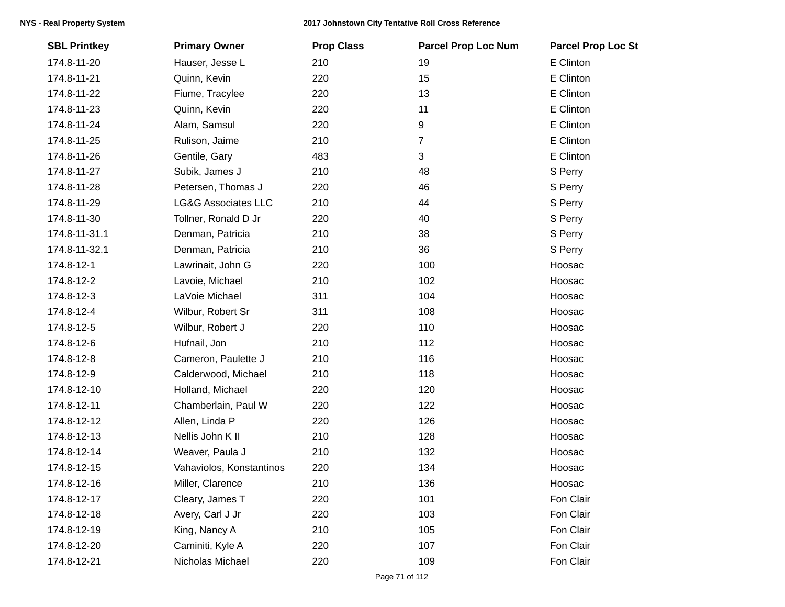| <b>SBL Printkey</b> | <b>Primary Owner</b>           | <b>Prop Class</b> | <b>Parcel Prop Loc Num</b> | <b>Parcel Prop Loc St</b> |
|---------------------|--------------------------------|-------------------|----------------------------|---------------------------|
| 174.8-11-20         | Hauser, Jesse L                | 210               | 19                         | E Clinton                 |
| 174.8-11-21         | Quinn, Kevin                   | 220               | 15                         | E Clinton                 |
| 174.8-11-22         | Fiume, Tracylee                | 220               | 13                         | E Clinton                 |
| 174.8-11-23         | Quinn, Kevin                   | 220               | 11                         | E Clinton                 |
| 174.8-11-24         | Alam, Samsul                   | 220               | 9                          | E Clinton                 |
| 174.8-11-25         | Rulison, Jaime                 | 210               | $\overline{7}$             | E Clinton                 |
| 174.8-11-26         | Gentile, Gary                  | 483               | 3                          | E Clinton                 |
| 174.8-11-27         | Subik, James J                 | 210               | 48                         | S Perry                   |
| 174.8-11-28         | Petersen, Thomas J             | 220               | 46                         | S Perry                   |
| 174.8-11-29         | <b>LG&amp;G Associates LLC</b> | 210               | 44                         | S Perry                   |
| 174.8-11-30         | Tollner, Ronald D Jr           | 220               | 40                         | S Perry                   |
| 174.8-11-31.1       | Denman, Patricia               | 210               | 38                         | S Perry                   |
| 174.8-11-32.1       | Denman, Patricia               | 210               | 36                         | S Perry                   |
| 174.8-12-1          | Lawrinait, John G              | 220               | 100                        | Hoosac                    |
| 174.8-12-2          | Lavoie, Michael                | 210               | 102                        | Hoosac                    |
| 174.8-12-3          | LaVoie Michael                 | 311               | 104                        | Hoosac                    |
| 174.8-12-4          | Wilbur, Robert Sr              | 311               | 108                        | Hoosac                    |
| 174.8-12-5          | Wilbur, Robert J               | 220               | 110                        | Hoosac                    |
| 174.8-12-6          | Hufnail, Jon                   | 210               | 112                        | Hoosac                    |
| 174.8-12-8          | Cameron, Paulette J            | 210               | 116                        | Hoosac                    |
| 174.8-12-9          | Calderwood, Michael            | 210               | 118                        | Hoosac                    |
| 174.8-12-10         | Holland, Michael               | 220               | 120                        | Hoosac                    |
| 174.8-12-11         | Chamberlain, Paul W            | 220               | 122                        | Hoosac                    |
| 174.8-12-12         | Allen, Linda P                 | 220               | 126                        | Hoosac                    |
| 174.8-12-13         | Nellis John K II               | 210               | 128                        | Hoosac                    |
| 174.8-12-14         | Weaver, Paula J                | 210               | 132                        | Hoosac                    |
| 174.8-12-15         | Vahaviolos, Konstantinos       | 220               | 134                        | Hoosac                    |
| 174.8-12-16         | Miller, Clarence               | 210               | 136                        | Hoosac                    |
| 174.8-12-17         | Cleary, James T                | 220               | 101                        | Fon Clair                 |
| 174.8-12-18         | Avery, Carl J Jr               | 220               | 103                        | Fon Clair                 |
| 174.8-12-19         | King, Nancy A                  | 210               | 105                        | Fon Clair                 |
| 174.8-12-20         | Caminiti, Kyle A               | 220               | 107                        | Fon Clair                 |
| 174.8-12-21         | Nicholas Michael               | 220               | 109                        | Fon Clair                 |
|                     |                                |                   |                            |                           |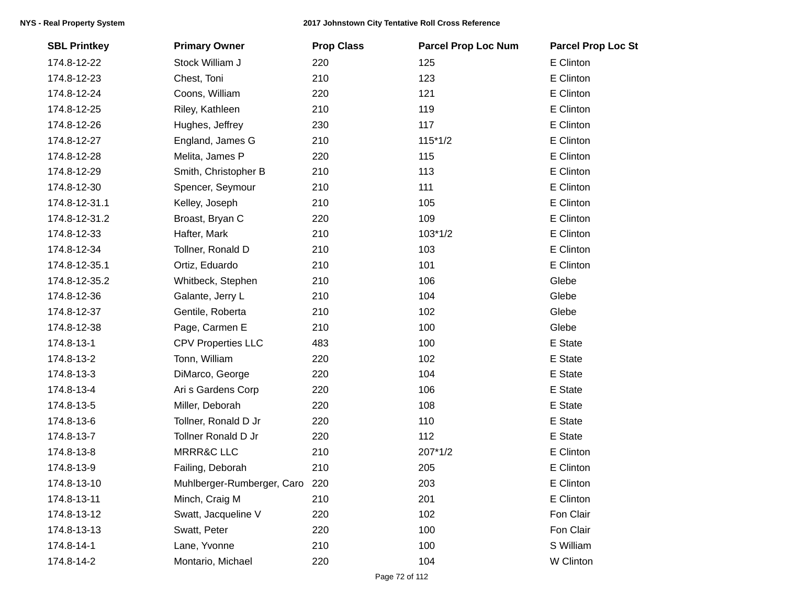| <b>SBL Printkey</b> | <b>Primary Owner</b>           | <b>Prop Class</b> | <b>Parcel Prop Loc Num</b> | <b>Parcel Prop Loc St</b> |
|---------------------|--------------------------------|-------------------|----------------------------|---------------------------|
| 174.8-12-22         | Stock William J                | 220               | 125                        | E Clinton                 |
| 174.8-12-23         | Chest, Toni                    | 210               | 123                        | E Clinton                 |
| 174.8-12-24         | Coons, William                 | 220               | 121                        | E Clinton                 |
| 174.8-12-25         | Riley, Kathleen                | 210               | 119                        | E Clinton                 |
| 174.8-12-26         | Hughes, Jeffrey                | 230               | 117                        | E Clinton                 |
| 174.8-12-27         | England, James G               | 210               | $115*1/2$                  | E Clinton                 |
| 174.8-12-28         | Melita, James P                | 220               | 115                        | E Clinton                 |
| 174.8-12-29         | Smith, Christopher B           | 210               | 113                        | E Clinton                 |
| 174.8-12-30         | Spencer, Seymour               | 210               | 111                        | E Clinton                 |
| 174.8-12-31.1       | Kelley, Joseph                 | 210               | 105                        | E Clinton                 |
| 174.8-12-31.2       | Broast, Bryan C                | 220               | 109                        | E Clinton                 |
| 174.8-12-33         | Hafter, Mark                   | 210               | $103*1/2$                  | E Clinton                 |
| 174.8-12-34         | Tollner, Ronald D              | 210               | 103                        | E Clinton                 |
| 174.8-12-35.1       | Ortiz, Eduardo                 | 210               | 101                        | E Clinton                 |
| 174.8-12-35.2       | Whitbeck, Stephen              | 210               | 106                        | Glebe                     |
| 174.8-12-36         | Galante, Jerry L               | 210               | 104                        | Glebe                     |
| 174.8-12-37         | Gentile, Roberta               | 210               | 102                        | Glebe                     |
| 174.8-12-38         | Page, Carmen E                 | 210               | 100                        | Glebe                     |
| 174.8-13-1          | <b>CPV Properties LLC</b>      | 483               | 100                        | E State                   |
| 174.8-13-2          | Tonn, William                  | 220               | 102                        | E State                   |
| 174.8-13-3          | DiMarco, George                | 220               | 104                        | E State                   |
| 174.8-13-4          | Ari s Gardens Corp             | 220               | 106                        | E State                   |
| 174.8-13-5          | Miller, Deborah                | 220               | 108                        | E State                   |
| 174.8-13-6          | Tollner, Ronald D Jr           | 220               | 110                        | E State                   |
| 174.8-13-7          | <b>Tollner Ronald D Jr</b>     | 220               | 112                        | E State                   |
| 174.8-13-8          | <b>MRRR&amp;C LLC</b>          | 210               | 207*1/2                    | E Clinton                 |
| 174.8-13-9          | Failing, Deborah               | 210               | 205                        | E Clinton                 |
| 174.8-13-10         | Muhlberger-Rumberger, Caro 220 |                   | 203                        | E Clinton                 |
| 174.8-13-11         | Minch, Craig M                 | 210               | 201                        | E Clinton                 |
| 174.8-13-12         | Swatt, Jacqueline V            | 220               | 102                        | Fon Clair                 |
| 174.8-13-13         | Swatt, Peter                   | 220               | 100                        | Fon Clair                 |
| 174.8-14-1          | Lane, Yvonne                   | 210               | 100                        | S William                 |
| 174.8-14-2          | Montario, Michael              | 220               | 104                        | W Clinton                 |
|                     |                                |                   |                            |                           |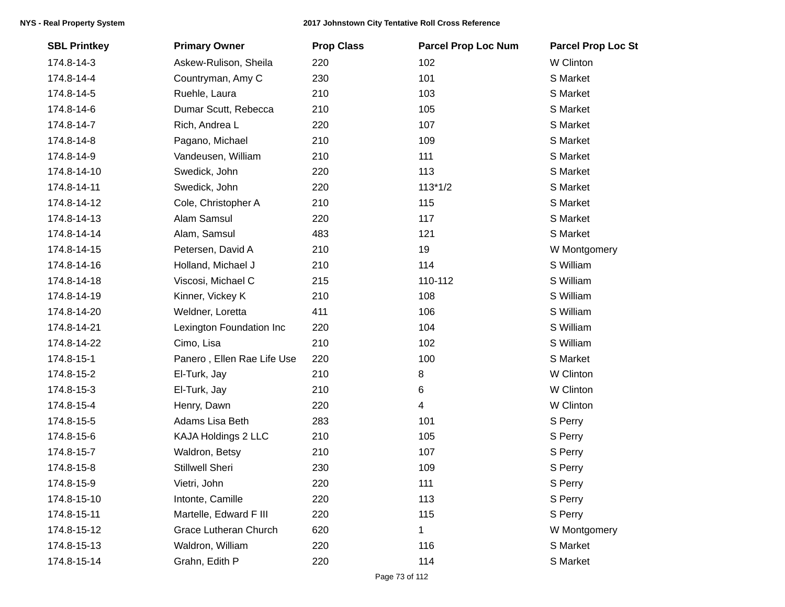| <b>SBL Printkey</b> | <b>Primary Owner</b>         | <b>Prop Class</b> | <b>Parcel Prop Loc Num</b> | <b>Parcel Prop Loc St</b> |
|---------------------|------------------------------|-------------------|----------------------------|---------------------------|
| 174.8-14-3          | Askew-Rulison, Sheila        | 220               | 102                        | W Clinton                 |
| 174.8-14-4          | Countryman, Amy C            | 230               | 101                        | S Market                  |
| 174.8-14-5          | Ruehle, Laura                | 210               | 103                        | S Market                  |
| 174.8-14-6          | Dumar Scutt, Rebecca         | 210               | 105                        | S Market                  |
| 174.8-14-7          | Rich, Andrea L               | 220               | 107                        | S Market                  |
| 174.8-14-8          | Pagano, Michael              | 210               | 109                        | S Market                  |
| 174.8-14-9          | Vandeusen, William           | 210               | 111                        | S Market                  |
| 174.8-14-10         | Swedick, John                | 220               | 113                        | S Market                  |
| 174.8-14-11         | Swedick, John                | 220               | $113*1/2$                  | S Market                  |
| 174.8-14-12         | Cole, Christopher A          | 210               | 115                        | S Market                  |
| 174.8-14-13         | Alam Samsul                  | 220               | 117                        | S Market                  |
| 174.8-14-14         | Alam, Samsul                 | 483               | 121                        | S Market                  |
| 174.8-14-15         | Petersen, David A            | 210               | 19                         | W Montgomery              |
| 174.8-14-16         | Holland, Michael J           | 210               | 114                        | S William                 |
| 174.8-14-18         | Viscosi, Michael C           | 215               | 110-112                    | S William                 |
| 174.8-14-19         | Kinner, Vickey K             | 210               | 108                        | S William                 |
| 174.8-14-20         | Weldner, Loretta             | 411               | 106                        | S William                 |
| 174.8-14-21         | Lexington Foundation Inc     | 220               | 104                        | S William                 |
| 174.8-14-22         | Cimo, Lisa                   | 210               | 102                        | S William                 |
| 174.8-15-1          | Panero, Ellen Rae Life Use   | 220               | 100                        | S Market                  |
| 174.8-15-2          | El-Turk, Jay                 | 210               | 8                          | W Clinton                 |
| 174.8-15-3          | El-Turk, Jay                 | 210               | 6                          | W Clinton                 |
| 174.8-15-4          | Henry, Dawn                  | 220               | $\overline{4}$             | W Clinton                 |
| 174.8-15-5          | Adams Lisa Beth              | 283               | 101                        | S Perry                   |
| 174.8-15-6          | KAJA Holdings 2 LLC          | 210               | 105                        | S Perry                   |
| 174.8-15-7          | Waldron, Betsy               | 210               | 107                        | S Perry                   |
| 174.8-15-8          | Stillwell Sheri              | 230               | 109                        | S Perry                   |
| 174.8-15-9          | Vietri, John                 | 220               | 111                        | S Perry                   |
| 174.8-15-10         | Intonte, Camille             | 220               | 113                        | S Perry                   |
| 174.8-15-11         | Martelle, Edward F III       | 220               | 115                        | S Perry                   |
| 174.8-15-12         | <b>Grace Lutheran Church</b> | 620               | 1                          | W Montgomery              |
| 174.8-15-13         | Waldron, William             | 220               | 116                        | S Market                  |
| 174.8-15-14         | Grahn, Edith P               | 220               | 114                        | S Market                  |
|                     |                              |                   |                            |                           |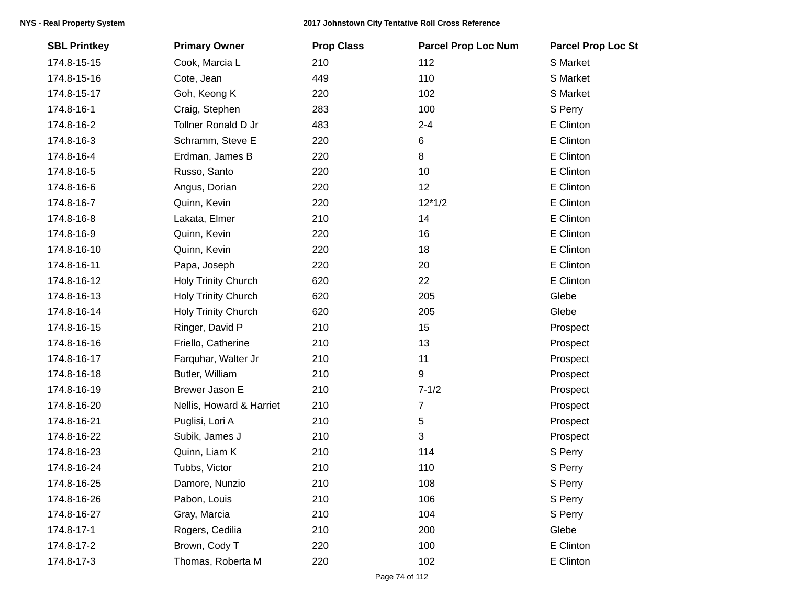| <b>SBL Printkey</b> | <b>Primary Owner</b>       | <b>Prop Class</b> | <b>Parcel Prop Loc Num</b> | <b>Parcel Prop Loc St</b> |
|---------------------|----------------------------|-------------------|----------------------------|---------------------------|
| 174.8-15-15         | Cook, Marcia L             | 210               | 112                        | S Market                  |
| 174.8-15-16         | Cote, Jean                 | 449               | 110                        | S Market                  |
| 174.8-15-17         | Goh, Keong K               | 220               | 102                        | S Market                  |
| 174.8-16-1          | Craig, Stephen             | 283               | 100                        | S Perry                   |
| 174.8-16-2          | <b>Tollner Ronald D Jr</b> | 483               | $2 - 4$                    | E Clinton                 |
| 174.8-16-3          | Schramm, Steve E           | 220               | 6                          | E Clinton                 |
| 174.8-16-4          | Erdman, James B            | 220               | 8                          | E Clinton                 |
| 174.8-16-5          | Russo, Santo               | 220               | 10                         | E Clinton                 |
| 174.8-16-6          | Angus, Dorian              | 220               | 12                         | E Clinton                 |
| 174.8-16-7          | Quinn, Kevin               | 220               | $12*1/2$                   | E Clinton                 |
| 174.8-16-8          | Lakata, Elmer              | 210               | 14                         | E Clinton                 |
| 174.8-16-9          | Quinn, Kevin               | 220               | 16                         | E Clinton                 |
| 174.8-16-10         | Quinn, Kevin               | 220               | 18                         | E Clinton                 |
| 174.8-16-11         | Papa, Joseph               | 220               | 20                         | E Clinton                 |
| 174.8-16-12         | Holy Trinity Church        | 620               | 22                         | E Clinton                 |
| 174.8-16-13         | Holy Trinity Church        | 620               | 205                        | Glebe                     |
| 174.8-16-14         | Holy Trinity Church        | 620               | 205                        | Glebe                     |
| 174.8-16-15         | Ringer, David P            | 210               | 15                         | Prospect                  |
| 174.8-16-16         | Friello, Catherine         | 210               | 13                         | Prospect                  |
| 174.8-16-17         | Farquhar, Walter Jr        | 210               | 11                         | Prospect                  |
| 174.8-16-18         | Butler, William            | 210               | 9                          | Prospect                  |
| 174.8-16-19         | Brewer Jason E             | 210               | $7 - 1/2$                  | Prospect                  |
| 174.8-16-20         | Nellis, Howard & Harriet   | 210               | 7                          | Prospect                  |
| 174.8-16-21         | Puglisi, Lori A            | 210               | 5                          | Prospect                  |
| 174.8-16-22         | Subik, James J             | 210               | 3                          | Prospect                  |
| 174.8-16-23         | Quinn, Liam K              | 210               | 114                        | S Perry                   |
| 174.8-16-24         | Tubbs, Victor              | 210               | 110                        | S Perry                   |
| 174.8-16-25         | Damore, Nunzio             | 210               | 108                        | S Perry                   |
| 174.8-16-26         | Pabon, Louis               | 210               | 106                        | S Perry                   |
| 174.8-16-27         | Gray, Marcia               | 210               | 104                        | S Perry                   |
| 174.8-17-1          | Rogers, Cedilia            | 210               | 200                        | Glebe                     |
| 174.8-17-2          | Brown, Cody T              | 220               | 100                        | E Clinton                 |
| 174.8-17-3          | Thomas, Roberta M          | 220               | 102                        | E Clinton                 |
|                     |                            |                   |                            |                           |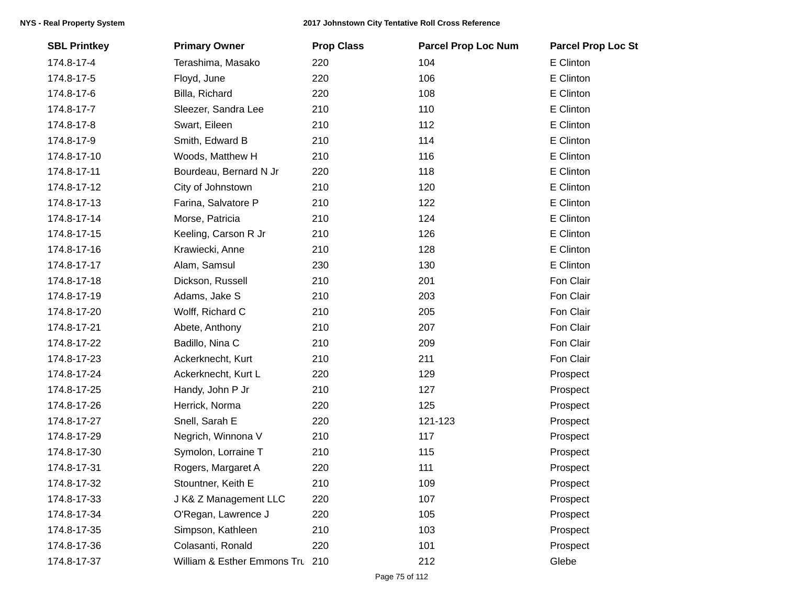| <b>SBL Printkey</b> | <b>Primary Owner</b>            | <b>Prop Class</b> | <b>Parcel Prop Loc Num</b> | <b>Parcel Prop Loc St</b> |
|---------------------|---------------------------------|-------------------|----------------------------|---------------------------|
| 174.8-17-4          | Terashima, Masako               | 220               | 104                        | E Clinton                 |
| 174.8-17-5          | Floyd, June                     | 220               | 106                        | E Clinton                 |
| 174.8-17-6          | Billa, Richard                  | 220               | 108                        | E Clinton                 |
| 174.8-17-7          | Sleezer, Sandra Lee             | 210               | 110                        | E Clinton                 |
| 174.8-17-8          | Swart, Eileen                   | 210               | 112                        | E Clinton                 |
| 174.8-17-9          | Smith, Edward B                 | 210               | 114                        | E Clinton                 |
| 174.8-17-10         | Woods, Matthew H                | 210               | 116                        | E Clinton                 |
| 174.8-17-11         | Bourdeau, Bernard N Jr          | 220               | 118                        | E Clinton                 |
| 174.8-17-12         | City of Johnstown               | 210               | 120                        | E Clinton                 |
| 174.8-17-13         | Farina, Salvatore P             | 210               | 122                        | E Clinton                 |
| 174.8-17-14         | Morse, Patricia                 | 210               | 124                        | E Clinton                 |
| 174.8-17-15         | Keeling, Carson R Jr            | 210               | 126                        | E Clinton                 |
| 174.8-17-16         | Krawiecki, Anne                 | 210               | 128                        | E Clinton                 |
| 174.8-17-17         | Alam, Samsul                    | 230               | 130                        | E Clinton                 |
| 174.8-17-18         | Dickson, Russell                | 210               | 201                        | Fon Clair                 |
| 174.8-17-19         | Adams, Jake S                   | 210               | 203                        | Fon Clair                 |
| 174.8-17-20         | Wolff, Richard C                | 210               | 205                        | Fon Clair                 |
| 174.8-17-21         | Abete, Anthony                  | 210               | 207                        | Fon Clair                 |
| 174.8-17-22         | Badillo, Nina C                 | 210               | 209                        | Fon Clair                 |
| 174.8-17-23         | Ackerknecht, Kurt               | 210               | 211                        | Fon Clair                 |
| 174.8-17-24         | Ackerknecht, Kurt L             | 220               | 129                        | Prospect                  |
| 174.8-17-25         | Handy, John P Jr                | 210               | 127                        | Prospect                  |
| 174.8-17-26         | Herrick, Norma                  | 220               | 125                        | Prospect                  |
| 174.8-17-27         | Snell, Sarah E                  | 220               | 121-123                    | Prospect                  |
| 174.8-17-29         | Negrich, Winnona V              | 210               | 117                        | Prospect                  |
| 174.8-17-30         | Symolon, Lorraine T             | 210               | 115                        | Prospect                  |
| 174.8-17-31         | Rogers, Margaret A              | 220               | 111                        | Prospect                  |
| 174.8-17-32         | Stountner, Keith E              | 210               | 109                        | Prospect                  |
| 174.8-17-33         | J K& Z Management LLC           | 220               | 107                        | Prospect                  |
| 174.8-17-34         | O'Regan, Lawrence J             | 220               | 105                        | Prospect                  |
| 174.8-17-35         | Simpson, Kathleen               | 210               | 103                        | Prospect                  |
| 174.8-17-36         | Colasanti, Ronald               | 220               | 101                        | Prospect                  |
| 174.8-17-37         | William & Esther Emmons Tru 210 |                   | 212                        | Glebe                     |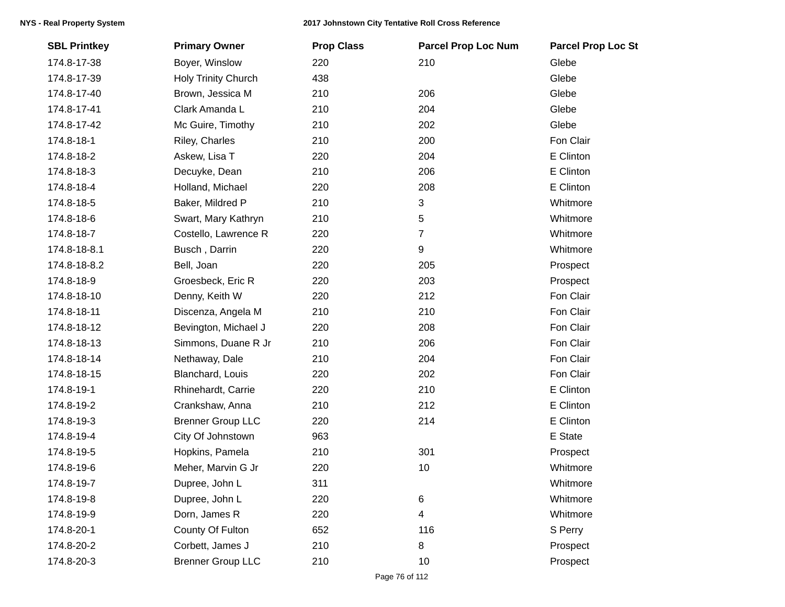| <b>SBL Printkey</b> | <b>Primary Owner</b>     | <b>Prop Class</b> | <b>Parcel Prop Loc Num</b> | <b>Parcel Prop Loc St</b> |
|---------------------|--------------------------|-------------------|----------------------------|---------------------------|
| 174.8-17-38         | Boyer, Winslow           | 220               | 210                        | Glebe                     |
| 174.8-17-39         | Holy Trinity Church      | 438               |                            | Glebe                     |
| 174.8-17-40         | Brown, Jessica M         | 210               | 206                        | Glebe                     |
| 174.8-17-41         | Clark Amanda L           | 210               | 204                        | Glebe                     |
| 174.8-17-42         | Mc Guire, Timothy        | 210               | 202                        | Glebe                     |
| 174.8-18-1          | Riley, Charles           | 210               | 200                        | Fon Clair                 |
| 174.8-18-2          | Askew, Lisa T            | 220               | 204                        | E Clinton                 |
| 174.8-18-3          | Decuyke, Dean            | 210               | 206                        | E Clinton                 |
| 174.8-18-4          | Holland, Michael         | 220               | 208                        | E Clinton                 |
| 174.8-18-5          | Baker, Mildred P         | 210               | 3                          | Whitmore                  |
| 174.8-18-6          | Swart, Mary Kathryn      | 210               | 5                          | Whitmore                  |
| 174.8-18-7          | Costello, Lawrence R     | 220               | $\overline{7}$             | Whitmore                  |
| 174.8-18-8.1        | Busch, Darrin            | 220               | 9                          | Whitmore                  |
| 174.8-18-8.2        | Bell, Joan               | 220               | 205                        | Prospect                  |
| 174.8-18-9          | Groesbeck, Eric R        | 220               | 203                        | Prospect                  |
| 174.8-18-10         | Denny, Keith W           | 220               | 212                        | Fon Clair                 |
| 174.8-18-11         | Discenza, Angela M       | 210               | 210                        | Fon Clair                 |
| 174.8-18-12         | Bevington, Michael J     | 220               | 208                        | Fon Clair                 |
| 174.8-18-13         | Simmons, Duane R Jr      | 210               | 206                        | Fon Clair                 |
| 174.8-18-14         | Nethaway, Dale           | 210               | 204                        | Fon Clair                 |
| 174.8-18-15         | Blanchard, Louis         | 220               | 202                        | Fon Clair                 |
| 174.8-19-1          | Rhinehardt, Carrie       | 220               | 210                        | E Clinton                 |
| 174.8-19-2          | Crankshaw, Anna          | 210               | 212                        | E Clinton                 |
| 174.8-19-3          | <b>Brenner Group LLC</b> | 220               | 214                        | E Clinton                 |
| 174.8-19-4          | City Of Johnstown        | 963               |                            | E State                   |
| 174.8-19-5          | Hopkins, Pamela          | 210               | 301                        | Prospect                  |
| 174.8-19-6          | Meher, Marvin G Jr       | 220               | 10                         | Whitmore                  |
| 174.8-19-7          | Dupree, John L           | 311               |                            | Whitmore                  |
| 174.8-19-8          | Dupree, John L           | 220               | 6                          | Whitmore                  |
| 174.8-19-9          | Dorn, James R            | 220               | 4                          | Whitmore                  |
| 174.8-20-1          | County Of Fulton         | 652               | 116                        | S Perry                   |
| 174.8-20-2          | Corbett, James J         | 210               | 8                          | Prospect                  |
| 174.8-20-3          | <b>Brenner Group LLC</b> | 210               | 10                         | Prospect                  |
|                     |                          |                   |                            |                           |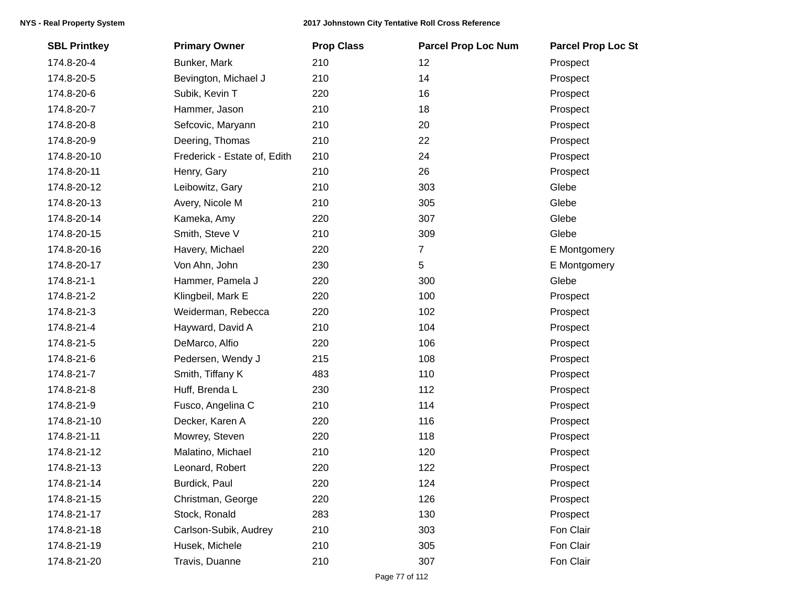| <b>SBL Printkey</b> | <b>Primary Owner</b>         | <b>Prop Class</b> | <b>Parcel Prop Loc Num</b> | <b>Parcel Prop Loc St</b> |
|---------------------|------------------------------|-------------------|----------------------------|---------------------------|
| 174.8-20-4          | Bunker, Mark                 | 210               | 12                         | Prospect                  |
| 174.8-20-5          | Bevington, Michael J         | 210               | 14                         | Prospect                  |
| 174.8-20-6          | Subik, Kevin T               | 220               | 16                         | Prospect                  |
| 174.8-20-7          | Hammer, Jason                | 210               | 18                         | Prospect                  |
| 174.8-20-8          | Sefcovic, Maryann            | 210               | 20                         | Prospect                  |
| 174.8-20-9          | Deering, Thomas              | 210               | 22                         | Prospect                  |
| 174.8-20-10         | Frederick - Estate of, Edith | 210               | 24                         | Prospect                  |
| 174.8-20-11         | Henry, Gary                  | 210               | 26                         | Prospect                  |
| 174.8-20-12         | Leibowitz, Gary              | 210               | 303                        | Glebe                     |
| 174.8-20-13         | Avery, Nicole M              | 210               | 305                        | Glebe                     |
| 174.8-20-14         | Kameka, Amy                  | 220               | 307                        | Glebe                     |
| 174.8-20-15         | Smith, Steve V               | 210               | 309                        | Glebe                     |
| 174.8-20-16         | Havery, Michael              | 220               | 7                          | E Montgomery              |
| 174.8-20-17         | Von Ahn, John                | 230               | $5\phantom{.0}$            | E Montgomery              |
| 174.8-21-1          | Hammer, Pamela J             | 220               | 300                        | Glebe                     |
| 174.8-21-2          | Klingbeil, Mark E            | 220               | 100                        | Prospect                  |
| 174.8-21-3          | Weiderman, Rebecca           | 220               | 102                        | Prospect                  |
| 174.8-21-4          | Hayward, David A             | 210               | 104                        | Prospect                  |
| 174.8-21-5          | DeMarco, Alfio               | 220               | 106                        | Prospect                  |
| 174.8-21-6          | Pedersen, Wendy J            | 215               | 108                        | Prospect                  |
| 174.8-21-7          | Smith, Tiffany K             | 483               | 110                        | Prospect                  |
| 174.8-21-8          | Huff, Brenda L               | 230               | 112                        | Prospect                  |
| 174.8-21-9          | Fusco, Angelina C            | 210               | 114                        | Prospect                  |
| 174.8-21-10         | Decker, Karen A              | 220               | 116                        | Prospect                  |
| 174.8-21-11         | Mowrey, Steven               | 220               | 118                        | Prospect                  |
| 174.8-21-12         | Malatino, Michael            | 210               | 120                        | Prospect                  |
| 174.8-21-13         | Leonard, Robert              | 220               | 122                        | Prospect                  |
| 174.8-21-14         | Burdick, Paul                | 220               | 124                        | Prospect                  |
| 174.8-21-15         | Christman, George            | 220               | 126                        | Prospect                  |
| 174.8-21-17         | Stock, Ronald                | 283               | 130                        | Prospect                  |
| 174.8-21-18         | Carlson-Subik, Audrey        | 210               | 303                        | Fon Clair                 |
| 174.8-21-19         | Husek, Michele               | 210               | 305                        | Fon Clair                 |
| 174.8-21-20         | Travis, Duanne               | 210               | 307                        | Fon Clair                 |
|                     |                              |                   |                            |                           |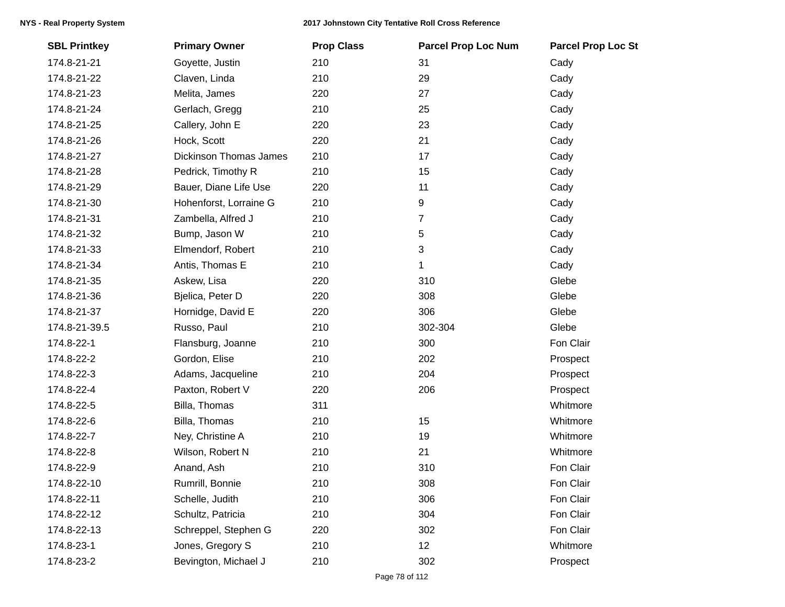| <b>SBL Printkey</b> | <b>Primary Owner</b>          | <b>Prop Class</b> | <b>Parcel Prop Loc Num</b> | <b>Parcel Prop Loc St</b> |
|---------------------|-------------------------------|-------------------|----------------------------|---------------------------|
| 174.8-21-21         | Goyette, Justin               | 210               | 31                         | Cady                      |
| 174.8-21-22         | Claven, Linda                 | 210               | 29                         | Cady                      |
| 174.8-21-23         | Melita, James                 | 220               | 27                         | Cady                      |
| 174.8-21-24         | Gerlach, Gregg                | 210               | 25                         | Cady                      |
| 174.8-21-25         | Callery, John E               | 220               | 23                         | Cady                      |
| 174.8-21-26         | Hock, Scott                   | 220               | 21                         | Cady                      |
| 174.8-21-27         | <b>Dickinson Thomas James</b> | 210               | 17                         | Cady                      |
| 174.8-21-28         | Pedrick, Timothy R            | 210               | 15                         | Cady                      |
| 174.8-21-29         | Bauer, Diane Life Use         | 220               | 11                         | Cady                      |
| 174.8-21-30         | Hohenforst, Lorraine G        | 210               | 9                          | Cady                      |
| 174.8-21-31         | Zambella, Alfred J            | 210               | $\overline{7}$             | Cady                      |
| 174.8-21-32         | Bump, Jason W                 | 210               | 5                          | Cady                      |
| 174.8-21-33         | Elmendorf, Robert             | 210               | 3                          | Cady                      |
| 174.8-21-34         | Antis, Thomas E               | 210               | 1                          | Cady                      |
| 174.8-21-35         | Askew, Lisa                   | 220               | 310                        | Glebe                     |
| 174.8-21-36         | Bjelica, Peter D              | 220               | 308                        | Glebe                     |
| 174.8-21-37         | Hornidge, David E             | 220               | 306                        | Glebe                     |
| 174.8-21-39.5       | Russo, Paul                   | 210               | 302-304                    | Glebe                     |
| 174.8-22-1          | Flansburg, Joanne             | 210               | 300                        | Fon Clair                 |
| 174.8-22-2          | Gordon, Elise                 | 210               | 202                        | Prospect                  |
| 174.8-22-3          | Adams, Jacqueline             | 210               | 204                        | Prospect                  |
| 174.8-22-4          | Paxton, Robert V              | 220               | 206                        | Prospect                  |
| 174.8-22-5          | Billa, Thomas                 | 311               |                            | Whitmore                  |
| 174.8-22-6          | Billa, Thomas                 | 210               | 15                         | Whitmore                  |
| 174.8-22-7          | Ney, Christine A              | 210               | 19                         | Whitmore                  |
| 174.8-22-8          | Wilson, Robert N              | 210               | 21                         | Whitmore                  |
| 174.8-22-9          | Anand, Ash                    | 210               | 310                        | Fon Clair                 |
| 174.8-22-10         | Rumrill, Bonnie               | 210               | 308                        | Fon Clair                 |
| 174.8-22-11         | Schelle, Judith               | 210               | 306                        | Fon Clair                 |
| 174.8-22-12         | Schultz, Patricia             | 210               | 304                        | Fon Clair                 |
| 174.8-22-13         | Schreppel, Stephen G          | 220               | 302                        | Fon Clair                 |
| 174.8-23-1          | Jones, Gregory S              | 210               | 12                         | Whitmore                  |
| 174.8-23-2          | Bevington, Michael J          | 210               | 302                        | Prospect                  |
|                     |                               |                   |                            |                           |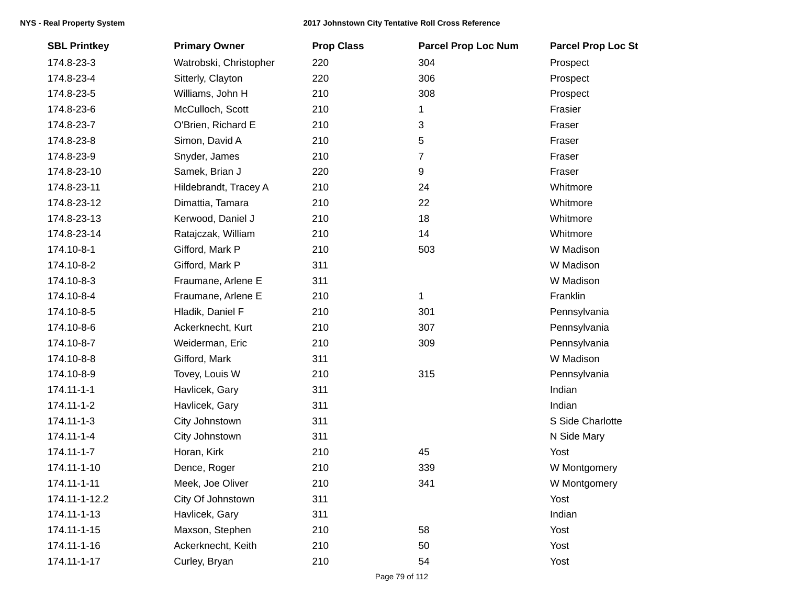| <b>SBL Printkey</b> | <b>Primary Owner</b>   | <b>Prop Class</b> | <b>Parcel Prop Loc Num</b> | <b>Parcel Prop Loc St</b> |
|---------------------|------------------------|-------------------|----------------------------|---------------------------|
| 174.8-23-3          | Watrobski, Christopher | 220               | 304                        | Prospect                  |
| 174.8-23-4          | Sitterly, Clayton      | 220               | 306                        | Prospect                  |
| 174.8-23-5          | Williams, John H       | 210               | 308                        | Prospect                  |
| 174.8-23-6          | McCulloch, Scott       | 210               | 1                          | Frasier                   |
| 174.8-23-7          | O'Brien, Richard E     | 210               | 3                          | Fraser                    |
| 174.8-23-8          | Simon, David A         | 210               | 5                          | Fraser                    |
| 174.8-23-9          | Snyder, James          | 210               | $\overline{7}$             | Fraser                    |
| 174.8-23-10         | Samek, Brian J         | 220               | 9                          | Fraser                    |
| 174.8-23-11         | Hildebrandt, Tracey A  | 210               | 24                         | Whitmore                  |
| 174.8-23-12         | Dimattia, Tamara       | 210               | 22                         | Whitmore                  |
| 174.8-23-13         | Kerwood, Daniel J      | 210               | 18                         | Whitmore                  |
| 174.8-23-14         | Ratajczak, William     | 210               | 14                         | Whitmore                  |
| 174.10-8-1          | Gifford, Mark P        | 210               | 503                        | W Madison                 |
| 174.10-8-2          | Gifford, Mark P        | 311               |                            | W Madison                 |
| 174.10-8-3          | Fraumane, Arlene E     | 311               |                            | W Madison                 |
| 174.10-8-4          | Fraumane, Arlene E     | 210               | $\mathbf 1$                | Franklin                  |
| 174.10-8-5          | Hladik, Daniel F       | 210               | 301                        | Pennsylvania              |
| 174.10-8-6          | Ackerknecht, Kurt      | 210               | 307                        | Pennsylvania              |
| 174.10-8-7          | Weiderman, Eric        | 210               | 309                        | Pennsylvania              |
| 174.10-8-8          | Gifford, Mark          | 311               |                            | W Madison                 |
| 174.10-8-9          | Tovey, Louis W         | 210               | 315                        | Pennsylvania              |
| 174.11-1-1          | Havlicek, Gary         | 311               |                            | Indian                    |
| 174.11-1-2          | Havlicek, Gary         | 311               |                            | Indian                    |
| 174.11-1-3          | City Johnstown         | 311               |                            | S Side Charlotte          |
| 174.11-1-4          | City Johnstown         | 311               |                            | N Side Mary               |
| 174.11-1-7          | Horan, Kirk            | 210               | 45                         | Yost                      |
| 174.11-1-10         | Dence, Roger           | 210               | 339                        | W Montgomery              |
| 174.11-1-11         | Meek, Joe Oliver       | 210               | 341                        | W Montgomery              |
| 174.11-1-12.2       | City Of Johnstown      | 311               |                            | Yost                      |
| 174.11-1-13         | Havlicek, Gary         | 311               |                            | Indian                    |
| 174.11-1-15         | Maxson, Stephen        | 210               | 58                         | Yost                      |
| 174.11-1-16         | Ackerknecht, Keith     | 210               | 50                         | Yost                      |
| 174.11-1-17         | Curley, Bryan          | 210               | 54                         | Yost                      |
|                     |                        |                   |                            |                           |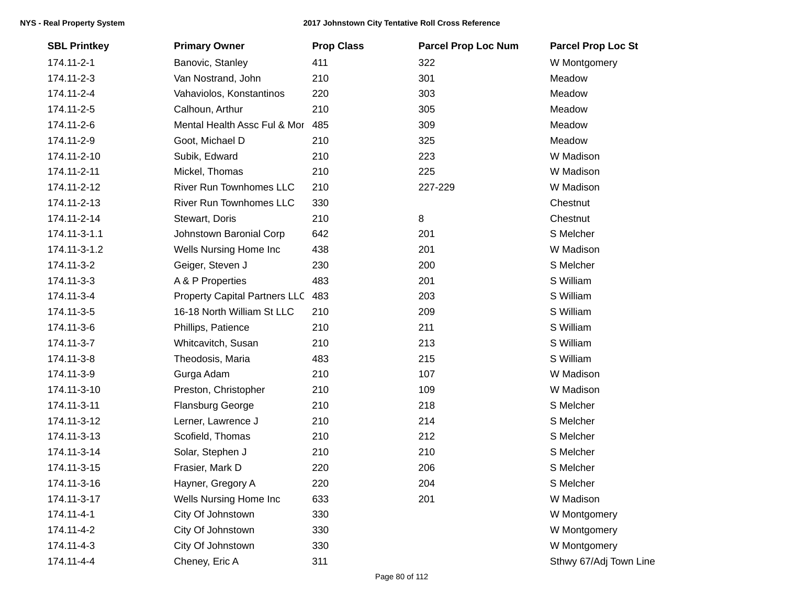| <b>SBL Printkey</b> | <b>Primary Owner</b>                 | <b>Prop Class</b> | <b>Parcel Prop Loc Num</b> | <b>Parcel Prop Loc St</b> |
|---------------------|--------------------------------------|-------------------|----------------------------|---------------------------|
| 174.11-2-1          | Banovic, Stanley                     | 411               | 322                        | W Montgomery              |
| 174.11-2-3          | Van Nostrand, John                   | 210               | 301                        | Meadow                    |
| 174.11-2-4          | Vahaviolos, Konstantinos             | 220               | 303                        | Meadow                    |
| 174.11-2-5          | Calhoun, Arthur                      | 210               | 305                        | Meadow                    |
| 174.11-2-6          | Mental Health Assc Ful & Mor         | 485               | 309                        | Meadow                    |
| 174.11-2-9          | Goot, Michael D                      | 210               | 325                        | Meadow                    |
| 174.11-2-10         | Subik, Edward                        | 210               | 223                        | W Madison                 |
| 174.11-2-11         | Mickel, Thomas                       | 210               | 225                        | W Madison                 |
| 174.11-2-12         | River Run Townhomes LLC              | 210               | 227-229                    | W Madison                 |
| 174.11-2-13         | <b>River Run Townhomes LLC</b>       | 330               |                            | Chestnut                  |
| 174.11-2-14         | Stewart, Doris                       | 210               | 8                          | Chestnut                  |
| 174.11-3-1.1        | Johnstown Baronial Corp              | 642               | 201                        | S Melcher                 |
| 174.11-3-1.2        | Wells Nursing Home Inc               | 438               | 201                        | W Madison                 |
| 174.11-3-2          | Geiger, Steven J                     | 230               | 200                        | S Melcher                 |
| 174.11-3-3          | A & P Properties                     | 483               | 201                        | S William                 |
| 174.11-3-4          | <b>Property Capital Partners LLC</b> | 483               | 203                        | S William                 |
| 174.11-3-5          | 16-18 North William St LLC           | 210               | 209                        | S William                 |
| 174.11-3-6          | Phillips, Patience                   | 210               | 211                        | S William                 |
| 174.11-3-7          | Whitcavitch, Susan                   | 210               | 213                        | S William                 |
| 174.11-3-8          | Theodosis, Maria                     | 483               | 215                        | S William                 |
| 174.11-3-9          | Gurga Adam                           | 210               | 107                        | W Madison                 |
| 174.11-3-10         | Preston, Christopher                 | 210               | 109                        | W Madison                 |
| 174.11-3-11         | <b>Flansburg George</b>              | 210               | 218                        | S Melcher                 |
| 174.11-3-12         | Lerner, Lawrence J                   | 210               | 214                        | S Melcher                 |
| 174.11-3-13         | Scofield, Thomas                     | 210               | 212                        | S Melcher                 |
| 174.11-3-14         | Solar, Stephen J                     | 210               | 210                        | S Melcher                 |
| 174.11-3-15         | Frasier, Mark D                      | 220               | 206                        | S Melcher                 |
| 174.11-3-16         | Hayner, Gregory A                    | 220               | 204                        | S Melcher                 |
| 174.11-3-17         | Wells Nursing Home Inc               | 633               | 201                        | W Madison                 |
| 174.11-4-1          | City Of Johnstown                    | 330               |                            | W Montgomery              |
| 174.11-4-2          | City Of Johnstown                    | 330               |                            | W Montgomery              |
| 174.11-4-3          | City Of Johnstown                    | 330               |                            | W Montgomery              |
| 174.11-4-4          | Cheney, Eric A                       | 311               |                            | Sthwy 67/Adj Town Line    |
|                     |                                      |                   |                            |                           |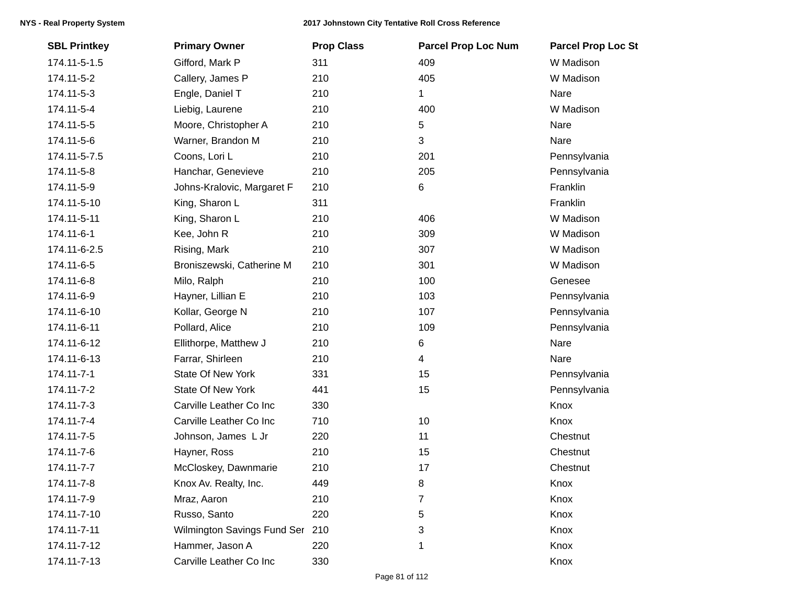| <b>SBL Printkey</b> | <b>Primary Owner</b>        | <b>Prop Class</b> | <b>Parcel Prop Loc Num</b> | <b>Parcel Prop Loc St</b> |
|---------------------|-----------------------------|-------------------|----------------------------|---------------------------|
| 174.11-5-1.5        | Gifford, Mark P             | 311               | 409                        | W Madison                 |
| 174.11-5-2          | Callery, James P            | 210               | 405                        | W Madison                 |
| 174.11-5-3          | Engle, Daniel T             | 210               | 1                          | Nare                      |
| 174.11-5-4          | Liebig, Laurene             | 210               | 400                        | W Madison                 |
| 174.11-5-5          | Moore, Christopher A        | 210               | 5                          | Nare                      |
| 174.11-5-6          | Warner, Brandon M           | 210               | 3                          | Nare                      |
| 174.11-5-7.5        | Coons, Lori L               | 210               | 201                        | Pennsylvania              |
| 174.11-5-8          | Hanchar, Genevieve          | 210               | 205                        | Pennsylvania              |
| 174.11-5-9          | Johns-Kralovic, Margaret F  | 210               | $\,6$                      | Franklin                  |
| 174.11-5-10         | King, Sharon L              | 311               |                            | Franklin                  |
| 174.11-5-11         | King, Sharon L              | 210               | 406                        | W Madison                 |
| 174.11-6-1          | Kee, John R                 | 210               | 309                        | W Madison                 |
| 174.11-6-2.5        | Rising, Mark                | 210               | 307                        | W Madison                 |
| 174.11-6-5          | Broniszewski, Catherine M   | 210               | 301                        | W Madison                 |
| 174.11-6-8          | Milo, Ralph                 | 210               | 100                        | Genesee                   |
| 174.11-6-9          | Hayner, Lillian E           | 210               | 103                        | Pennsylvania              |
| 174.11-6-10         | Kollar, George N            | 210               | 107                        | Pennsylvania              |
| 174.11-6-11         | Pollard, Alice              | 210               | 109                        | Pennsylvania              |
| 174.11-6-12         | Ellithorpe, Matthew J       | 210               | 6                          | Nare                      |
| 174.11-6-13         | Farrar, Shirleen            | 210               | $\overline{4}$             | Nare                      |
| 174.11-7-1          | State Of New York           | 331               | 15                         | Pennsylvania              |
| 174.11-7-2          | <b>State Of New York</b>    | 441               | 15                         | Pennsylvania              |
| 174.11-7-3          | Carville Leather Co Inc     | 330               |                            | Knox                      |
| 174.11-7-4          | Carville Leather Co Inc     | 710               | 10                         | Knox                      |
| 174.11-7-5          | Johnson, James L Jr         | 220               | 11                         | Chestnut                  |
| 174.11-7-6          | Hayner, Ross                | 210               | 15                         | Chestnut                  |
| 174.11-7-7          | McCloskey, Dawnmarie        | 210               | 17                         | Chestnut                  |
| 174.11-7-8          | Knox Av. Realty, Inc.       | 449               | 8                          | Knox                      |
| 174.11-7-9          | Mraz, Aaron                 | 210               | 7                          | Knox                      |
| 174.11-7-10         | Russo, Santo                | 220               | 5                          | Knox                      |
| 174.11-7-11         | Wilmington Savings Fund Ser | 210               | 3                          | Knox                      |
| 174.11-7-12         | Hammer, Jason A             | 220               | 1                          | Knox                      |
| 174.11-7-13         | Carville Leather Co Inc     | 330               |                            | Knox                      |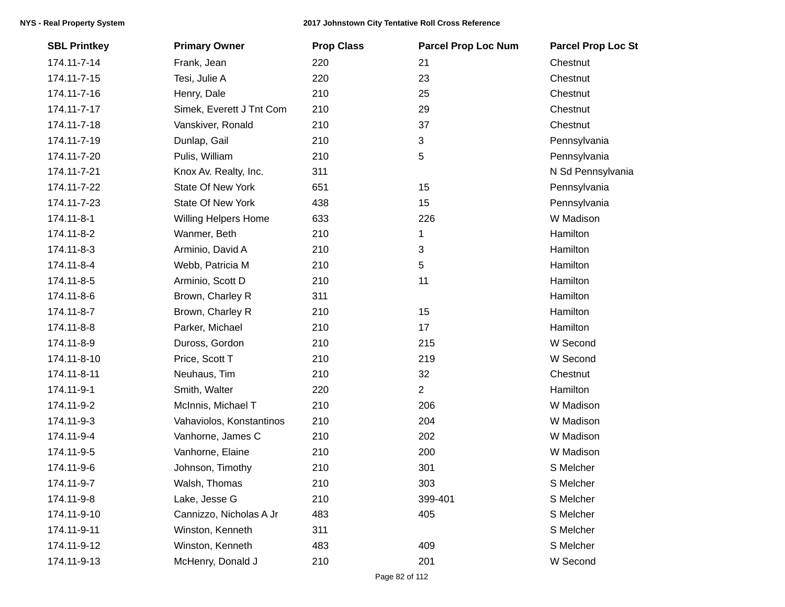| <b>SBL Printkey</b> | <b>Primary Owner</b>        | <b>Prop Class</b> | <b>Parcel Prop Loc Num</b> | <b>Parcel Prop Loc St</b> |
|---------------------|-----------------------------|-------------------|----------------------------|---------------------------|
| 174.11-7-14         | Frank, Jean                 | 220               | 21                         | Chestnut                  |
| 174.11-7-15         | Tesi, Julie A               | 220               | 23                         | Chestnut                  |
| 174.11-7-16         | Henry, Dale                 | 210               | 25                         | Chestnut                  |
| 174.11-7-17         | Simek, Everett J Tnt Com    | 210               | 29                         | Chestnut                  |
| 174.11-7-18         | Vanskiver, Ronald           | 210               | 37                         | Chestnut                  |
| 174.11-7-19         | Dunlap, Gail                | 210               | 3                          | Pennsylvania              |
| 174.11-7-20         | Pulis, William              | 210               | 5                          | Pennsylvania              |
| 174.11-7-21         | Knox Av. Realty, Inc.       | 311               |                            | N Sd Pennsylvania         |
| 174.11-7-22         | <b>State Of New York</b>    | 651               | 15                         | Pennsylvania              |
| 174.11-7-23         | <b>State Of New York</b>    | 438               | 15                         | Pennsylvania              |
| 174.11-8-1          | <b>Willing Helpers Home</b> | 633               | 226                        | W Madison                 |
| 174.11-8-2          | Wanmer, Beth                | 210               | 1                          | Hamilton                  |
| 174.11-8-3          | Arminio, David A            | 210               | 3                          | Hamilton                  |
| 174.11-8-4          | Webb, Patricia M            | 210               | 5                          | Hamilton                  |
| 174.11-8-5          | Arminio, Scott D            | 210               | 11                         | Hamilton                  |
| 174.11-8-6          | Brown, Charley R            | 311               |                            | Hamilton                  |
| 174.11-8-7          | Brown, Charley R            | 210               | 15                         | Hamilton                  |
| 174.11-8-8          | Parker, Michael             | 210               | 17                         | Hamilton                  |
| 174.11-8-9          | Duross, Gordon              | 210               | 215                        | W Second                  |
| 174.11-8-10         | Price, Scott T              | 210               | 219                        | W Second                  |
| 174.11-8-11         | Neuhaus, Tim                | 210               | 32                         | Chestnut                  |
| 174.11-9-1          | Smith, Walter               | 220               | $\overline{2}$             | Hamilton                  |
| 174.11-9-2          | McInnis, Michael T          | 210               | 206                        | W Madison                 |
| 174.11-9-3          | Vahaviolos, Konstantinos    | 210               | 204                        | W Madison                 |
| 174.11-9-4          | Vanhorne, James C           | 210               | 202                        | W Madison                 |
| 174.11-9-5          | Vanhorne, Elaine            | 210               | 200                        | W Madison                 |
| 174.11-9-6          | Johnson, Timothy            | 210               | 301                        | S Melcher                 |
| 174.11-9-7          | Walsh, Thomas               | 210               | 303                        | S Melcher                 |
| 174.11-9-8          | Lake, Jesse G               | 210               | 399-401                    | S Melcher                 |
| 174.11-9-10         | Cannizzo, Nicholas A Jr     | 483               | 405                        | S Melcher                 |
| 174.11-9-11         | Winston, Kenneth            | 311               |                            | S Melcher                 |
| 174.11-9-12         | Winston, Kenneth            | 483               | 409                        | S Melcher                 |
| 174.11-9-13         | McHenry, Donald J           | 210               | 201                        | W Second                  |
|                     |                             |                   |                            |                           |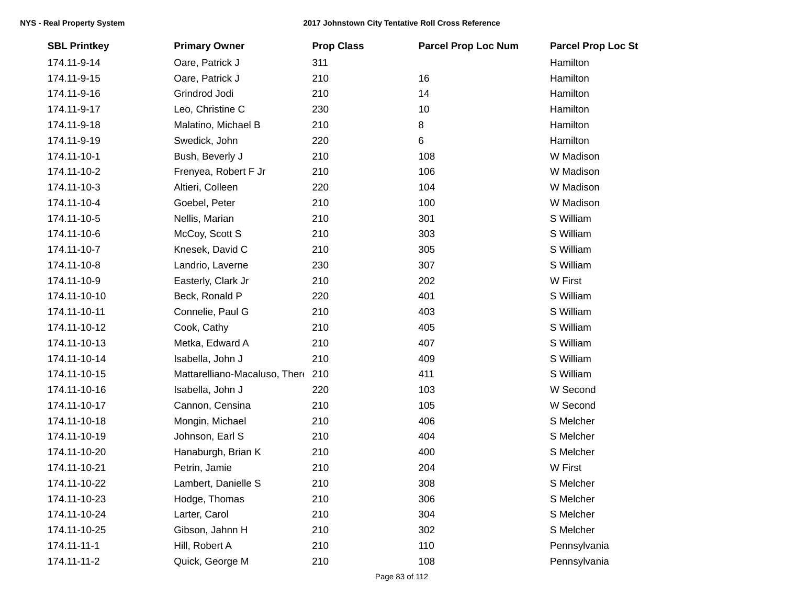| <b>SBL Printkey</b> | <b>Primary Owner</b>          | <b>Prop Class</b> | <b>Parcel Prop Loc Num</b> | <b>Parcel Prop Loc St</b> |
|---------------------|-------------------------------|-------------------|----------------------------|---------------------------|
| 174.11-9-14         | Oare, Patrick J               | 311               |                            | Hamilton                  |
| 174.11-9-15         | Oare, Patrick J               | 210               | 16                         | Hamilton                  |
| 174.11-9-16         | Grindrod Jodi                 | 210               | 14                         | Hamilton                  |
| 174.11-9-17         | Leo, Christine C              | 230               | 10                         | Hamilton                  |
| 174.11-9-18         | Malatino, Michael B           | 210               | 8                          | Hamilton                  |
| 174.11-9-19         | Swedick, John                 | 220               | 6                          | Hamilton                  |
| 174.11-10-1         | Bush, Beverly J               | 210               | 108                        | W Madison                 |
| 174.11-10-2         | Frenyea, Robert F Jr          | 210               | 106                        | W Madison                 |
| 174.11-10-3         | Altieri, Colleen              | 220               | 104                        | W Madison                 |
| 174.11-10-4         | Goebel, Peter                 | 210               | 100                        | W Madison                 |
| 174.11-10-5         | Nellis, Marian                | 210               | 301                        | S William                 |
| 174.11-10-6         | McCoy, Scott S                | 210               | 303                        | S William                 |
| 174.11-10-7         | Knesek, David C               | 210               | 305                        | S William                 |
| 174.11-10-8         | Landrio, Laverne              | 230               | 307                        | S William                 |
| 174.11-10-9         | Easterly, Clark Jr            | 210               | 202                        | W First                   |
| 174.11-10-10        | Beck, Ronald P                | 220               | 401                        | S William                 |
| 174.11-10-11        | Connelie, Paul G              | 210               | 403                        | S William                 |
| 174.11-10-12        | Cook, Cathy                   | 210               | 405                        | S William                 |
| 174.11-10-13        | Metka, Edward A               | 210               | 407                        | S William                 |
| 174.11-10-14        | Isabella, John J              | 210               | 409                        | S William                 |
| 174.11-10-15        | Mattarelliano-Macaluso, There | 210               | 411                        | S William                 |
| 174.11-10-16        | Isabella, John J              | 220               | 103                        | W Second                  |
| 174.11-10-17        | Cannon, Censina               | 210               | 105                        | W Second                  |
| 174.11-10-18        | Mongin, Michael               | 210               | 406                        | S Melcher                 |
| 174.11-10-19        | Johnson, Earl S               | 210               | 404                        | S Melcher                 |
| 174.11-10-20        | Hanaburgh, Brian K            | 210               | 400                        | S Melcher                 |
| 174.11-10-21        | Petrin, Jamie                 | 210               | 204                        | W First                   |
| 174.11-10-22        | Lambert, Danielle S           | 210               | 308                        | S Melcher                 |
| 174.11-10-23        | Hodge, Thomas                 | 210               | 306                        | S Melcher                 |
| 174.11-10-24        | Larter, Carol                 | 210               | 304                        | S Melcher                 |
| 174.11-10-25        | Gibson, Jahnn H               | 210               | 302                        | S Melcher                 |
| 174.11-11-1         | Hill, Robert A                | 210               | 110                        | Pennsylvania              |
| 174.11-11-2         | Quick, George M               | 210               | 108                        | Pennsylvania              |
|                     |                               |                   |                            |                           |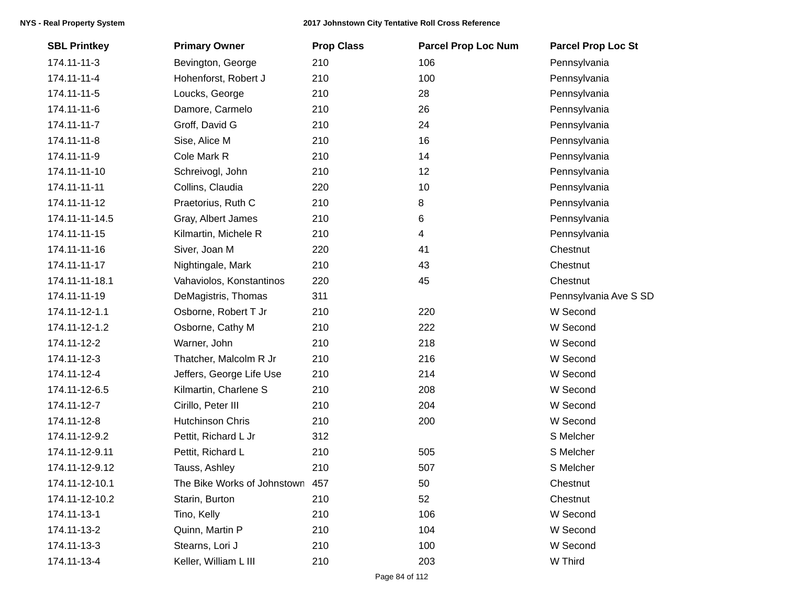| <b>SBL Printkey</b> | <b>Primary Owner</b>            | <b>Prop Class</b> | <b>Parcel Prop Loc Num</b> | <b>Parcel Prop Loc St</b> |
|---------------------|---------------------------------|-------------------|----------------------------|---------------------------|
| 174.11-11-3         | Bevington, George               | 210               | 106                        | Pennsylvania              |
| 174.11-11-4         | Hohenforst, Robert J            | 210               | 100                        | Pennsylvania              |
| 174.11-11-5         | Loucks, George                  | 210               | 28                         | Pennsylvania              |
| 174.11-11-6         | Damore, Carmelo                 | 210               | 26                         | Pennsylvania              |
| 174.11-11-7         | Groff, David G                  | 210               | 24                         | Pennsylvania              |
| 174.11-11-8         | Sise, Alice M                   | 210               | 16                         | Pennsylvania              |
| 174.11-11-9         | Cole Mark R                     | 210               | 14                         | Pennsylvania              |
| 174.11-11-10        | Schreivogl, John                | 210               | 12                         | Pennsylvania              |
| 174.11-11-11        | Collins, Claudia                | 220               | 10                         | Pennsylvania              |
| 174.11-11-12        | Praetorius, Ruth C              | 210               | 8                          | Pennsylvania              |
| 174.11-11-14.5      | Gray, Albert James              | 210               | 6                          | Pennsylvania              |
| 174.11-11-15        | Kilmartin, Michele R            | 210               | 4                          | Pennsylvania              |
| 174.11-11-16        | Siver, Joan M                   | 220               | 41                         | Chestnut                  |
| 174.11-11-17        | Nightingale, Mark               | 210               | 43                         | Chestnut                  |
| 174.11-11-18.1      | Vahaviolos, Konstantinos        | 220               | 45                         | Chestnut                  |
| 174.11-11-19        | DeMagistris, Thomas             | 311               |                            | Pennsylvania Ave S SD     |
| 174.11-12-1.1       | Osborne, Robert T Jr            | 210               | 220                        | W Second                  |
| 174.11-12-1.2       | Osborne, Cathy M                | 210               | 222                        | W Second                  |
| 174.11-12-2         | Warner, John                    | 210               | 218                        | W Second                  |
| 174.11-12-3         | Thatcher, Malcolm R Jr          | 210               | 216                        | W Second                  |
| 174.11-12-4         | Jeffers, George Life Use        | 210               | 214                        | W Second                  |
| 174.11-12-6.5       | Kilmartin, Charlene S           | 210               | 208                        | W Second                  |
| 174.11-12-7         | Cirillo, Peter III              | 210               | 204                        | W Second                  |
| 174.11-12-8         | Hutchinson Chris                | 210               | 200                        | W Second                  |
| 174.11-12-9.2       | Pettit, Richard L Jr            | 312               |                            | S Melcher                 |
| 174.11-12-9.11      | Pettit, Richard L               | 210               | 505                        | S Melcher                 |
| 174.11-12-9.12      | Tauss, Ashley                   | 210               | 507                        | S Melcher                 |
| 174.11-12-10.1      | The Bike Works of Johnstown 457 |                   | 50                         | Chestnut                  |
| 174.11-12-10.2      | Starin, Burton                  | 210               | 52                         | Chestnut                  |
| 174.11-13-1         | Tino, Kelly                     | 210               | 106                        | W Second                  |
| 174.11-13-2         | Quinn, Martin P                 | 210               | 104                        | W Second                  |
| 174.11-13-3         | Stearns, Lori J                 | 210               | 100                        | W Second                  |
| 174.11-13-4         | Keller, William L III           | 210               | 203                        | W Third                   |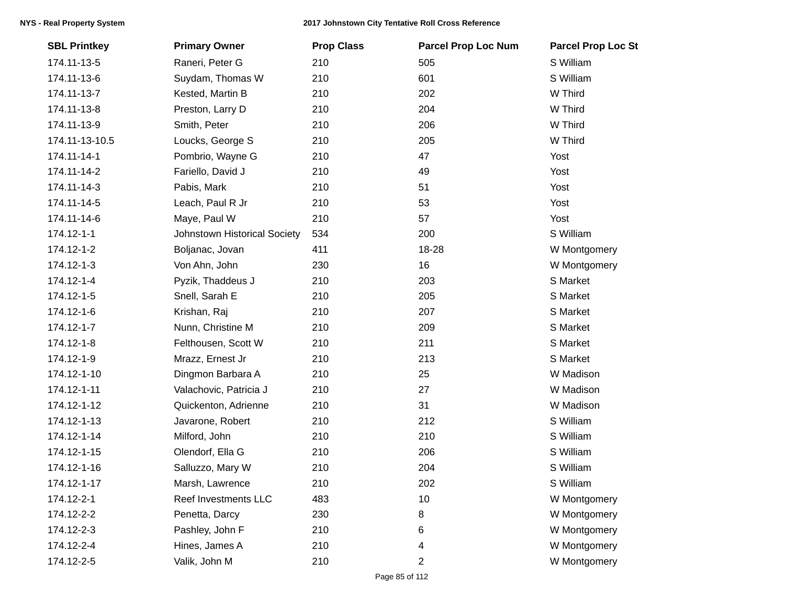| <b>SBL Printkey</b> | <b>Primary Owner</b>         | <b>Prop Class</b> | <b>Parcel Prop Loc Num</b> | <b>Parcel Prop Loc St</b> |
|---------------------|------------------------------|-------------------|----------------------------|---------------------------|
| 174.11-13-5         | Raneri, Peter G              | 210               | 505                        | S William                 |
| 174.11-13-6         | Suydam, Thomas W             | 210               | 601                        | S William                 |
| 174.11-13-7         | Kested, Martin B             | 210               | 202                        | W Third                   |
| 174.11-13-8         | Preston, Larry D             | 210               | 204                        | W Third                   |
| 174.11-13-9         | Smith, Peter                 | 210               | 206                        | W Third                   |
| 174.11-13-10.5      | Loucks, George S             | 210               | 205                        | W Third                   |
| 174.11-14-1         | Pombrio, Wayne G             | 210               | 47                         | Yost                      |
| 174.11-14-2         | Fariello, David J            | 210               | 49                         | Yost                      |
| 174.11-14-3         | Pabis, Mark                  | 210               | 51                         | Yost                      |
| 174.11-14-5         | Leach, Paul R Jr             | 210               | 53                         | Yost                      |
| 174.11-14-6         | Maye, Paul W                 | 210               | 57                         | Yost                      |
| 174.12-1-1          | Johnstown Historical Society | 534               | 200                        | S William                 |
| 174.12-1-2          | Boljanac, Jovan              | 411               | 18-28                      | W Montgomery              |
| 174.12-1-3          | Von Ahn, John                | 230               | 16                         | W Montgomery              |
| 174.12-1-4          | Pyzik, Thaddeus J            | 210               | 203                        | S Market                  |
| 174.12-1-5          | Snell, Sarah E               | 210               | 205                        | S Market                  |
| 174.12-1-6          | Krishan, Raj                 | 210               | 207                        | S Market                  |
| 174.12-1-7          | Nunn, Christine M            | 210               | 209                        | S Market                  |
| 174.12-1-8          | Felthousen, Scott W          | 210               | 211                        | S Market                  |
| 174.12-1-9          | Mrazz, Ernest Jr             | 210               | 213                        | S Market                  |
| 174.12-1-10         | Dingmon Barbara A            | 210               | 25                         | W Madison                 |
| 174.12-1-11         | Valachovic, Patricia J       | 210               | 27                         | W Madison                 |
| 174.12-1-12         | Quickenton, Adrienne         | 210               | 31                         | W Madison                 |
| 174.12-1-13         | Javarone, Robert             | 210               | 212                        | S William                 |
| 174.12-1-14         | Milford, John                | 210               | 210                        | S William                 |
| 174.12-1-15         | Olendorf, Ella G             | 210               | 206                        | S William                 |
| 174.12-1-16         | Salluzzo, Mary W             | 210               | 204                        | S William                 |
| 174.12-1-17         | Marsh, Lawrence              | 210               | 202                        | S William                 |
| 174.12-2-1          | Reef Investments LLC         | 483               | 10                         | W Montgomery              |
| 174.12-2-2          | Penetta, Darcy               | 230               | 8                          | W Montgomery              |
| 174.12-2-3          | Pashley, John F              | 210               | 6                          | W Montgomery              |
| 174.12-2-4          | Hines, James A               | 210               | 4                          | W Montgomery              |
| 174.12-2-5          | Valik, John M                | 210               | 2                          | W Montgomery              |
|                     |                              |                   |                            |                           |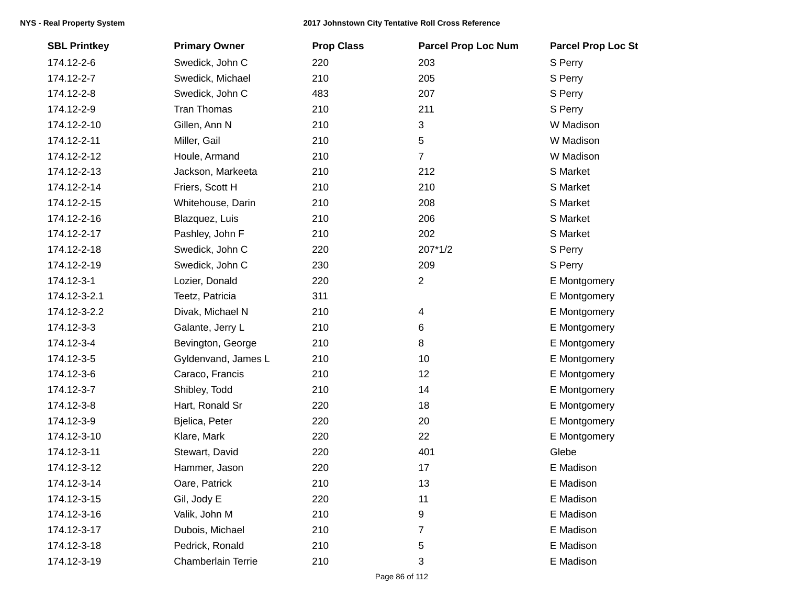| <b>SBL Printkey</b> | <b>Primary Owner</b> | <b>Prop Class</b> | <b>Parcel Prop Loc Num</b> | <b>Parcel Prop Loc St</b> |
|---------------------|----------------------|-------------------|----------------------------|---------------------------|
| 174.12-2-6          | Swedick, John C      | 220               | 203                        | S Perry                   |
| 174.12-2-7          | Swedick, Michael     | 210               | 205                        | S Perry                   |
| 174.12-2-8          | Swedick, John C      | 483               | 207                        | S Perry                   |
| 174.12-2-9          | <b>Tran Thomas</b>   | 210               | 211                        | S Perry                   |
| 174.12-2-10         | Gillen, Ann N        | 210               | 3                          | W Madison                 |
| 174.12-2-11         | Miller, Gail         | 210               | 5                          | W Madison                 |
| 174.12-2-12         | Houle, Armand        | 210               | 7                          | W Madison                 |
| 174.12-2-13         | Jackson, Markeeta    | 210               | 212                        | S Market                  |
| 174.12-2-14         | Friers, Scott H      | 210               | 210                        | S Market                  |
| 174.12-2-15         | Whitehouse, Darin    | 210               | 208                        | S Market                  |
| 174.12-2-16         | Blazquez, Luis       | 210               | 206                        | S Market                  |
| 174.12-2-17         | Pashley, John F      | 210               | 202                        | S Market                  |
| 174.12-2-18         | Swedick, John C      | 220               | 207*1/2                    | S Perry                   |
| 174.12-2-19         | Swedick, John C      | 230               | 209                        | S Perry                   |
| 174.12-3-1          | Lozier, Donald       | 220               | $\overline{c}$             | E Montgomery              |
| 174.12-3-2.1        | Teetz, Patricia      | 311               |                            | E Montgomery              |
| 174.12-3-2.2        | Divak, Michael N     | 210               | 4                          | E Montgomery              |
| 174.12-3-3          | Galante, Jerry L     | 210               | 6                          | E Montgomery              |
| 174.12-3-4          | Bevington, George    | 210               | 8                          | E Montgomery              |
| 174.12-3-5          | Gyldenvand, James L  | 210               | 10                         | E Montgomery              |
| 174.12-3-6          | Caraco, Francis      | 210               | 12                         | E Montgomery              |
| 174.12-3-7          | Shibley, Todd        | 210               | 14                         | E Montgomery              |
| 174.12-3-8          | Hart, Ronald Sr      | 220               | 18                         | E Montgomery              |
| 174.12-3-9          | Bjelica, Peter       | 220               | 20                         | E Montgomery              |
| 174.12-3-10         | Klare, Mark          | 220               | 22                         | E Montgomery              |
| 174.12-3-11         | Stewart, David       | 220               | 401                        | Glebe                     |
| 174.12-3-12         | Hammer, Jason        | 220               | 17                         | E Madison                 |
| 174.12-3-14         | Oare, Patrick        | 210               | 13                         | E Madison                 |
| 174.12-3-15         | Gil, Jody E          | 220               | 11                         | E Madison                 |
| 174.12-3-16         | Valik, John M        | 210               | 9                          | E Madison                 |
| 174.12-3-17         | Dubois, Michael      | 210               | 7                          | E Madison                 |
| 174.12-3-18         | Pedrick, Ronald      | 210               | 5                          | E Madison                 |
| 174.12-3-19         | Chamberlain Terrie   | 210               | 3                          | E Madison                 |
|                     |                      |                   |                            |                           |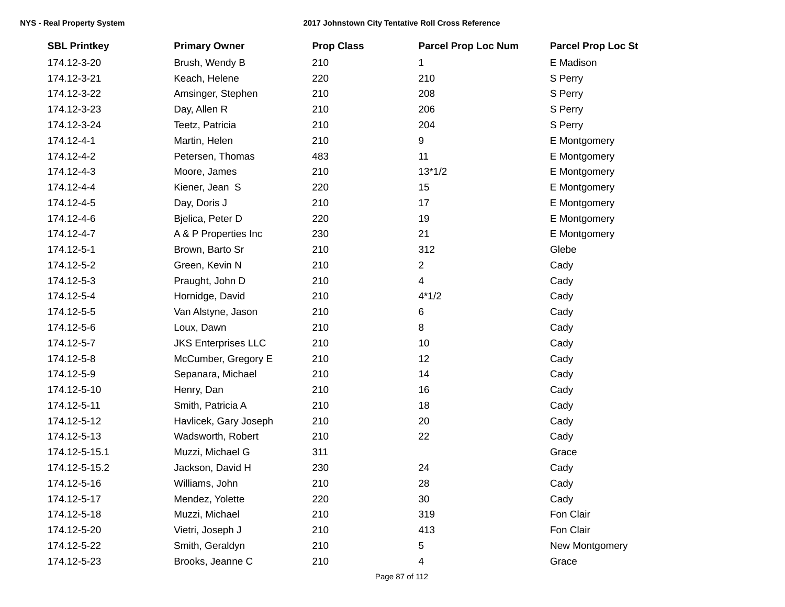| <b>SBL Printkey</b> | <b>Primary Owner</b>       | <b>Prop Class</b> | <b>Parcel Prop Loc Num</b> | <b>Parcel Prop Loc St</b> |
|---------------------|----------------------------|-------------------|----------------------------|---------------------------|
| 174.12-3-20         | Brush, Wendy B             | 210               | 1                          | E Madison                 |
| 174.12-3-21         | Keach, Helene              | 220               | 210                        | S Perry                   |
| 174.12-3-22         | Amsinger, Stephen          | 210               | 208                        | S Perry                   |
| 174.12-3-23         | Day, Allen R               | 210               | 206                        | S Perry                   |
| 174.12-3-24         | Teetz, Patricia            | 210               | 204                        | S Perry                   |
| 174.12-4-1          | Martin, Helen              | 210               | 9                          | E Montgomery              |
| 174.12-4-2          | Petersen, Thomas           | 483               | 11                         | E Montgomery              |
| 174.12-4-3          | Moore, James               | 210               | $13*1/2$                   | E Montgomery              |
| 174.12-4-4          | Kiener, Jean S             | 220               | 15                         | E Montgomery              |
| 174.12-4-5          | Day, Doris J               | 210               | 17                         | E Montgomery              |
| 174.12-4-6          | Bjelica, Peter D           | 220               | 19                         | E Montgomery              |
| 174.12-4-7          | A & P Properties Inc       | 230               | 21                         | E Montgomery              |
| 174.12-5-1          | Brown, Barto Sr            | 210               | 312                        | Glebe                     |
| 174.12-5-2          | Green, Kevin N             | 210               | $\overline{c}$             | Cady                      |
| 174.12-5-3          | Praught, John D            | 210               | 4                          | Cady                      |
| 174.12-5-4          | Hornidge, David            | 210               | $4*1/2$                    | Cady                      |
| 174.12-5-5          | Van Alstyne, Jason         | 210               | 6                          | Cady                      |
| 174.12-5-6          | Loux, Dawn                 | 210               | 8                          | Cady                      |
| 174.12-5-7          | <b>JKS Enterprises LLC</b> | 210               | 10                         | Cady                      |
| 174.12-5-8          | McCumber, Gregory E        | 210               | 12                         | Cady                      |
| 174.12-5-9          | Sepanara, Michael          | 210               | 14                         | Cady                      |
| 174.12-5-10         | Henry, Dan                 | 210               | 16                         | Cady                      |
| 174.12-5-11         | Smith, Patricia A          | 210               | 18                         | Cady                      |
| 174.12-5-12         | Havlicek, Gary Joseph      | 210               | 20                         | Cady                      |
| 174.12-5-13         | Wadsworth, Robert          | 210               | 22                         | Cady                      |
| 174.12-5-15.1       | Muzzi, Michael G           | 311               |                            | Grace                     |
| 174.12-5-15.2       | Jackson, David H           | 230               | 24                         | Cady                      |
| 174.12-5-16         | Williams, John             | 210               | 28                         | Cady                      |
| 174.12-5-17         | Mendez, Yolette            | 220               | 30                         | Cady                      |
| 174.12-5-18         | Muzzi, Michael             | 210               | 319                        | Fon Clair                 |
| 174.12-5-20         | Vietri, Joseph J           | 210               | 413                        | Fon Clair                 |
| 174.12-5-22         | Smith, Geraldyn            | 210               | 5                          | New Montgomery            |
| 174.12-5-23         | Brooks, Jeanne C           | 210               | 4                          | Grace                     |
|                     |                            |                   |                            |                           |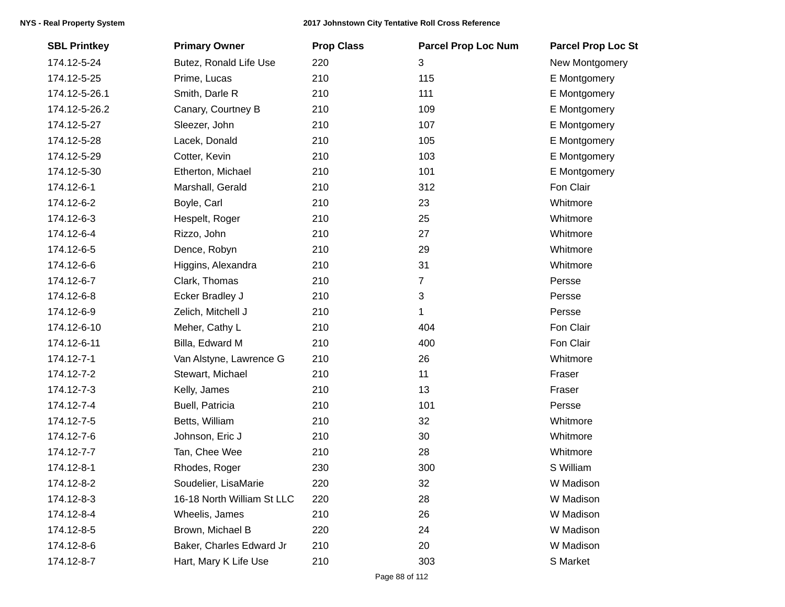| <b>SBL Printkey</b> | <b>Primary Owner</b>       | <b>Prop Class</b> | <b>Parcel Prop Loc Num</b> | <b>Parcel Prop Loc St</b> |
|---------------------|----------------------------|-------------------|----------------------------|---------------------------|
| 174.12-5-24         | Butez, Ronald Life Use     | 220               | 3                          | New Montgomery            |
| 174.12-5-25         | Prime, Lucas               | 210               | 115                        | E Montgomery              |
| 174.12-5-26.1       | Smith, Darle R             | 210               | 111                        | E Montgomery              |
| 174.12-5-26.2       | Canary, Courtney B         | 210               | 109                        | E Montgomery              |
| 174.12-5-27         | Sleezer, John              | 210               | 107                        | E Montgomery              |
| 174.12-5-28         | Lacek, Donald              | 210               | 105                        | E Montgomery              |
| 174.12-5-29         | Cotter, Kevin              | 210               | 103                        | E Montgomery              |
| 174.12-5-30         | Etherton, Michael          | 210               | 101                        | E Montgomery              |
| 174.12-6-1          | Marshall, Gerald           | 210               | 312                        | Fon Clair                 |
| 174.12-6-2          | Boyle, Carl                | 210               | 23                         | Whitmore                  |
| 174.12-6-3          | Hespelt, Roger             | 210               | 25                         | Whitmore                  |
| 174.12-6-4          | Rizzo, John                | 210               | 27                         | Whitmore                  |
| 174.12-6-5          | Dence, Robyn               | 210               | 29                         | Whitmore                  |
| 174.12-6-6          | Higgins, Alexandra         | 210               | 31                         | Whitmore                  |
| 174.12-6-7          | Clark, Thomas              | 210               | $\overline{7}$             | Persse                    |
| 174.12-6-8          | Ecker Bradley J            | 210               | 3                          | Persse                    |
| 174.12-6-9          | Zelich, Mitchell J         | 210               | 1                          | Persse                    |
| 174.12-6-10         | Meher, Cathy L             | 210               | 404                        | Fon Clair                 |
| 174.12-6-11         | Billa, Edward M            | 210               | 400                        | Fon Clair                 |
| 174.12-7-1          | Van Alstyne, Lawrence G    | 210               | 26                         | Whitmore                  |
| 174.12-7-2          | Stewart, Michael           | 210               | 11                         | Fraser                    |
| 174.12-7-3          | Kelly, James               | 210               | 13                         | Fraser                    |
| 174.12-7-4          | Buell, Patricia            | 210               | 101                        | Persse                    |
| 174.12-7-5          | Betts, William             | 210               | 32                         | Whitmore                  |
| 174.12-7-6          | Johnson, Eric J            | 210               | 30                         | Whitmore                  |
| 174.12-7-7          | Tan, Chee Wee              | 210               | 28                         | Whitmore                  |
| 174.12-8-1          | Rhodes, Roger              | 230               | 300                        | S William                 |
| 174.12-8-2          | Soudelier, LisaMarie       | 220               | 32                         | W Madison                 |
| 174.12-8-3          | 16-18 North William St LLC | 220               | 28                         | W Madison                 |
| 174.12-8-4          | Wheelis, James             | 210               | 26                         | W Madison                 |
| 174.12-8-5          | Brown, Michael B           | 220               | 24                         | W Madison                 |
| 174.12-8-6          | Baker, Charles Edward Jr   | 210               | 20                         | W Madison                 |
| 174.12-8-7          | Hart, Mary K Life Use      | 210               | 303                        | S Market                  |
|                     |                            |                   |                            |                           |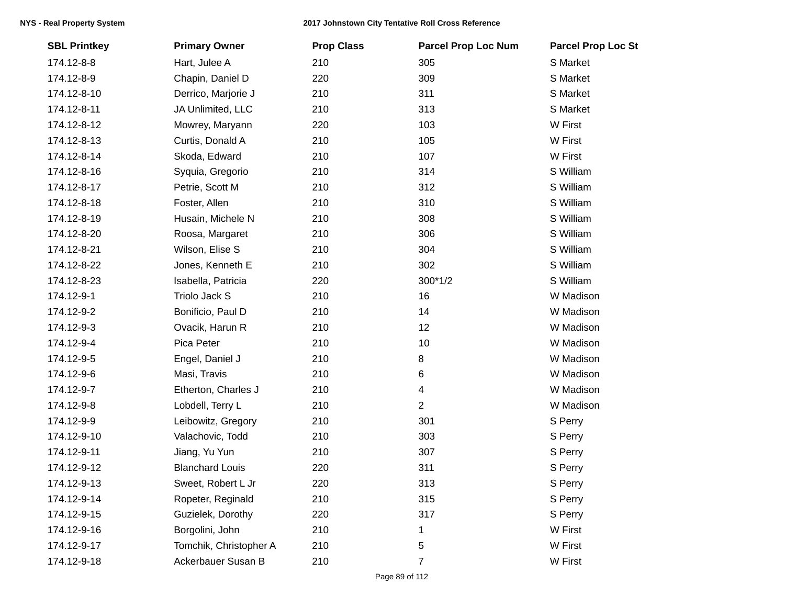| <b>SBL Printkey</b> | <b>Primary Owner</b>   | <b>Prop Class</b> | <b>Parcel Prop Loc Num</b> | <b>Parcel Prop Loc St</b> |
|---------------------|------------------------|-------------------|----------------------------|---------------------------|
| 174.12-8-8          | Hart, Julee A          | 210               | 305                        | S Market                  |
| 174.12-8-9          | Chapin, Daniel D       | 220               | 309                        | S Market                  |
| 174.12-8-10         | Derrico, Marjorie J    | 210               | 311                        | S Market                  |
| 174.12-8-11         | JA Unlimited, LLC      | 210               | 313                        | S Market                  |
| 174.12-8-12         | Mowrey, Maryann        | 220               | 103                        | W First                   |
| 174.12-8-13         | Curtis, Donald A       | 210               | 105                        | W First                   |
| 174.12-8-14         | Skoda, Edward          | 210               | 107                        | W First                   |
| 174.12-8-16         | Syquia, Gregorio       | 210               | 314                        | S William                 |
| 174.12-8-17         | Petrie, Scott M        | 210               | 312                        | S William                 |
| 174.12-8-18         | Foster, Allen          | 210               | 310                        | S William                 |
| 174.12-8-19         | Husain, Michele N      | 210               | 308                        | S William                 |
| 174.12-8-20         | Roosa, Margaret        | 210               | 306                        | S William                 |
| 174.12-8-21         | Wilson, Elise S        | 210               | 304                        | S William                 |
| 174.12-8-22         | Jones, Kenneth E       | 210               | 302                        | S William                 |
| 174.12-8-23         | Isabella, Patricia     | 220               | $300*1/2$                  | S William                 |
| 174.12-9-1          | Triolo Jack S          | 210               | 16                         | W Madison                 |
| 174.12-9-2          | Bonificio, Paul D      | 210               | 14                         | W Madison                 |
| 174.12-9-3          | Ovacik, Harun R        | 210               | 12                         | W Madison                 |
| 174.12-9-4          | Pica Peter             | 210               | 10                         | W Madison                 |
| 174.12-9-5          | Engel, Daniel J        | 210               | 8                          | W Madison                 |
| 174.12-9-6          | Masi, Travis           | 210               | 6                          | W Madison                 |
| 174.12-9-7          | Etherton, Charles J    | 210               | 4                          | W Madison                 |
| 174.12-9-8          | Lobdell, Terry L       | 210               | $\overline{2}$             | W Madison                 |
| 174.12-9-9          | Leibowitz, Gregory     | 210               | 301                        | S Perry                   |
| 174.12-9-10         | Valachovic, Todd       | 210               | 303                        | S Perry                   |
| 174.12-9-11         | Jiang, Yu Yun          | 210               | 307                        | S Perry                   |
| 174.12-9-12         | <b>Blanchard Louis</b> | 220               | 311                        | S Perry                   |
| 174.12-9-13         | Sweet, Robert L Jr     | 220               | 313                        | S Perry                   |
| 174.12-9-14         | Ropeter, Reginald      | 210               | 315                        | S Perry                   |
| 174.12-9-15         | Guzielek, Dorothy      | 220               | 317                        | S Perry                   |
| 174.12-9-16         | Borgolini, John        | 210               | 1                          | W First                   |
| 174.12-9-17         | Tomchik, Christopher A | 210               | 5                          | W First                   |
| 174.12-9-18         | Ackerbauer Susan B     | 210               | 7                          | W First                   |
|                     |                        |                   |                            |                           |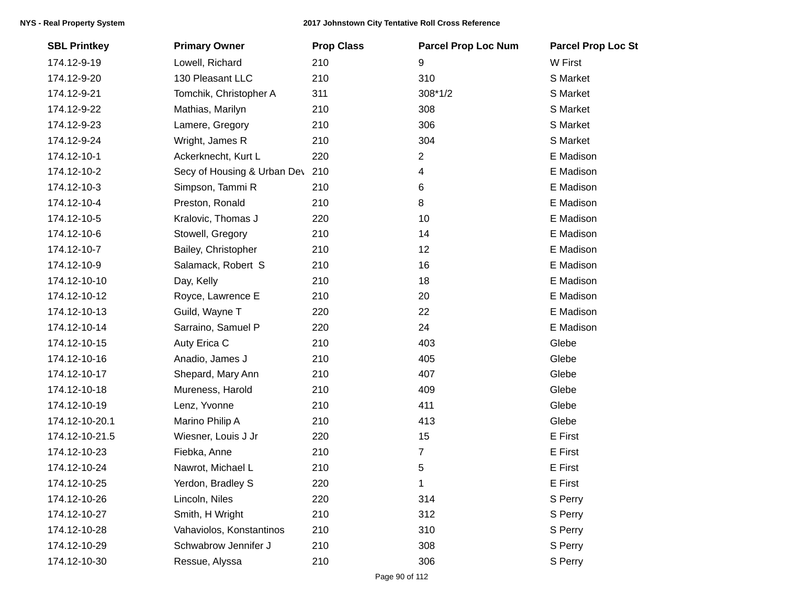| <b>SBL Printkey</b> | <b>Primary Owner</b>        | <b>Prop Class</b> | <b>Parcel Prop Loc Num</b> | <b>Parcel Prop Loc St</b> |
|---------------------|-----------------------------|-------------------|----------------------------|---------------------------|
| 174.12-9-19         | Lowell, Richard             | 210               | 9                          | W First                   |
| 174.12-9-20         | 130 Pleasant LLC            | 210               | 310                        | S Market                  |
| 174.12-9-21         | Tomchik, Christopher A      | 311               | 308*1/2                    | S Market                  |
| 174.12-9-22         | Mathias, Marilyn            | 210               | 308                        | S Market                  |
| 174.12-9-23         | Lamere, Gregory             | 210               | 306                        | S Market                  |
| 174.12-9-24         | Wright, James R             | 210               | 304                        | S Market                  |
| 174.12-10-1         | Ackerknecht, Kurt L         | 220               | 2                          | E Madison                 |
| 174.12-10-2         | Secy of Housing & Urban Dev | 210               | 4                          | E Madison                 |
| 174.12-10-3         | Simpson, Tammi R            | 210               | 6                          | E Madison                 |
| 174.12-10-4         | Preston, Ronald             | 210               | 8                          | E Madison                 |
| 174.12-10-5         | Kralovic, Thomas J          | 220               | 10                         | E Madison                 |
| 174.12-10-6         | Stowell, Gregory            | 210               | 14                         | E Madison                 |
| 174.12-10-7         | Bailey, Christopher         | 210               | 12                         | E Madison                 |
| 174.12-10-9         | Salamack, Robert S          | 210               | 16                         | E Madison                 |
| 174.12-10-10        | Day, Kelly                  | 210               | 18                         | E Madison                 |
| 174.12-10-12        | Royce, Lawrence E           | 210               | 20                         | E Madison                 |
| 174.12-10-13        | Guild, Wayne T              | 220               | 22                         | E Madison                 |
| 174.12-10-14        | Sarraino, Samuel P          | 220               | 24                         | E Madison                 |
| 174.12-10-15        | Auty Erica C                | 210               | 403                        | Glebe                     |
| 174.12-10-16        | Anadio, James J             | 210               | 405                        | Glebe                     |
| 174.12-10-17        | Shepard, Mary Ann           | 210               | 407                        | Glebe                     |
| 174.12-10-18        | Mureness, Harold            | 210               | 409                        | Glebe                     |
| 174.12-10-19        | Lenz, Yvonne                | 210               | 411                        | Glebe                     |
| 174.12-10-20.1      | Marino Philip A             | 210               | 413                        | Glebe                     |
| 174.12-10-21.5      | Wiesner, Louis J Jr         | 220               | 15                         | E First                   |
| 174.12-10-23        | Fiebka, Anne                | 210               | $\overline{7}$             | E First                   |
| 174.12-10-24        | Nawrot, Michael L           | 210               | 5                          | E First                   |
| 174.12-10-25        | Yerdon, Bradley S           | 220               | 1                          | E First                   |
| 174.12-10-26        | Lincoln, Niles              | 220               | 314                        | S Perry                   |
| 174.12-10-27        | Smith, H Wright             | 210               | 312                        | S Perry                   |
| 174.12-10-28        | Vahaviolos, Konstantinos    | 210               | 310                        | S Perry                   |
| 174.12-10-29        | Schwabrow Jennifer J        | 210               | 308                        | S Perry                   |
| 174.12-10-30        | Ressue, Alyssa              | 210               | 306                        | S Perry                   |
|                     |                             |                   |                            |                           |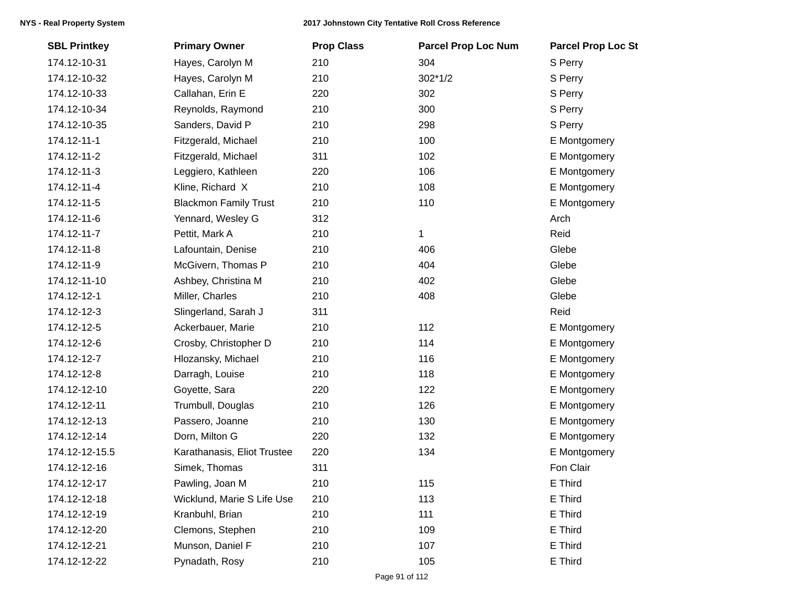| <b>SBL Printkey</b> | <b>Primary Owner</b>         | <b>Prop Class</b> | <b>Parcel Prop Loc Num</b> | <b>Parcel Prop Loc St</b> |
|---------------------|------------------------------|-------------------|----------------------------|---------------------------|
| 174.12-10-31        | Hayes, Carolyn M             | 210               | 304                        | S Perry                   |
| 174.12-10-32        | Hayes, Carolyn M             | 210               | $302*1/2$                  | S Perry                   |
| 174.12-10-33        | Callahan, Erin E             | 220               | 302                        | S Perry                   |
| 174.12-10-34        | Reynolds, Raymond            | 210               | 300                        | S Perry                   |
| 174.12-10-35        | Sanders, David P             | 210               | 298                        | S Perry                   |
| 174.12-11-1         | Fitzgerald, Michael          | 210               | 100                        | E Montgomery              |
| 174.12-11-2         | Fitzgerald, Michael          | 311               | 102                        | E Montgomery              |
| 174.12-11-3         | Leggiero, Kathleen           | 220               | 106                        | E Montgomery              |
| 174.12-11-4         | Kline, Richard X             | 210               | 108                        | E Montgomery              |
| 174.12-11-5         | <b>Blackmon Family Trust</b> | 210               | 110                        | E Montgomery              |
| 174.12-11-6         | Yennard, Wesley G            | 312               |                            | Arch                      |
| 174.12-11-7         | Pettit, Mark A               | 210               | 1                          | Reid                      |
| 174.12-11-8         | Lafountain, Denise           | 210               | 406                        | Glebe                     |
| 174.12-11-9         | McGivern, Thomas P           | 210               | 404                        | Glebe                     |
| 174.12-11-10        | Ashbey, Christina M          | 210               | 402                        | Glebe                     |
| 174.12-12-1         | Miller, Charles              | 210               | 408                        | Glebe                     |
| 174.12-12-3         | Slingerland, Sarah J         | 311               |                            | Reid                      |
| 174.12-12-5         | Ackerbauer, Marie            | 210               | 112                        | E Montgomery              |
| 174.12-12-6         | Crosby, Christopher D        | 210               | 114                        | E Montgomery              |
| 174.12-12-7         | Hlozansky, Michael           | 210               | 116                        | E Montgomery              |
| 174.12-12-8         | Darragh, Louise              | 210               | 118                        | E Montgomery              |
| 174.12-12-10        | Goyette, Sara                | 220               | 122                        | E Montgomery              |
| 174.12-12-11        | Trumbull, Douglas            | 210               | 126                        | E Montgomery              |
| 174.12-12-13        | Passero, Joanne              | 210               | 130                        | E Montgomery              |
| 174.12-12-14        | Dorn, Milton G               | 220               | 132                        | E Montgomery              |
| 174.12-12-15.5      | Karathanasis, Eliot Trustee  | 220               | 134                        | E Montgomery              |
| 174.12-12-16        | Simek, Thomas                | 311               |                            | Fon Clair                 |
| 174.12-12-17        | Pawling, Joan M              | 210               | 115                        | E Third                   |
| 174.12-12-18        | Wicklund, Marie S Life Use   | 210               | 113                        | E Third                   |
| 174.12-12-19        | Kranbuhl, Brian              | 210               | 111                        | E Third                   |
| 174.12-12-20        | Clemons, Stephen             | 210               | 109                        | E Third                   |
| 174.12-12-21        | Munson, Daniel F             | 210               | 107                        | E Third                   |
| 174.12-12-22        | Pynadath, Rosy               | 210               | 105                        | E Third                   |
|                     |                              |                   |                            |                           |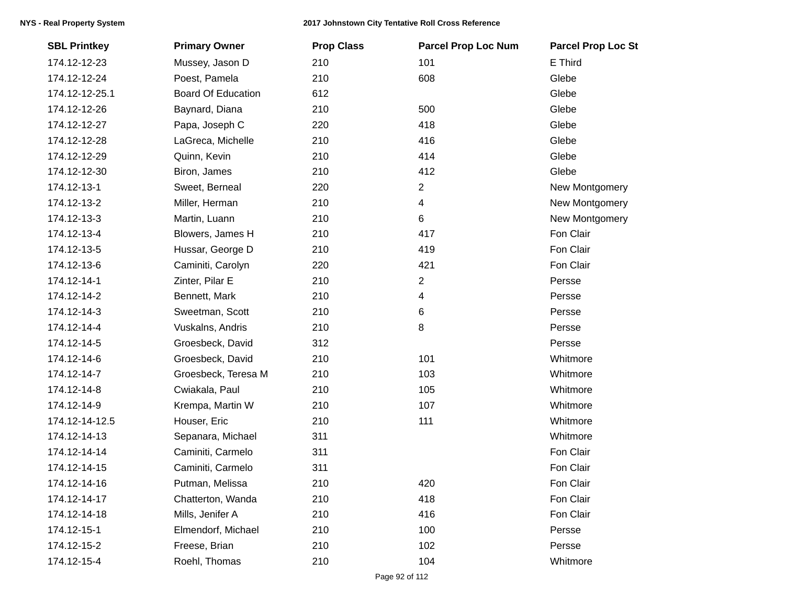| <b>SBL Printkey</b> | <b>Primary Owner</b>      | <b>Prop Class</b> | <b>Parcel Prop Loc Num</b> | <b>Parcel Prop Loc St</b> |
|---------------------|---------------------------|-------------------|----------------------------|---------------------------|
| 174.12-12-23        | Mussey, Jason D           | 210               | 101                        | E Third                   |
| 174.12-12-24        | Poest, Pamela             | 210               | 608                        | Glebe                     |
| 174.12-12-25.1      | <b>Board Of Education</b> | 612               |                            | Glebe                     |
| 174.12-12-26        | Baynard, Diana            | 210               | 500                        | Glebe                     |
| 174.12-12-27        | Papa, Joseph C            | 220               | 418                        | Glebe                     |
| 174.12-12-28        | LaGreca, Michelle         | 210               | 416                        | Glebe                     |
| 174.12-12-29        | Quinn, Kevin              | 210               | 414                        | Glebe                     |
| 174.12-12-30        | Biron, James              | 210               | 412                        | Glebe                     |
| 174.12-13-1         | Sweet, Berneal            | 220               | $\overline{c}$             | New Montgomery            |
| 174.12-13-2         | Miller, Herman            | 210               | 4                          | New Montgomery            |
| 174.12-13-3         | Martin, Luann             | 210               | 6                          | New Montgomery            |
| 174.12-13-4         | Blowers, James H          | 210               | 417                        | Fon Clair                 |
| 174.12-13-5         | Hussar, George D          | 210               | 419                        | Fon Clair                 |
| 174.12-13-6         | Caminiti, Carolyn         | 220               | 421                        | Fon Clair                 |
| 174.12-14-1         | Zinter, Pilar E           | 210               | $\overline{2}$             | Persse                    |
| 174.12-14-2         | Bennett, Mark             | 210               | 4                          | Persse                    |
| 174.12-14-3         | Sweetman, Scott           | 210               | 6                          | Persse                    |
| 174.12-14-4         | Vuskalns, Andris          | 210               | 8                          | Persse                    |
| 174.12-14-5         | Groesbeck, David          | 312               |                            | Persse                    |
| 174.12-14-6         | Groesbeck, David          | 210               | 101                        | Whitmore                  |
| 174.12-14-7         | Groesbeck, Teresa M       | 210               | 103                        | Whitmore                  |
| 174.12-14-8         | Cwiakala, Paul            | 210               | 105                        | Whitmore                  |
| 174.12-14-9         | Krempa, Martin W          | 210               | 107                        | Whitmore                  |
| 174.12-14-12.5      | Houser, Eric              | 210               | 111                        | Whitmore                  |
| 174.12-14-13        | Sepanara, Michael         | 311               |                            | Whitmore                  |
| 174.12-14-14        | Caminiti, Carmelo         | 311               |                            | Fon Clair                 |
| 174.12-14-15        | Caminiti, Carmelo         | 311               |                            | Fon Clair                 |
| 174.12-14-16        | Putman, Melissa           | 210               | 420                        | Fon Clair                 |
| 174.12-14-17        | Chatterton, Wanda         | 210               | 418                        | Fon Clair                 |
| 174.12-14-18        | Mills, Jenifer A          | 210               | 416                        | Fon Clair                 |
| 174.12-15-1         | Elmendorf, Michael        | 210               | 100                        | Persse                    |
| 174.12-15-2         | Freese, Brian             | 210               | 102                        | Persse                    |
| 174.12-15-4         | Roehl, Thomas             | 210               | 104                        | Whitmore                  |
|                     |                           |                   |                            |                           |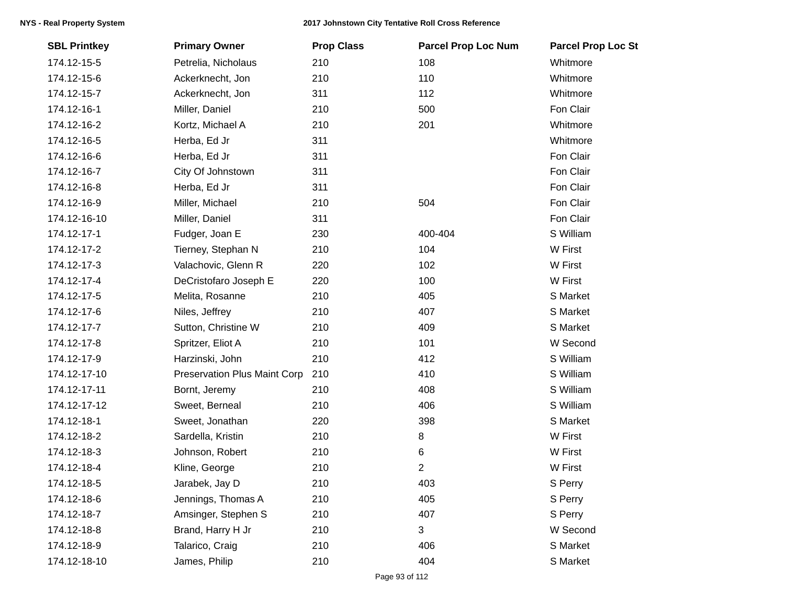| <b>SBL Printkey</b> | <b>Primary Owner</b>                | <b>Prop Class</b> | <b>Parcel Prop Loc Num</b> | <b>Parcel Prop Loc St</b> |
|---------------------|-------------------------------------|-------------------|----------------------------|---------------------------|
| 174.12-15-5         | Petrelia, Nicholaus                 | 210               | 108                        | Whitmore                  |
| 174.12-15-6         | Ackerknecht, Jon                    | 210               | 110                        | Whitmore                  |
| 174.12-15-7         | Ackerknecht, Jon                    | 311               | 112                        | Whitmore                  |
| 174.12-16-1         | Miller, Daniel                      | 210               | 500                        | Fon Clair                 |
| 174.12-16-2         | Kortz, Michael A                    | 210               | 201                        | Whitmore                  |
| 174.12-16-5         | Herba, Ed Jr                        | 311               |                            | Whitmore                  |
| 174.12-16-6         | Herba, Ed Jr                        | 311               |                            | Fon Clair                 |
| 174.12-16-7         | City Of Johnstown                   | 311               |                            | Fon Clair                 |
| 174.12-16-8         | Herba, Ed Jr                        | 311               |                            | Fon Clair                 |
| 174.12-16-9         | Miller, Michael                     | 210               | 504                        | Fon Clair                 |
| 174.12-16-10        | Miller, Daniel                      | 311               |                            | Fon Clair                 |
| 174.12-17-1         | Fudger, Joan E                      | 230               | 400-404                    | S William                 |
| 174.12-17-2         | Tierney, Stephan N                  | 210               | 104                        | W First                   |
| 174.12-17-3         | Valachovic, Glenn R                 | 220               | 102                        | W First                   |
| 174.12-17-4         | DeCristofaro Joseph E               | 220               | 100                        | W First                   |
| 174.12-17-5         | Melita, Rosanne                     | 210               | 405                        | S Market                  |
| 174.12-17-6         | Niles, Jeffrey                      | 210               | 407                        | S Market                  |
| 174.12-17-7         | Sutton, Christine W                 | 210               | 409                        | S Market                  |
| 174.12-17-8         | Spritzer, Eliot A                   | 210               | 101                        | W Second                  |
| 174.12-17-9         | Harzinski, John                     | 210               | 412                        | S William                 |
| 174.12-17-10        | <b>Preservation Plus Maint Corp</b> | 210               | 410                        | S William                 |
| 174.12-17-11        | Bornt, Jeremy                       | 210               | 408                        | S William                 |
| 174.12-17-12        | Sweet, Berneal                      | 210               | 406                        | S William                 |
| 174.12-18-1         | Sweet, Jonathan                     | 220               | 398                        | S Market                  |
| 174.12-18-2         | Sardella, Kristin                   | 210               | 8                          | W First                   |
| 174.12-18-3         | Johnson, Robert                     | 210               | 6                          | W First                   |
| 174.12-18-4         | Kline, George                       | 210               | 2                          | W First                   |
| 174.12-18-5         | Jarabek, Jay D                      | 210               | 403                        | S Perry                   |
| 174.12-18-6         | Jennings, Thomas A                  | 210               | 405                        | S Perry                   |
| 174.12-18-7         | Amsinger, Stephen S                 | 210               | 407                        | S Perry                   |
| 174.12-18-8         | Brand, Harry H Jr                   | 210               | 3                          | W Second                  |
| 174.12-18-9         | Talarico, Craig                     | 210               | 406                        | S Market                  |
| 174.12-18-10        | James, Philip                       | 210               | 404                        | S Market                  |
|                     |                                     |                   |                            |                           |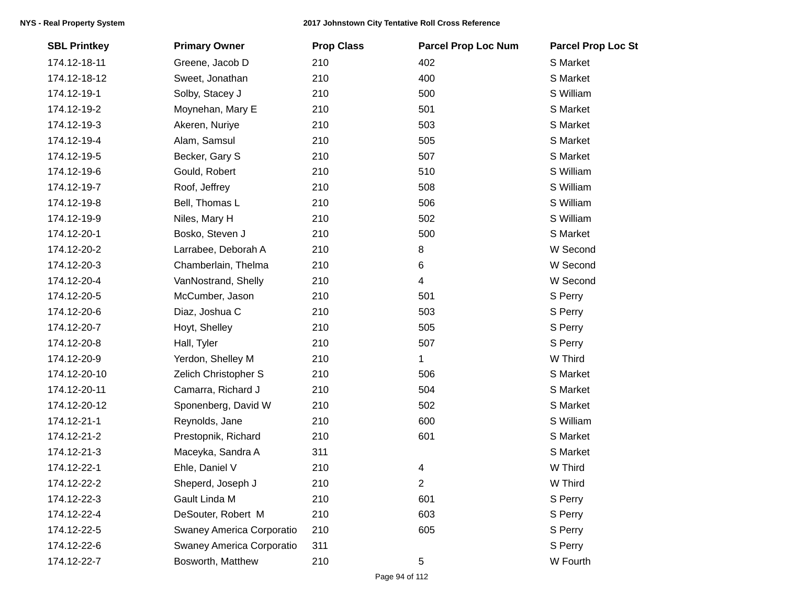| <b>SBL Printkey</b> | <b>Primary Owner</b>      | <b>Prop Class</b> | <b>Parcel Prop Loc Num</b> | <b>Parcel Prop Loc St</b> |
|---------------------|---------------------------|-------------------|----------------------------|---------------------------|
| 174.12-18-11        | Greene, Jacob D           | 210               | 402                        | S Market                  |
| 174.12-18-12        | Sweet, Jonathan           | 210               | 400                        | S Market                  |
| 174.12-19-1         | Solby, Stacey J           | 210               | 500                        | S William                 |
| 174.12-19-2         | Moynehan, Mary E          | 210               | 501                        | S Market                  |
| 174.12-19-3         | Akeren, Nuriye            | 210               | 503                        | S Market                  |
| 174.12-19-4         | Alam, Samsul              | 210               | 505                        | S Market                  |
| 174.12-19-5         | Becker, Gary S            | 210               | 507                        | S Market                  |
| 174.12-19-6         | Gould, Robert             | 210               | 510                        | S William                 |
| 174.12-19-7         | Roof, Jeffrey             | 210               | 508                        | S William                 |
| 174.12-19-8         | Bell, Thomas L            | 210               | 506                        | S William                 |
| 174.12-19-9         | Niles, Mary H             | 210               | 502                        | S William                 |
| 174.12-20-1         | Bosko, Steven J           | 210               | 500                        | S Market                  |
| 174.12-20-2         | Larrabee, Deborah A       | 210               | 8                          | W Second                  |
| 174.12-20-3         | Chamberlain, Thelma       | 210               | 6                          | W Second                  |
| 174.12-20-4         | VanNostrand, Shelly       | 210               | 4                          | W Second                  |
| 174.12-20-5         | McCumber, Jason           | 210               | 501                        | S Perry                   |
| 174.12-20-6         | Diaz, Joshua C            | 210               | 503                        | S Perry                   |
| 174.12-20-7         | Hoyt, Shelley             | 210               | 505                        | S Perry                   |
| 174.12-20-8         | Hall, Tyler               | 210               | 507                        | S Perry                   |
| 174.12-20-9         | Yerdon, Shelley M         | 210               | 1                          | W Third                   |
| 174.12-20-10        | Zelich Christopher S      | 210               | 506                        | S Market                  |
| 174.12-20-11        | Camarra, Richard J        | 210               | 504                        | S Market                  |
| 174.12-20-12        | Sponenberg, David W       | 210               | 502                        | S Market                  |
| 174.12-21-1         | Reynolds, Jane            | 210               | 600                        | S William                 |
| 174.12-21-2         | Prestopnik, Richard       | 210               | 601                        | S Market                  |
| 174.12-21-3         | Maceyka, Sandra A         | 311               |                            | S Market                  |
| 174.12-22-1         | Ehle, Daniel V            | 210               | 4                          | W Third                   |
| 174.12-22-2         | Sheperd, Joseph J         | 210               | 2                          | W Third                   |
| 174.12-22-3         | Gault Linda M             | 210               | 601                        | S Perry                   |
| 174.12-22-4         | DeSouter, Robert M        | 210               | 603                        | S Perry                   |
| 174.12-22-5         | Swaney America Corporatio | 210               | 605                        | S Perry                   |
| 174.12-22-6         | Swaney America Corporatio | 311               |                            | S Perry                   |
| 174.12-22-7         | Bosworth, Matthew         | 210               | 5                          | W Fourth                  |
|                     |                           |                   |                            |                           |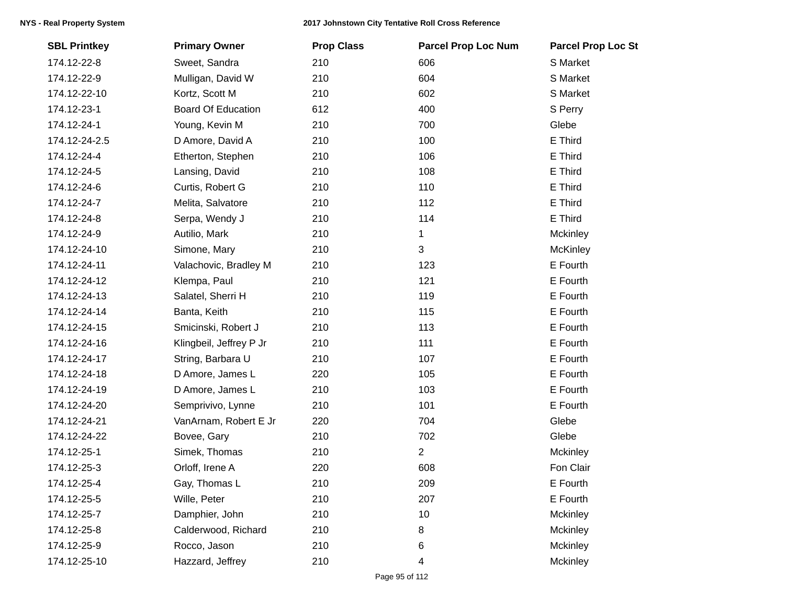| <b>SBL Printkey</b> | <b>Primary Owner</b>      | <b>Prop Class</b> | <b>Parcel Prop Loc Num</b> | <b>Parcel Prop Loc St</b> |
|---------------------|---------------------------|-------------------|----------------------------|---------------------------|
| 174.12-22-8         | Sweet, Sandra             | 210               | 606                        | S Market                  |
| 174.12-22-9         | Mulligan, David W         | 210               | 604                        | S Market                  |
| 174.12-22-10        | Kortz, Scott M            | 210               | 602                        | S Market                  |
| 174.12-23-1         | <b>Board Of Education</b> | 612               | 400                        | S Perry                   |
| 174.12-24-1         | Young, Kevin M            | 210               | 700                        | Glebe                     |
| 174.12-24-2.5       | D Amore, David A          | 210               | 100                        | E Third                   |
| 174.12-24-4         | Etherton, Stephen         | 210               | 106                        | E Third                   |
| 174.12-24-5         | Lansing, David            | 210               | 108                        | E Third                   |
| 174.12-24-6         | Curtis, Robert G          | 210               | 110                        | E Third                   |
| 174.12-24-7         | Melita, Salvatore         | 210               | 112                        | E Third                   |
| 174.12-24-8         | Serpa, Wendy J            | 210               | 114                        | E Third                   |
| 174.12-24-9         | Autilio, Mark             | 210               | 1                          | Mckinley                  |
| 174.12-24-10        | Simone, Mary              | 210               | 3                          | <b>McKinley</b>           |
| 174.12-24-11        | Valachovic, Bradley M     | 210               | 123                        | E Fourth                  |
| 174.12-24-12        | Klempa, Paul              | 210               | 121                        | E Fourth                  |
| 174.12-24-13        | Salatel, Sherri H         | 210               | 119                        | E Fourth                  |
| 174.12-24-14        | Banta, Keith              | 210               | 115                        | E Fourth                  |
| 174.12-24-15        | Smicinski, Robert J       | 210               | 113                        | E Fourth                  |
| 174.12-24-16        | Klingbeil, Jeffrey P Jr   | 210               | 111                        | E Fourth                  |
| 174.12-24-17        | String, Barbara U         | 210               | 107                        | E Fourth                  |
| 174.12-24-18        | D Amore, James L          | 220               | 105                        | E Fourth                  |
| 174.12-24-19        | D Amore, James L          | 210               | 103                        | E Fourth                  |
| 174.12-24-20        | Semprivivo, Lynne         | 210               | 101                        | E Fourth                  |
| 174.12-24-21        | VanArnam, Robert E Jr     | 220               | 704                        | Glebe                     |
| 174.12-24-22        | Bovee, Gary               | 210               | 702                        | Glebe                     |
| 174.12-25-1         | Simek, Thomas             | 210               | $\overline{2}$             | Mckinley                  |
| 174.12-25-3         | Orloff, Irene A           | 220               | 608                        | Fon Clair                 |
| 174.12-25-4         | Gay, Thomas L             | 210               | 209                        | E Fourth                  |
| 174.12-25-5         | Wille, Peter              | 210               | 207                        | E Fourth                  |
| 174.12-25-7         | Damphier, John            | 210               | 10                         | Mckinley                  |
| 174.12-25-8         | Calderwood, Richard       | 210               | 8                          | Mckinley                  |
| 174.12-25-9         | Rocco, Jason              | 210               | 6                          | Mckinley                  |
| 174.12-25-10        | Hazzard, Jeffrey          | 210               | 4                          | Mckinley                  |
|                     |                           |                   |                            |                           |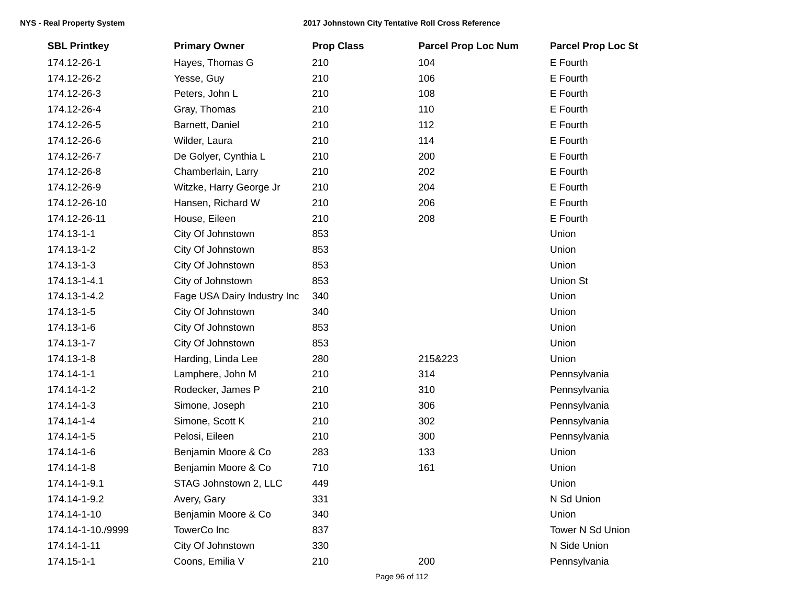| <b>SBL Printkey</b> | <b>Primary Owner</b>        | <b>Prop Class</b> | <b>Parcel Prop Loc Num</b> | <b>Parcel Prop Loc St</b> |
|---------------------|-----------------------------|-------------------|----------------------------|---------------------------|
| 174.12-26-1         | Hayes, Thomas G             | 210               | 104                        | E Fourth                  |
| 174.12-26-2         | Yesse, Guy                  | 210               | 106                        | E Fourth                  |
| 174.12-26-3         | Peters, John L              | 210               | 108                        | E Fourth                  |
| 174.12-26-4         | Gray, Thomas                | 210               | 110                        | E Fourth                  |
| 174.12-26-5         | Barnett, Daniel             | 210               | 112                        | E Fourth                  |
| 174.12-26-6         | Wilder, Laura               | 210               | 114                        | E Fourth                  |
| 174.12-26-7         | De Golyer, Cynthia L        | 210               | 200                        | E Fourth                  |
| 174.12-26-8         | Chamberlain, Larry          | 210               | 202                        | E Fourth                  |
| 174.12-26-9         | Witzke, Harry George Jr     | 210               | 204                        | E Fourth                  |
| 174.12-26-10        | Hansen, Richard W           | 210               | 206                        | E Fourth                  |
| 174.12-26-11        | House, Eileen               | 210               | 208                        | E Fourth                  |
| 174.13-1-1          | City Of Johnstown           | 853               |                            | Union                     |
| 174.13-1-2          | City Of Johnstown           | 853               |                            | Union                     |
| 174.13-1-3          | City Of Johnstown           | 853               |                            | Union                     |
| 174.13-1-4.1        | City of Johnstown           | 853               |                            | Union St                  |
| 174.13-1-4.2        | Fage USA Dairy Industry Inc | 340               |                            | Union                     |
| 174.13-1-5          | City Of Johnstown           | 340               |                            | Union                     |
| 174.13-1-6          | City Of Johnstown           | 853               |                            | Union                     |
| 174.13-1-7          | City Of Johnstown           | 853               |                            | Union                     |
| 174.13-1-8          | Harding, Linda Lee          | 280               | 215&223                    | Union                     |
| 174.14-1-1          | Lamphere, John M            | 210               | 314                        | Pennsylvania              |
| 174.14-1-2          | Rodecker, James P           | 210               | 310                        | Pennsylvania              |
| 174.14-1-3          | Simone, Joseph              | 210               | 306                        | Pennsylvania              |
| 174.14-1-4          | Simone, Scott K             | 210               | 302                        | Pennsylvania              |
| 174.14-1-5          | Pelosi, Eileen              | 210               | 300                        | Pennsylvania              |
| 174.14-1-6          | Benjamin Moore & Co         | 283               | 133                        | Union                     |
| 174.14-1-8          | Benjamin Moore & Co         | 710               | 161                        | Union                     |
| 174.14-1-9.1        | STAG Johnstown 2, LLC       | 449               |                            | Union                     |
| 174.14-1-9.2        | Avery, Gary                 | 331               |                            | N Sd Union                |
| 174.14-1-10         | Benjamin Moore & Co         | 340               |                            | Union                     |
| 174.14-1-10./9999   | TowerCo Inc                 | 837               |                            | Tower N Sd Union          |
| 174.14-1-11         | City Of Johnstown           | 330               |                            | N Side Union              |
| 174.15-1-1          | Coons, Emilia V             | 210               | 200                        | Pennsylvania              |
|                     |                             |                   |                            |                           |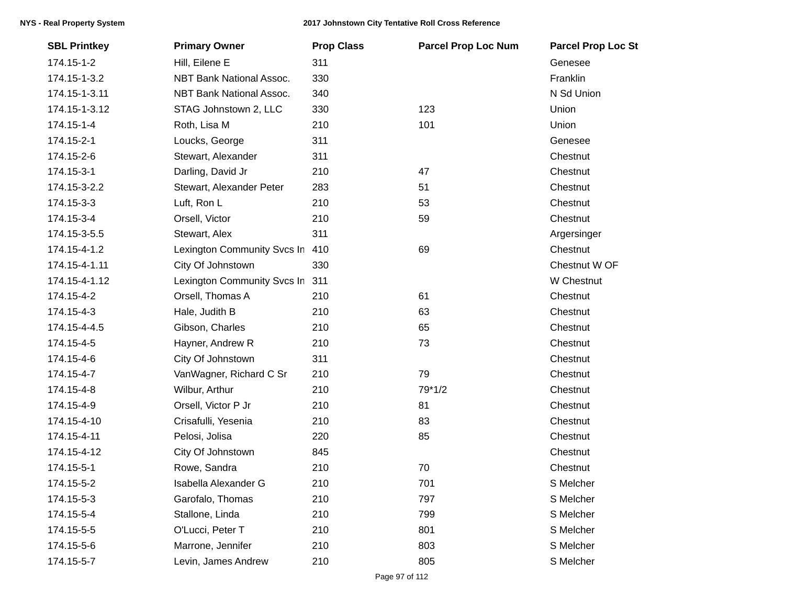| <b>SBL Printkey</b> | <b>Primary Owner</b>        | <b>Prop Class</b> | <b>Parcel Prop Loc Num</b> | <b>Parcel Prop Loc St</b> |
|---------------------|-----------------------------|-------------------|----------------------------|---------------------------|
| 174.15-1-2          | Hill, Eilene E              | 311               |                            | Genesee                   |
| 174.15-1-3.2        | NBT Bank National Assoc.    | 330               |                            | Franklin                  |
| 174.15-1-3.11       | NBT Bank National Assoc.    | 340               |                            | N Sd Union                |
| 174.15-1-3.12       | STAG Johnstown 2, LLC       | 330               | 123                        | Union                     |
| 174.15-1-4          | Roth, Lisa M                | 210               | 101                        | Union                     |
| 174.15-2-1          | Loucks, George              | 311               |                            | Genesee                   |
| 174.15-2-6          | Stewart, Alexander          | 311               |                            | Chestnut                  |
| 174.15-3-1          | Darling, David Jr           | 210               | 47                         | Chestnut                  |
| 174.15-3-2.2        | Stewart, Alexander Peter    | 283               | 51                         | Chestnut                  |
| 174.15-3-3          | Luft, Ron L                 | 210               | 53                         | Chestnut                  |
| 174.15-3-4          | Orsell, Victor              | 210               | 59                         | Chestnut                  |
| 174.15-3-5.5        | Stewart, Alex               | 311               |                            | Argersinger               |
| 174.15-4-1.2        | Lexington Community Svcs In | 410               | 69                         | Chestnut                  |
| 174.15-4-1.11       | City Of Johnstown           | 330               |                            | Chestnut W OF             |
| 174.15-4-1.12       | Lexington Community Svcs In | 311               |                            | W Chestnut                |
| 174.15-4-2          | Orsell, Thomas A            | 210               | 61                         | Chestnut                  |
| 174.15-4-3          | Hale, Judith B              | 210               | 63                         | Chestnut                  |
| 174.15-4-4.5        | Gibson, Charles             | 210               | 65                         | Chestnut                  |
| 174.15-4-5          | Hayner, Andrew R            | 210               | 73                         | Chestnut                  |
| 174.15-4-6          | City Of Johnstown           | 311               |                            | Chestnut                  |
| 174.15-4-7          | VanWagner, Richard C Sr     | 210               | 79                         | Chestnut                  |
| 174.15-4-8          | Wilbur, Arthur              | 210               | 79*1/2                     | Chestnut                  |
| 174.15-4-9          | Orsell, Victor P Jr         | 210               | 81                         | Chestnut                  |
| 174.15-4-10         | Crisafulli, Yesenia         | 210               | 83                         | Chestnut                  |
| 174.15-4-11         | Pelosi, Jolisa              | 220               | 85                         | Chestnut                  |
| 174.15-4-12         | City Of Johnstown           | 845               |                            | Chestnut                  |
| 174.15-5-1          | Rowe, Sandra                | 210               | 70                         | Chestnut                  |
| 174.15-5-2          | Isabella Alexander G        | 210               | 701                        | S Melcher                 |
| 174.15-5-3          | Garofalo, Thomas            | 210               | 797                        | S Melcher                 |
| 174.15-5-4          | Stallone, Linda             | 210               | 799                        | S Melcher                 |
| 174.15-5-5          | O'Lucci, Peter T            | 210               | 801                        | S Melcher                 |
| 174.15-5-6          | Marrone, Jennifer           | 210               | 803                        | S Melcher                 |
| 174.15-5-7          | Levin, James Andrew         | 210               | 805                        | S Melcher                 |
|                     |                             |                   |                            |                           |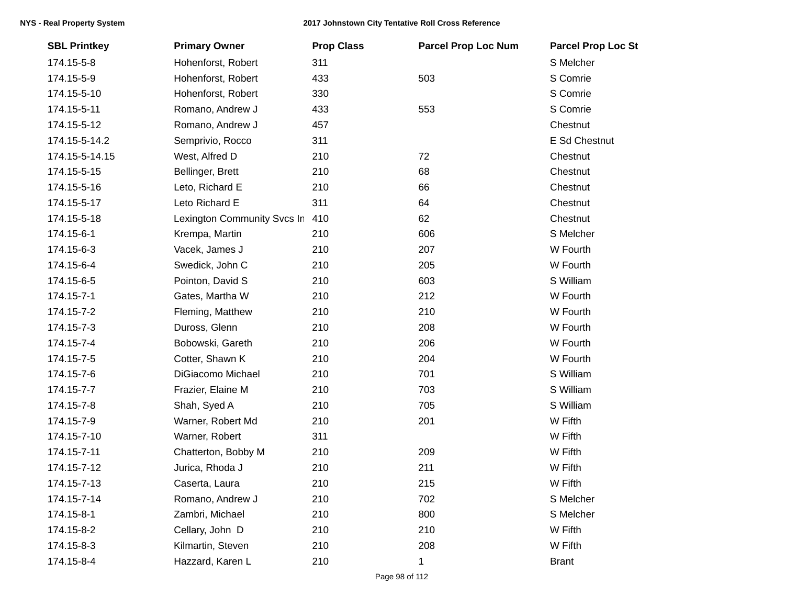| <b>SBL Printkey</b> | <b>Primary Owner</b>        | <b>Prop Class</b> | <b>Parcel Prop Loc Num</b> | <b>Parcel Prop Loc St</b> |
|---------------------|-----------------------------|-------------------|----------------------------|---------------------------|
| 174.15-5-8          | Hohenforst, Robert          | 311               |                            | S Melcher                 |
| 174.15-5-9          | Hohenforst, Robert          | 433               | 503                        | S Comrie                  |
| 174.15-5-10         | Hohenforst, Robert          | 330               |                            | S Comrie                  |
| 174.15-5-11         | Romano, Andrew J            | 433               | 553                        | S Comrie                  |
| 174.15-5-12         | Romano, Andrew J            | 457               |                            | Chestnut                  |
| 174.15-5-14.2       | Semprivio, Rocco            | 311               |                            | E Sd Chestnut             |
| 174.15-5-14.15      | West, Alfred D              | 210               | 72                         | Chestnut                  |
| 174.15-5-15         | Bellinger, Brett            | 210               | 68                         | Chestnut                  |
| 174.15-5-16         | Leto, Richard E             | 210               | 66                         | Chestnut                  |
| 174.15-5-17         | Leto Richard E              | 311               | 64                         | Chestnut                  |
| 174.15-5-18         | Lexington Community Svcs In | 410               | 62                         | Chestnut                  |
| 174.15-6-1          | Krempa, Martin              | 210               | 606                        | S Melcher                 |
| 174.15-6-3          | Vacek, James J              | 210               | 207                        | W Fourth                  |
| 174.15-6-4          | Swedick, John C             | 210               | 205                        | W Fourth                  |
| 174.15-6-5          | Pointon, David S            | 210               | 603                        | S William                 |
| 174.15-7-1          | Gates, Martha W             | 210               | 212                        | W Fourth                  |
| 174.15-7-2          | Fleming, Matthew            | 210               | 210                        | W Fourth                  |
| 174.15-7-3          | Duross, Glenn               | 210               | 208                        | W Fourth                  |
| 174.15-7-4          | Bobowski, Gareth            | 210               | 206                        | W Fourth                  |
| 174.15-7-5          | Cotter, Shawn K             | 210               | 204                        | W Fourth                  |
| 174.15-7-6          | DiGiacomo Michael           | 210               | 701                        | S William                 |
| 174.15-7-7          | Frazier, Elaine M           | 210               | 703                        | S William                 |
| 174.15-7-8          | Shah, Syed A                | 210               | 705                        | S William                 |
| 174.15-7-9          | Warner, Robert Md           | 210               | 201                        | W Fifth                   |
| 174.15-7-10         | Warner, Robert              | 311               |                            | W Fifth                   |
| 174.15-7-11         | Chatterton, Bobby M         | 210               | 209                        | W Fifth                   |
| 174.15-7-12         | Jurica, Rhoda J             | 210               | 211                        | W Fifth                   |
| 174.15-7-13         | Caserta, Laura              | 210               | 215                        | W Fifth                   |
| 174.15-7-14         | Romano, Andrew J            | 210               | 702                        | S Melcher                 |
| 174.15-8-1          | Zambri, Michael             | 210               | 800                        | S Melcher                 |
| 174.15-8-2          | Cellary, John D             | 210               | 210                        | W Fifth                   |
| 174.15-8-3          | Kilmartin, Steven           | 210               | 208                        | W Fifth                   |
| 174.15-8-4          | Hazzard, Karen L            | 210               | 1                          | <b>Brant</b>              |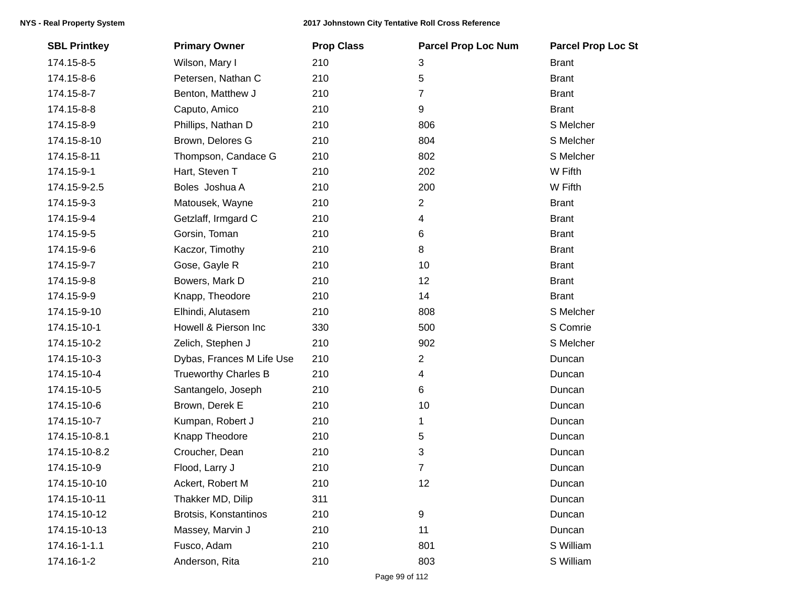| <b>SBL Printkey</b> | <b>Primary Owner</b>        | <b>Prop Class</b> | <b>Parcel Prop Loc Num</b> | <b>Parcel Prop Loc St</b> |
|---------------------|-----------------------------|-------------------|----------------------------|---------------------------|
| 174.15-8-5          | Wilson, Mary I              | 210               | 3                          | <b>Brant</b>              |
| 174.15-8-6          | Petersen, Nathan C          | 210               | 5                          | <b>Brant</b>              |
| 174.15-8-7          | Benton, Matthew J           | 210               | 7                          | <b>Brant</b>              |
| 174.15-8-8          | Caputo, Amico               | 210               | 9                          | <b>Brant</b>              |
| 174.15-8-9          | Phillips, Nathan D          | 210               | 806                        | S Melcher                 |
| 174.15-8-10         | Brown, Delores G            | 210               | 804                        | S Melcher                 |
| 174.15-8-11         | Thompson, Candace G         | 210               | 802                        | S Melcher                 |
| 174.15-9-1          | Hart, Steven T              | 210               | 202                        | W Fifth                   |
| 174.15-9-2.5        | Boles Joshua A              | 210               | 200                        | W Fifth                   |
| 174.15-9-3          | Matousek, Wayne             | 210               | 2                          | <b>Brant</b>              |
| 174.15-9-4          | Getzlaff, Irmgard C         | 210               | 4                          | <b>Brant</b>              |
| 174.15-9-5          | Gorsin, Toman               | 210               | 6                          | <b>Brant</b>              |
| 174.15-9-6          | Kaczor, Timothy             | 210               | 8                          | <b>Brant</b>              |
| 174.15-9-7          | Gose, Gayle R               | 210               | 10                         | <b>Brant</b>              |
| 174.15-9-8          | Bowers, Mark D              | 210               | 12                         | <b>Brant</b>              |
| 174.15-9-9          | Knapp, Theodore             | 210               | 14                         | <b>Brant</b>              |
| 174.15-9-10         | Elhindi, Alutasem           | 210               | 808                        | S Melcher                 |
| 174.15-10-1         | Howell & Pierson Inc        | 330               | 500                        | S Comrie                  |
| 174.15-10-2         | Zelich, Stephen J           | 210               | 902                        | S Melcher                 |
| 174.15-10-3         | Dybas, Frances M Life Use   | 210               | 2                          | Duncan                    |
| 174.15-10-4         | <b>Trueworthy Charles B</b> | 210               | 4                          | Duncan                    |
| 174.15-10-5         | Santangelo, Joseph          | 210               | 6                          | Duncan                    |
| 174.15-10-6         | Brown, Derek E              | 210               | 10                         | Duncan                    |
| 174.15-10-7         | Kumpan, Robert J            | 210               | 1                          | Duncan                    |
| 174.15-10-8.1       | Knapp Theodore              | 210               | 5                          | Duncan                    |
| 174.15-10-8.2       | Croucher, Dean              | 210               | 3                          | Duncan                    |
| 174.15-10-9         | Flood, Larry J              | 210               | $\overline{7}$             | Duncan                    |
| 174.15-10-10        | Ackert, Robert M            | 210               | 12                         | Duncan                    |
| 174.15-10-11        | Thakker MD, Dilip           | 311               |                            | Duncan                    |
| 174.15-10-12        | Brotsis, Konstantinos       | 210               | 9                          | Duncan                    |
| 174.15-10-13        | Massey, Marvin J            | 210               | 11                         | Duncan                    |
| 174.16-1-1.1        | Fusco, Adam                 | 210               | 801                        | S William                 |
| 174.16-1-2          | Anderson, Rita              | 210               | 803                        | S William                 |
|                     |                             |                   |                            |                           |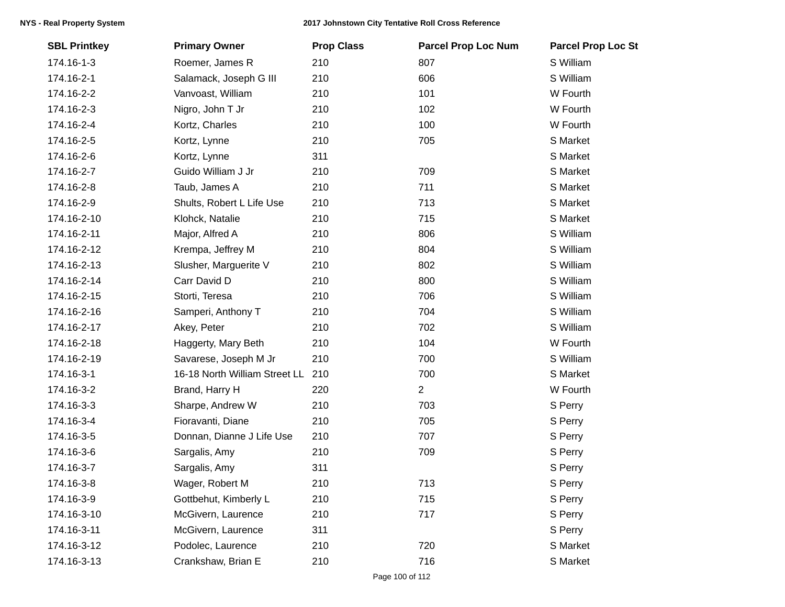|            | <b>SBL Printkey</b> | <b>Primary Owner</b>          | <b>Prop Class</b> | <b>Parcel Prop Loc Num</b> | <b>Parcel Prop Loc St</b> |
|------------|---------------------|-------------------------------|-------------------|----------------------------|---------------------------|
| 174.16-1-3 |                     | Roemer, James R               | 210               | 807                        | S William                 |
| 174.16-2-1 |                     | Salamack, Joseph G III        | 210               | 606                        | S William                 |
| 174.16-2-2 |                     | Vanvoast, William             | 210               | 101                        | W Fourth                  |
| 174.16-2-3 |                     | Nigro, John T Jr              | 210               | 102                        | W Fourth                  |
| 174.16-2-4 |                     | Kortz, Charles                | 210               | 100                        | W Fourth                  |
| 174.16-2-5 |                     | Kortz, Lynne                  | 210               | 705                        | S Market                  |
| 174.16-2-6 |                     | Kortz, Lynne                  | 311               |                            | S Market                  |
| 174.16-2-7 |                     | Guido William J Jr            | 210               | 709                        | S Market                  |
| 174.16-2-8 |                     | Taub, James A                 | 210               | 711                        | S Market                  |
| 174.16-2-9 |                     | Shults, Robert L Life Use     | 210               | 713                        | S Market                  |
|            | 174.16-2-10         | Klohck, Natalie               | 210               | 715                        | S Market                  |
|            | 174.16-2-11         | Major, Alfred A               | 210               | 806                        | S William                 |
|            | 174.16-2-12         | Krempa, Jeffrey M             | 210               | 804                        | S William                 |
|            | 174.16-2-13         | Slusher, Marguerite V         | 210               | 802                        | S William                 |
|            | 174.16-2-14         | Carr David D                  | 210               | 800                        | S William                 |
|            | 174.16-2-15         | Storti, Teresa                | 210               | 706                        | S William                 |
|            | 174.16-2-16         | Samperi, Anthony T            | 210               | 704                        | S William                 |
|            | 174.16-2-17         | Akey, Peter                   | 210               | 702                        | S William                 |
|            | 174.16-2-18         | Haggerty, Mary Beth           | 210               | 104                        | W Fourth                  |
|            | 174.16-2-19         | Savarese, Joseph M Jr         | 210               | 700                        | S William                 |
| 174.16-3-1 |                     | 16-18 North William Street LL | 210               | 700                        | S Market                  |
| 174.16-3-2 |                     | Brand, Harry H                | 220               | $\overline{2}$             | W Fourth                  |
| 174.16-3-3 |                     | Sharpe, Andrew W              | 210               | 703                        | S Perry                   |
| 174.16-3-4 |                     | Fioravanti, Diane             | 210               | 705                        | S Perry                   |
| 174.16-3-5 |                     | Donnan, Dianne J Life Use     | 210               | 707                        | S Perry                   |
| 174.16-3-6 |                     | Sargalis, Amy                 | 210               | 709                        | S Perry                   |
| 174.16-3-7 |                     | Sargalis, Amy                 | 311               |                            | S Perry                   |
| 174.16-3-8 |                     | Wager, Robert M               | 210               | 713                        | S Perry                   |
| 174.16-3-9 |                     | Gottbehut, Kimberly L         | 210               | 715                        | S Perry                   |
|            | 174.16-3-10         | McGivern, Laurence            | 210               | 717                        | S Perry                   |
|            | 174.16-3-11         | McGivern, Laurence            | 311               |                            | S Perry                   |
|            | 174.16-3-12         | Podolec, Laurence             | 210               | 720                        | S Market                  |
|            | 174.16-3-13         | Crankshaw, Brian E            | 210               | 716                        | S Market                  |
|            |                     |                               |                   |                            |                           |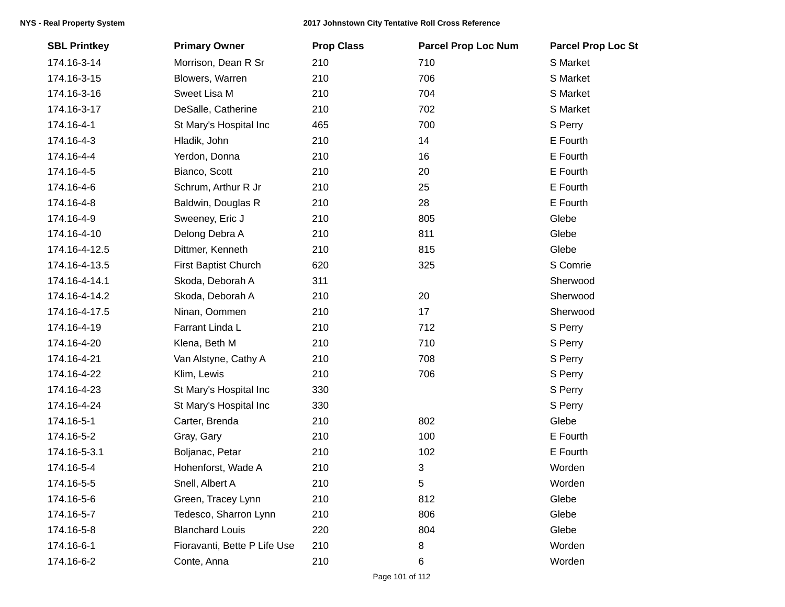| <b>SBL Printkey</b> | <b>Primary Owner</b>         | <b>Prop Class</b> | <b>Parcel Prop Loc Num</b> | <b>Parcel Prop Loc St</b> |
|---------------------|------------------------------|-------------------|----------------------------|---------------------------|
| 174.16-3-14         | Morrison, Dean R Sr          | 210               | 710                        | S Market                  |
| 174.16-3-15         | Blowers, Warren              | 210               | 706                        | S Market                  |
| 174.16-3-16         | Sweet Lisa M                 | 210               | 704                        | S Market                  |
| 174.16-3-17         | DeSalle, Catherine           | 210               | 702                        | S Market                  |
| 174.16-4-1          | St Mary's Hospital Inc       | 465               | 700                        | S Perry                   |
| 174.16-4-3          | Hladik, John                 | 210               | 14                         | E Fourth                  |
| 174.16-4-4          | Yerdon, Donna                | 210               | 16                         | E Fourth                  |
| 174.16-4-5          | Bianco, Scott                | 210               | 20                         | E Fourth                  |
| 174.16-4-6          | Schrum, Arthur R Jr          | 210               | 25                         | E Fourth                  |
| 174.16-4-8          | Baldwin, Douglas R           | 210               | 28                         | E Fourth                  |
| 174.16-4-9          | Sweeney, Eric J              | 210               | 805                        | Glebe                     |
| 174.16-4-10         | Delong Debra A               | 210               | 811                        | Glebe                     |
| 174.16-4-12.5       | Dittmer, Kenneth             | 210               | 815                        | Glebe                     |
| 174.16-4-13.5       | First Baptist Church         | 620               | 325                        | S Comrie                  |
| 174.16-4-14.1       | Skoda, Deborah A             | 311               |                            | Sherwood                  |
| 174.16-4-14.2       | Skoda, Deborah A             | 210               | 20                         | Sherwood                  |
| 174.16-4-17.5       | Ninan, Oommen                | 210               | 17                         | Sherwood                  |
| 174.16-4-19         | Farrant Linda L              | 210               | 712                        | S Perry                   |
| 174.16-4-20         | Klena, Beth M                | 210               | 710                        | S Perry                   |
| 174.16-4-21         | Van Alstyne, Cathy A         | 210               | 708                        | S Perry                   |
| 174.16-4-22         | Klim, Lewis                  | 210               | 706                        | S Perry                   |
| 174.16-4-23         | St Mary's Hospital Inc       | 330               |                            | S Perry                   |
| 174.16-4-24         | St Mary's Hospital Inc       | 330               |                            | S Perry                   |
| 174.16-5-1          | Carter, Brenda               | 210               | 802                        | Glebe                     |
| 174.16-5-2          | Gray, Gary                   | 210               | 100                        | E Fourth                  |
| 174.16-5-3.1        | Boljanac, Petar              | 210               | 102                        | E Fourth                  |
| 174.16-5-4          | Hohenforst, Wade A           | 210               | 3                          | Worden                    |
| 174.16-5-5          | Snell, Albert A              | 210               | 5                          | Worden                    |
| 174.16-5-6          | Green, Tracey Lynn           | 210               | 812                        | Glebe                     |
| 174.16-5-7          | Tedesco, Sharron Lynn        | 210               | 806                        | Glebe                     |
| 174.16-5-8          | <b>Blanchard Louis</b>       | 220               | 804                        | Glebe                     |
| 174.16-6-1          | Fioravanti, Bette P Life Use | 210               | 8                          | Worden                    |
| 174.16-6-2          | Conte, Anna                  | 210               | 6                          | Worden                    |
|                     |                              |                   |                            |                           |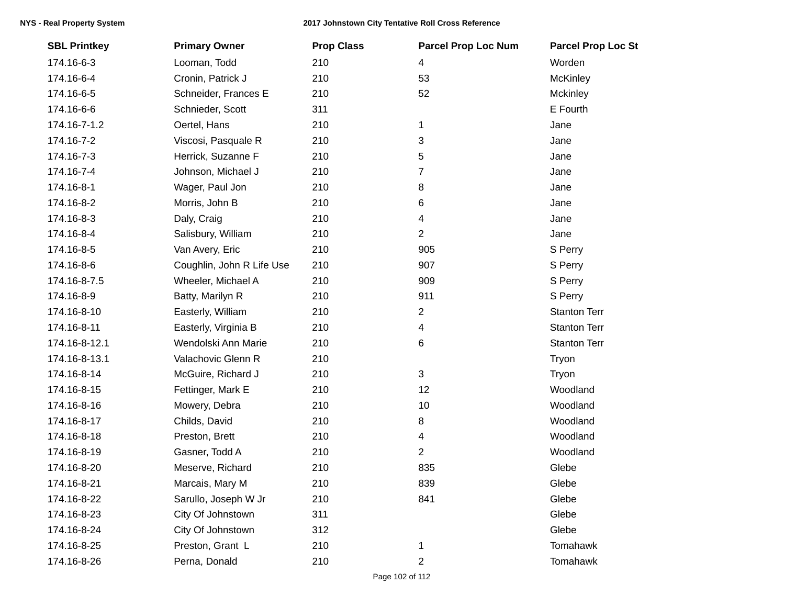| <b>SBL Printkey</b> | <b>Primary Owner</b>      | <b>Prop Class</b> | <b>Parcel Prop Loc Num</b> | <b>Parcel Prop Loc St</b> |
|---------------------|---------------------------|-------------------|----------------------------|---------------------------|
| 174.16-6-3          | Looman, Todd              | 210               | 4                          | Worden                    |
| 174.16-6-4          | Cronin, Patrick J         | 210               | 53                         | <b>McKinley</b>           |
| 174.16-6-5          | Schneider, Frances E      | 210               | 52                         | Mckinley                  |
| 174.16-6-6          | Schnieder, Scott          | 311               |                            | E Fourth                  |
| 174.16-7-1.2        | Oertel, Hans              | 210               | 1                          | Jane                      |
| 174.16-7-2          | Viscosi, Pasquale R       | 210               | 3                          | Jane                      |
| 174.16-7-3          | Herrick, Suzanne F        | 210               | 5                          | Jane                      |
| 174.16-7-4          | Johnson, Michael J        | 210               | 7                          | Jane                      |
| 174.16-8-1          | Wager, Paul Jon           | 210               | 8                          | Jane                      |
| 174.16-8-2          | Morris, John B            | 210               | 6                          | Jane                      |
| 174.16-8-3          | Daly, Craig               | 210               | 4                          | Jane                      |
| 174.16-8-4          | Salisbury, William        | 210               | $\overline{2}$             | Jane                      |
| 174.16-8-5          | Van Avery, Eric           | 210               | 905                        | S Perry                   |
| 174.16-8-6          | Coughlin, John R Life Use | 210               | 907                        | S Perry                   |
| 174.16-8-7.5        | Wheeler, Michael A        | 210               | 909                        | S Perry                   |
| 174.16-8-9          | Batty, Marilyn R          | 210               | 911                        | S Perry                   |
| 174.16-8-10         | Easterly, William         | 210               | 2                          | <b>Stanton Terr</b>       |
| 174.16-8-11         | Easterly, Virginia B      | 210               | 4                          | <b>Stanton Terr</b>       |
| 174.16-8-12.1       | Wendolski Ann Marie       | 210               | 6                          | <b>Stanton Terr</b>       |
| 174.16-8-13.1       | Valachovic Glenn R        | 210               |                            | Tryon                     |
| 174.16-8-14         | McGuire, Richard J        | 210               | 3                          | Tryon                     |
| 174.16-8-15         | Fettinger, Mark E         | 210               | 12                         | Woodland                  |
| 174.16-8-16         | Mowery, Debra             | 210               | 10                         | Woodland                  |
| 174.16-8-17         | Childs, David             | 210               | 8                          | Woodland                  |
| 174.16-8-18         | Preston, Brett            | 210               | 4                          | Woodland                  |
| 174.16-8-19         | Gasner, Todd A            | 210               | $\overline{2}$             | Woodland                  |
| 174.16-8-20         | Meserve, Richard          | 210               | 835                        | Glebe                     |
| 174.16-8-21         | Marcais, Mary M           | 210               | 839                        | Glebe                     |
| 174.16-8-22         | Sarullo, Joseph W Jr      | 210               | 841                        | Glebe                     |
| 174.16-8-23         | City Of Johnstown         | 311               |                            | Glebe                     |
| 174.16-8-24         | City Of Johnstown         | 312               |                            | Glebe                     |
| 174.16-8-25         | Preston, Grant L          | 210               | 1                          | Tomahawk                  |
| 174.16-8-26         | Perna, Donald             | 210               | 2                          | Tomahawk                  |
|                     |                           |                   |                            |                           |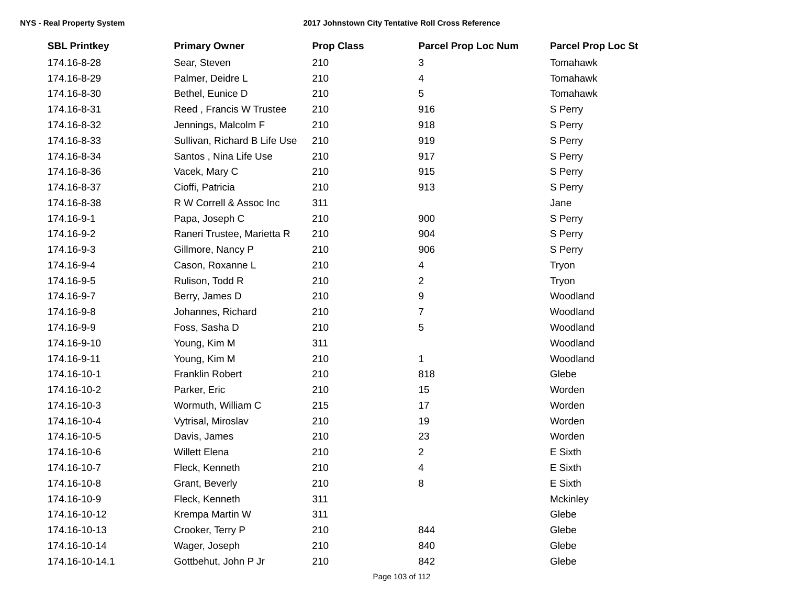| <b>SBL Printkey</b> | <b>Primary Owner</b>         | <b>Prop Class</b> | <b>Parcel Prop Loc Num</b> | <b>Parcel Prop Loc St</b> |
|---------------------|------------------------------|-------------------|----------------------------|---------------------------|
| 174.16-8-28         | Sear, Steven                 | 210               | 3                          | Tomahawk                  |
| 174.16-8-29         | Palmer, Deidre L             | 210               | 4                          | <b>Tomahawk</b>           |
| 174.16-8-30         | Bethel, Eunice D             | 210               | 5                          | Tomahawk                  |
| 174.16-8-31         | Reed, Francis W Trustee      | 210               | 916                        | S Perry                   |
| 174.16-8-32         | Jennings, Malcolm F          | 210               | 918                        | S Perry                   |
| 174.16-8-33         | Sullivan, Richard B Life Use | 210               | 919                        | S Perry                   |
| 174.16-8-34         | Santos, Nina Life Use        | 210               | 917                        | S Perry                   |
| 174.16-8-36         | Vacek, Mary C                | 210               | 915                        | S Perry                   |
| 174.16-8-37         | Cioffi, Patricia             | 210               | 913                        | S Perry                   |
| 174.16-8-38         | R W Correll & Assoc Inc      | 311               |                            | Jane                      |
| 174.16-9-1          | Papa, Joseph C               | 210               | 900                        | S Perry                   |
| 174.16-9-2          | Raneri Trustee, Marietta R   | 210               | 904                        | S Perry                   |
| 174.16-9-3          | Gillmore, Nancy P            | 210               | 906                        | S Perry                   |
| 174.16-9-4          | Cason, Roxanne L             | 210               | 4                          | Tryon                     |
| 174.16-9-5          | Rulison, Todd R              | 210               | $\overline{2}$             | Tryon                     |
| 174.16-9-7          | Berry, James D               | 210               | 9                          | Woodland                  |
| 174.16-9-8          | Johannes, Richard            | 210               | 7                          | Woodland                  |
| 174.16-9-9          | Foss, Sasha D                | 210               | 5                          | Woodland                  |
| 174.16-9-10         | Young, Kim M                 | 311               |                            | Woodland                  |
| 174.16-9-11         | Young, Kim M                 | 210               | $\mathbf 1$                | Woodland                  |
| 174.16-10-1         | <b>Franklin Robert</b>       | 210               | 818                        | Glebe                     |
| 174.16-10-2         | Parker, Eric                 | 210               | 15                         | Worden                    |
| 174.16-10-3         | Wormuth, William C           | 215               | 17                         | Worden                    |
| 174.16-10-4         | Vytrisal, Miroslav           | 210               | 19                         | Worden                    |
| 174.16-10-5         | Davis, James                 | 210               | 23                         | Worden                    |
| 174.16-10-6         | <b>Willett Elena</b>         | 210               | $\overline{2}$             | E Sixth                   |
| 174.16-10-7         | Fleck, Kenneth               | 210               | 4                          | E Sixth                   |
| 174.16-10-8         | Grant, Beverly               | 210               | 8                          | E Sixth                   |
| 174.16-10-9         | Fleck, Kenneth               | 311               |                            | Mckinley                  |
| 174.16-10-12        | Krempa Martin W              | 311               |                            | Glebe                     |
| 174.16-10-13        | Crooker, Terry P             | 210               | 844                        | Glebe                     |
| 174.16-10-14        | Wager, Joseph                | 210               | 840                        | Glebe                     |
| 174.16-10-14.1      | Gottbehut, John P Jr         | 210               | 842                        | Glebe                     |
|                     |                              |                   |                            |                           |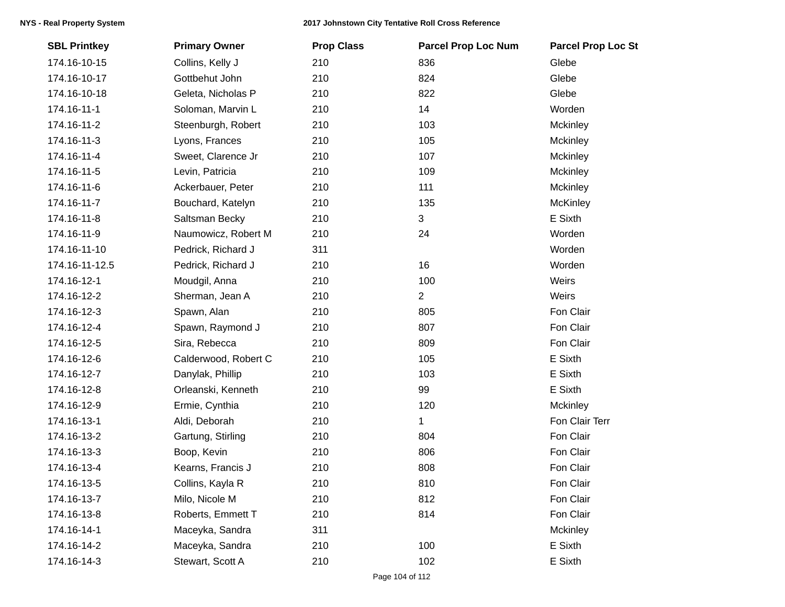| <b>SBL Printkey</b> | <b>Primary Owner</b> | <b>Prop Class</b> | <b>Parcel Prop Loc Num</b> | <b>Parcel Prop Loc St</b> |
|---------------------|----------------------|-------------------|----------------------------|---------------------------|
| 174.16-10-15        | Collins, Kelly J     | 210               | 836                        | Glebe                     |
| 174.16-10-17        | Gottbehut John       | 210               | 824                        | Glebe                     |
| 174.16-10-18        | Geleta, Nicholas P   | 210               | 822                        | Glebe                     |
| 174.16-11-1         | Soloman, Marvin L    | 210               | 14                         | Worden                    |
| 174.16-11-2         | Steenburgh, Robert   | 210               | 103                        | Mckinley                  |
| 174.16-11-3         | Lyons, Frances       | 210               | 105                        | Mckinley                  |
| 174.16-11-4         | Sweet, Clarence Jr   | 210               | 107                        | Mckinley                  |
| 174.16-11-5         | Levin, Patricia      | 210               | 109                        | Mckinley                  |
| 174.16-11-6         | Ackerbauer, Peter    | 210               | 111                        | Mckinley                  |
| 174.16-11-7         | Bouchard, Katelyn    | 210               | 135                        | <b>McKinley</b>           |
| 174.16-11-8         | Saltsman Becky       | 210               | 3                          | E Sixth                   |
| 174.16-11-9         | Naumowicz, Robert M  | 210               | 24                         | Worden                    |
| 174.16-11-10        | Pedrick, Richard J   | 311               |                            | Worden                    |
| 174.16-11-12.5      | Pedrick, Richard J   | 210               | 16                         | Worden                    |
| 174.16-12-1         | Moudgil, Anna        | 210               | 100                        | Weirs                     |
| 174.16-12-2         | Sherman, Jean A      | 210               | 2                          | Weirs                     |
| 174.16-12-3         | Spawn, Alan          | 210               | 805                        | Fon Clair                 |
| 174.16-12-4         | Spawn, Raymond J     | 210               | 807                        | Fon Clair                 |
| 174.16-12-5         | Sira, Rebecca        | 210               | 809                        | Fon Clair                 |
| 174.16-12-6         | Calderwood, Robert C | 210               | 105                        | E Sixth                   |
| 174.16-12-7         | Danylak, Phillip     | 210               | 103                        | E Sixth                   |
| 174.16-12-8         | Orleanski, Kenneth   | 210               | 99                         | E Sixth                   |
| 174.16-12-9         | Ermie, Cynthia       | 210               | 120                        | Mckinley                  |
| 174.16-13-1         | Aldi, Deborah        | 210               | 1                          | Fon Clair Terr            |
| 174.16-13-2         | Gartung, Stirling    | 210               | 804                        | Fon Clair                 |
| 174.16-13-3         | Boop, Kevin          | 210               | 806                        | Fon Clair                 |
| 174.16-13-4         | Kearns, Francis J    | 210               | 808                        | Fon Clair                 |
| 174.16-13-5         | Collins, Kayla R     | 210               | 810                        | Fon Clair                 |
| 174.16-13-7         | Milo, Nicole M       | 210               | 812                        | Fon Clair                 |
| 174.16-13-8         | Roberts, Emmett T    | 210               | 814                        | Fon Clair                 |
| 174.16-14-1         | Maceyka, Sandra      | 311               |                            | Mckinley                  |
| 174.16-14-2         | Maceyka, Sandra      | 210               | 100                        | E Sixth                   |
| 174.16-14-3         | Stewart, Scott A     | 210               | 102                        | E Sixth                   |
|                     |                      |                   |                            |                           |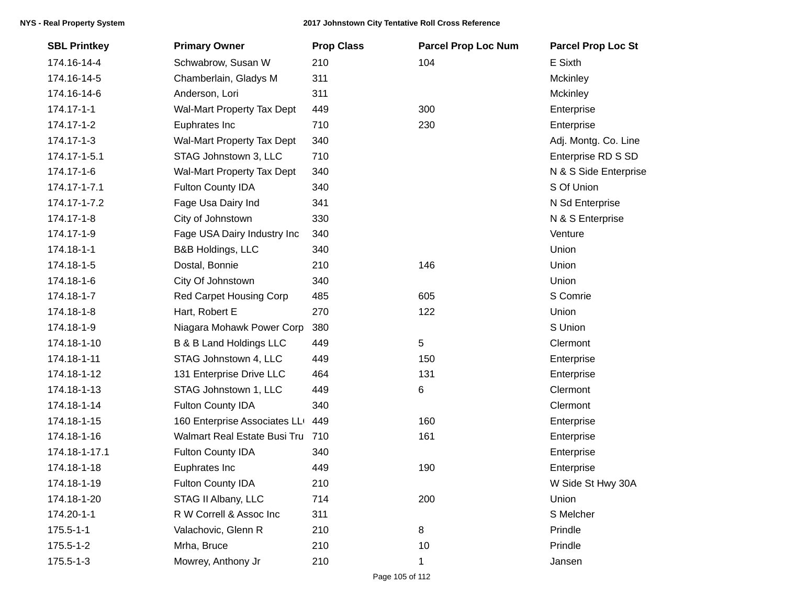| <b>SBL Printkey</b> | <b>Primary Owner</b>             | <b>Prop Class</b> | <b>Parcel Prop Loc Num</b> | <b>Parcel Prop Loc St</b> |
|---------------------|----------------------------------|-------------------|----------------------------|---------------------------|
| 174.16-14-4         | Schwabrow, Susan W               | 210               | 104                        | E Sixth                   |
| 174.16-14-5         | Chamberlain, Gladys M            | 311               |                            | Mckinley                  |
| 174.16-14-6         | Anderson, Lori                   | 311               |                            | Mckinley                  |
| 174.17-1-1          | Wal-Mart Property Tax Dept       | 449               | 300                        | Enterprise                |
| 174.17-1-2          | Euphrates Inc                    | 710               | 230                        | Enterprise                |
| 174.17-1-3          | Wal-Mart Property Tax Dept       | 340               |                            | Adj. Montg. Co. Line      |
| 174.17-1-5.1        | STAG Johnstown 3, LLC            | 710               |                            | Enterprise RD S SD        |
| 174.17-1-6          | Wal-Mart Property Tax Dept       | 340               |                            | N & S Side Enterprise     |
| 174.17-1-7.1        | <b>Fulton County IDA</b>         | 340               |                            | S Of Union                |
| 174.17-1-7.2        | Fage Usa Dairy Ind               | 341               |                            | N Sd Enterprise           |
| 174.17-1-8          | City of Johnstown                | 330               |                            | N & S Enterprise          |
| 174.17-1-9          | Fage USA Dairy Industry Inc      | 340               |                            | Venture                   |
| 174.18-1-1          | B&B Holdings, LLC                | 340               |                            | Union                     |
| 174.18-1-5          | Dostal, Bonnie                   | 210               | 146                        | Union                     |
| 174.18-1-6          | City Of Johnstown                | 340               |                            | Union                     |
| 174.18-1-7          | <b>Red Carpet Housing Corp</b>   | 485               | 605                        | S Comrie                  |
| 174.18-1-8          | Hart, Robert E                   | 270               | 122                        | Union                     |
| 174.18-1-9          | Niagara Mohawk Power Corp        | 380               |                            | S Union                   |
| 174.18-1-10         | B & B Land Holdings LLC          | 449               | $\sqrt{5}$                 | Clermont                  |
| 174.18-1-11         | STAG Johnstown 4, LLC            | 449               | 150                        | Enterprise                |
| 174.18-1-12         | 131 Enterprise Drive LLC         | 464               | 131                        | Enterprise                |
| 174.18-1-13         | STAG Johnstown 1, LLC            | 449               | $\,6$                      | Clermont                  |
| 174.18-1-14         | Fulton County IDA                | 340               |                            | Clermont                  |
| 174.18-1-15         | 160 Enterprise Associates LL     | 449               | 160                        | Enterprise                |
| 174.18-1-16         | Walmart Real Estate Busi Tru 710 |                   | 161                        | Enterprise                |
| 174.18-1-17.1       | Fulton County IDA                | 340               |                            | Enterprise                |
| 174.18-1-18         | Euphrates Inc                    | 449               | 190                        | Enterprise                |
| 174.18-1-19         | <b>Fulton County IDA</b>         | 210               |                            | W Side St Hwy 30A         |
| 174.18-1-20         | STAG II Albany, LLC              | 714               | 200                        | Union                     |
| 174.20-1-1          | R W Correll & Assoc Inc          | 311               |                            | S Melcher                 |
| $175.5 - 1 - 1$     | Valachovic, Glenn R              | 210               | 8                          | Prindle                   |
| 175.5-1-2           | Mrha, Bruce                      | 210               | 10                         | Prindle                   |
| 175.5-1-3           | Mowrey, Anthony Jr               | 210               | 1                          | Jansen                    |
|                     |                                  |                   |                            |                           |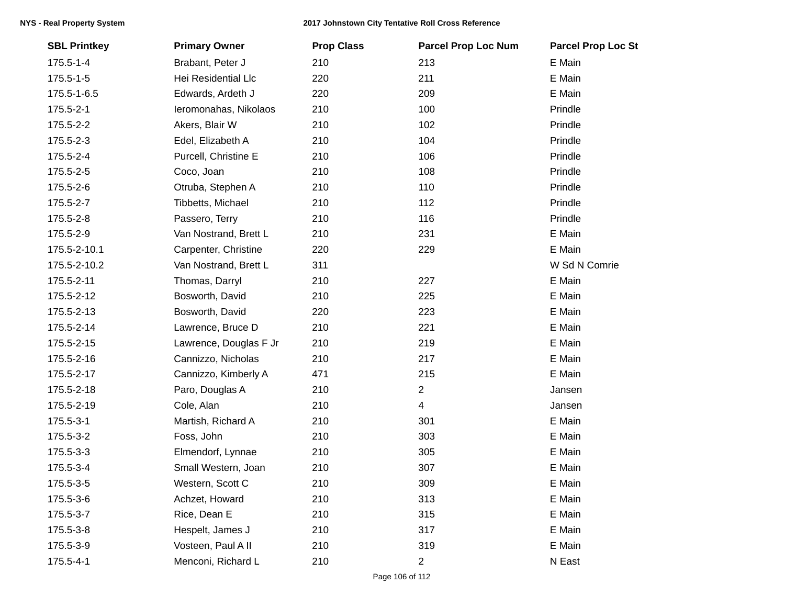| <b>SBL Printkey</b> | <b>Primary Owner</b>   | <b>Prop Class</b> | <b>Parcel Prop Loc Num</b> | <b>Parcel Prop Loc St</b> |
|---------------------|------------------------|-------------------|----------------------------|---------------------------|
| 175.5-1-4           | Brabant, Peter J       | 210               | 213                        | E Main                    |
| $175.5 - 1 - 5$     | Hei Residential Llc    | 220               | 211                        | E Main                    |
| 175.5-1-6.5         | Edwards, Ardeth J      | 220               | 209                        | E Main                    |
| 175.5-2-1           | Ieromonahas, Nikolaos  | 210               | 100                        | Prindle                   |
| 175.5-2-2           | Akers, Blair W         | 210               | 102                        | Prindle                   |
| 175.5-2-3           | Edel, Elizabeth A      | 210               | 104                        | Prindle                   |
| 175.5-2-4           | Purcell, Christine E   | 210               | 106                        | Prindle                   |
| 175.5-2-5           | Coco, Joan             | 210               | 108                        | Prindle                   |
| 175.5-2-6           | Otruba, Stephen A      | 210               | 110                        | Prindle                   |
| 175.5-2-7           | Tibbetts, Michael      | 210               | 112                        | Prindle                   |
| 175.5-2-8           | Passero, Terry         | 210               | 116                        | Prindle                   |
| 175.5-2-9           | Van Nostrand, Brett L  | 210               | 231                        | E Main                    |
| 175.5-2-10.1        | Carpenter, Christine   | 220               | 229                        | E Main                    |
| 175.5-2-10.2        | Van Nostrand, Brett L  | 311               |                            | W Sd N Comrie             |
| 175.5-2-11          | Thomas, Darryl         | 210               | 227                        | E Main                    |
| 175.5-2-12          | Bosworth, David        | 210               | 225                        | E Main                    |
| 175.5-2-13          | Bosworth, David        | 220               | 223                        | E Main                    |
| 175.5-2-14          | Lawrence, Bruce D      | 210               | 221                        | E Main                    |
| 175.5-2-15          | Lawrence, Douglas F Jr | 210               | 219                        | E Main                    |
| 175.5-2-16          | Cannizzo, Nicholas     | 210               | 217                        | E Main                    |
| 175.5-2-17          | Cannizzo, Kimberly A   | 471               | 215                        | E Main                    |
| 175.5-2-18          | Paro, Douglas A        | 210               | $\overline{2}$             | Jansen                    |
| 175.5-2-19          | Cole, Alan             | 210               | $\overline{4}$             | Jansen                    |
| 175.5-3-1           | Martish, Richard A     | 210               | 301                        | E Main                    |
| 175.5-3-2           | Foss, John             | 210               | 303                        | E Main                    |
| 175.5-3-3           | Elmendorf, Lynnae      | 210               | 305                        | E Main                    |
| 175.5-3-4           | Small Western, Joan    | 210               | 307                        | E Main                    |
| 175.5-3-5           | Western, Scott C       | 210               | 309                        | E Main                    |
| 175.5-3-6           | Achzet, Howard         | 210               | 313                        | E Main                    |
| 175.5-3-7           | Rice, Dean E           | 210               | 315                        | E Main                    |
| 175.5-3-8           | Hespelt, James J       | 210               | 317                        | E Main                    |
| 175.5-3-9           | Vosteen, Paul A II     | 210               | 319                        | E Main                    |
| 175.5-4-1           | Menconi, Richard L     | 210               | $\overline{2}$             | N East                    |
|                     |                        |                   |                            |                           |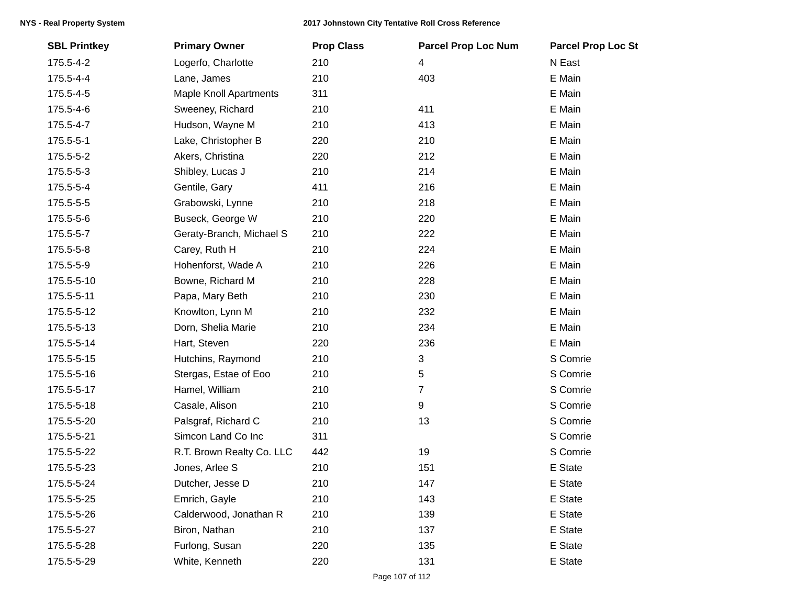| <b>SBL Printkey</b> | <b>Primary Owner</b>          | <b>Prop Class</b> | <b>Parcel Prop Loc Num</b> | <b>Parcel Prop Loc St</b> |
|---------------------|-------------------------------|-------------------|----------------------------|---------------------------|
| 175.5-4-2           | Logerfo, Charlotte            | 210               | 4                          | N East                    |
| 175.5-4-4           | Lane, James                   | 210               | 403                        | E Main                    |
| 175.5-4-5           | <b>Maple Knoll Apartments</b> | 311               |                            | E Main                    |
| 175.5-4-6           | Sweeney, Richard              | 210               | 411                        | E Main                    |
| 175.5-4-7           | Hudson, Wayne M               | 210               | 413                        | E Main                    |
| 175.5-5-1           | Lake, Christopher B           | 220               | 210                        | E Main                    |
| 175.5-5-2           | Akers, Christina              | 220               | 212                        | E Main                    |
| 175.5-5-3           | Shibley, Lucas J              | 210               | 214                        | E Main                    |
| 175.5-5-4           | Gentile, Gary                 | 411               | 216                        | E Main                    |
| 175.5-5-5           | Grabowski, Lynne              | 210               | 218                        | E Main                    |
| 175.5-5-6           | Buseck, George W              | 210               | 220                        | E Main                    |
| 175.5-5-7           | Geraty-Branch, Michael S      | 210               | 222                        | E Main                    |
| 175.5-5-8           | Carey, Ruth H                 | 210               | 224                        | E Main                    |
| 175.5-5-9           | Hohenforst, Wade A            | 210               | 226                        | E Main                    |
| 175.5-5-10          | Bowne, Richard M              | 210               | 228                        | E Main                    |
| 175.5-5-11          | Papa, Mary Beth               | 210               | 230                        | E Main                    |
| 175.5-5-12          | Knowlton, Lynn M              | 210               | 232                        | E Main                    |
| 175.5-5-13          | Dorn, Shelia Marie            | 210               | 234                        | E Main                    |
| 175.5-5-14          | Hart, Steven                  | 220               | 236                        | E Main                    |
| 175.5-5-15          | Hutchins, Raymond             | 210               | 3                          | S Comrie                  |
| 175.5-5-16          | Stergas, Estae of Eoo         | 210               | 5                          | S Comrie                  |
| 175.5-5-17          | Hamel, William                | 210               | $\overline{7}$             | S Comrie                  |
| 175.5-5-18          | Casale, Alison                | 210               | 9                          | S Comrie                  |
| 175.5-5-20          | Palsgraf, Richard C           | 210               | 13                         | S Comrie                  |
| 175.5-5-21          | Simcon Land Co Inc            | 311               |                            | S Comrie                  |
| 175.5-5-22          | R.T. Brown Realty Co. LLC     | 442               | 19                         | S Comrie                  |
| 175.5-5-23          | Jones, Arlee S                | 210               | 151                        | E State                   |
| 175.5-5-24          | Dutcher, Jesse D              | 210               | 147                        | E State                   |
| 175.5-5-25          | Emrich, Gayle                 | 210               | 143                        | E State                   |
| 175.5-5-26          | Calderwood, Jonathan R        | 210               | 139                        | E State                   |
| 175.5-5-27          | Biron, Nathan                 | 210               | 137                        | E State                   |
| 175.5-5-28          | Furlong, Susan                | 220               | 135                        | E State                   |
| 175.5-5-29          | White, Kenneth                | 220               | 131                        | E State                   |
|                     |                               |                   |                            |                           |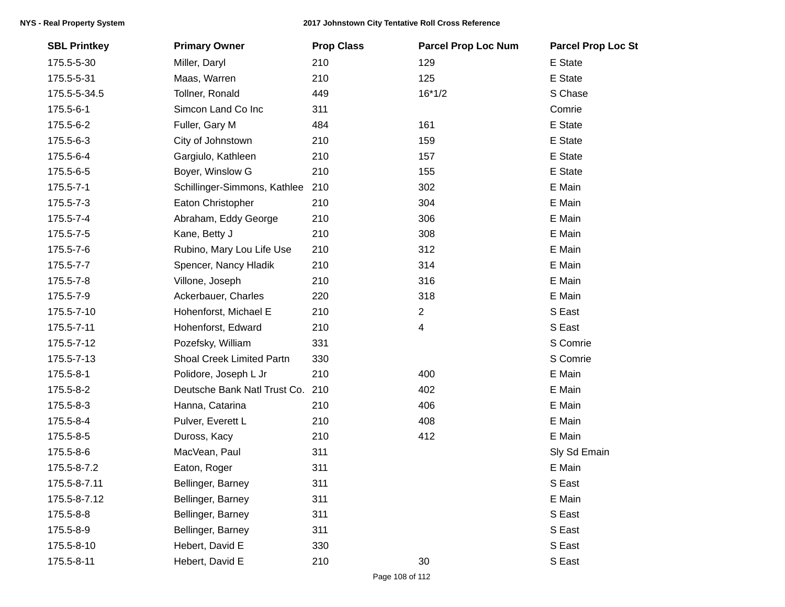| <b>SBL Printkey</b> | <b>Primary Owner</b>         | <b>Prop Class</b> | <b>Parcel Prop Loc Num</b> | <b>Parcel Prop Loc St</b> |
|---------------------|------------------------------|-------------------|----------------------------|---------------------------|
| 175.5-5-30          | Miller, Daryl                | 210               | 129                        | E State                   |
| 175.5-5-31          | Maas, Warren                 | 210               | 125                        | E State                   |
| 175.5-5-34.5        | Tollner, Ronald              | 449               | $16*1/2$                   | S Chase                   |
| 175.5-6-1           | Simcon Land Co Inc           | 311               |                            | Comrie                    |
| 175.5-6-2           | Fuller, Gary M               | 484               | 161                        | E State                   |
| 175.5-6-3           | City of Johnstown            | 210               | 159                        | E State                   |
| 175.5-6-4           | Gargiulo, Kathleen           | 210               | 157                        | E State                   |
| 175.5-6-5           | Boyer, Winslow G             | 210               | 155                        | E State                   |
| 175.5-7-1           | Schillinger-Simmons, Kathlee | 210               | 302                        | E Main                    |
| 175.5-7-3           | Eaton Christopher            | 210               | 304                        | E Main                    |
| 175.5-7-4           | Abraham, Eddy George         | 210               | 306                        | E Main                    |
| 175.5-7-5           | Kane, Betty J                | 210               | 308                        | E Main                    |
| 175.5-7-6           | Rubino, Mary Lou Life Use    | 210               | 312                        | E Main                    |
| 175.5-7-7           | Spencer, Nancy Hladik        | 210               | 314                        | E Main                    |
| 175.5-7-8           | Villone, Joseph              | 210               | 316                        | E Main                    |
| 175.5-7-9           | Ackerbauer, Charles          | 220               | 318                        | E Main                    |
| 175.5-7-10          | Hohenforst, Michael E        | 210               | $\overline{2}$             | S East                    |
| 175.5-7-11          | Hohenforst, Edward           | 210               | 4                          | S East                    |
| 175.5-7-12          | Pozefsky, William            | 331               |                            | S Comrie                  |
| 175.5-7-13          | Shoal Creek Limited Partn    | 330               |                            | S Comrie                  |
| 175.5-8-1           | Polidore, Joseph L Jr        | 210               | 400                        | E Main                    |
| 175.5-8-2           | Deutsche Bank Natl Trust Co. | 210               | 402                        | E Main                    |
| 175.5-8-3           | Hanna, Catarina              | 210               | 406                        | E Main                    |
| 175.5-8-4           | Pulver, Everett L            | 210               | 408                        | E Main                    |
| 175.5-8-5           | Duross, Kacy                 | 210               | 412                        | E Main                    |
| 175.5-8-6           | MacVean, Paul                | 311               |                            | Sly Sd Emain              |
| 175.5-8-7.2         | Eaton, Roger                 | 311               |                            | E Main                    |
| 175.5-8-7.11        | Bellinger, Barney            | 311               |                            | S East                    |
| 175.5-8-7.12        | Bellinger, Barney            | 311               |                            | E Main                    |
| 175.5-8-8           | Bellinger, Barney            | 311               |                            | S East                    |
| 175.5-8-9           | Bellinger, Barney            | 311               |                            | S East                    |
| 175.5-8-10          | Hebert, David E              | 330               |                            | S East                    |
| 175.5-8-11          | Hebert, David E              | 210               | 30                         | S East                    |
|                     |                              |                   |                            |                           |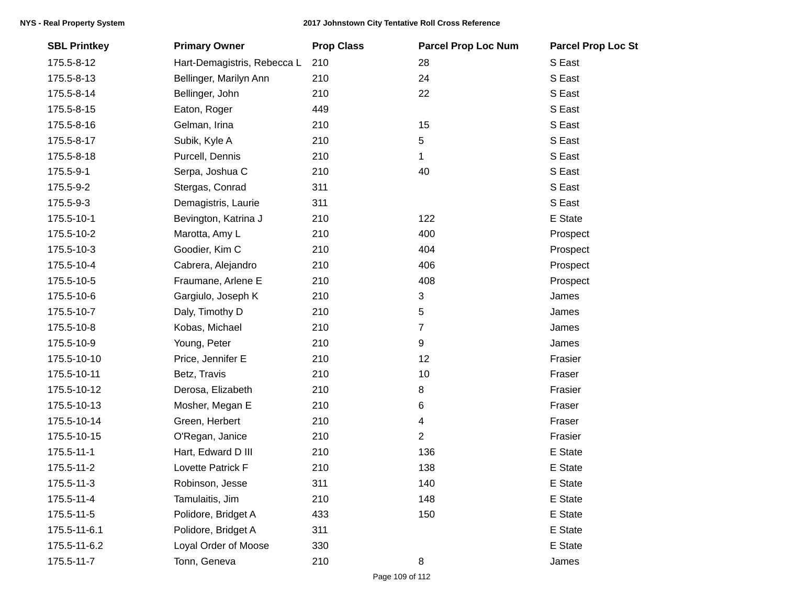| <b>SBL Printkey</b> | <b>Primary Owner</b>        | <b>Prop Class</b> | <b>Parcel Prop Loc Num</b> | <b>Parcel Prop Loc St</b> |
|---------------------|-----------------------------|-------------------|----------------------------|---------------------------|
| 175.5-8-12          | Hart-Demagistris, Rebecca L | 210               | 28                         | S East                    |
| 175.5-8-13          | Bellinger, Marilyn Ann      | 210               | 24                         | S East                    |
| 175.5-8-14          | Bellinger, John             | 210               | 22                         | S East                    |
| 175.5-8-15          | Eaton, Roger                | 449               |                            | S East                    |
| 175.5-8-16          | Gelman, Irina               | 210               | 15                         | S East                    |
| 175.5-8-17          | Subik, Kyle A               | 210               | 5                          | S East                    |
| 175.5-8-18          | Purcell, Dennis             | 210               | 1                          | S East                    |
| 175.5-9-1           | Serpa, Joshua C             | 210               | 40                         | S East                    |
| 175.5-9-2           | Stergas, Conrad             | 311               |                            | S East                    |
| 175.5-9-3           | Demagistris, Laurie         | 311               |                            | S East                    |
| 175.5-10-1          | Bevington, Katrina J        | 210               | 122                        | E State                   |
| 175.5-10-2          | Marotta, Amy L              | 210               | 400                        | Prospect                  |
| 175.5-10-3          | Goodier, Kim C              | 210               | 404                        | Prospect                  |
| 175.5-10-4          | Cabrera, Alejandro          | 210               | 406                        | Prospect                  |
| 175.5-10-5          | Fraumane, Arlene E          | 210               | 408                        | Prospect                  |
| 175.5-10-6          | Gargiulo, Joseph K          | 210               | 3                          | James                     |
| 175.5-10-7          | Daly, Timothy D             | 210               | 5                          | James                     |
| 175.5-10-8          | Kobas, Michael              | 210               | 7                          | James                     |
| 175.5-10-9          | Young, Peter                | 210               | 9                          | James                     |
| 175.5-10-10         | Price, Jennifer E           | 210               | 12                         | Frasier                   |
| 175.5-10-11         | Betz, Travis                | 210               | 10                         | Fraser                    |
| 175.5-10-12         | Derosa, Elizabeth           | 210               | 8                          | Frasier                   |
| 175.5-10-13         | Mosher, Megan E             | 210               | 6                          | Fraser                    |
| 175.5-10-14         | Green, Herbert              | 210               | 4                          | Fraser                    |
| 175.5-10-15         | O'Regan, Janice             | 210               | 2                          | Frasier                   |
| 175.5-11-1          | Hart, Edward D III          | 210               | 136                        | E State                   |
| 175.5-11-2          | Lovette Patrick F           | 210               | 138                        | E State                   |
| 175.5-11-3          | Robinson, Jesse             | 311               | 140                        | E State                   |
| 175.5-11-4          | Tamulaitis, Jim             | 210               | 148                        | E State                   |
| 175.5-11-5          | Polidore, Bridget A         | 433               | 150                        | E State                   |
| 175.5-11-6.1        | Polidore, Bridget A         | 311               |                            | E State                   |
| 175.5-11-6.2        | Loyal Order of Moose        | 330               |                            | E State                   |
| 175.5-11-7          | Tonn, Geneva                | 210               | 8                          | James                     |
|                     |                             |                   |                            |                           |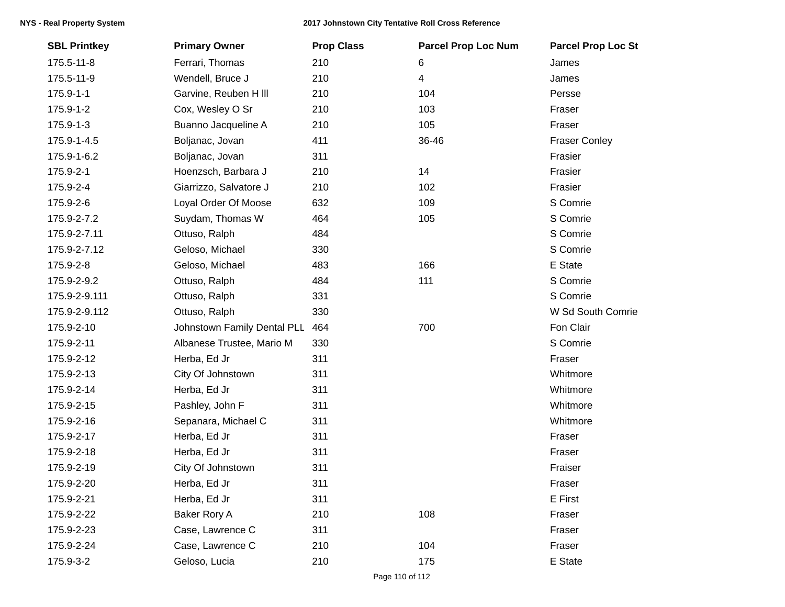## 2017 Johnstown City Tentative Roll Cross Reference

| <b>SBL Printkey</b> | <b>Primary Owner</b>        | <b>Prop Class</b> | <b>Parcel Prop Loc Num</b> | <b>Parcel Prop Loc St</b> |
|---------------------|-----------------------------|-------------------|----------------------------|---------------------------|
| 175.5-11-8          | Ferrari, Thomas             | 210               | 6                          | James                     |
| 175.5-11-9          | Wendell, Bruce J            | 210               | 4                          | James                     |
| 175.9-1-1           | Garvine, Reuben H III       | 210               | 104                        | Persse                    |
| 175.9-1-2           | Cox, Wesley O Sr            | 210               | 103                        | Fraser                    |
| 175.9-1-3           | Buanno Jacqueline A         | 210               | 105                        | Fraser                    |
| 175.9-1-4.5         | Boljanac, Jovan             | 411               | 36-46                      | <b>Fraser Conley</b>      |
| 175.9-1-6.2         | Boljanac, Jovan             | 311               |                            | Frasier                   |
| 175.9-2-1           | Hoenzsch, Barbara J         | 210               | 14                         | Frasier                   |
| 175.9-2-4           | Giarrizzo, Salvatore J      | 210               | 102                        | Frasier                   |
| 175.9-2-6           | Loyal Order Of Moose        | 632               | 109                        | S Comrie                  |
| 175.9-2-7.2         | Suydam, Thomas W            | 464               | 105                        | S Comrie                  |
| 175.9-2-7.11        | Ottuso, Ralph               | 484               |                            | S Comrie                  |
| 175.9-2-7.12        | Geloso, Michael             | 330               |                            | S Comrie                  |
| 175.9-2-8           | Geloso, Michael             | 483               | 166                        | E State                   |
| 175.9-2-9.2         | Ottuso, Ralph               | 484               | 111                        | S Comrie                  |
| 175.9-2-9.111       | Ottuso, Ralph               | 331               |                            | S Comrie                  |
| 175.9-2-9.112       | Ottuso, Ralph               | 330               |                            | W Sd South Comrie         |
| 175.9-2-10          | Johnstown Family Dental PLL | 464               | 700                        | Fon Clair                 |
| 175.9-2-11          | Albanese Trustee, Mario M   | 330               |                            | S Comrie                  |
| 175.9-2-12          | Herba, Ed Jr                | 311               |                            | Fraser                    |
| 175.9-2-13          | City Of Johnstown           | 311               |                            | Whitmore                  |
| 175.9-2-14          | Herba, Ed Jr                | 311               |                            | Whitmore                  |
| 175.9-2-15          | Pashley, John F             | 311               |                            | Whitmore                  |
| 175.9-2-16          | Sepanara, Michael C         | 311               |                            | Whitmore                  |
| 175.9-2-17          | Herba, Ed Jr                | 311               |                            | Fraser                    |
| 175.9-2-18          | Herba, Ed Jr                | 311               |                            | Fraser                    |
| 175.9-2-19          | City Of Johnstown           | 311               |                            | Fraiser                   |
| 175.9-2-20          | Herba, Ed Jr                | 311               |                            | Fraser                    |
| 175.9-2-21          | Herba, Ed Jr                | 311               |                            | E First                   |
| 175.9-2-22          | Baker Rory A                | 210               | 108                        | Fraser                    |
| 175.9-2-23          | Case, Lawrence C            | 311               |                            | Fraser                    |
| 175.9-2-24          | Case, Lawrence C            | 210               | 104                        | Fraser                    |
| 175.9-3-2           | Geloso, Lucia               | 210               | 175                        | E State                   |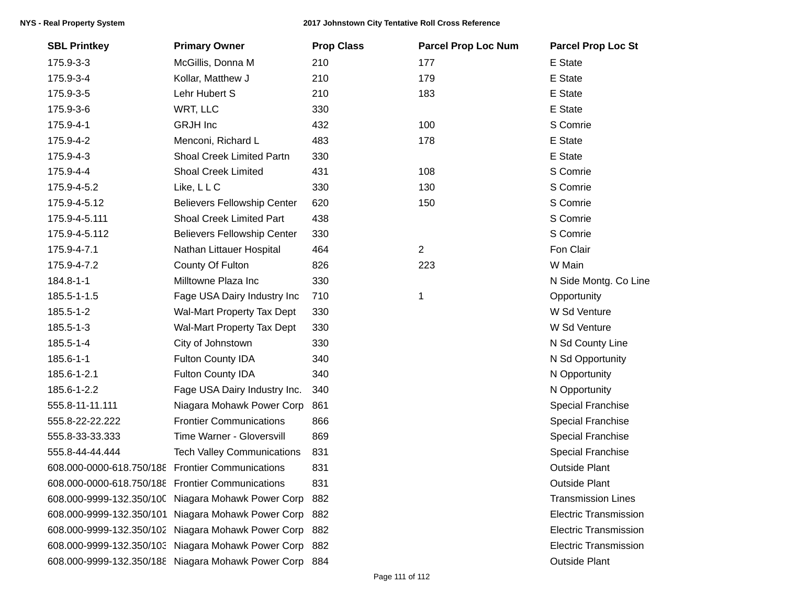| <b>SBL Printkey</b>                              | <b>Primary Owner</b>                                   | <b>Prop Class</b> | <b>Parcel Prop Loc Num</b> | <b>Parcel Prop Loc St</b>    |
|--------------------------------------------------|--------------------------------------------------------|-------------------|----------------------------|------------------------------|
| 175.9-3-3                                        | McGillis, Donna M                                      | 210               | 177                        | E State                      |
| 175.9-3-4                                        | Kollar, Matthew J                                      | 210               | 179                        | E State                      |
| 175.9-3-5                                        | Lehr Hubert S                                          | 210               | 183                        | E State                      |
| 175.9-3-6                                        | WRT, LLC                                               | 330               |                            | E State                      |
| 175.9-4-1                                        | <b>GRJH</b> Inc                                        | 432               | 100                        | S Comrie                     |
| 175.9-4-2                                        | Menconi, Richard L                                     | 483               | 178                        | E State                      |
| 175.9-4-3                                        | Shoal Creek Limited Partn                              | 330               |                            | E State                      |
| 175.9-4-4                                        | <b>Shoal Creek Limited</b>                             | 431               | 108                        | S Comrie                     |
| 175.9-4-5.2                                      | Like, LLC                                              | 330               | 130                        | S Comrie                     |
| 175.9-4-5.12                                     | <b>Believers Fellowship Center</b>                     | 620               | 150                        | S Comrie                     |
| 175.9-4-5.111                                    | Shoal Creek Limited Part                               | 438               |                            | S Comrie                     |
| 175.9-4-5.112                                    | <b>Believers Fellowship Center</b>                     | 330               |                            | S Comrie                     |
| 175.9-4-7.1                                      | Nathan Littauer Hospital                               | 464               | $\overline{2}$             | Fon Clair                    |
| 175.9-4-7.2                                      | County Of Fulton                                       | 826               | 223                        | W Main                       |
| 184.8-1-1                                        | Milltowne Plaza Inc                                    | 330               |                            | N Side Montg. Co Line        |
| 185.5-1-1.5                                      | Fage USA Dairy Industry Inc                            | 710               | 1                          | Opportunity                  |
| 185.5-1-2                                        | Wal-Mart Property Tax Dept                             | 330               |                            | W Sd Venture                 |
| 185.5-1-3                                        | Wal-Mart Property Tax Dept                             | 330               |                            | W Sd Venture                 |
| 185.5-1-4                                        | City of Johnstown                                      | 330               |                            | N Sd County Line             |
| 185.6-1-1                                        | Fulton County IDA                                      | 340               |                            | N Sd Opportunity             |
| 185.6-1-2.1                                      | Fulton County IDA                                      | 340               |                            | N Opportunity                |
| 185.6-1-2.2                                      | Fage USA Dairy Industry Inc.                           | 340               |                            | N Opportunity                |
| 555.8-11-11.111                                  | Niagara Mohawk Power Corp                              | 861               |                            | Special Franchise            |
| 555.8-22-22.222                                  | <b>Frontier Communications</b>                         | 866               |                            | Special Franchise            |
| 555.8-33-33.333                                  | Time Warner - Gloversvill                              | 869               |                            | <b>Special Franchise</b>     |
| 555.8-44-44.444                                  | <b>Tech Valley Communications</b>                      | 831               |                            | <b>Special Franchise</b>     |
| 608.000-0000-618.750/188 Frontier Communications |                                                        | 831               |                            | <b>Outside Plant</b>         |
| 608.000-0000-618.750/188 Frontier Communications |                                                        | 831               |                            | Outside Plant                |
|                                                  | 608.000-9999-132.350/100 Niagara Mohawk Power Corp     | -882              |                            | <b>Transmission Lines</b>    |
|                                                  | 608.000-9999-132.350/101 Niagara Mohawk Power Corp     | -882              |                            | <b>Electric Transmission</b> |
|                                                  | 608.000-9999-132.350/102 Niagara Mohawk Power Corp     | - 882             |                            | <b>Electric Transmission</b> |
|                                                  | 608.000-9999-132.350/103 Niagara Mohawk Power Corp 882 |                   |                            | <b>Electric Transmission</b> |
|                                                  | 608.000-9999-132.350/188 Niagara Mohawk Power Corp 884 |                   |                            | <b>Outside Plant</b>         |
|                                                  |                                                        |                   |                            |                              |